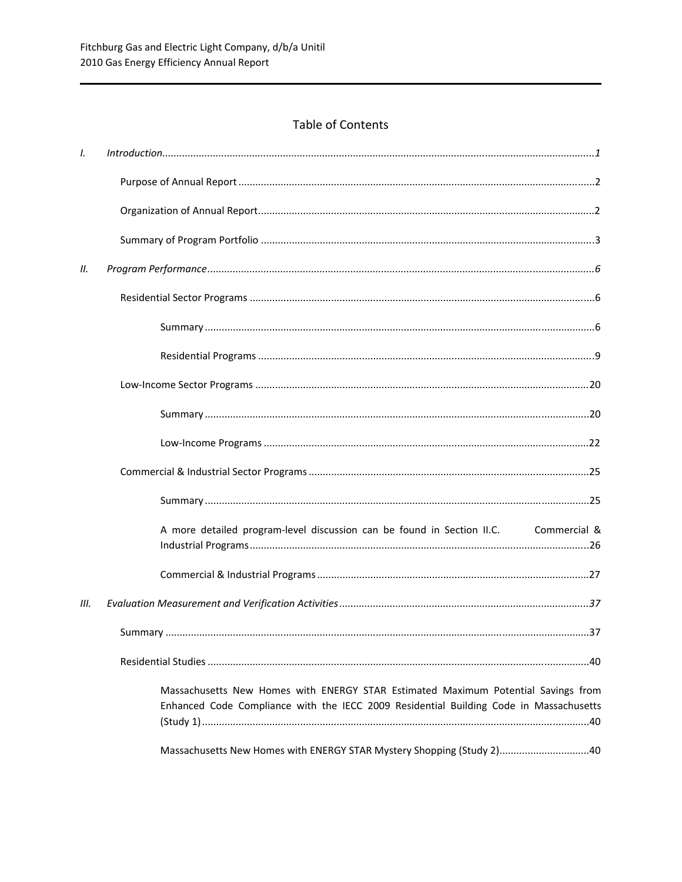# Table of Contents

| $\mathcal{L}$ | Introduction 11                                                                                                                                                             |
|---------------|-----------------------------------------------------------------------------------------------------------------------------------------------------------------------------|
|               |                                                                                                                                                                             |
|               |                                                                                                                                                                             |
|               |                                                                                                                                                                             |
| Н.            |                                                                                                                                                                             |
|               |                                                                                                                                                                             |
|               |                                                                                                                                                                             |
|               |                                                                                                                                                                             |
|               |                                                                                                                                                                             |
|               |                                                                                                                                                                             |
|               |                                                                                                                                                                             |
|               |                                                                                                                                                                             |
|               |                                                                                                                                                                             |
|               | A more detailed program-level discussion can be found in Section II.C. Commercial &                                                                                         |
|               |                                                                                                                                                                             |
| III.          |                                                                                                                                                                             |
|               |                                                                                                                                                                             |
|               |                                                                                                                                                                             |
|               | Massachusetts New Homes with ENERGY STAR Estimated Maximum Potential Savings from<br>Enhanced Code Compliance with the IECC 2009 Residential Building Code in Massachusetts |
|               | Massachusetts New Homes with ENERGY STAR Mystery Shopping (Study 2)40                                                                                                       |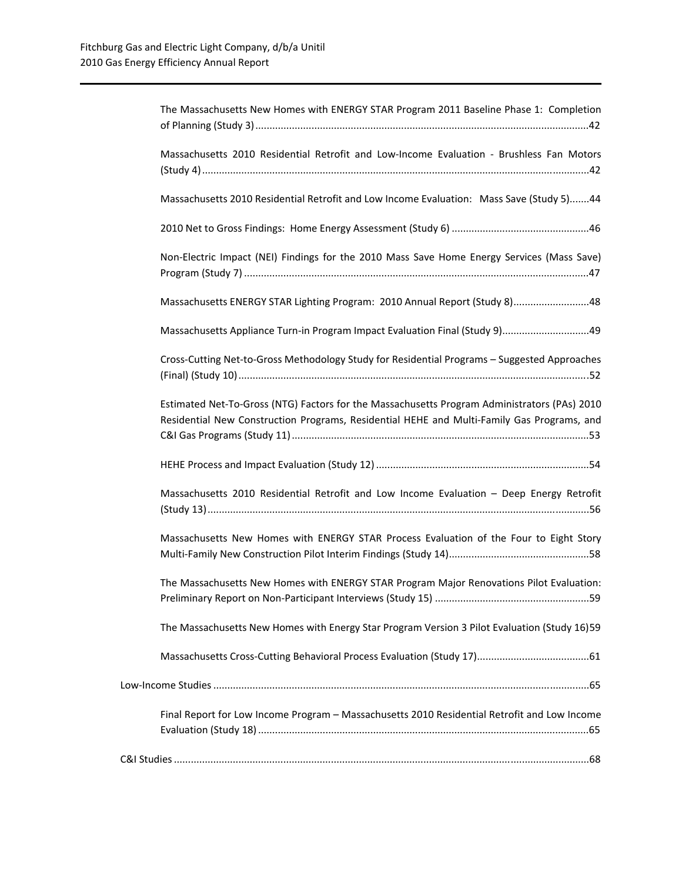| The Massachusetts New Homes with ENERGY STAR Program 2011 Baseline Phase 1: Completion                                                                                                     |
|--------------------------------------------------------------------------------------------------------------------------------------------------------------------------------------------|
| Massachusetts 2010 Residential Retrofit and Low-Income Evaluation - Brushless Fan Motors                                                                                                   |
| Massachusetts 2010 Residential Retrofit and Low Income Evaluation: Mass Save (Study 5)44                                                                                                   |
|                                                                                                                                                                                            |
| Non-Electric Impact (NEI) Findings for the 2010 Mass Save Home Energy Services (Mass Save)                                                                                                 |
| Massachusetts ENERGY STAR Lighting Program: 2010 Annual Report (Study 8)48                                                                                                                 |
| Massachusetts Appliance Turn-in Program Impact Evaluation Final (Study 9) 49                                                                                                               |
| Cross-Cutting Net-to-Gross Methodology Study for Residential Programs - Suggested Approaches                                                                                               |
| Estimated Net-To-Gross (NTG) Factors for the Massachusetts Program Administrators (PAs) 2010<br>Residential New Construction Programs, Residential HEHE and Multi-Family Gas Programs, and |
|                                                                                                                                                                                            |
| Massachusetts 2010 Residential Retrofit and Low Income Evaluation - Deep Energy Retrofit                                                                                                   |
| Massachusetts New Homes with ENERGY STAR Process Evaluation of the Four to Eight Story                                                                                                     |
| The Massachusetts New Homes with ENERGY STAR Program Major Renovations Pilot Evaluation:                                                                                                   |
| The Massachusetts New Homes with Energy Star Program Version 3 Pilot Evaluation (Study 16)59                                                                                               |
|                                                                                                                                                                                            |
|                                                                                                                                                                                            |
| Final Report for Low Income Program - Massachusetts 2010 Residential Retrofit and Low Income                                                                                               |
|                                                                                                                                                                                            |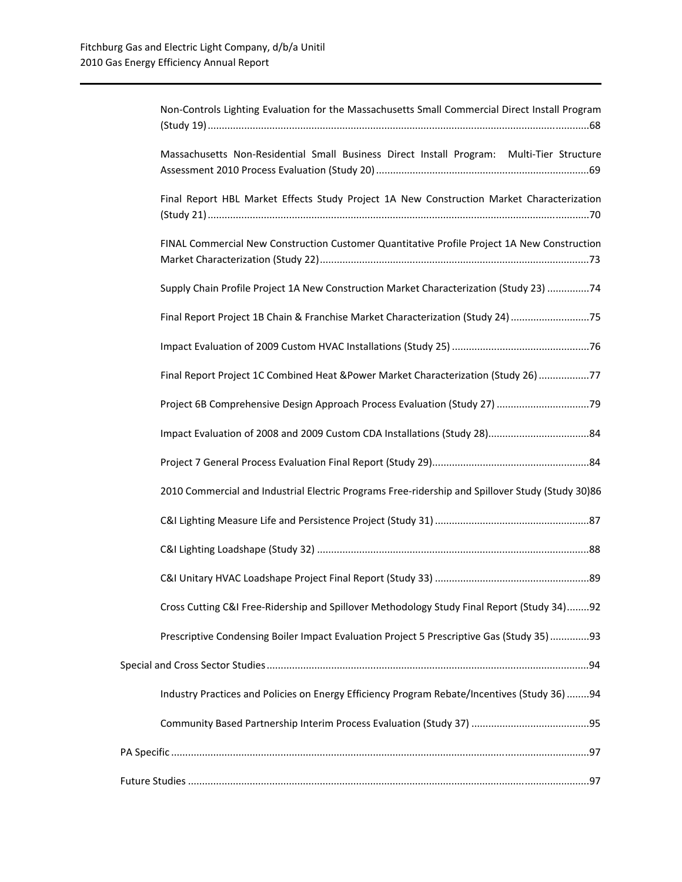| Non-Controls Lighting Evaluation for the Massachusetts Small Commercial Direct Install Program   |
|--------------------------------------------------------------------------------------------------|
| Massachusetts Non-Residential Small Business Direct Install Program: Multi-Tier Structure        |
| Final Report HBL Market Effects Study Project 1A New Construction Market Characterization        |
| FINAL Commercial New Construction Customer Quantitative Profile Project 1A New Construction      |
| Supply Chain Profile Project 1A New Construction Market Characterization (Study 23) 74           |
| Final Report Project 1B Chain & Franchise Market Characterization (Study 24) 75                  |
|                                                                                                  |
| Final Report Project 1C Combined Heat &Power Market Characterization (Study 26) 77               |
|                                                                                                  |
|                                                                                                  |
|                                                                                                  |
| 2010 Commercial and Industrial Electric Programs Free-ridership and Spillover Study (Study 30)86 |
|                                                                                                  |
|                                                                                                  |
|                                                                                                  |
| Cross Cutting C&I Free-Ridership and Spillover Methodology Study Final Report (Study 34)92       |
| Prescriptive Condensing Boiler Impact Evaluation Project 5 Prescriptive Gas (Study 35) 93        |
|                                                                                                  |
| Industry Practices and Policies on Energy Efficiency Program Rebate/Incentives (Study 36) 94     |
|                                                                                                  |
|                                                                                                  |
|                                                                                                  |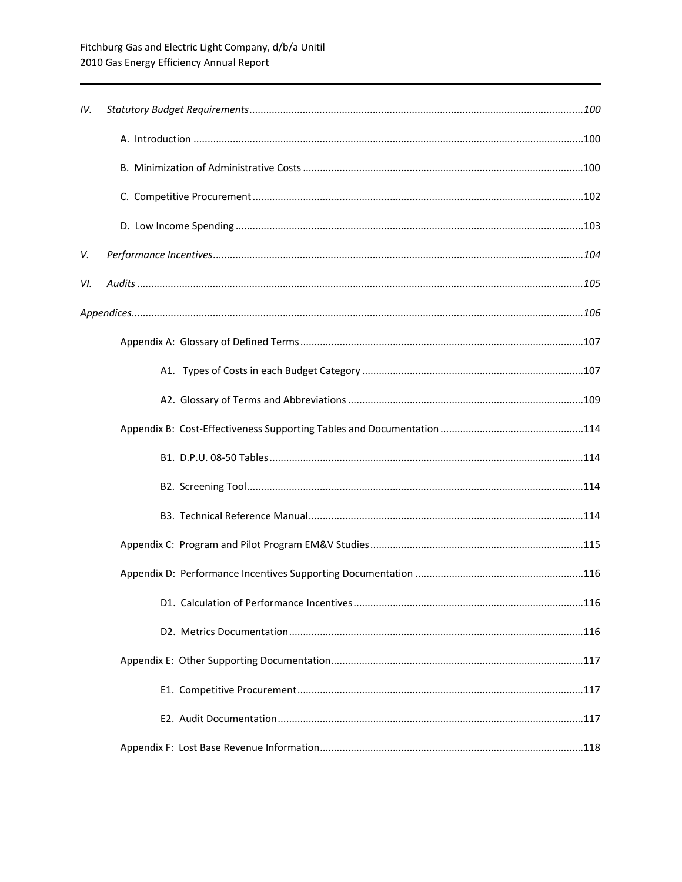| IV. |  |
|-----|--|
|     |  |
|     |  |
|     |  |
|     |  |
| V.  |  |
| VI. |  |
|     |  |
|     |  |
|     |  |
|     |  |
|     |  |
|     |  |
|     |  |
|     |  |
|     |  |
|     |  |
|     |  |
|     |  |
|     |  |
|     |  |
|     |  |
|     |  |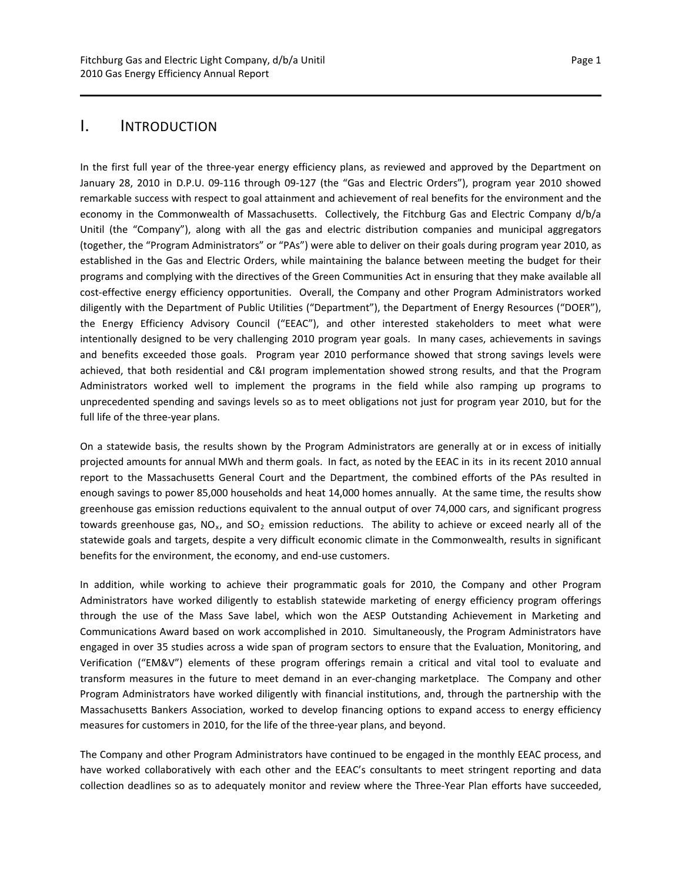<span id="page-4-0"></span>I. INTRODUCTION

In the first full year of the three-year energy efficiency plans, as reviewed and approved by the Department on January 28, 2010 in D.P.U. 09‐116 through 09‐127 (the "Gas and Electric Orders"), program year 2010 showed remarkable success with respect to goal attainment and achievement of real benefits for the environment and the economy in the Commonwealth of Massachusetts. Collectively, the Fitchburg Gas and Electric Company d/b/a Unitil (the "Company"), along with all the gas and electric distribution companies and municipal aggregators (together, the "Program Administrators" or "PAs") were able to deliver on their goals during program year 2010, as established in the Gas and Electric Orders, while maintaining the balance between meeting the budget for their programs and complying with the directives of the Green Communities Act in ensuring that they make available all cost‐effective energy efficiency opportunities. Overall, the Company and other Program Administrators worked diligently with the Department of Public Utilities ("Department"), the Department of Energy Resources ("DOER"), the Energy Efficiency Advisory Council ("EEAC"), and other interested stakeholders to meet what were intentionally designed to be very challenging 2010 program year goals. In many cases, achievements in savings and benefits exceeded those goals. Program year 2010 performance showed that strong savings levels were achieved, that both residential and C&I program implementation showed strong results, and that the Program Administrators worked well to implement the programs in the field while also ramping up programs to unprecedented spending and savings levels so as to meet obligations not just for program year 2010, but for the full life of the three‐year plans.

On a statewide basis, the results shown by the Program Administrators are generally at or in excess of initially projected amounts for annual MWh and therm goals. In fact, as noted by the EEAC in its in its recent 2010 annual report to the Massachusetts General Court and the Department, the combined efforts of the PAs resulted in enough savings to power 85,000 households and heat 14,000 homes annually. At the same time, the results show greenhouse gas emission reductions equivalent to the annual output of over 74,000 cars, and significant progress towards greenhouse gas,  $NO<sub>x</sub>$ , and  $SO<sub>2</sub>$  emission reductions. The ability to achieve or exceed nearly all of the statewide goals and targets, despite a very difficult economic climate in the Commonwealth, results in significant benefits for the environment, the economy, and end‐use customers.

In addition, while working to achieve their programmatic goals for 2010, the Company and other Program Administrators have worked diligently to establish statewide marketing of energy efficiency program offerings through the use of the Mass Save label, which won the AESP Outstanding Achievement in Marketing and Communications Award based on work accomplished in 2010. Simultaneously, the Program Administrators have engaged in over 35 studies across a wide span of program sectors to ensure that the Evaluation, Monitoring, and Verification ("EM&V") elements of these program offerings remain a critical and vital tool to evaluate and transform measures in the future to meet demand in an ever‐changing marketplace. The Company and other Program Administrators have worked diligently with financial institutions, and, through the partnership with the Massachusetts Bankers Association, worked to develop financing options to expand access to energy efficiency measures for customers in 2010, for the life of the three-year plans, and beyond.

The Company and other Program Administrators have continued to be engaged in the monthly EEAC process, and have worked collaboratively with each other and the EEAC's consultants to meet stringent reporting and data collection deadlines so as to adequately monitor and review where the Three‐Year Plan efforts have succeeded,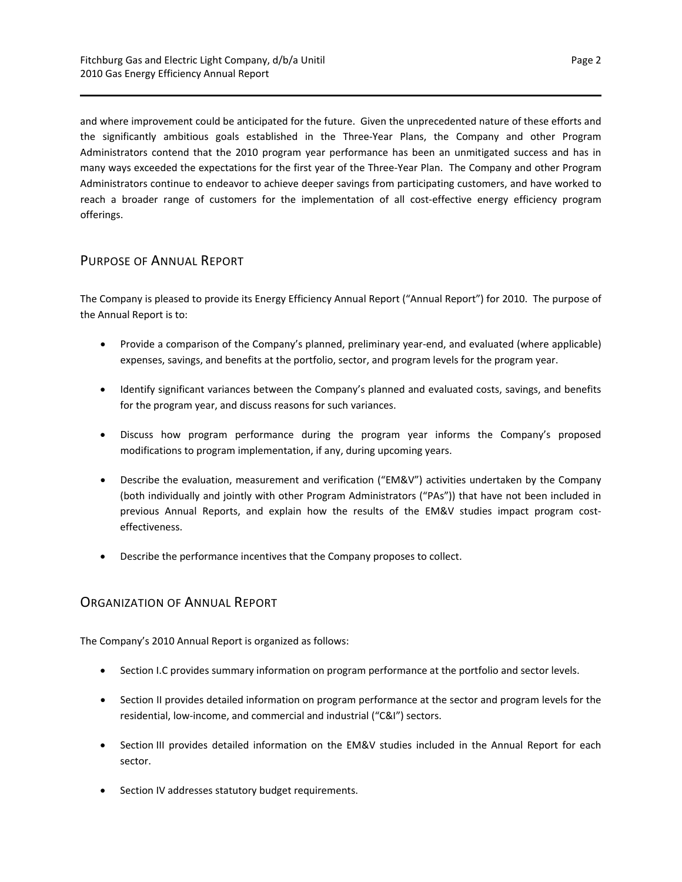and where improvement could be anticipated for the future. Given the unprecedented nature of these efforts and the significantly ambitious goals established in the Three‐Year Plans, the Company and other Program Administrators contend that the 2010 program year performance has been an unmitigated success and has in many ways exceeded the expectations for the first year of the Three‐Year Plan. The Company and other Program Administrators continue to endeavor to achieve deeper savings from participating customers, and have worked to reach a broader range of customers for the implementation of all cost-effective energy efficiency program offerings.

## <span id="page-5-0"></span>PURPOSE OF ANNUAL REPORT

The Company is pleased to provide its Energy Efficiency Annual Report ("Annual Report") for 2010. The purpose of the Annual Report is to:

- Provide a comparison of the Company's planned, preliminary year-end, and evaluated (where applicable) expenses, savings, and benefits at the portfolio, sector, and program levels for the program year.
- Identify significant variances between the Company's planned and evaluated costs, savings, and benefits for the program year, and discuss reasons for such variances.
- Discuss how program performance during the program year informs the Company's proposed modifications to program implementation, if any, during upcoming years.
- Describe the evaluation, measurement and verification ("EM&V") activities undertaken by the Company (both individually and jointly with other Program Administrators ("PAs")) that have not been included in previous Annual Reports, and explain how the results of the EM&V studies impact program costeffectiveness.
- Describe the performance incentives that the Company proposes to collect.

## <span id="page-5-1"></span>ORGANIZATION OF ANNUAL REPORT

The Company's 2010 Annual Report is organized as follows:

- Section I.C provides summary information on program performance at the portfolio and sector levels.
- Section II provides detailed information on program performance at the sector and program levels for the residential, low‐income, and commercial and industrial ("C&I") sectors.
- Section III provides detailed information on the EM&V studies included in the Annual Report for each sector.
- Section IV addresses statutory budget requirements.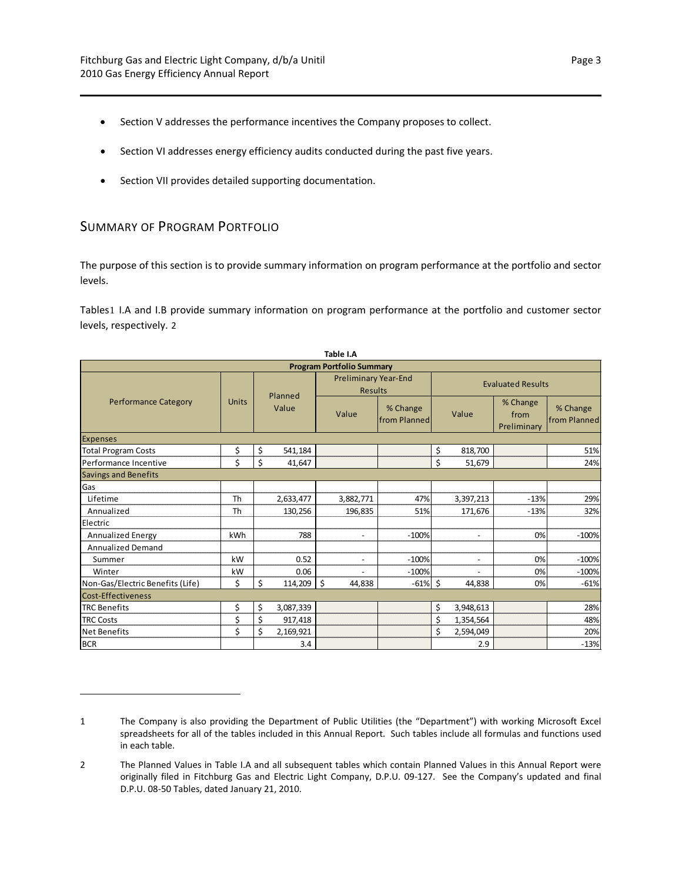- Section V addresses the performance incentives the Company proposes to collect.
- **Section VI addresses energy efficiency audits conducted during the past five years.**
- Section VII provides detailed supporting documentation.

## <span id="page-6-0"></span>SUMMARY OF PROGRAM PORTFOLIO

The purpose of this section is to provide summary information on program performance at the portfolio and sector levels.

Tables[1](#page-6-1) I.A and I.B provide summary information on program performance at the portfolio and customer sector levels, respectively. [2](#page-6-2)

| Table I.A                        |                                  |       |           |                                               |                          |                          |                          |                                 |                                 |  |  |  |  |
|----------------------------------|----------------------------------|-------|-----------|-----------------------------------------------|--------------------------|--------------------------|--------------------------|---------------------------------|---------------------------------|--|--|--|--|
|                                  | <b>Program Portfolio Summary</b> |       |           |                                               |                          |                          |                          |                                 |                                 |  |  |  |  |
|                                  |                                  |       | Planned   | <b>Preliminary Year-End</b><br><b>Results</b> |                          | <b>Evaluated Results</b> |                          |                                 |                                 |  |  |  |  |
| <b>Performance Category</b>      | Units                            | Value |           | Value                                         | % Change<br>from Planned |                          | Value                    | % Change<br>from<br>Preliminary | % Change<br><b>from Planned</b> |  |  |  |  |
| <b>Expenses</b>                  |                                  |       |           |                                               |                          |                          |                          |                                 |                                 |  |  |  |  |
| <b>Total Program Costs</b>       | \$                               | \$    | 541,184   |                                               |                          | \$                       | 818,700                  |                                 | 51%                             |  |  |  |  |
| Performance Incentive            | \$                               | \$    | 41,647    |                                               |                          | \$                       | 51,679                   |                                 | 24%                             |  |  |  |  |
| <b>Savings and Benefits</b>      |                                  |       |           |                                               |                          |                          |                          |                                 |                                 |  |  |  |  |
| Gas                              |                                  |       |           |                                               |                          |                          |                          |                                 |                                 |  |  |  |  |
| Lifetime                         | Th                               |       | 2,633,477 | 3,882,771                                     | 47%                      |                          | 3,397,213                | $-13%$                          | 29%                             |  |  |  |  |
| Annualized                       | Th                               |       | 130,256   | 196,835                                       | 51%                      |                          | 171,676                  | $-13%$                          | 32%                             |  |  |  |  |
| Electric                         |                                  |       |           |                                               |                          |                          |                          |                                 |                                 |  |  |  |  |
| <b>Annualized Energy</b>         | kWh                              |       | 788       | $\overline{\phantom{a}}$                      | $-100%$                  |                          | $\overline{\phantom{a}}$ | 0%                              | $-100%$                         |  |  |  |  |
| <b>Annualized Demand</b>         |                                  |       |           |                                               |                          |                          |                          |                                 |                                 |  |  |  |  |
| Summer                           | kW                               |       | 0.52      | $\overline{a}$                                | $-100%$                  |                          | $\overline{\phantom{m}}$ | 0%                              | $-100%$                         |  |  |  |  |
| Winter                           | kW                               |       | 0.06      |                                               | $-100%$                  |                          |                          | 0%                              | $-100%$                         |  |  |  |  |
| Non-Gas/Electric Benefits (Life) | \$                               | \$    | 114,209   | \$<br>44,838                                  | $-61%$                   | \$                       | 44,838                   | 0%                              | $-61%$                          |  |  |  |  |
| Cost-Effectiveness               |                                  |       |           |                                               |                          |                          |                          |                                 |                                 |  |  |  |  |
| <b>TRC Benefits</b>              | \$                               | \$    | 3,087,339 |                                               |                          | \$                       | 3,948,613                |                                 | 28%                             |  |  |  |  |
| <b>TRC Costs</b>                 | \$                               | \$    | 917,418   |                                               |                          | \$                       | 1,354,564                |                                 | 48%                             |  |  |  |  |
| <b>Net Benefits</b>              | \$                               | \$    | 2,169,921 |                                               |                          | \$                       | 2,594,049                |                                 | 20%                             |  |  |  |  |
| <b>BCR</b>                       |                                  |       | 3.4       |                                               |                          |                          | 2.9                      |                                 | $-13%$                          |  |  |  |  |

<span id="page-6-1"></span><sup>1</sup> The Company is also providing the Department of Public Utilities (the "Department") with working Microsoft Excel spreadsheets for all of the tables included in this Annual Report. Such tables include all formulas and functions used in each table.

<span id="page-6-2"></span><sup>2</sup> The Planned Values in Table I.A and all subsequent tables which contain Planned Values in this Annual Report were originally filed in Fitchburg Gas and Electric Light Company, D.P.U. 09‐127. See the Company's updated and final D.P.U. 08‐50 Tables, dated January 21, 2010.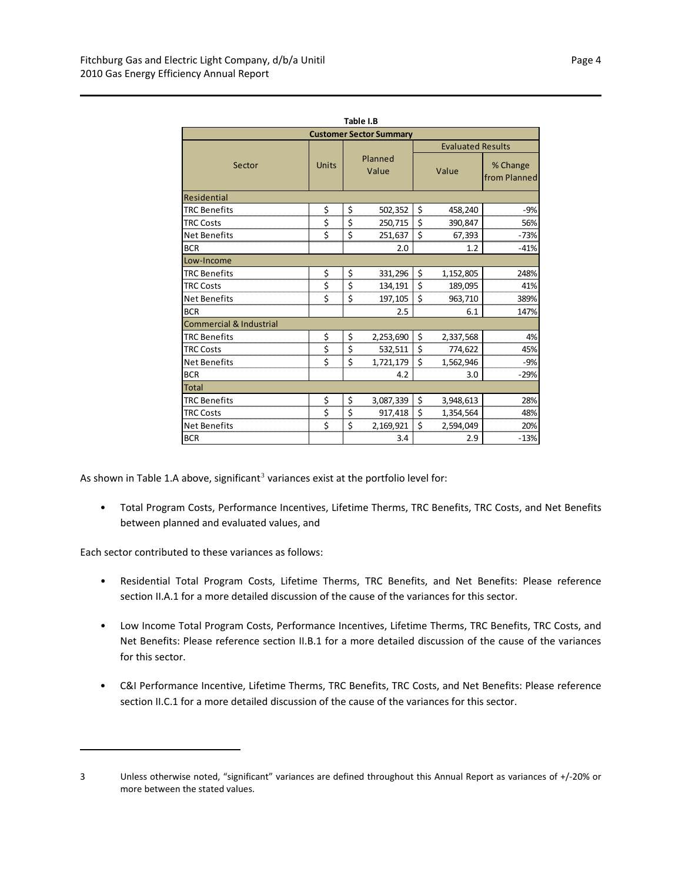| Table I.B                          |              |                  |           |                                 |                          |                          |  |  |  |  |  |
|------------------------------------|--------------|------------------|-----------|---------------------------------|--------------------------|--------------------------|--|--|--|--|--|
| <b>Customer Sector Summary</b>     |              |                  |           |                                 |                          |                          |  |  |  |  |  |
|                                    |              |                  |           |                                 | <b>Evaluated Results</b> |                          |  |  |  |  |  |
| Sector                             | <b>Units</b> | Planned<br>Value |           | Value                           |                          | % Change<br>from Planned |  |  |  |  |  |
| Residential                        |              |                  |           |                                 |                          |                          |  |  |  |  |  |
| <b>TRC Benefits</b>                | \$           | \$               | 502,352   | \$                              | 458,240                  | $-9%$                    |  |  |  |  |  |
| <b>TRC Costs</b>                   | \$           | \$               | 250,715   | \$                              | 390,847                  | 56%                      |  |  |  |  |  |
| <b>Net Benefits</b>                | \$           | \$               | 251,637   | $\overline{\boldsymbol{\zeta}}$ | 67,393                   | $-73%$                   |  |  |  |  |  |
| <b>BCR</b>                         |              |                  | 2.0       |                                 | 1.2                      | $-41%$                   |  |  |  |  |  |
| Low-Income                         |              |                  |           |                                 |                          |                          |  |  |  |  |  |
| <b>TRC Benefits</b>                | \$           | \$               | 331,296   | \$                              | 1,152,805                | 248%                     |  |  |  |  |  |
| <b>TRC Costs</b>                   | \$           | \$               | 134,191   | \$                              | 189,095                  | 41%                      |  |  |  |  |  |
| <b>Net Benefits</b>                | \$           | \$               | 197,105   | \$                              | 963,710                  | 389%                     |  |  |  |  |  |
| <b>BCR</b>                         |              |                  | 2.5       |                                 | 6.1                      | 147%                     |  |  |  |  |  |
| <b>Commercial &amp; Industrial</b> |              |                  |           |                                 |                          |                          |  |  |  |  |  |
| <b>TRC Benefits</b>                | \$           | \$               | 2,253,690 | \$                              | 2,337,568                | 4%                       |  |  |  |  |  |
| <b>TRC Costs</b>                   | \$           | \$               | 532,511   | \$                              | 774,622                  | 45%                      |  |  |  |  |  |
| <b>Net Benefits</b>                | \$           | \$               | 1,721,179 | \$                              | 1,562,946                | $-9%$                    |  |  |  |  |  |
| <b>BCR</b>                         |              |                  | 4.2       |                                 | 3.0                      | $-29%$                   |  |  |  |  |  |
| <b>Total</b>                       |              |                  |           |                                 |                          |                          |  |  |  |  |  |
| <b>TRC Benefits</b>                | \$           | \$               | 3,087,339 | \$                              | 3,948,613                | 28%                      |  |  |  |  |  |
| <b>TRC Costs</b>                   | \$           | \$               | 917,418   | \$                              | 1,354,564                | 48%                      |  |  |  |  |  |
| <b>Net Benefits</b>                | Ś            | \$               | 2,169,921 | \$                              | 2,594,049                | 20%                      |  |  |  |  |  |
| <b>BCR</b>                         |              |                  | 3.4       |                                 | 2.9                      | $-13%$                   |  |  |  |  |  |

As shown in Table 1.A above, significant<sup>[3](#page-7-0)</sup> variances exist at the portfolio level for:

• Total Program Costs, Performance Incentives, Lifetime Therms, TRC Benefits, TRC Costs, and Net Benefits between planned and evaluated values, and

Each sector contributed to these variances as follows:

- Residential Total Program Costs, Lifetime Therms, TRC Benefits, and Net Benefits: Please reference section II.A.1 for a more detailed discussion of the cause of the variances for this sector.
- Low Income Total Program Costs, Performance Incentives, Lifetime Therms, TRC Benefits, TRC Costs, and Net Benefits: Please reference section II.B.1 for a more detailed discussion of the cause of the variances for this sector.
- C&I Performance Incentive, Lifetime Therms, TRC Benefits, TRC Costs, and Net Benefits: Please reference section II.C.1 for a more detailed discussion of the cause of the variances for this sector.

<span id="page-7-0"></span><sup>3</sup> Unless otherwise noted, "significant" variances are defined throughout this Annual Report as variances of +/-20% or more between the stated values.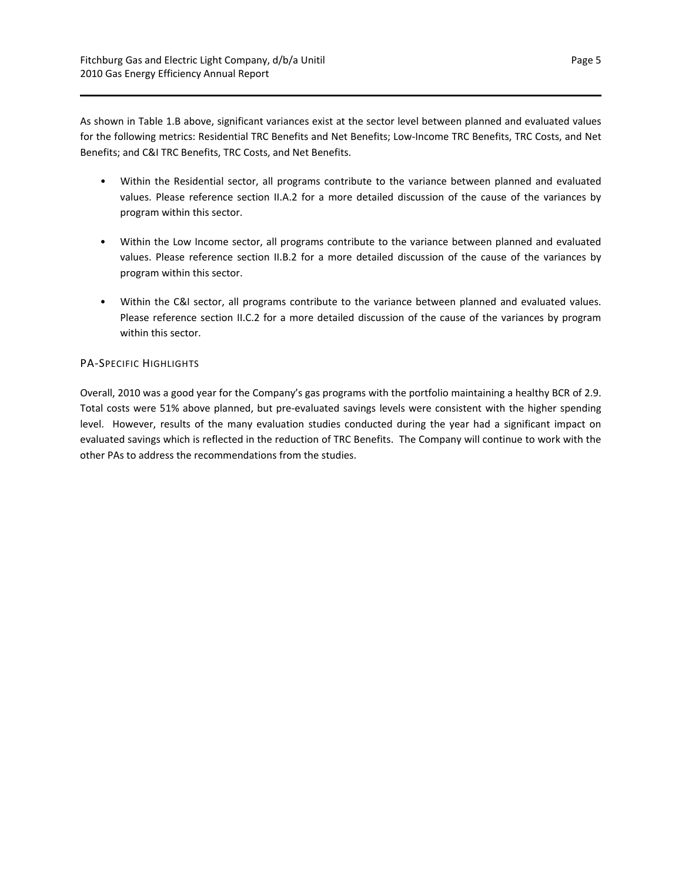As shown in Table 1.B above, significant variances exist at the sector level between planned and evaluated values for the following metrics: Residential TRC Benefits and Net Benefits; Low‐Income TRC Benefits, TRC Costs, and Net Benefits; and C&I TRC Benefits, TRC Costs, and Net Benefits.

- Within the Residential sector, all programs contribute to the variance between planned and evaluated values. Please reference section II.A.2 for a more detailed discussion of the cause of the variances by program within this sector.
- Within the Low Income sector, all programs contribute to the variance between planned and evaluated values. Please reference section II.B.2 for a more detailed discussion of the cause of the variances by program within this sector.
- Within the C&I sector, all programs contribute to the variance between planned and evaluated values. Please reference section II.C.2 for a more detailed discussion of the cause of the variances by program within this sector.

## PA‐SPECIFIC HIGHLIGHTS

Overall, 2010 was a good year for the Company's gas programs with the portfolio maintaining a healthy BCR of 2.9. Total costs were 51% above planned, but pre‐evaluated savings levels were consistent with the higher spending level. However, results of the many evaluation studies conducted during the year had a significant impact on evaluated savings which is reflected in the reduction of TRC Benefits. The Company will continue to work with the other PAs to address the recommendations from the studies.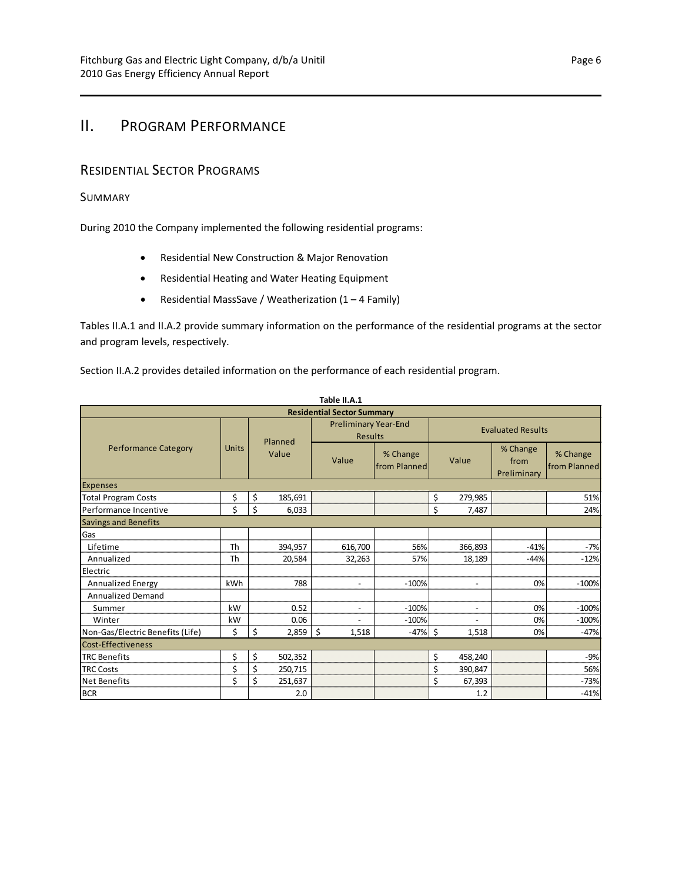# <span id="page-9-0"></span>II. PROGRAM PERFORMANCE

## <span id="page-9-1"></span>RESIDENTIAL SECTOR PROGRAMS

## <span id="page-9-2"></span>SUMMARY

During 2010 the Company implemented the following residential programs:

- Residential New Construction & Major Renovation
- Residential Heating and Water Heating Equipment
- Residential MassSave / Weatherization  $(1 4$  Family)

Tables II.A.1 and II.A.2 provide summary information on the performance of the residential programs at the sector and program levels, respectively.

Section II.A.2 provides detailed information on the performance of each residential program.

| Table II.A.1                     |                                   |               |                                               |                          |                          |                                 |                          |  |  |  |  |  |  |
|----------------------------------|-----------------------------------|---------------|-----------------------------------------------|--------------------------|--------------------------|---------------------------------|--------------------------|--|--|--|--|--|--|
|                                  | <b>Residential Sector Summary</b> |               |                                               |                          |                          |                                 |                          |  |  |  |  |  |  |
|                                  |                                   | Planned       | <b>Preliminary Year-End</b><br><b>Results</b> |                          | <b>Evaluated Results</b> |                                 |                          |  |  |  |  |  |  |
| <b>Performance Category</b>      | <b>Units</b>                      | Value         | Value                                         | % Change<br>from Planned | Value                    | % Change<br>from<br>Preliminary | % Change<br>from Planned |  |  |  |  |  |  |
| <b>Expenses</b>                  |                                   |               |                                               |                          |                          |                                 |                          |  |  |  |  |  |  |
| <b>Total Program Costs</b>       | \$                                | \$<br>185,691 |                                               |                          | \$<br>279,985            |                                 | 51%                      |  |  |  |  |  |  |
| Performance Incentive            | \$                                | \$<br>6,033   |                                               |                          | \$<br>7,487              |                                 | 24%                      |  |  |  |  |  |  |
| <b>Savings and Benefits</b>      |                                   |               |                                               |                          |                          |                                 |                          |  |  |  |  |  |  |
| Gas                              |                                   |               |                                               |                          |                          |                                 |                          |  |  |  |  |  |  |
| Lifetime                         | Th                                | 394,957       | 616,700                                       | 56%                      | 366,893                  | $-41%$                          | $-7%$                    |  |  |  |  |  |  |
| Annualized                       | Th                                | 20,584        | 32,263                                        | 57%                      | 18,189                   | $-44%$                          | $-12%$                   |  |  |  |  |  |  |
| Electric                         |                                   |               |                                               |                          |                          |                                 |                          |  |  |  |  |  |  |
| <b>Annualized Energy</b>         | <b>kWh</b>                        | 788           | $\overline{\phantom{a}}$                      | $-100%$                  | $\overline{\phantom{a}}$ | 0%                              | $-100%$                  |  |  |  |  |  |  |
| <b>Annualized Demand</b>         |                                   |               |                                               |                          |                          |                                 |                          |  |  |  |  |  |  |
| Summer                           | kW                                | 0.52          | $\blacksquare$                                | $-100%$                  | $\overline{a}$           | 0%                              | $-100%$                  |  |  |  |  |  |  |
| Winter                           | kW                                | 0.06          | $\overline{a}$                                | $-100%$                  |                          | 0%                              | $-100%$                  |  |  |  |  |  |  |
| Non-Gas/Electric Benefits (Life) | \$                                | \$<br>2,859   | \$<br>1,518                                   | $-47%$                   | \$<br>1,518              | 0%                              | $-47%$                   |  |  |  |  |  |  |
| Cost-Effectiveness               |                                   |               |                                               |                          |                          |                                 |                          |  |  |  |  |  |  |
| <b>TRC Benefits</b>              | \$                                | \$<br>502,352 |                                               |                          | \$<br>458,240            |                                 | $-9%$                    |  |  |  |  |  |  |
| <b>TRC Costs</b>                 | \$                                | Ś<br>250,715  |                                               |                          | \$<br>390,847            |                                 | 56%                      |  |  |  |  |  |  |
| <b>Net Benefits</b>              | \$                                | Ś<br>251,637  |                                               |                          | \$<br>67,393             |                                 | $-73%$                   |  |  |  |  |  |  |
| <b>BCR</b>                       |                                   | 2.0           |                                               |                          | 1.2                      |                                 | $-41%$                   |  |  |  |  |  |  |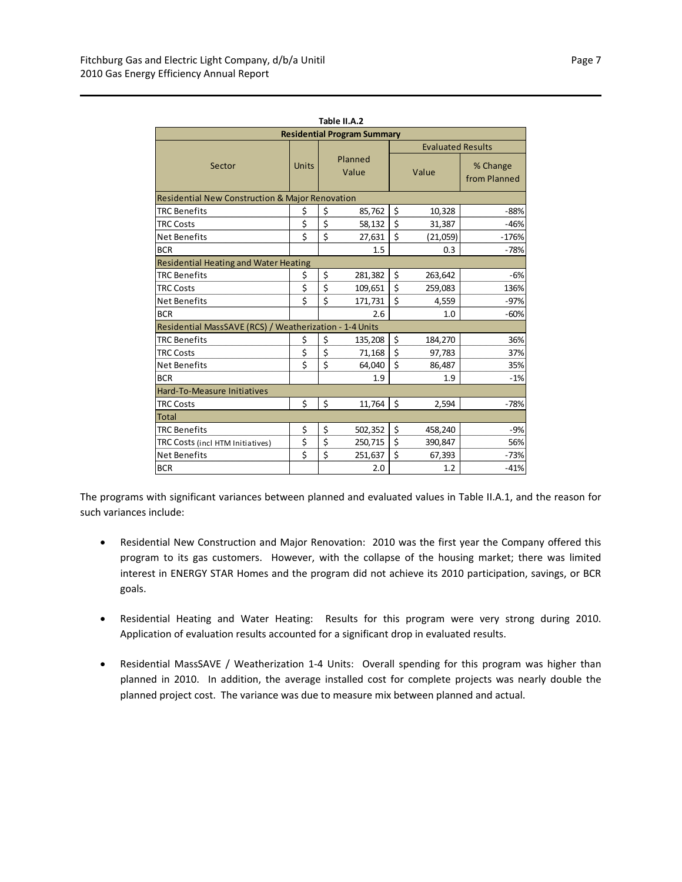| Table II.A.2                                               |                                     |                          |         |       |          |                          |  |  |  |  |  |
|------------------------------------------------------------|-------------------------------------|--------------------------|---------|-------|----------|--------------------------|--|--|--|--|--|
| <b>Residential Program Summary</b>                         |                                     |                          |         |       |          |                          |  |  |  |  |  |
|                                                            |                                     | <b>Evaluated Results</b> |         |       |          |                          |  |  |  |  |  |
| Sector                                                     | <b>Units</b>                        | Planned<br>Value         |         | Value |          | % Change<br>from Planned |  |  |  |  |  |
| <b>Residential New Construction &amp; Major Renovation</b> |                                     |                          |         |       |          |                          |  |  |  |  |  |
| <b>TRC Benefits</b>                                        | \$                                  | \$                       | 85,762  | \$    | 10,328   | $-88%$                   |  |  |  |  |  |
| <b>TRC Costs</b>                                           | \$                                  | \$                       | 58,132  | \$    | 31,387   | $-46%$                   |  |  |  |  |  |
| <b>Net Benefits</b>                                        | Ś                                   | \$                       | 27,631  | \$    | (21,059) | $-176%$                  |  |  |  |  |  |
| <b>BCR</b>                                                 |                                     |                          | 1.5     |       | 0.3      | $-78%$                   |  |  |  |  |  |
| Residential Heating and Water Heating                      |                                     |                          |         |       |          |                          |  |  |  |  |  |
| <b>TRC Benefits</b>                                        | \$                                  | \$                       | 281,382 | \$    | 263,642  | $-6%$                    |  |  |  |  |  |
| <b>TRC Costs</b>                                           | \$                                  | \$                       | 109,651 | \$    | 259,083  | 136%                     |  |  |  |  |  |
| <b>Net Benefits</b>                                        | \$                                  | \$                       | 171,731 | \$    | 4,559    | $-97%$                   |  |  |  |  |  |
| <b>BCR</b>                                                 |                                     |                          | 2.6     |       | 1.0      | $-60%$                   |  |  |  |  |  |
| Residential MassSAVE (RCS) / Weatherization - 1-4 Units    |                                     |                          |         |       |          |                          |  |  |  |  |  |
| <b>TRC Benefits</b>                                        | \$                                  | \$                       | 135,208 | \$    | 184,270  | 36%                      |  |  |  |  |  |
| <b>TRC Costs</b>                                           | \$                                  | \$                       | 71,168  | \$    | 97,783   | 37%                      |  |  |  |  |  |
| Net Benefits                                               | \$                                  | \$                       | 64,040  | \$    | 86,487   | 35%                      |  |  |  |  |  |
| <b>BCR</b>                                                 |                                     |                          | 1.9     |       | 1.9      | $-1%$                    |  |  |  |  |  |
| Hard-To-Measure Initiatives                                |                                     |                          |         |       |          |                          |  |  |  |  |  |
| <b>TRC Costs</b>                                           | \$                                  | \$                       | 11,764  | Ś.    | 2,594    | $-78%$                   |  |  |  |  |  |
| <b>Total</b>                                               |                                     |                          |         |       |          |                          |  |  |  |  |  |
| <b>TRC Benefits</b>                                        | \$                                  | \$                       | 502,352 | \$    | 458,240  | $-9%$                    |  |  |  |  |  |
| TRC Costs (incl HTM Initiatives)                           | $\overline{\boldsymbol{\varsigma}}$ | \$                       | 250,715 | \$    | 390,847  | 56%                      |  |  |  |  |  |
| <b>Net Benefits</b>                                        | \$                                  | \$                       | 251,637 | \$    | 67,393   | $-73%$                   |  |  |  |  |  |
| <b>BCR</b>                                                 |                                     |                          | 2.0     |       | 1.2      | $-41%$                   |  |  |  |  |  |

The programs with significant variances between planned and evaluated values in Table II.A.1, and the reason for such variances include:

- Residential New Construction and Major Renovation: 2010 was the first year the Company offered this program to its gas customers. However, with the collapse of the housing market; there was limited interest in ENERGY STAR Homes and the program did not achieve its 2010 participation, savings, or BCR goals.
- Residential Heating and Water Heating: Results for this program were very strong during 2010. Application of evaluation results accounted for a significant drop in evaluated results.
- Residential MassSAVE / Weatherization 1-4 Units: Overall spending for this program was higher than planned in 2010. In addition, the average installed cost for complete projects was nearly double the planned project cost. The variance was due to measure mix between planned and actual.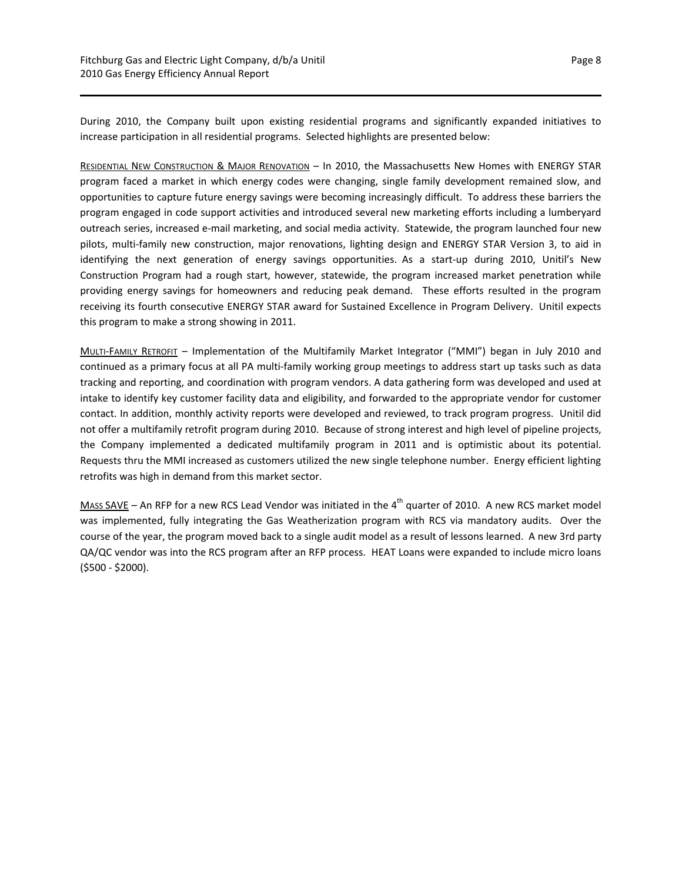During 2010, the Company built upon existing residential programs and significantly expanded initiatives to increase participation in all residential programs. Selected highlights are presented below:

RESIDENTIAL NEW CONSTRUCTION & MAJOR RENOVATION – In 2010, the Massachusetts New Homes with ENERGY STAR program faced a market in which energy codes were changing, single family development remained slow, and opportunities to capture future energy savings were becoming increasingly difficult. To address these barriers the program engaged in code support activities and introduced several new marketing efforts including a lumberyard outreach series, increased e‐mail marketing, and social media activity. Statewide, the program launched four new pilots, multi‐family new construction, major renovations, lighting design and ENERGY STAR Version 3, to aid in identifying the next generation of energy savings opportunities. As a start-up during 2010, Unitil's New Construction Program had a rough start, however, statewide, the program increased market penetration while providing energy savings for homeowners and reducing peak demand. These efforts resulted in the program receiving its fourth consecutive ENERGY STAR award for Sustained Excellence in Program Delivery. Unitil expects this program to make a strong showing in 2011.

MULTI‐FAMILY RETROFIT – Implementation of the Multifamily Market Integrator ("MMI") began in July 2010 and continued as a primary focus at all PA multi‐family working group meetings to address start up tasks such as data tracking and reporting, and coordination with program vendors. A data gathering form was developed and used at intake to identify key customer facility data and eligibility, and forwarded to the appropriate vendor for customer contact. In addition, monthly activity reports were developed and reviewed, to track program progress. Unitil did not offer a multifamily retrofit program during 2010. Because of strong interest and high level of pipeline projects, the Company implemented a dedicated multifamily program in 2011 and is optimistic about its potential. Requests thru the MMI increased as customers utilized the new single telephone number. Energy efficient lighting retrofits was high in demand from this market sector.

MASS SAVE – An RFP for a new RCS Lead Vendor was initiated in the 4<sup>th</sup> quarter of 2010. A new RCS market model was implemented, fully integrating the Gas Weatherization program with RCS via mandatory audits. Over the course of the year, the program moved back to a single audit model as a result of lessons learned. A new 3rd party QA/QC vendor was into the RCS program after an RFP process. HEAT Loans were expanded to include micro loans (\$500 ‐ \$2000).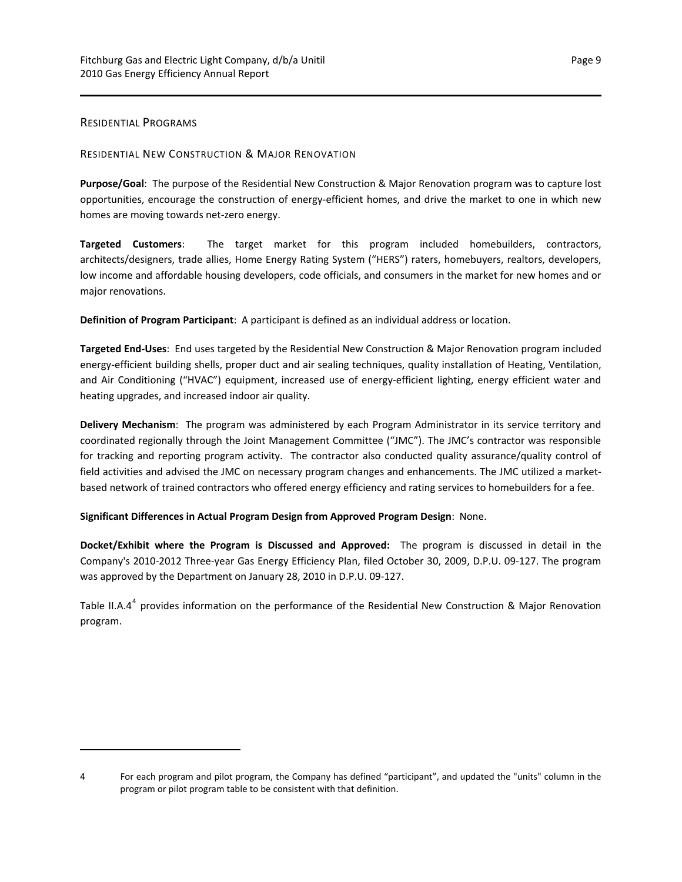## <span id="page-12-0"></span>RESIDENTIAL PROGRAMS

## RESIDENTIAL NEW CONSTRUCTION & MAJOR RENOVATION

**Purpose/Goal**: The purpose of the Residential New Construction & Major Renovation program was to capture lost opportunities, encourage the construction of energy‐efficient homes, and drive the market to one in which new homes are moving towards net‐zero energy.

**Targeted Customers**: The target market for this program included homebuilders, contractors, architects/designers, trade allies, Home Energy Rating System ("HERS") raters, homebuyers, realtors, developers, low income and affordable housing developers, code officials, and consumers in the market for new homes and or major renovations.

**Definition of Program Participant**: A participant is defined as an individual address or location.

**Targeted End‐Uses**: End uses targeted by the Residential New Construction & Major Renovation program included energy-efficient building shells, proper duct and air sealing techniques, quality installation of Heating, Ventilation, and Air Conditioning ("HVAC") equipment, increased use of energy-efficient lighting, energy efficient water and heating upgrades, and increased indoor air quality.

**Delivery Mechanism**: The program was administered by each Program Administrator in its service territory and coordinated regionally through the Joint Management Committee ("JMC"). The JMC's contractor was responsible for tracking and reporting program activity. The contractor also conducted quality assurance/quality control of field activities and advised the JMC on necessary program changes and enhancements. The JMC utilized a marketbased network of trained contractors who offered energy efficiency and rating services to homebuilders for a fee.

## **Significant Differences in Actual Program Design from Approved Program Design**: None.

**Docket/Exhibit where the Program is Discussed and Approved:** The program is discussed in detail in the Company's 2010‐2012 Three‐year Gas Energy Efficiency Plan, filed October 30, 2009, D.P.U. 09‐127. The program was approved by the Department on January 28, 2010 in D.P.U. 09‐127.

Table II.A.[4](#page-12-1)<sup>4</sup> provides information on the performance of the Residential New Construction & Major Renovation program.

<span id="page-12-1"></span><sup>4</sup> For each program and pilot program, the Company has defined "participant", and updated the "units" column in the program or pilot program table to be consistent with that definition.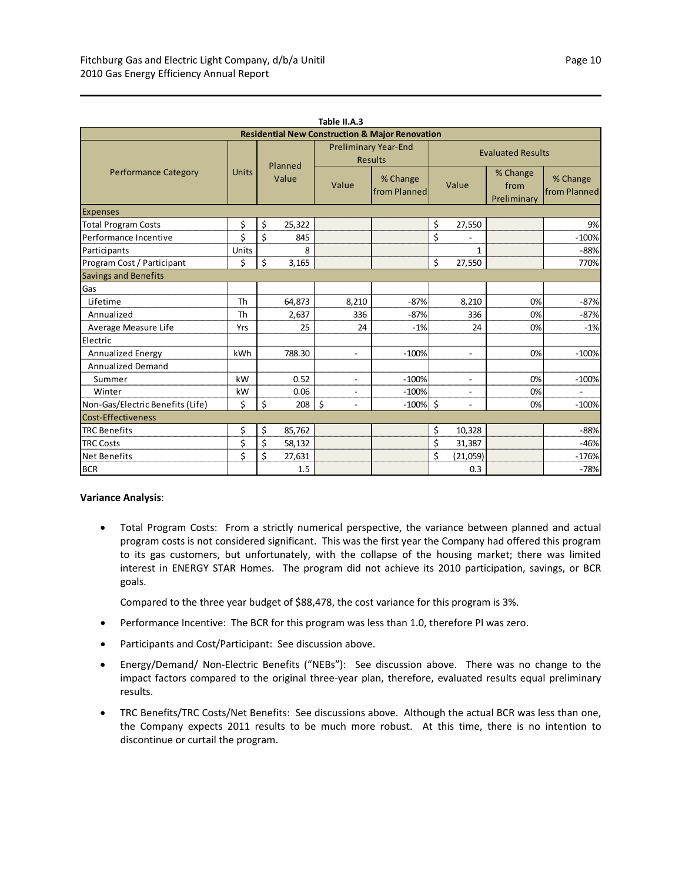| Table II.A.3                                               |              |                  |        |                                               |                          |       |                          |                                 |                          |  |  |
|------------------------------------------------------------|--------------|------------------|--------|-----------------------------------------------|--------------------------|-------|--------------------------|---------------------------------|--------------------------|--|--|
| <b>Residential New Construction &amp; Major Renovation</b> |              |                  |        |                                               |                          |       |                          |                                 |                          |  |  |
|                                                            |              | Planned<br>Value |        | <b>Preliminary Year-End</b><br><b>Results</b> |                          |       | <b>Evaluated Results</b> |                                 |                          |  |  |
| <b>Performance Category</b>                                | <b>Units</b> |                  |        | Value                                         | % Change<br>from Planned | Value |                          | % Change<br>from<br>Preliminary | % Change<br>from Planned |  |  |
| <b>Expenses</b>                                            |              |                  |        |                                               |                          |       |                          |                                 |                          |  |  |
| <b>Total Program Costs</b>                                 | \$           | \$               | 25,322 |                                               |                          | \$    | 27,550                   |                                 | 9%                       |  |  |
| Performance Incentive                                      | \$           | \$               | 845    |                                               |                          | \$    |                          |                                 | $-100%$                  |  |  |
| Participants                                               | Units        |                  | 8      |                                               |                          |       | 1                        |                                 | $-88%$                   |  |  |
| Program Cost / Participant                                 | Ś            | \$               | 3,165  |                                               |                          | \$    | 27,550                   |                                 | 770%                     |  |  |
| Savings and Benefits                                       |              |                  |        |                                               |                          |       |                          |                                 |                          |  |  |
| Gas                                                        |              |                  |        |                                               |                          |       |                          |                                 |                          |  |  |
| Lifetime                                                   | Th           |                  | 64,873 | 8,210                                         | $-87%$                   |       | 8,210                    | 0%                              | $-87%$                   |  |  |
| Annualized                                                 | Th           |                  | 2,637  | 336                                           | $-87%$                   |       | 336                      | 0%                              | $-87%$                   |  |  |
| Average Measure Life                                       | Yrs          |                  | 25     | 24                                            | $-1%$                    |       | 24                       | 0%                              | $-1%$                    |  |  |
| Electric                                                   |              |                  |        |                                               |                          |       |                          |                                 |                          |  |  |
| <b>Annualized Energy</b>                                   | kWh          |                  | 788.30 | $\overline{\phantom{0}}$                      | $-100%$                  |       | $\sim$                   | 0%                              | $-100%$                  |  |  |
| <b>Annualized Demand</b>                                   |              |                  |        |                                               |                          |       |                          |                                 |                          |  |  |
| Summer                                                     | kW           |                  | 0.52   | $\overline{\phantom{0}}$                      | $-100%$                  |       | $\overline{a}$           | 0%                              | $-100%$                  |  |  |
| Winter                                                     | kW           |                  | 0.06   | $\overline{a}$                                | $-100%$                  |       | $\overline{\phantom{a}}$ | 0%                              |                          |  |  |
| Non-Gas/Electric Benefits (Life)                           | \$           | \$               | 208    | $\zeta$<br>$\overline{a}$                     | $-100\%$ \$              |       | $\mathbf{r}$             | 0%                              | $-100%$                  |  |  |
| Cost-Effectiveness                                         |              |                  |        |                                               |                          |       |                          |                                 |                          |  |  |
| <b>TRC Benefits</b>                                        | \$           | \$               | 85,762 |                                               |                          | \$    | 10,328                   |                                 | $-88%$                   |  |  |
| <b>TRC Costs</b>                                           | \$           | \$               | 58,132 |                                               |                          | \$    | 31,387                   |                                 | $-46%$                   |  |  |
| <b>Net Benefits</b>                                        | \$           | \$               | 27,631 |                                               |                          | \$    | (21,059)                 |                                 | $-176%$                  |  |  |
| <b>BCR</b>                                                 |              |                  | 1.5    |                                               |                          |       | 0.3                      |                                 | $-78%$                   |  |  |

## **Variance Analysis**:

 Total Program Costs: From a strictly numerical perspective, the variance between planned and actual program costs is not considered significant. This was the first year the Company had offered this program to its gas customers, but unfortunately, with the collapse of the housing market; there was limited interest in ENERGY STAR Homes. The program did not achieve its 2010 participation, savings, or BCR goals.

Compared to the three year budget of \$88,478, the cost variance for this program is 3%.

- Performance Incentive: The BCR for this program was less than 1.0, therefore PI was zero.
- Participants and Cost/Participant: See discussion above.
- Energy/Demand/ Non-Electric Benefits ("NEBs"): See discussion above. There was no change to the impact factors compared to the original three‐year plan, therefore, evaluated results equal preliminary results.
- TRC Benefits/TRC Costs/Net Benefits: See discussions above. Although the actual BCR was less than one, the Company expects 2011 results to be much more robust. At this time, there is no intention to discontinue or curtail the program.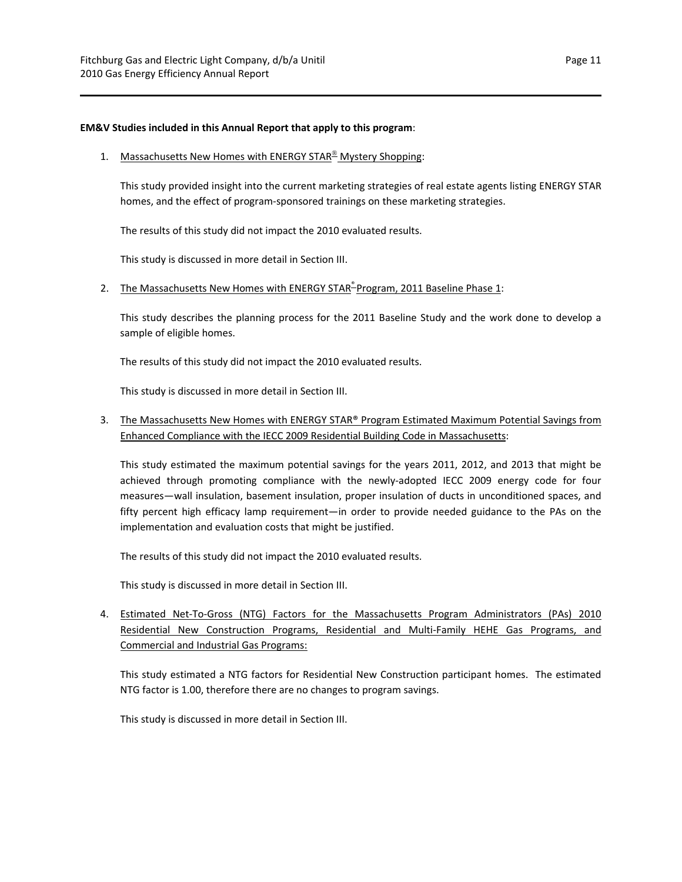### **EM&V Studies included in this Annual Report that apply to this program**:

### 1. Massachusetts New Homes with ENERGY STAR<sup>®</sup> Mystery Shopping:

This study provided insight into the current marketing strategies of real estate agents listing ENERGY STAR homes, and the effect of program‐sponsored trainings on these marketing strategies.

The results of this study did not impact the 2010 evaluated results.

This study is discussed in more detail in Section III.

2. The Massachusetts New Homes with ENERGY STAR-Program, 2011 Baseline Phase 1:

This study describes the planning process for the 2011 Baseline Study and the work done to develop a sample of eligible homes.

The results of this study did not impact the 2010 evaluated results.

This study is discussed in more detail in Section III.

## 3. The Massachusetts New Homes with ENERGY STAR® Program Estimated Maximum Potential Savings from Enhanced Compliance with the IECC 2009 Residential Building Code in Massachusetts:

This study estimated the maximum potential savings for the years 2011, 2012, and 2013 that might be achieved through promoting compliance with the newly-adopted IECC 2009 energy code for four measures—wall insulation, basement insulation, proper insulation of ducts in unconditioned spaces, and fifty percent high efficacy lamp requirement—in order to provide needed guidance to the PAs on the implementation and evaluation costs that might be justified.

The results of this study did not impact the 2010 evaluated results.

This study is discussed in more detail in Section III.

4. Estimated Net‐To‐Gross (NTG) Factors for the Massachusetts Program Administrators (PAs) 2010 Residential New Construction Programs, Residential and Multi‐Family HEHE Gas Programs, and Commercial and Industrial Gas Programs:

This study estimated a NTG factors for Residential New Construction participant homes. The estimated NTG factor is 1.00, therefore there are no changes to program savings.

This study is discussed in more detail in Section III.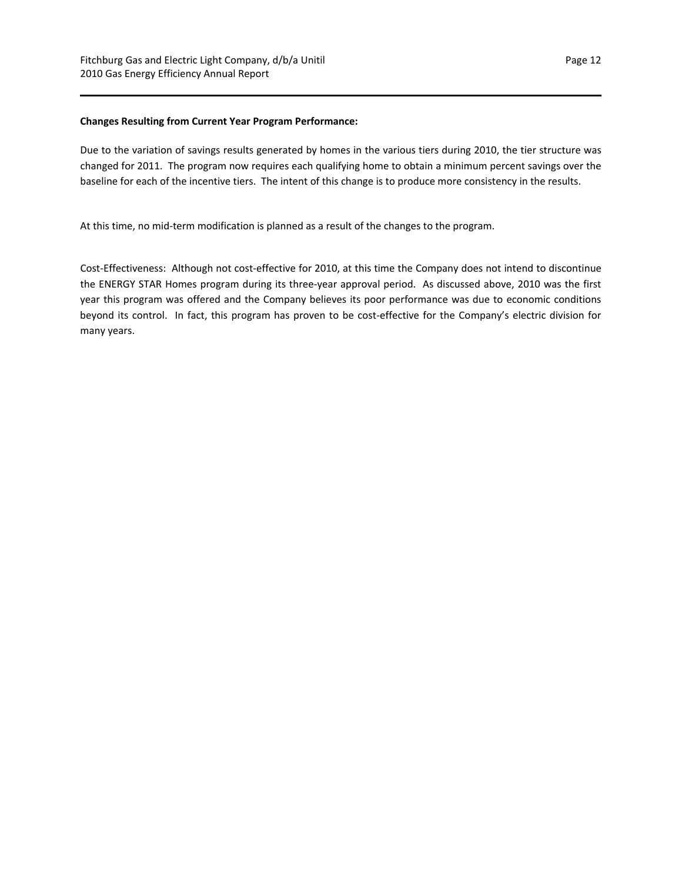#### **Changes Resulting from Current Year Program Performance:**

Due to the variation of savings results generated by homes in the various tiers during 2010, the tier structure was changed for 2011. The program now requires each qualifying home to obtain a minimum percent savings over the baseline for each of the incentive tiers. The intent of this change is to produce more consistency in the results.

At this time, no mid‐term modification is planned as a result of the changes to the program.

Cost‐Effectiveness: Although not cost‐effective for 2010, at this time the Company does not intend to discontinue the ENERGY STAR Homes program during its three‐year approval period. As discussed above, 2010 was the first year this program was offered and the Company believes its poor performance was due to economic conditions beyond its control. In fact, this program has proven to be cost-effective for the Company's electric division for many years.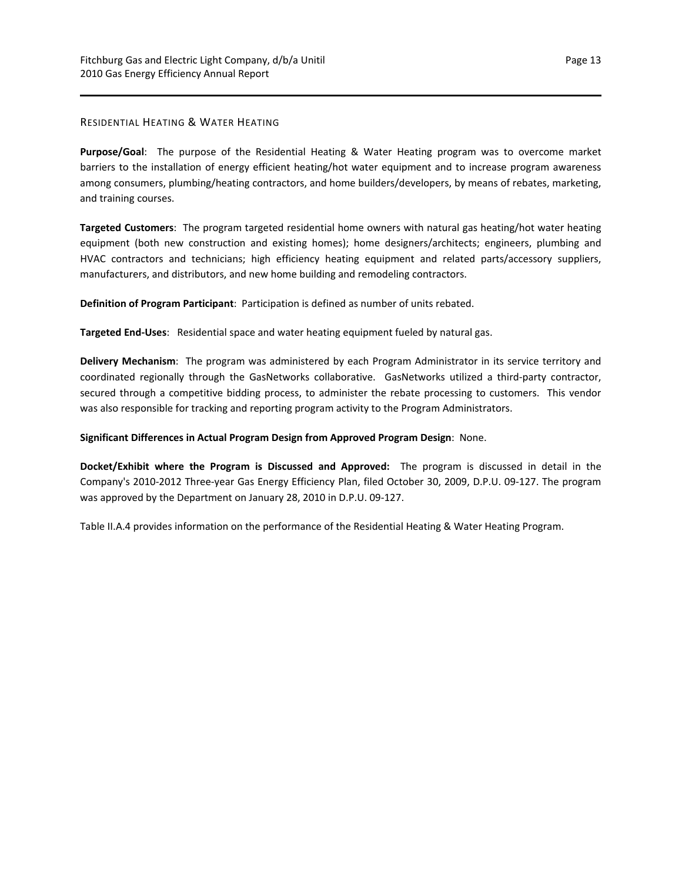## RESIDENTIAL HEATING & WATER HEATING

**Purpose/Goal**: The purpose of the Residential Heating & Water Heating program was to overcome market barriers to the installation of energy efficient heating/hot water equipment and to increase program awareness among consumers, plumbing/heating contractors, and home builders/developers, by means of rebates, marketing, and training courses.

**Targeted Customers**: The program targeted residential home owners with natural gas heating/hot water heating equipment (both new construction and existing homes); home designers/architects; engineers, plumbing and HVAC contractors and technicians; high efficiency heating equipment and related parts/accessory suppliers, manufacturers, and distributors, and new home building and remodeling contractors.

**Definition of Program Participant**: Participation is defined as number of units rebated.

**Targeted End‐Uses**: Residential space and water heating equipment fueled by natural gas.

**Delivery Mechanism**: The program was administered by each Program Administrator in its service territory and coordinated regionally through the GasNetworks collaborative. GasNetworks utilized a third‐party contractor, secured through a competitive bidding process, to administer the rebate processing to customers. This vendor was also responsible for tracking and reporting program activity to the Program Administrators.

## **Significant Differences in Actual Program Design from Approved Program Design**: None.

**Docket/Exhibit where the Program is Discussed and Approved:** The program is discussed in detail in the Company's 2010‐2012 Three‐year Gas Energy Efficiency Plan, filed October 30, 2009, D.P.U. 09‐127. The program was approved by the Department on January 28, 2010 in D.P.U. 09‐127.

Table II.A.4 provides information on the performance of the Residential Heating & Water Heating Program.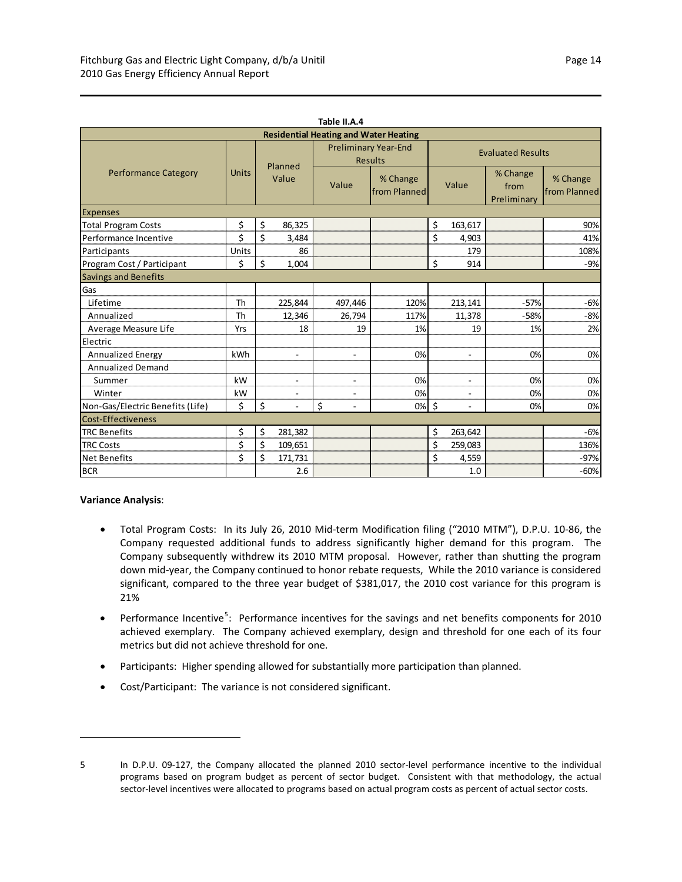| Table II.A.4                                 |       |       |                          |                          |                                               |                          |                |                                 |                          |  |  |
|----------------------------------------------|-------|-------|--------------------------|--------------------------|-----------------------------------------------|--------------------------|----------------|---------------------------------|--------------------------|--|--|
| <b>Residential Heating and Water Heating</b> |       |       |                          |                          |                                               |                          |                |                                 |                          |  |  |
|                                              |       |       | Planned                  |                          | <b>Preliminary Year-End</b><br><b>Results</b> | <b>Evaluated Results</b> |                |                                 |                          |  |  |
| <b>Performance Category</b>                  | Units | Value |                          | Value                    | % Change<br>from Planned                      | Value                    |                | % Change<br>from<br>Preliminary | % Change<br>from Planned |  |  |
| <b>Expenses</b>                              |       |       |                          |                          |                                               |                          |                |                                 |                          |  |  |
| <b>Total Program Costs</b>                   | \$    | \$    | 86,325                   |                          |                                               | \$                       | 163,617        |                                 | 90%                      |  |  |
| Performance Incentive                        | \$    | \$    | 3,484                    |                          |                                               | \$                       | 4,903          |                                 | 41%                      |  |  |
| Participants                                 | Units |       | 86                       |                          |                                               |                          | 179            |                                 | 108%                     |  |  |
| Program Cost / Participant                   | \$    | \$    | 1,004                    |                          |                                               | \$                       | 914            |                                 | $-9%$                    |  |  |
| <b>Savings and Benefits</b>                  |       |       |                          |                          |                                               |                          |                |                                 |                          |  |  |
| Gas                                          |       |       |                          |                          |                                               |                          |                |                                 |                          |  |  |
| Lifetime                                     | Th    |       | 225,844                  | 497,446                  | 120%                                          |                          | 213,141        | $-57%$                          | $-6%$                    |  |  |
| Annualized                                   | Th    |       | 12,346                   | 26,794                   | 117%                                          |                          | 11,378         | $-58%$                          | $-8%$                    |  |  |
| Average Measure Life                         | Yrs   |       | 18                       | 19                       | 1%                                            |                          | 19             | 1%                              | 2%                       |  |  |
| Electric                                     |       |       |                          |                          |                                               |                          |                |                                 |                          |  |  |
| Annualized Energy                            | kWh   |       | $\blacksquare$           | $\overline{a}$           | 0%                                            |                          | $\blacksquare$ | 0%                              | 0%                       |  |  |
| <b>Annualized Demand</b>                     |       |       |                          |                          |                                               |                          |                |                                 |                          |  |  |
| Summer                                       | kW    |       | $\blacksquare$           | $\overline{\phantom{a}}$ | 0%                                            |                          | $\sim$         | 0%                              | 0%                       |  |  |
| Winter                                       | kW    |       | $\overline{\phantom{a}}$ |                          | 0%                                            |                          |                | 0%                              | 0%                       |  |  |
| Non-Gas/Electric Benefits (Life)             | \$    | \$    | $\overline{a}$           | \$<br>÷.                 | $0%$ \$                                       |                          | $\sim$         | 0%                              | 0%                       |  |  |
| Cost-Effectiveness                           |       |       |                          |                          |                                               |                          |                |                                 |                          |  |  |
| <b>TRC Benefits</b>                          | \$    | \$    | 281,382                  |                          |                                               | \$                       | 263,642        |                                 | $-6%$                    |  |  |
| <b>TRC Costs</b>                             | \$    | \$    | 109,651                  |                          |                                               | \$                       | 259,083        |                                 | 136%                     |  |  |
| <b>Net Benefits</b>                          | Ś.    | \$    | 171,731                  |                          |                                               | Ś                        | 4,559          |                                 | $-97%$                   |  |  |
| <b>BCR</b>                                   |       |       | 2.6                      |                          |                                               |                          | 1.0            |                                 | $-60%$                   |  |  |

#### **Variance Analysis**:

- Total Program Costs: In its July 26, 2010 Mid‐term Modification filing ("2010 MTM"), D.P.U. 10‐86, the Company requested additional funds to address significantly higher demand for this program. The Company subsequently withdrew its 2010 MTM proposal. However, rather than shutting the program down mid‐year, the Company continued to honor rebate requests, While the 2010 variance is considered significant, compared to the three year budget of \$381,017, the 2010 cost variance for this program is 21%
- Performance Incentive<sup>[5](#page-17-0)</sup>: Performance incentives for the savings and net benefits components for 2010 achieved exemplary. The Company achieved exemplary, design and threshold for one each of its four metrics but did not achieve threshold for one.
- Participants: Higher spending allowed for substantially more participation than planned.
- Cost/Participant: The variance is not considered significant.

<span id="page-17-0"></span>

<sup>5</sup> In D.P.U. 09-127, the Company allocated the planned 2010 sector-level performance incentive to the individual programs based on program budget as percent of sector budget. Consistent with that methodology, the actual sector-level incentives were allocated to programs based on actual program costs as percent of actual sector costs.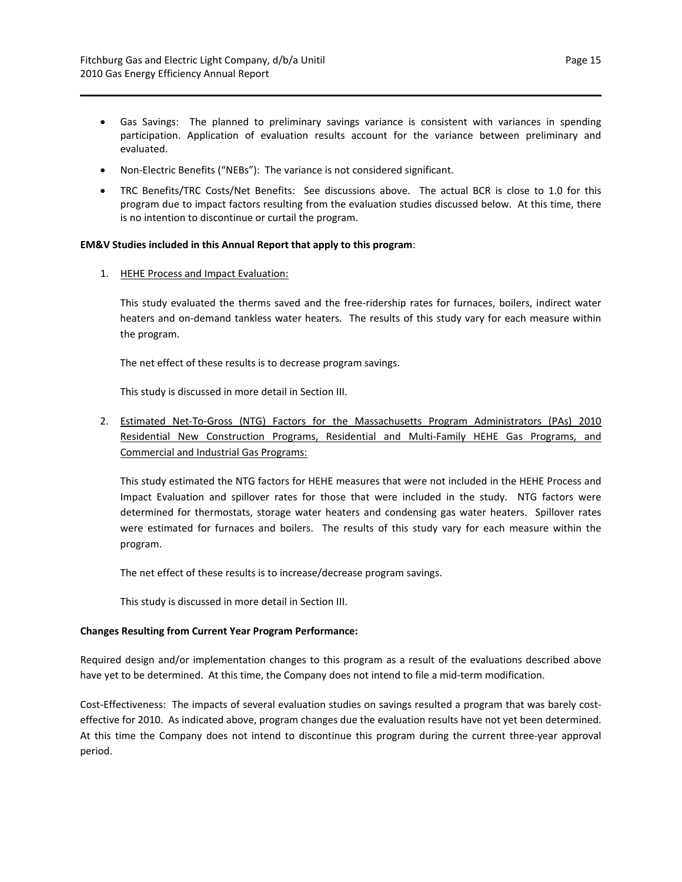- Gas Savings: The planned to preliminary savings variance is consistent with variances in spending participation. Application of evaluation results account for the variance between preliminary and evaluated.
- Non-Electric Benefits ("NEBs"): The variance is not considered significant.
- TRC Benefits/TRC Costs/Net Benefits: See discussions above. The actual BCR is close to 1.0 for this program due to impact factors resulting from the evaluation studies discussed below. At this time, there is no intention to discontinue or curtail the program.

#### **EM&V Studies included in this Annual Report that apply to this program**:

1. HEHE Process and Impact Evaluation:

This study evaluated the therms saved and the free-ridership rates for furnaces, boilers, indirect water heaters and on-demand tankless water heaters. The results of this study vary for each measure within the program.

The net effect of these results is to decrease program savings.

This study is discussed in more detail in Section III.

2. Estimated Net‐To‐Gross (NTG) Factors for the Massachusetts Program Administrators (PAs) 2010 Residential New Construction Programs, Residential and Multi‐Family HEHE Gas Programs, and Commercial and Industrial Gas Programs:

This study estimated the NTG factors for HEHE measures that were not included in the HEHE Process and Impact Evaluation and spillover rates for those that were included in the study. NTG factors were determined for thermostats, storage water heaters and condensing gas water heaters. Spillover rates were estimated for furnaces and boilers. The results of this study vary for each measure within the program.

The net effect of these results is to increase/decrease program savings.

This study is discussed in more detail in Section III.

#### **Changes Resulting from Current Year Program Performance:**

Required design and/or implementation changes to this program as a result of the evaluations described above have yet to be determined. At this time, the Company does not intend to file a mid-term modification.

Cost‐Effectiveness: The impacts of several evaluation studies on savings resulted a program that was barely cost‐ effective for 2010. As indicated above, program changes due the evaluation results have not yet been determined. At this time the Company does not intend to discontinue this program during the current three‐year approval period.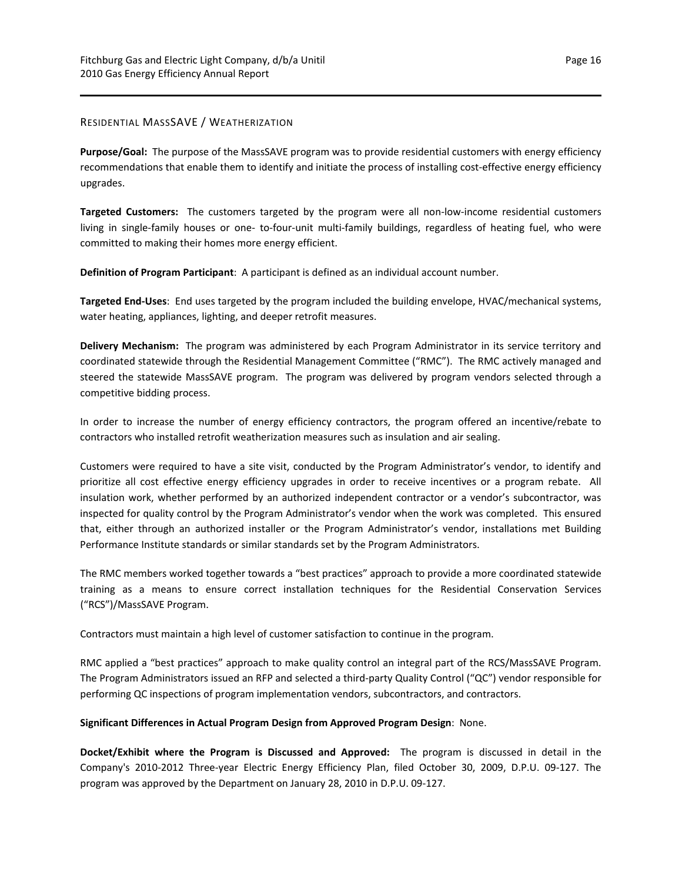## RESIDENTIAL MASSSAVE / WEATHERIZATION

Purpose/Goal: The purpose of the MassSAVE program was to provide residential customers with energy efficiency recommendations that enable them to identify and initiate the process of installing cost-effective energy efficiency upgrades.

**Targeted Customers:** The customers targeted by the program were all non-low-income residential customers living in single-family houses or one- to-four-unit multi-family buildings, regardless of heating fuel, who were committed to making their homes more energy efficient.

**Definition of Program Participant**: A participant is defined as an individual account number.

**Targeted End‐Uses**: End uses targeted by the program included the building envelope, HVAC/mechanical systems, water heating, appliances, lighting, and deeper retrofit measures.

**Delivery Mechanism:** The program was administered by each Program Administrator in its service territory and coordinated statewide through the Residential Management Committee ("RMC"). The RMC actively managed and steered the statewide MassSAVE program. The program was delivered by program vendors selected through a competitive bidding process.

In order to increase the number of energy efficiency contractors, the program offered an incentive/rebate to contractors who installed retrofit weatherization measures such as insulation and air sealing.

Customers were required to have a site visit, conducted by the Program Administrator's vendor, to identify and prioritize all cost effective energy efficiency upgrades in order to receive incentives or a program rebate. All insulation work, whether performed by an authorized independent contractor or a vendor's subcontractor, was inspected for quality control by the Program Administrator's vendor when the work was completed. This ensured that, either through an authorized installer or the Program Administrator's vendor, installations met Building Performance Institute standards or similar standards set by the Program Administrators.

The RMC members worked together towards a "best practices" approach to provide a more coordinated statewide training as a means to ensure correct installation techniques for the Residential Conservation Services ("RCS")/MassSAVE Program.

Contractors must maintain a high level of customer satisfaction to continue in the program.

RMC applied a "best practices" approach to make quality control an integral part of the RCS/MassSAVE Program. The Program Administrators issued an RFP and selected a third‐party Quality Control ("QC") vendor responsible for performing QC inspections of program implementation vendors, subcontractors, and contractors.

## **Significant Differences in Actual Program Design from Approved Program Design**: None.

**Docket/Exhibit where the Program is Discussed and Approved:** The program is discussed in detail in the Company's 2010‐2012 Three‐year Electric Energy Efficiency Plan, filed October 30, 2009, D.P.U. 09‐127. The program was approved by the Department on January 28, 2010 in D.P.U. 09‐127.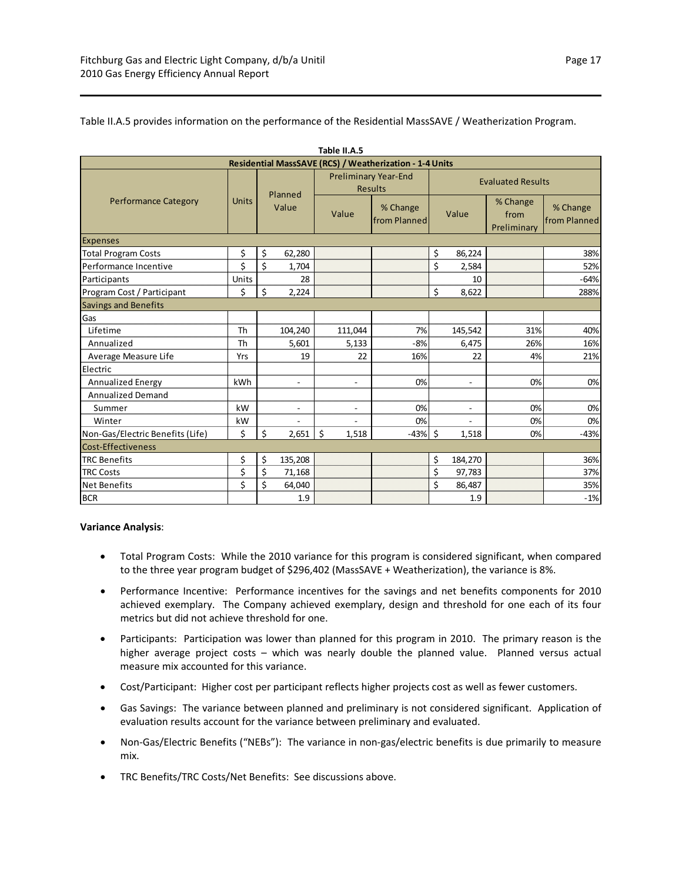| Table II.A.5                                            |              |       |                          |                          |                                               |       |                          |                                 |                          |  |  |  |
|---------------------------------------------------------|--------------|-------|--------------------------|--------------------------|-----------------------------------------------|-------|--------------------------|---------------------------------|--------------------------|--|--|--|
| Residential MassSAVE (RCS) / Weatherization - 1-4 Units |              |       |                          |                          |                                               |       |                          |                                 |                          |  |  |  |
|                                                         |              |       | Planned                  |                          | <b>Preliminary Year-End</b><br><b>Results</b> |       |                          | <b>Evaluated Results</b>        |                          |  |  |  |
| <b>Performance Category</b>                             | <b>Units</b> | Value |                          | Value                    | % Change<br>from Planned                      | Value |                          | % Change<br>from<br>Preliminary | % Change<br>from Planned |  |  |  |
| <b>Expenses</b>                                         |              |       |                          |                          |                                               |       |                          |                                 |                          |  |  |  |
| <b>Total Program Costs</b>                              | \$           | \$    | 62,280                   |                          |                                               | \$    | 86,224                   |                                 | 38%                      |  |  |  |
| Performance Incentive                                   | \$           | \$    | 1,704                    |                          |                                               | \$    | 2,584                    |                                 | 52%                      |  |  |  |
| Participants                                            | Units        |       | 28                       |                          |                                               |       | 10                       |                                 | $-64%$                   |  |  |  |
| Program Cost / Participant                              | \$           | \$    | 2,224                    |                          |                                               | \$    | 8,622                    |                                 | 288%                     |  |  |  |
| <b>Savings and Benefits</b>                             |              |       |                          |                          |                                               |       |                          |                                 |                          |  |  |  |
| Gas                                                     |              |       |                          |                          |                                               |       |                          |                                 |                          |  |  |  |
| Lifetime                                                | Th           |       | 104,240                  | 111,044                  | 7%                                            |       | 145,542                  | 31%                             | 40%                      |  |  |  |
| Annualized                                              | Th           |       | 5,601                    | 5,133                    | $-8%$                                         |       | 6,475                    | 26%                             | 16%                      |  |  |  |
| Average Measure Life                                    | Yrs          |       | 19                       | 22                       | 16%                                           |       | 22                       | 4%                              | 21%                      |  |  |  |
| Electric                                                |              |       |                          |                          |                                               |       |                          |                                 |                          |  |  |  |
| <b>Annualized Energy</b>                                | <b>kWh</b>   |       | $\overline{\phantom{a}}$ | $\overline{\phantom{a}}$ | 0%                                            |       | $\overline{\phantom{a}}$ | 0%                              | 0%                       |  |  |  |
| <b>Annualized Demand</b>                                |              |       |                          |                          |                                               |       |                          |                                 |                          |  |  |  |
| Summer                                                  | kW           |       | $\blacksquare$           | $\overline{\phantom{a}}$ | 0%                                            |       | $\blacksquare$           | 0%                              | 0%                       |  |  |  |
| Winter                                                  | kW           |       |                          |                          | 0%                                            |       |                          | 0%                              | 0%                       |  |  |  |
| Non-Gas/Electric Benefits (Life)                        | \$           | \$    | 2,651                    | \$<br>1,518              | $-43%$                                        | \$    | 1,518                    | 0%                              | $-43%$                   |  |  |  |
| Cost-Effectiveness                                      |              |       |                          |                          |                                               |       |                          |                                 |                          |  |  |  |
| <b>TRC Benefits</b>                                     | \$           | \$    | 135,208                  |                          |                                               | \$    | 184,270                  |                                 | 36%                      |  |  |  |
| <b>TRC Costs</b>                                        | \$           | \$    | 71,168                   |                          |                                               | \$    | 97,783                   |                                 | 37%                      |  |  |  |
| <b>Net Benefits</b>                                     | \$           | \$    | 64,040                   |                          |                                               | Ś     | 86,487                   |                                 | 35%                      |  |  |  |
| <b>BCR</b>                                              |              |       | 1.9                      |                          |                                               |       | 1.9                      |                                 | $-1%$                    |  |  |  |

#### Table II.A.5 provides information on the performance of the Residential MassSAVE / Weatherization Program.

#### **Variance Analysis**:

- Total Program Costs: While the 2010 variance for this program is considered significant, when compared to the three year program budget of \$296,402 (MassSAVE + Weatherization), the variance is 8%.
- Performance Incentive: Performance incentives for the savings and net benefits components for 2010 achieved exemplary. The Company achieved exemplary, design and threshold for one each of its four metrics but did not achieve threshold for one.
- Participants: Participation was lower than planned for this program in 2010. The primary reason is the higher average project costs – which was nearly double the planned value. Planned versus actual measure mix accounted for this variance.
- Cost/Participant: Higher cost per participant reflects higher projects cost as well as fewer customers.
- Gas Savings: The variance between planned and preliminary is not considered significant. Application of evaluation results account for the variance between preliminary and evaluated.
- Non-Gas/Electric Benefits ("NEBs"): The variance in non-gas/electric benefits is due primarily to measure mix.
- TRC Benefits/TRC Costs/Net Benefits: See discussions above.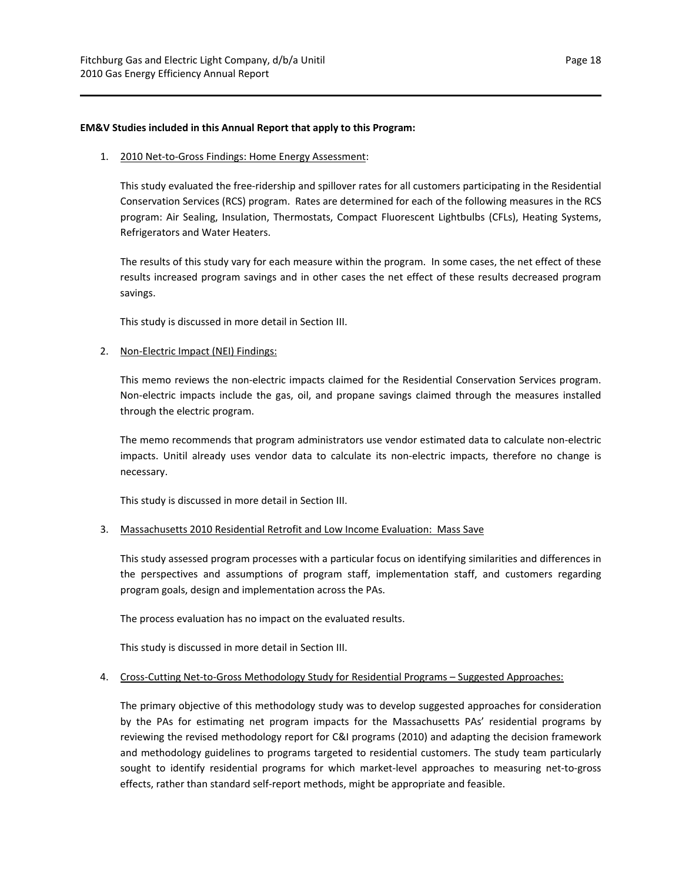#### **EM&V Studies included in this Annual Report that apply to this Program:**

#### 1. 2010 Net-to-Gross Findings: Home Energy Assessment:

This study evaluated the free‐ridership and spillover rates for all customers participating in the Residential Conservation Services (RCS) program. Rates are determined for each of the following measures in the RCS program: Air Sealing, Insulation, Thermostats, Compact Fluorescent Lightbulbs (CFLs), Heating Systems, Refrigerators and Water Heaters.

The results of this study vary for each measure within the program. In some cases, the net effect of these results increased program savings and in other cases the net effect of these results decreased program savings.

This study is discussed in more detail in Section III.

### 2. Non-Electric Impact (NEI) Findings:

This memo reviews the non-electric impacts claimed for the Residential Conservation Services program. Non‐electric impacts include the gas, oil, and propane savings claimed through the measures installed through the electric program.

The memo recommends that program administrators use vendor estimated data to calculate non‐electric impacts. Unitil already uses vendor data to calculate its non-electric impacts, therefore no change is necessary.

This study is discussed in more detail in Section III.

## 3. Massachusetts 2010 Residential Retrofit and Low Income Evaluation: Mass Save

This study assessed program processes with a particular focus on identifying similarities and differences in the perspectives and assumptions of program staff, implementation staff, and customers regarding program goals, design and implementation across the PAs.

The process evaluation has no impact on the evaluated results.

This study is discussed in more detail in Section III.

#### 4. Cross-Cutting Net-to-Gross Methodology Study for Residential Programs – Suggested Approaches:

The primary objective of this methodology study was to develop suggested approaches for consideration by the PAs for estimating net program impacts for the Massachusetts PAs' residential programs by reviewing the revised methodology report for C&I programs (2010) and adapting the decision framework and methodology guidelines to programs targeted to residential customers. The study team particularly sought to identify residential programs for which market-level approaches to measuring net-to-gross effects, rather than standard self‐report methods, might be appropriate and feasible.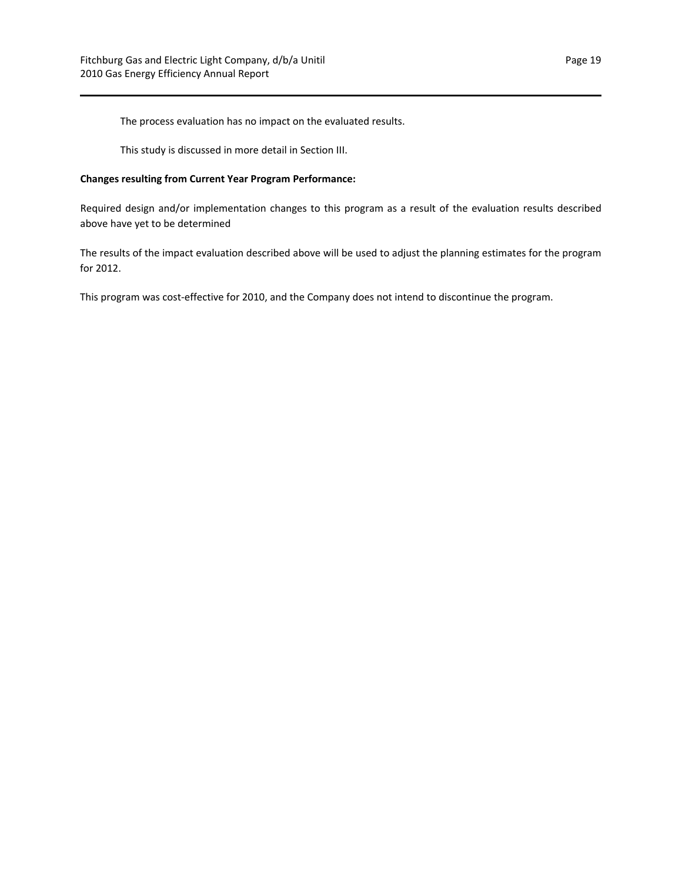The process evaluation has no impact on the evaluated results.

This study is discussed in more detail in Section III.

### **Changes resulting from Current Year Program Performance:**

Required design and/or implementation changes to this program as a result of the evaluation results described above have yet to be determined

The results of the impact evaluation described above will be used to adjust the planning estimates for the program for 2012.

This program was cost-effective for 2010, and the Company does not intend to discontinue the program.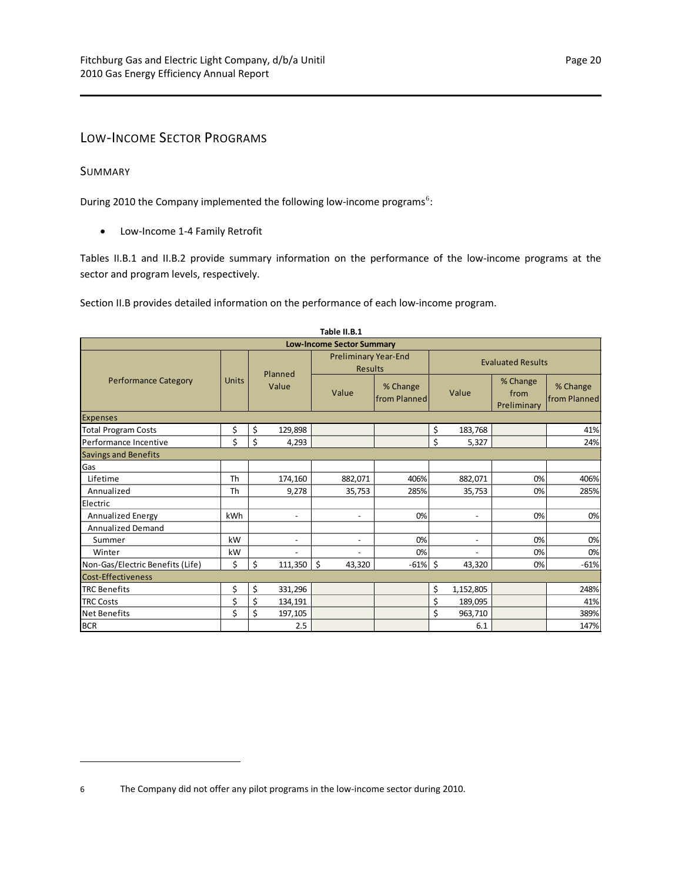## <span id="page-23-0"></span>LOW‐INCOME SECTOR PROGRAMS

## <span id="page-23-1"></span>SUMMARY

During 2010 the Company implemented the following low-income programs<sup>[6](#page-23-2)</sup>:

● Low-Income 1-4 Family Retrofit

Tables II.B.1 and II.B.2 provide summary information on the performance of the low-income programs at the sector and program levels, respectively.

Section II.B provides detailed information on the performance of each low‐income program.

| Table II.B.1                     |              |                          |                                               |                          |                          |                                 |                          |  |  |  |  |  |
|----------------------------------|--------------|--------------------------|-----------------------------------------------|--------------------------|--------------------------|---------------------------------|--------------------------|--|--|--|--|--|
| <b>Low-Income Sector Summary</b> |              |                          |                                               |                          |                          |                                 |                          |  |  |  |  |  |
|                                  |              | Planned                  | <b>Preliminary Year-End</b><br><b>Results</b> |                          | <b>Evaluated Results</b> |                                 |                          |  |  |  |  |  |
| <b>Performance Category</b>      | <b>Units</b> | Value                    | Value                                         | % Change<br>from Planned |                          | % Change<br>from<br>Preliminary | % Change<br>from Planned |  |  |  |  |  |
| <b>Expenses</b>                  |              |                          |                                               |                          |                          |                                 |                          |  |  |  |  |  |
| <b>Total Program Costs</b>       | \$           | 129,898<br>\$            |                                               |                          | \$<br>183,768            |                                 | 41%                      |  |  |  |  |  |
| Performance Incentive            | \$           | \$<br>4,293              |                                               |                          | \$<br>5,327              |                                 | 24%                      |  |  |  |  |  |
| <b>Savings and Benefits</b>      |              |                          |                                               |                          |                          |                                 |                          |  |  |  |  |  |
| Gas                              |              |                          |                                               |                          |                          |                                 |                          |  |  |  |  |  |
| Lifetime                         | Th           | 174,160                  | 882,071                                       | 406%                     | 882,071                  | 0%                              | 406%                     |  |  |  |  |  |
| Annualized                       | Th           | 9,278                    | 35,753                                        | 285%                     | 35,753                   | 0%                              | 285%                     |  |  |  |  |  |
| Electric                         |              |                          |                                               |                          |                          |                                 |                          |  |  |  |  |  |
| <b>Annualized Energy</b>         | kWh          | $\overline{\phantom{a}}$ | $\overline{\phantom{a}}$                      | 0%                       | $\overline{\phantom{a}}$ | 0%                              | 0%                       |  |  |  |  |  |
| <b>Annualized Demand</b>         |              |                          |                                               |                          |                          |                                 |                          |  |  |  |  |  |
| Summer                           | kW           | $\overline{\phantom{a}}$ | $\qquad \qquad \blacksquare$                  | 0%                       | $\overline{a}$           | 0%                              | 0%                       |  |  |  |  |  |
| Winter                           | kW           |                          |                                               | 0%                       |                          | 0%                              | 0%                       |  |  |  |  |  |
| Non-Gas/Electric Benefits (Life) | \$           | \$<br>111,350            | \$<br>43,320                                  | $-61\%$ \$               | 43,320                   | 0%                              | $-61%$                   |  |  |  |  |  |
| Cost-Effectiveness               |              |                          |                                               |                          |                          |                                 |                          |  |  |  |  |  |
| <b>TRC Benefits</b>              | \$           | \$<br>331,296            |                                               |                          | \$<br>1,152,805          |                                 | 248%                     |  |  |  |  |  |
| <b>TRC Costs</b>                 | \$           | \$<br>134,191            |                                               |                          | \$<br>189,095            |                                 | 41%                      |  |  |  |  |  |
| <b>Net Benefits</b>              | \$           | \$<br>197,105            |                                               |                          | \$<br>963,710            |                                 | 389%                     |  |  |  |  |  |
| <b>BCR</b>                       |              | 2.5                      |                                               |                          | 6.1                      |                                 | 147%                     |  |  |  |  |  |

<span id="page-23-2"></span><sup>6</sup> The Company did not offer any pilot programs in the low‐income sector during 2010.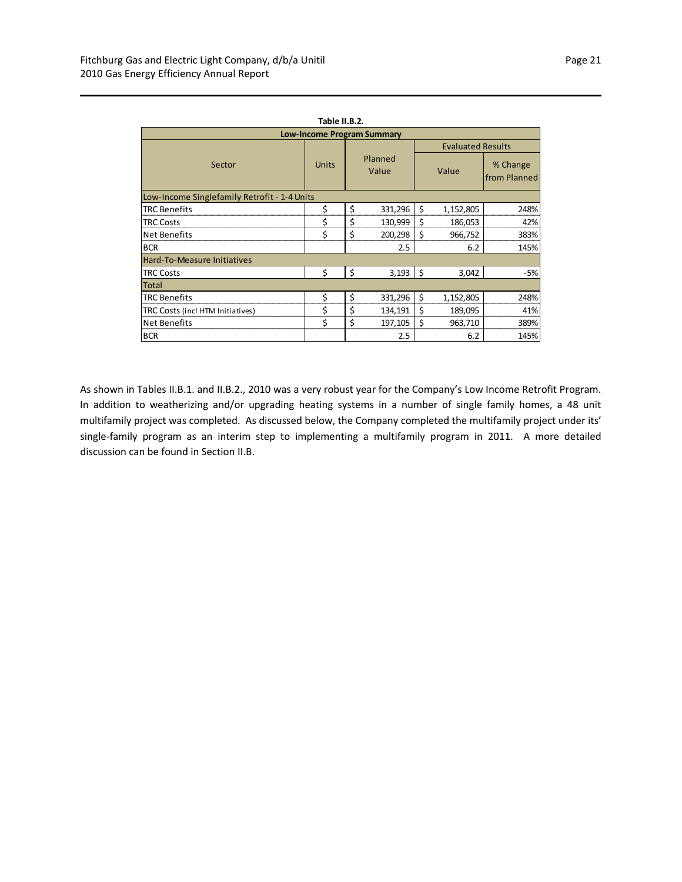| Table II.B.2.                                |              |                  |         |                          |           |                           |  |  |  |  |  |
|----------------------------------------------|--------------|------------------|---------|--------------------------|-----------|---------------------------|--|--|--|--|--|
| <b>Low-Income Program Summary</b>            |              |                  |         |                          |           |                           |  |  |  |  |  |
|                                              |              | Planned<br>Value |         | <b>Evaluated Results</b> |           |                           |  |  |  |  |  |
| Sector                                       | <b>Units</b> |                  |         |                          | Value     | % Change<br>lfrom Planned |  |  |  |  |  |
| Low-Income Singlefamily Retrofit - 1-4 Units |              |                  |         |                          |           |                           |  |  |  |  |  |
| <b>TRC Benefits</b>                          | \$           | \$               | 331,296 | \$                       | 1,152,805 | 248%                      |  |  |  |  |  |
| <b>TRC Costs</b>                             | \$           | \$               | 130,999 | \$                       | 186,053   | 42%                       |  |  |  |  |  |
| Net Benefits                                 | \$           | \$               | 200,298 | \$                       | 966,752   | 383%                      |  |  |  |  |  |
| <b>BCR</b>                                   |              |                  | 2.5     |                          | 6.2       | 145%                      |  |  |  |  |  |
| <b>Hard-To-Measure Initiatives</b>           |              |                  |         |                          |           |                           |  |  |  |  |  |
| <b>TRC Costs</b>                             | \$           | \$               | 3,193   | l \$                     | 3,042     | $-5%$                     |  |  |  |  |  |
| <b>Total</b>                                 |              |                  |         |                          |           |                           |  |  |  |  |  |
| <b>ITRC Benefits</b>                         | \$           | \$               | 331,296 | \$                       | 1,152,805 | 248%                      |  |  |  |  |  |
| TRC Costs (incl HTM Initiatives)             | \$           | \$               | 134,191 | \$                       | 189,095   | 41%                       |  |  |  |  |  |
| <b>Net Benefits</b>                          | \$           | \$               | 197,105 | \$                       | 963,710   | 389%                      |  |  |  |  |  |
| <b>BCR</b>                                   |              |                  | 2.5     |                          | 6.2       | 145%                      |  |  |  |  |  |

As shown in Tables II.B.1. and II.B.2., 2010 was a very robust year for the Company's Low Income Retrofit Program. In addition to weatherizing and/or upgrading heating systems in a number of single family homes, a 48 unit multifamily project was completed. As discussed below, the Company completed the multifamily project under its' single-family program as an interim step to implementing a multifamily program in 2011. A more detailed discussion can be found in Section II.B.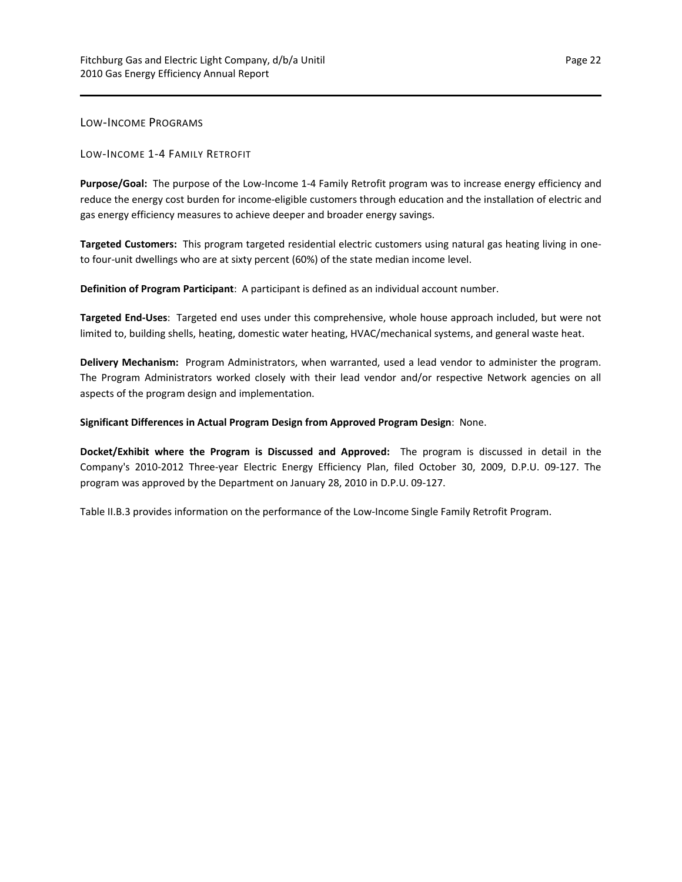<span id="page-25-0"></span>LOW‐INCOME PROGRAMS

LOW‐INCOME 1‐4 FAMILY RETROFIT

**Purpose/Goal:** The purpose of the Low‐Income 1‐4 Family Retrofit program was to increase energy efficiency and reduce the energy cost burden for income‐eligible customers through education and the installation of electric and gas energy efficiency measures to achieve deeper and broader energy savings.

**Targeted Customers:** This program targeted residential electric customers using natural gas heating living in one‐ to four-unit dwellings who are at sixty percent (60%) of the state median income level.

**Definition of Program Participant**: A participant is defined as an individual account number.

**Targeted End‐Uses**: Targeted end uses under this comprehensive, whole house approach included, but were not limited to, building shells, heating, domestic water heating, HVAC/mechanical systems, and general waste heat.

**Delivery Mechanism:** Program Administrators, when warranted, used a lead vendor to administer the program. The Program Administrators worked closely with their lead vendor and/or respective Network agencies on all aspects of the program design and implementation.

**Significant Differences in Actual Program Design from Approved Program Design**: None.

**Docket/Exhibit where the Program is Discussed and Approved:** The program is discussed in detail in the Company's 2010‐2012 Three‐year Electric Energy Efficiency Plan, filed October 30, 2009, D.P.U. 09‐127. The program was approved by the Department on January 28, 2010 in D.P.U. 09‐127.

Table II.B.3 provides information on the performance of the Low‐Income Single Family Retrofit Program.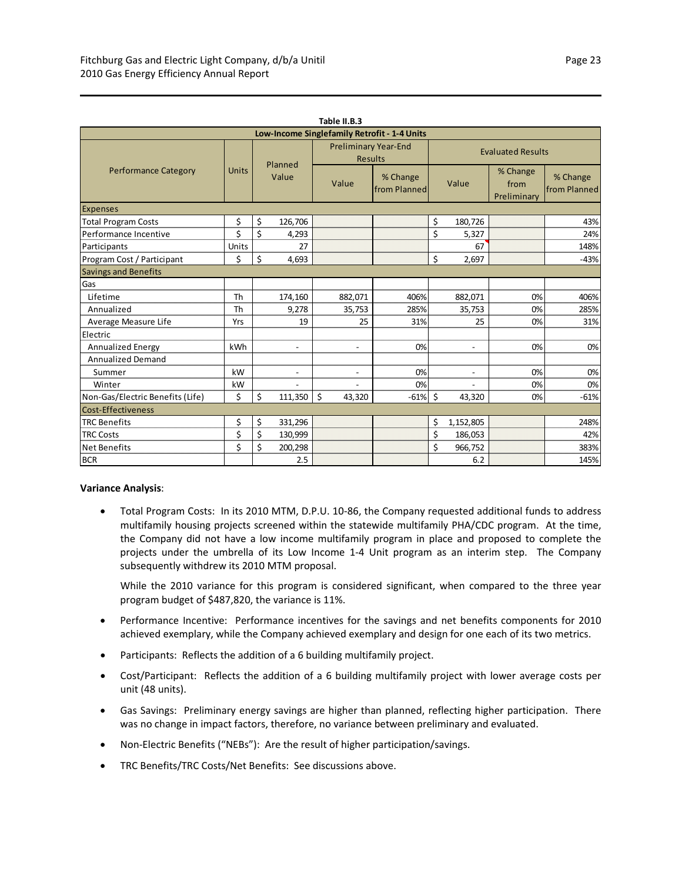| Table II.B.3                                 |           |                  |                          |                                               |                          |       |                          |                                 |                          |  |  |
|----------------------------------------------|-----------|------------------|--------------------------|-----------------------------------------------|--------------------------|-------|--------------------------|---------------------------------|--------------------------|--|--|
| Low-Income Singlefamily Retrofit - 1-4 Units |           |                  |                          |                                               |                          |       |                          |                                 |                          |  |  |
|                                              |           | Planned<br>Value |                          | <b>Preliminary Year-End</b><br><b>Results</b> |                          |       | <b>Evaluated Results</b> |                                 |                          |  |  |
| <b>Performance Category</b>                  | Units     |                  |                          | Value                                         | % Change<br>from Planned | Value |                          | % Change<br>from<br>Preliminary | % Change<br>from Planned |  |  |
| <b>Expenses</b>                              |           |                  |                          |                                               |                          |       |                          |                                 |                          |  |  |
| <b>Total Program Costs</b>                   | \$        | \$               | 126,706                  |                                               |                          | \$    | 180,726                  |                                 | 43%                      |  |  |
| Performance Incentive                        | \$        | \$               | 4,293                    |                                               |                          | \$    | 5,327                    |                                 | 24%                      |  |  |
| Participants                                 | Units     |                  | 27                       |                                               |                          |       | 67                       |                                 | 148%                     |  |  |
| Program Cost / Participant                   | \$        | \$               | 4,693                    |                                               |                          | \$    | 2,697                    |                                 | $-43%$                   |  |  |
| <b>Savings and Benefits</b>                  |           |                  |                          |                                               |                          |       |                          |                                 |                          |  |  |
| Gas                                          |           |                  |                          |                                               |                          |       |                          |                                 |                          |  |  |
| Lifetime                                     | <b>Th</b> |                  | 174,160                  | 882,071                                       | 406%                     |       | 882,071                  | 0%                              | 406%                     |  |  |
| Annualized                                   | Th        |                  | 9,278                    | 35,753                                        | 285%                     |       | 35,753                   | 0%                              | 285%                     |  |  |
| Average Measure Life                         | Yrs       |                  | 19                       | 25                                            | 31%                      |       | 25                       | 0%                              | 31%                      |  |  |
| Electric                                     |           |                  |                          |                                               |                          |       |                          |                                 |                          |  |  |
| Annualized Energy                            | kWh       |                  | $\overline{\phantom{a}}$ | $\overline{\phantom{0}}$                      | 0%                       |       | $\overline{\phantom{a}}$ | 0%                              | 0%                       |  |  |
| <b>Annualized Demand</b>                     |           |                  |                          |                                               |                          |       |                          |                                 |                          |  |  |
| Summer                                       | kW        |                  | $\overline{a}$           | $\overline{\phantom{a}}$                      | 0%                       |       | $\overline{a}$           | 0%                              | 0%                       |  |  |
| Winter                                       | kW        |                  | $\overline{\phantom{a}}$ |                                               | 0%                       |       | $\overline{a}$           | 0%                              | 0%                       |  |  |
| Non-Gas/Electric Benefits (Life)             | \$        | \$               | 111,350                  | \$<br>43,320                                  | $-61%$                   | \$    | 43,320                   | 0%                              | $-61%$                   |  |  |
| Cost-Effectiveness                           |           |                  |                          |                                               |                          |       |                          |                                 |                          |  |  |
| <b>TRC Benefits</b>                          | \$        | \$               | 331,296                  |                                               |                          | \$    | 1,152,805                |                                 | 248%                     |  |  |
| <b>TRC Costs</b>                             | \$        | \$               | 130,999                  |                                               |                          | \$    | 186,053                  |                                 | 42%                      |  |  |
| <b>Net Benefits</b>                          | \$        | \$               | 200,298                  |                                               |                          | \$    | 966,752                  |                                 | 383%                     |  |  |
| <b>BCR</b>                                   |           |                  | 2.5                      |                                               |                          |       | 6.2                      |                                 | 145%                     |  |  |

#### **Variance Analysis**:

 Total Program Costs: In its 2010 MTM, D.P.U. 10‐86, the Company requested additional funds to address multifamily housing projects screened within the statewide multifamily PHA/CDC program. At the time, the Company did not have a low income multifamily program in place and proposed to complete the projects under the umbrella of its Low Income 1-4 Unit program as an interim step. The Company subsequently withdrew its 2010 MTM proposal.

While the 2010 variance for this program is considered significant, when compared to the three year program budget of \$487,820, the variance is 11%.

- Performance Incentive: Performance incentives for the savings and net benefits components for 2010 achieved exemplary, while the Company achieved exemplary and design for one each of its two metrics.
- Participants: Reflects the addition of a 6 building multifamily project.
- Cost/Participant: Reflects the addition of a 6 building multifamily project with lower average costs per unit (48 units).
- Gas Savings: Preliminary energy savings are higher than planned, reflecting higher participation. There was no change in impact factors, therefore, no variance between preliminary and evaluated.
- Non‐Electric Benefits ("NEBs"): Are the result of higher participation/savings.
- TRC Benefits/TRC Costs/Net Benefits: See discussions above.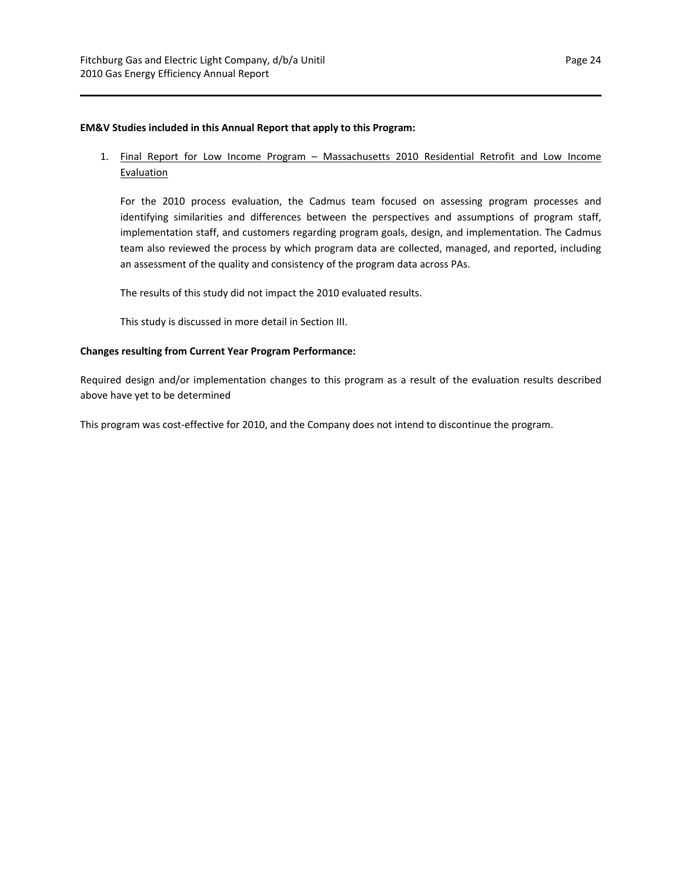#### **EM&V Studies included in this Annual Report that apply to this Program:**

## 1. Final Report for Low Income Program - Massachusetts 2010 Residential Retrofit and Low Income Evaluation

For the 2010 process evaluation, the Cadmus team focused on assessing program processes and identifying similarities and differences between the perspectives and assumptions of program staff, implementation staff, and customers regarding program goals, design, and implementation. The Cadmus team also reviewed the process by which program data are collected, managed, and reported, including an assessment of the quality and consistency of the program data across PAs.

The results of this study did not impact the 2010 evaluated results.

This study is discussed in more detail in Section III.

### **Changes resulting from Current Year Program Performance:**

Required design and/or implementation changes to this program as a result of the evaluation results described above have yet to be determined

This program was cost‐effective for 2010, and the Company does not intend to discontinue the program.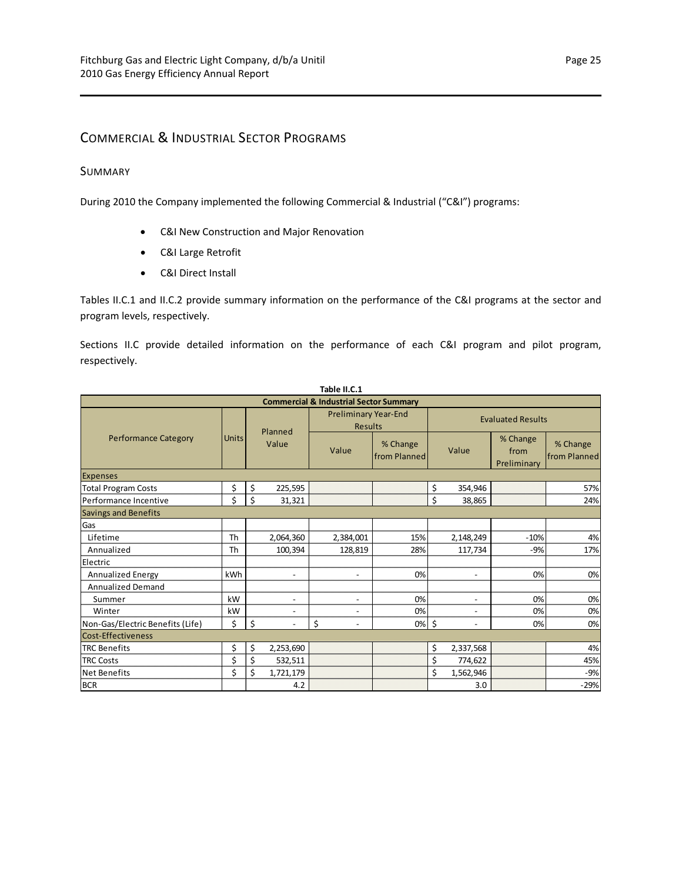# <span id="page-28-0"></span>COMMERCIAL & INDUSTRIAL SECTOR PROGRAMS

## <span id="page-28-1"></span>SUMMARY

During 2010 the Company implemented the following Commercial & Industrial ("C&I") programs:

- C&I New Construction and Major Renovation
- C&I Large Retrofit
- C&I Direct Install

Tables II.C.1 and II.C.2 provide summary information on the performance of the C&I programs at the sector and program levels, respectively.

Sections II.C provide detailed information on the performance of each C&I program and pilot program, respectively.

| Table II.C.1                                      |              |                                |                                               |                          |                          |                                 |                          |  |  |  |  |
|---------------------------------------------------|--------------|--------------------------------|-----------------------------------------------|--------------------------|--------------------------|---------------------------------|--------------------------|--|--|--|--|
| <b>Commercial &amp; Industrial Sector Summary</b> |              |                                |                                               |                          |                          |                                 |                          |  |  |  |  |
|                                                   |              | Planned                        | <b>Preliminary Year-End</b><br><b>Results</b> |                          | <b>Evaluated Results</b> |                                 |                          |  |  |  |  |
| <b>Performance Category</b>                       | <b>Units</b> | Value                          | Value                                         | % Change<br>from Planned | Value                    | % Change<br>from<br>Preliminary | % Change<br>from Planned |  |  |  |  |
| <b>Expenses</b>                                   |              |                                |                                               |                          |                          |                                 |                          |  |  |  |  |
| <b>Total Program Costs</b>                        | \$           | \$<br>225,595                  |                                               |                          | \$<br>354,946            |                                 | 57%                      |  |  |  |  |
| Performance Incentive                             | \$           | Ś<br>31,321                    |                                               |                          | \$<br>38,865             |                                 | 24%                      |  |  |  |  |
| <b>Savings and Benefits</b>                       |              |                                |                                               |                          |                          |                                 |                          |  |  |  |  |
| Gas                                               |              |                                |                                               |                          |                          |                                 |                          |  |  |  |  |
| Lifetime                                          | Th           | 2,064,360                      | 2,384,001                                     | 15%                      | 2,148,249                | $-10%$                          | 4%                       |  |  |  |  |
| Annualized                                        | Th           | 100,394                        | 128,819                                       | 28%                      | 117,734                  | $-9%$                           | 17%                      |  |  |  |  |
| Electric                                          |              |                                |                                               |                          |                          |                                 |                          |  |  |  |  |
| Annualized Energy                                 | kWh          | $\overline{\phantom{a}}$       | $\overline{\phantom{a}}$                      | 0%                       | $\overline{\phantom{a}}$ | 0%                              | 0%                       |  |  |  |  |
| <b>Annualized Demand</b>                          |              |                                |                                               |                          |                          |                                 |                          |  |  |  |  |
| Summer                                            | kW           | $\overline{\phantom{a}}$       | $\overline{\phantom{a}}$                      | 0%                       | $\overline{\phantom{a}}$ | 0%                              | 0%                       |  |  |  |  |
| Winter                                            | kW           | $\overline{\phantom{a}}$       | $\overline{\phantom{a}}$                      | 0%                       | $\overline{\phantom{a}}$ | 0%                              | 0%                       |  |  |  |  |
| Non-Gas/Electric Benefits (Life)                  | \$           | \$<br>$\overline{\phantom{a}}$ | \$<br>$\overline{\phantom{a}}$                | $0%$ \$                  | $\overline{\phantom{a}}$ | 0%                              | 0%                       |  |  |  |  |
| <b>Cost-Effectiveness</b>                         |              |                                |                                               |                          |                          |                                 |                          |  |  |  |  |
| <b>TRC Benefits</b>                               | \$           | \$<br>2,253,690                |                                               |                          | \$<br>2,337,568          |                                 | 4%                       |  |  |  |  |
| <b>TRC Costs</b>                                  | \$           | \$<br>532,511                  |                                               |                          | \$<br>774,622            |                                 | 45%                      |  |  |  |  |
| <b>Net Benefits</b>                               | \$           | \$<br>1,721,179                |                                               |                          | \$<br>1,562,946          |                                 | $-9%$                    |  |  |  |  |
| <b>BCR</b>                                        |              | 4.2                            |                                               |                          | 3.0                      |                                 | $-29%$                   |  |  |  |  |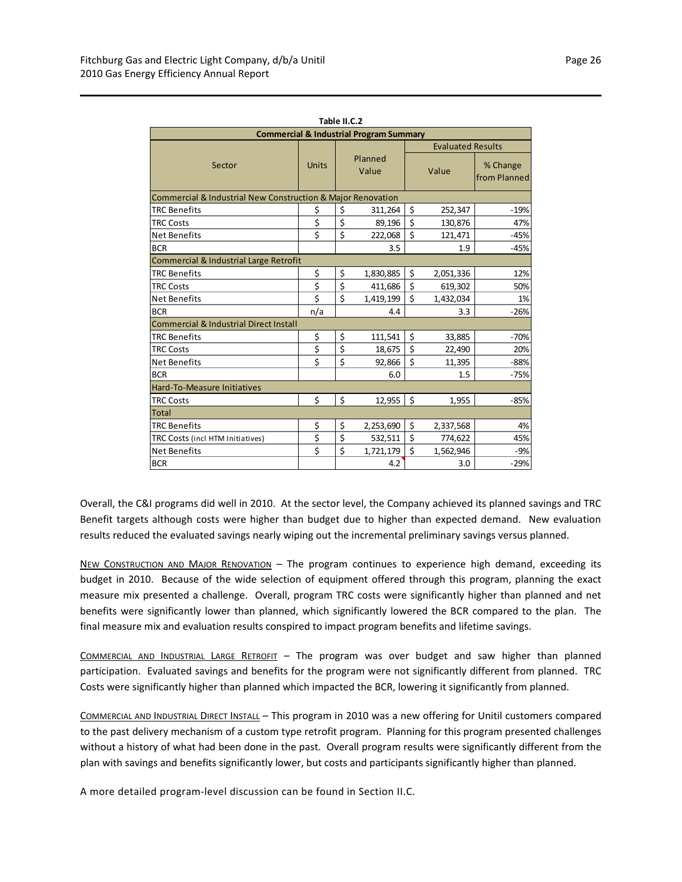| Table II.C.2                                                |                           |     |           |                          |           |                          |  |  |  |  |  |
|-------------------------------------------------------------|---------------------------|-----|-----------|--------------------------|-----------|--------------------------|--|--|--|--|--|
| <b>Commercial &amp; Industrial Program Summary</b>          |                           |     |           |                          |           |                          |  |  |  |  |  |
|                                                             |                           |     |           | <b>Evaluated Results</b> |           |                          |  |  |  |  |  |
| Sector                                                      | Planned<br>Units<br>Value |     |           | Value                    |           | % Change<br>from Planned |  |  |  |  |  |
| Commercial & Industrial New Construction & Major Renovation |                           |     |           |                          |           |                          |  |  |  |  |  |
| <b>TRC Benefits</b>                                         | \$                        | \$  | 311,264   | \$                       | 252,347   | $-19%$                   |  |  |  |  |  |
| <b>TRC Costs</b>                                            | \$                        | \$  | 89,196    | \$                       | 130,876   | 47%                      |  |  |  |  |  |
| <b>Net Benefits</b>                                         | \$                        | \$  | 222,068   | \$                       | 121,471   | $-45%$                   |  |  |  |  |  |
| <b>BCR</b>                                                  |                           |     | 3.5       |                          | 1.9       | $-45%$                   |  |  |  |  |  |
| Commercial & Industrial Large Retrofit                      |                           |     |           |                          |           |                          |  |  |  |  |  |
| <b>TRC Benefits</b>                                         | \$                        | \$  | 1,830,885 | \$                       | 2,051,336 | 12%                      |  |  |  |  |  |
| <b>TRC Costs</b>                                            | \$                        | \$  | 411,686   | \$                       | 619,302   | 50%                      |  |  |  |  |  |
| <b>Net Benefits</b>                                         | \$                        | \$  | 1,419,199 | $\mathsf{\hat{S}}$       | 1,432,034 | 1%                       |  |  |  |  |  |
| <b>BCR</b>                                                  | n/a                       | 4.4 |           |                          | 3.3       | $-26%$                   |  |  |  |  |  |
| <b>Commercial &amp; Industrial Direct Install</b>           |                           |     |           |                          |           |                          |  |  |  |  |  |
| <b>TRC Benefits</b>                                         | \$                        | \$  | 111,541   | \$                       | 33,885    | $-70%$                   |  |  |  |  |  |
| <b>TRC Costs</b>                                            | \$                        | \$  | 18,675    | \$                       | 22,490    | 20%                      |  |  |  |  |  |
| <b>Net Benefits</b>                                         | \$                        | \$  | 92,866    | \$                       | 11,395    | $-88%$                   |  |  |  |  |  |
| <b>BCR</b>                                                  |                           |     | 6.0       |                          | 1.5       | $-75%$                   |  |  |  |  |  |
| Hard-To-Measure Initiatives                                 |                           |     |           |                          |           |                          |  |  |  |  |  |
| <b>TRC Costs</b>                                            | \$                        | \$  | 12,955    | \$                       | 1,955     | $-85%$                   |  |  |  |  |  |
| <b>Total</b>                                                |                           |     |           |                          |           |                          |  |  |  |  |  |
| <b>TRC Benefits</b>                                         | \$                        | \$  | 2,253,690 | \$                       | 2,337,568 | 4%                       |  |  |  |  |  |
| TRC Costs (incl HTM Initiatives)                            | \$                        | \$  | 532,511   | \$                       | 774,622   | 45%                      |  |  |  |  |  |
| <b>Net Benefits</b>                                         | \$                        | \$  | 1,721,179 | \$                       | 1,562,946 | $-9%$                    |  |  |  |  |  |
| <b>BCR</b>                                                  |                           |     | 4.2       |                          | 3.0       | $-29%$                   |  |  |  |  |  |

Overall, the C&I programs did well in 2010. At the sector level, the Company achieved its planned savings and TRC Benefit targets although costs were higher than budget due to higher than expected demand. New evaluation results reduced the evaluated savings nearly wiping out the incremental preliminary savings versus planned.

NEW CONSTRUCTION AND MAJOR RENOVATION – The program continues to experience high demand, exceeding its budget in 2010. Because of the wide selection of equipment offered through this program, planning the exact measure mix presented a challenge. Overall, program TRC costs were significantly higher than planned and net benefits were significantly lower than planned, which significantly lowered the BCR compared to the plan. The final measure mix and evaluation results conspired to impact program benefits and lifetime savings.

COMMERCIAL AND INDUSTRIAL LARGE RETROFIT – The program was over budget and saw higher than planned participation. Evaluated savings and benefits for the program were not significantly different from planned. TRC Costs were significantly higher than planned which impacted the BCR, lowering it significantly from planned.

COMMERCIAL AND INDUSTRIAL DIRECT INSTALL – This program in 2010 was a new offering for Unitil customers compared to the past delivery mechanism of a custom type retrofit program. Planning for this program presented challenges without a history of what had been done in the past. Overall program results were significantly different from the plan with savings and benefits significantly lower, but costs and participants significantly higher than planned.

A more detailed program‐level discussion can be found in Section II.C.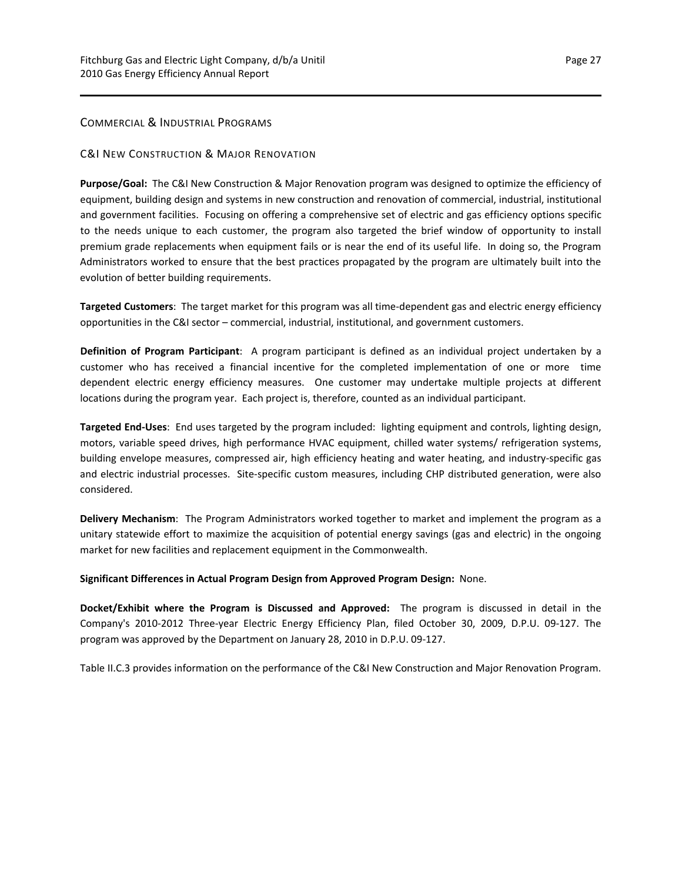## <span id="page-30-1"></span>COMMERCIAL & INDUSTRIAL PROGRAMS

## C&I NEW CONSTRUCTION & MAJOR RENOVATION

**Purpose/Goal:** The C&I New Construction & Major Renovation program was designed to optimize the efficiency of equipment, building design and systems in new construction and renovation of commercial, industrial, institutional and government facilities. Focusing on offering a comprehensive set of electric and gas efficiency options specific to the needs unique to each customer, the program also targeted the brief window of opportunity to install premium grade replacements when equipment fails or is near the end of its useful life. In doing so, the Program Administrators worked to ensure that the best practices propagated by the program are ultimately built into the evolution of better building requirements.

**Targeted Customers**: The target market for this program was all time‐dependent gas and electric energy efficiency opportunities in the C&I sector – commercial, industrial, institutional, and government customers.

**Definition of Program Participant**: A program participant is defined as an individual project undertaken by a customer who has received a financial incentive for the completed implementation of one or more time dependent electric energy efficiency measures. One customer may undertake multiple projects at different locations during the program year. Each project is, therefore, counted as an individual participant.

**Targeted End‐Uses**: End uses targeted by the program included: lighting equipment and controls, lighting design, motors, variable speed drives, high performance HVAC equipment, chilled water systems/ refrigeration systems, building envelope measures, compressed air, high efficiency heating and water heating, and industry‐specific gas and electric industrial processes. Site-specific custom measures, including CHP distributed generation, were also considered.

**Delivery Mechanism**: The Program Administrators worked together to market and implement the program as a unitary statewide effort to maximize the acquisition of potential energy savings (gas and electric) in the ongoing market for new facilities and replacement equipment in the Commonwealth.

**Significant Differences in Actual Program Design from Approved Program Design:** None.

**Docket/Exhibit where the Program is Discussed and Approved:** The program is discussed in detail in the Company's 2010‐2012 Three‐year Electric Energy Efficiency Plan, filed October 30, 2009, D.P.U. 09‐127. The program was approved by the Department on January 28, 2010 in D.P.U. 09‐127.

<span id="page-30-0"></span>Table II.C.3 provides information on the performance of the C&I New Construction and Major Renovation Program.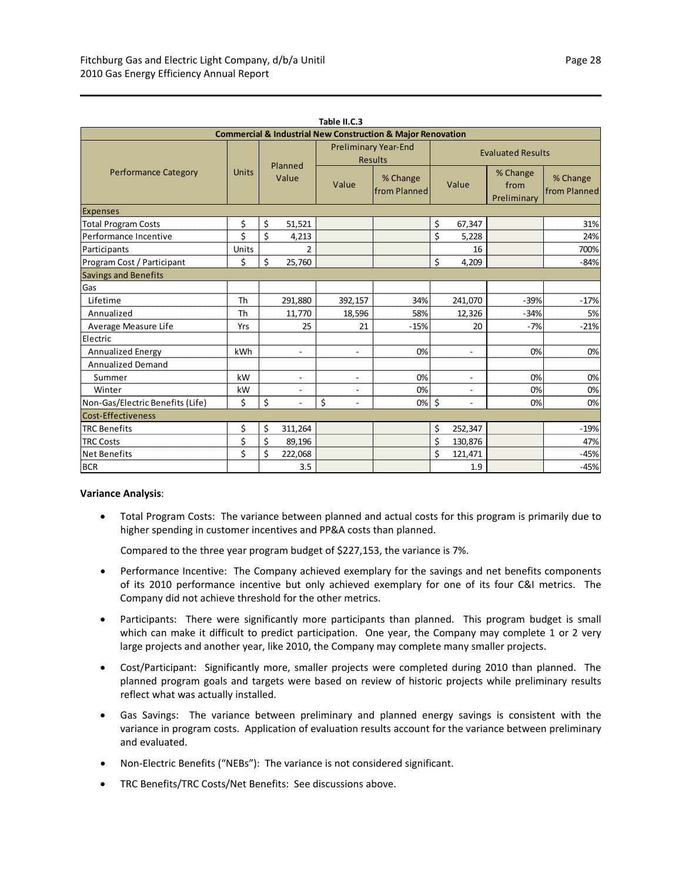| Table II.C.3                                                               |              |                  |                          |                                               |                          |       |                          |                                 |                          |  |  |
|----------------------------------------------------------------------------|--------------|------------------|--------------------------|-----------------------------------------------|--------------------------|-------|--------------------------|---------------------------------|--------------------------|--|--|
| <b>Commercial &amp; Industrial New Construction &amp; Major Renovation</b> |              |                  |                          |                                               |                          |       |                          |                                 |                          |  |  |
|                                                                            |              | Planned<br>Value |                          | <b>Preliminary Year-End</b><br><b>Results</b> | <b>Evaluated Results</b> |       |                          |                                 |                          |  |  |
| <b>Performance Category</b>                                                | <b>Units</b> |                  |                          | Value                                         | % Change<br>from Planned | Value |                          | % Change<br>from<br>Preliminary | % Change<br>from Planned |  |  |
| <b>Expenses</b>                                                            |              |                  |                          |                                               |                          |       |                          |                                 |                          |  |  |
| <b>Total Program Costs</b>                                                 | \$           | \$               | 51,521                   |                                               |                          | \$    | 67,347                   |                                 | 31%                      |  |  |
| Performance Incentive                                                      | \$           | \$               | 4,213                    |                                               |                          | \$    | 5,228                    |                                 | 24%                      |  |  |
| Participants                                                               | Units        |                  | 2                        |                                               |                          |       | 16                       |                                 | 700%                     |  |  |
| Program Cost / Participant                                                 | \$           | \$               | 25,760                   |                                               |                          | \$    | 4,209                    |                                 | $-84%$                   |  |  |
| <b>Savings and Benefits</b>                                                |              |                  |                          |                                               |                          |       |                          |                                 |                          |  |  |
| Gas                                                                        |              |                  |                          |                                               |                          |       |                          |                                 |                          |  |  |
| Lifetime                                                                   | <b>Th</b>    |                  | 291,880                  | 392,157                                       | 34%                      |       | 241,070                  | $-39%$                          | $-17%$                   |  |  |
| Annualized                                                                 | Th           |                  | 11,770                   | 18,596                                        | 58%                      |       | 12,326                   | $-34%$                          | 5%                       |  |  |
| Average Measure Life                                                       | Yrs          |                  | 25                       | 21                                            | $-15%$                   |       | 20                       | $-7%$                           | $-21%$                   |  |  |
| Electric                                                                   |              |                  |                          |                                               |                          |       |                          |                                 |                          |  |  |
| <b>Annualized Energy</b>                                                   | kWh          |                  | $\overline{\phantom{a}}$ | $\overline{\phantom{a}}$                      | 0%                       |       | $\overline{\phantom{a}}$ | 0%                              | 0%                       |  |  |
| <b>Annualized Demand</b>                                                   |              |                  |                          |                                               |                          |       |                          |                                 |                          |  |  |
| Summer                                                                     | kW           |                  | $\overline{a}$           | $\blacksquare$                                | 0%                       |       | $\blacksquare$           | 0%                              | 0%                       |  |  |
| Winter                                                                     | kW           |                  | $\overline{\phantom{a}}$ | $\overline{\phantom{a}}$                      | 0%                       |       | $\overline{\phantom{a}}$ | 0%                              | 0%                       |  |  |
| Non-Gas/Electric Benefits (Life)                                           | \$           | \$               | $\overline{\phantom{a}}$ | \$<br>$\overline{\phantom{a}}$                | 0%                       | \$    | $\sim$                   | 0%                              | 0%                       |  |  |
| Cost-Effectiveness                                                         |              |                  |                          |                                               |                          |       |                          |                                 |                          |  |  |
| <b>TRC Benefits</b>                                                        | \$           | \$               | 311,264                  |                                               |                          | \$    | 252,347                  |                                 | $-19%$                   |  |  |
| <b>TRC Costs</b>                                                           | \$           | \$               | 89,196                   |                                               |                          | \$    | 130,876                  |                                 | 47%                      |  |  |
| <b>Net Benefits</b>                                                        | \$           | \$               | 222,068                  |                                               |                          | Ś     | 121,471                  |                                 | $-45%$                   |  |  |
| <b>BCR</b>                                                                 |              |                  | 3.5                      |                                               |                          |       | 1.9                      |                                 | $-45%$                   |  |  |

#### **Variance Analysis**:

 Total Program Costs: The variance between planned and actual costs for this program is primarily due to higher spending in customer incentives and PP&A costs than planned.

Compared to the three year program budget of \$227,153, the variance is 7%.

- Performance Incentive: The Company achieved exemplary for the savings and net benefits components of its 2010 performance incentive but only achieved exemplary for one of its four C&I metrics. The Company did not achieve threshold for the other metrics.
- Participants: There were significantly more participants than planned. This program budget is small which can make it difficult to predict participation. One year, the Company may complete 1 or 2 very large projects and another year, like 2010, the Company may complete many smaller projects.
- Cost/Participant: Significantly more, smaller projects were completed during 2010 than planned. The planned program goals and targets were based on review of historic projects while preliminary results reflect what was actually installed.
- Gas Savings: The variance between preliminary and planned energy savings is consistent with the variance in program costs. Application of evaluation results account for the variance between preliminary and evaluated.
- Non-Electric Benefits ("NEBs"): The variance is not considered significant.
- TRC Benefits/TRC Costs/Net Benefits: See discussions above.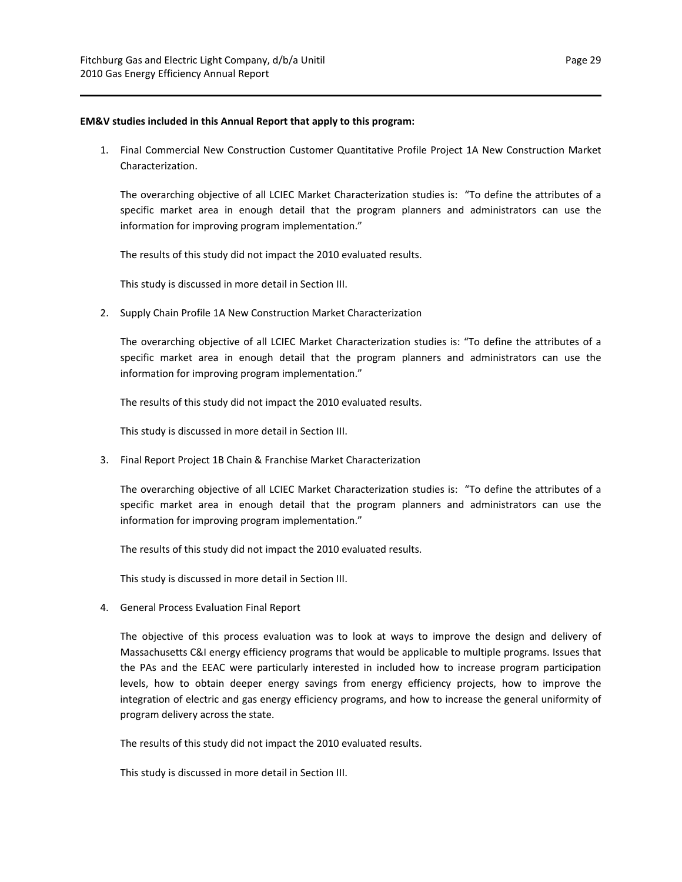#### **EM&V studies included in this Annual Report that apply to this program:**

1. Final Commercial New Construction Customer Quantitative Profile Project 1A New Construction Market Characterization.

The overarching objective of all LCIEC Market Characterization studies is: "To define the attributes of a specific market area in enough detail that the program planners and administrators can use the information for improving program implementation."

The results of this study did not impact the 2010 evaluated results.

This study is discussed in more detail in Section III.

2. Supply Chain Profile 1A New Construction Market Characterization

The overarching objective of all LCIEC Market Characterization studies is: "To define the attributes of a specific market area in enough detail that the program planners and administrators can use the information for improving program implementation."

The results of this study did not impact the 2010 evaluated results.

This study is discussed in more detail in Section III.

3. Final Report Project 1B Chain & Franchise Market Characterization

The overarching objective of all LCIEC Market Characterization studies is: "To define the attributes of a specific market area in enough detail that the program planners and administrators can use the information for improving program implementation."

The results of this study did not impact the 2010 evaluated results.

This study is discussed in more detail in Section III.

4. General Process Evaluation Final Report

The objective of this process evaluation was to look at ways to improve the design and delivery of Massachusetts C&I energy efficiency programs that would be applicable to multiple programs. Issues that the PAs and the EEAC were particularly interested in included how to increase program participation levels, how to obtain deeper energy savings from energy efficiency projects, how to improve the integration of electric and gas energy efficiency programs, and how to increase the general uniformity of program delivery across the state.

The results of this study did not impact the 2010 evaluated results.

This study is discussed in more detail in Section III.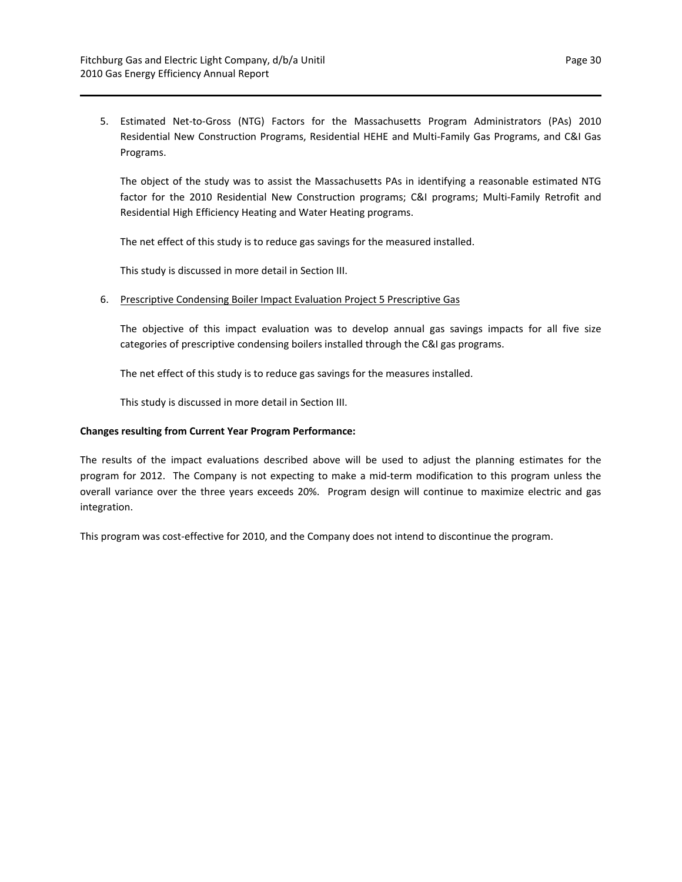5. Estimated Net-to-Gross (NTG) Factors for the Massachusetts Program Administrators (PAs) 2010 Residential New Construction Programs, Residential HEHE and Multi‐Family Gas Programs, and C&I Gas Programs.

The object of the study was to assist the Massachusetts PAs in identifying a reasonable estimated NTG factor for the 2010 Residential New Construction programs; C&I programs; Multi-Family Retrofit and Residential High Efficiency Heating and Water Heating programs.

The net effect of this study is to reduce gas savings for the measured installed.

This study is discussed in more detail in Section III.

### 6. Prescriptive Condensing Boiler Impact Evaluation Project 5 Prescriptive Gas

The objective of this impact evaluation was to develop annual gas savings impacts for all five size categories of prescriptive condensing boilers installed through the C&I gas programs.

The net effect of this study is to reduce gas savings for the measures installed.

This study is discussed in more detail in Section III.

## **Changes resulting from Current Year Program Performance:**

The results of the impact evaluations described above will be used to adjust the planning estimates for the program for 2012. The Company is not expecting to make a mid‐term modification to this program unless the overall variance over the three years exceeds 20%. Program design will continue to maximize electric and gas integration.

This program was cost-effective for 2010, and the Company does not intend to discontinue the program.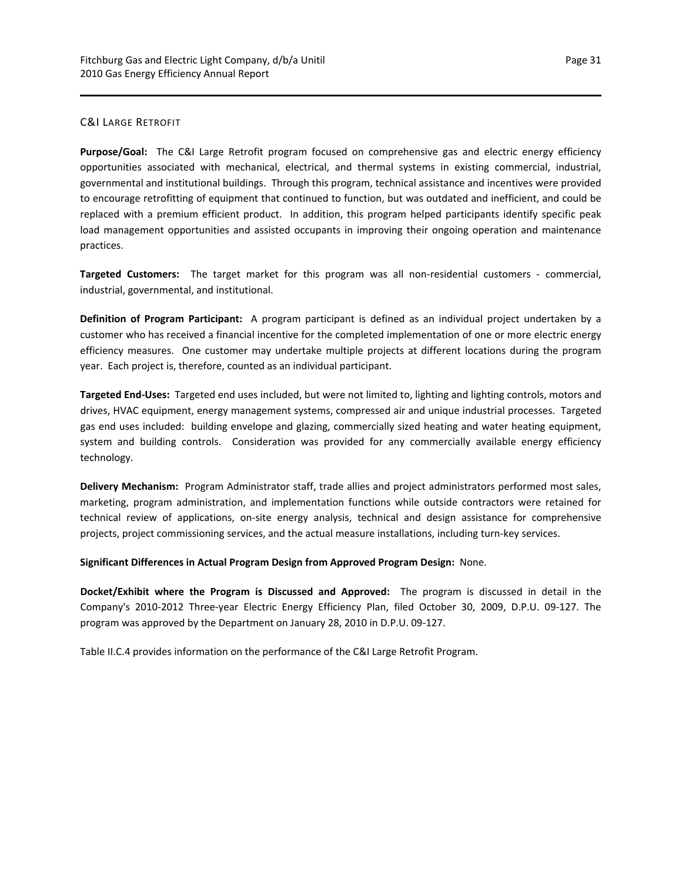## C&I LARGE RETROFIT

**Purpose/Goal:**  The C&I Large Retrofit program focused on comprehensive gas and electric energy efficiency opportunities associated with mechanical, electrical, and thermal systems in existing commercial, industrial, governmental and institutional buildings. Through this program, technical assistance and incentives were provided to encourage retrofitting of equipment that continued to function, but was outdated and inefficient, and could be replaced with a premium efficient product. In addition, this program helped participants identify specific peak load management opportunities and assisted occupants in improving their ongoing operation and maintenance practices.

**Targeted Customers:** The target market for this program was all non-residential customers - commercial, industrial, governmental, and institutional.

**Definition of Program Participant:**  A program participant is defined as an individual project undertaken by a customer who has received a financial incentive for the completed implementation of one or more electric energy efficiency measures. One customer may undertake multiple projects at different locations during the program year. Each project is, therefore, counted as an individual participant.

**Targeted End‐Uses:** Targeted end uses included, but were not limited to, lighting and lighting controls, motors and drives, HVAC equipment, energy management systems, compressed air and unique industrial processes. Targeted gas end uses included: building envelope and glazing, commercially sized heating and water heating equipment, system and building controls. Consideration was provided for any commercially available energy efficiency technology.

**Delivery Mechanism:** Program Administrator staff, trade allies and project administrators performed most sales, marketing, program administration, and implementation functions while outside contractors were retained for technical review of applications, on‐site energy analysis, technical and design assistance for comprehensive projects, project commissioning services, and the actual measure installations, including turn‐key services.

**Significant Differences in Actual Program Design from Approved Program Design:** None.

**Docket/Exhibit where the Program is Discussed and Approved:** The program is discussed in detail in the Company's 2010‐2012 Three‐year Electric Energy Efficiency Plan, filed October 30, 2009, D.P.U. 09‐127. The program was approved by the Department on January 28, 2010 in D.P.U. 09‐127.

Table II.C.4 provides information on the performance of the C&I Large Retrofit Program.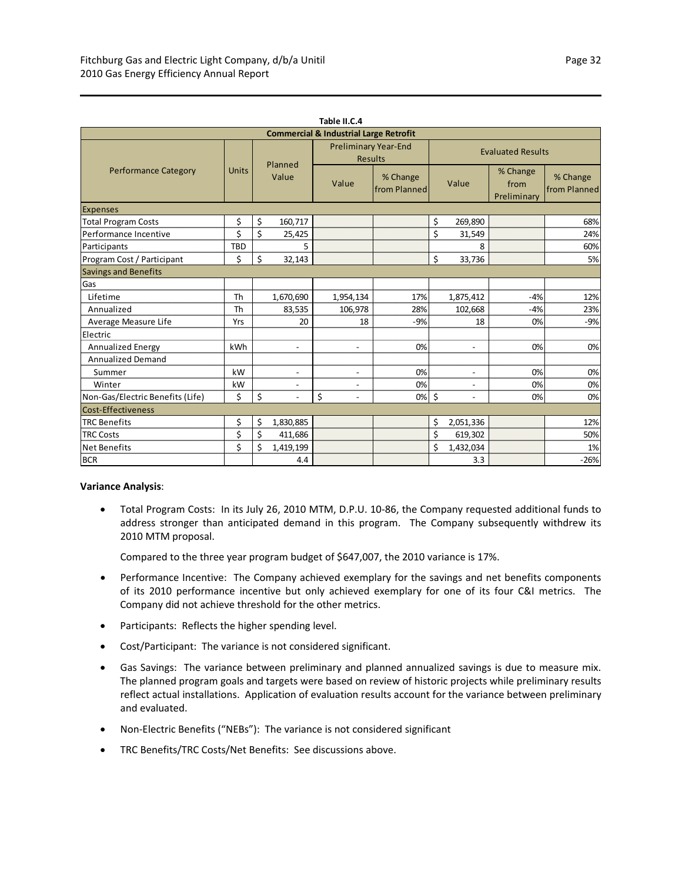| Table II.C.4                                      |              |                  |                          |                                               |                          |       |                          |                                 |                          |  |
|---------------------------------------------------|--------------|------------------|--------------------------|-----------------------------------------------|--------------------------|-------|--------------------------|---------------------------------|--------------------------|--|
| <b>Commercial &amp; Industrial Large Retrofit</b> |              |                  |                          |                                               |                          |       |                          |                                 |                          |  |
|                                                   |              | Planned<br>Value |                          | <b>Preliminary Year-End</b><br><b>Results</b> |                          |       | <b>Evaluated Results</b> |                                 |                          |  |
| <b>Performance Category</b>                       | <b>Units</b> |                  |                          | Value                                         | % Change<br>from Planned | Value |                          | % Change<br>from<br>Preliminary | % Change<br>from Planned |  |
| <b>Expenses</b>                                   |              |                  |                          |                                               |                          |       |                          |                                 |                          |  |
| <b>Total Program Costs</b>                        | \$           | \$               | 160,717                  |                                               |                          | \$    | 269,890                  |                                 | 68%                      |  |
| Performance Incentive                             | \$           | \$               | 25,425                   |                                               |                          | \$    | 31,549                   |                                 | 24%                      |  |
| Participants                                      | <b>TBD</b>   |                  | 5                        |                                               |                          |       | 8                        |                                 | 60%                      |  |
| Program Cost / Participant                        | \$           | \$               | 32,143                   |                                               |                          | \$    | 33,736                   |                                 | 5%                       |  |
| <b>Savings and Benefits</b>                       |              |                  |                          |                                               |                          |       |                          |                                 |                          |  |
| Gas                                               |              |                  |                          |                                               |                          |       |                          |                                 |                          |  |
| Lifetime                                          | <b>Th</b>    |                  | 1,670,690                | 1,954,134                                     | 17%                      |       | 1,875,412                | $-4%$                           | 12%                      |  |
| Annualized                                        | <b>Th</b>    |                  | 83,535                   | 106,978                                       | 28%                      |       | 102,668                  | $-4%$                           | 23%                      |  |
| Average Measure Life                              | Yrs          |                  | 20                       | 18                                            | $-9%$                    |       | 18                       | 0%                              | $-9%$                    |  |
| Electric                                          |              |                  |                          |                                               |                          |       |                          |                                 |                          |  |
| Annualized Energy                                 | kWh          |                  | $\overline{\phantom{0}}$ | $\overline{a}$                                | 0%                       |       | $\overline{a}$           | 0%                              | 0%                       |  |
| <b>Annualized Demand</b>                          |              |                  |                          |                                               |                          |       |                          |                                 |                          |  |
| Summer                                            | kW           |                  | $\overline{\phantom{a}}$ | $\overline{\phantom{a}}$                      | 0%                       |       | $\overline{\phantom{a}}$ | 0%                              | 0%                       |  |
| Winter                                            | kW           |                  | $\overline{\phantom{a}}$ | $\overline{\phantom{a}}$                      | 0%                       |       | $\blacksquare$           | 0%                              | 0%                       |  |
| Non-Gas/Electric Benefits (Life)                  | \$           | \$               | $\overline{a}$           | \$                                            | 0%                       | \$    | $\overline{a}$           | 0%                              | 0%                       |  |
| Cost-Effectiveness                                |              |                  |                          |                                               |                          |       |                          |                                 |                          |  |
| <b>TRC Benefits</b>                               | \$           | \$               | 1,830,885                |                                               |                          | \$    | 2,051,336                |                                 | 12%                      |  |
| <b>TRC Costs</b>                                  | \$           | \$               | 411,686                  |                                               |                          | \$    | 619,302                  |                                 | 50%                      |  |
| <b>Net Benefits</b>                               | \$           | Ś                | 1,419,199                |                                               |                          | \$    | 1,432,034                |                                 | 1%                       |  |
| <b>BCR</b>                                        |              |                  | 4.4                      |                                               |                          |       | 3.3                      |                                 | $-26%$                   |  |

#### **Variance Analysis**:

 Total Program Costs: In its July 26, 2010 MTM, D.P.U. 10‐86, the Company requested additional funds to address stronger than anticipated demand in this program. The Company subsequently withdrew its 2010 MTM proposal.

Compared to the three year program budget of \$647,007, the 2010 variance is 17%.

- Performance Incentive: The Company achieved exemplary for the savings and net benefits components of its 2010 performance incentive but only achieved exemplary for one of its four C&I metrics. The Company did not achieve threshold for the other metrics.
- Participants: Reflects the higher spending level.
- Cost/Participant: The variance is not considered significant.
- Gas Savings: The variance between preliminary and planned annualized savings is due to measure mix. The planned program goals and targets were based on review of historic projects while preliminary results reflect actual installations. Application of evaluation results account for the variance between preliminary and evaluated.
- Non-Electric Benefits ("NEBs"): The variance is not considered significant
- TRC Benefits/TRC Costs/Net Benefits: See discussions above.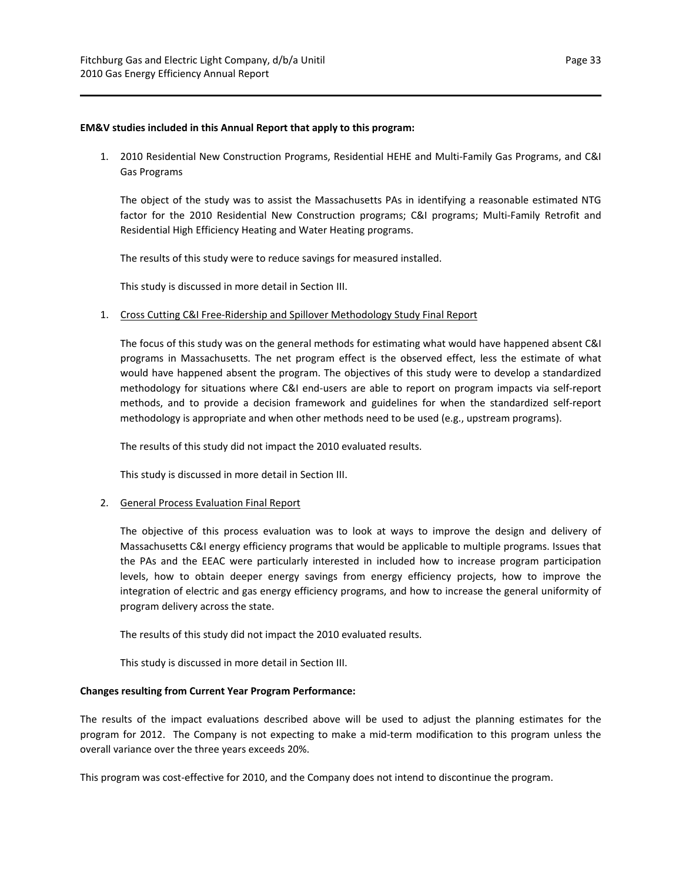#### **EM&V studies included in this Annual Report that apply to this program:**

1. 2010 Residential New Construction Programs, Residential HEHE and Multi‐Family Gas Programs, and C&I Gas Programs

The object of the study was to assist the Massachusetts PAs in identifying a reasonable estimated NTG factor for the 2010 Residential New Construction programs; C&I programs; Multi-Family Retrofit and Residential High Efficiency Heating and Water Heating programs.

The results of this study were to reduce savings for measured installed.

This study is discussed in more detail in Section III.

## 1. Cross Cutting C&I Free-Ridership and Spillover Methodology Study Final Report

The focus of this study was on the general methods for estimating what would have happened absent C&I programs in Massachusetts. The net program effect is the observed effect, less the estimate of what would have happened absent the program. The objectives of this study were to develop a standardized methodology for situations where C&I end-users are able to report on program impacts via self-report methods, and to provide a decision framework and guidelines for when the standardized self-report methodology is appropriate and when other methods need to be used (e.g., upstream programs).

The results of this study did not impact the 2010 evaluated results.

This study is discussed in more detail in Section III.

## 2. General Process Evaluation Final Report

The objective of this process evaluation was to look at ways to improve the design and delivery of Massachusetts C&I energy efficiency programs that would be applicable to multiple programs. Issues that the PAs and the EEAC were particularly interested in included how to increase program participation levels, how to obtain deeper energy savings from energy efficiency projects, how to improve the integration of electric and gas energy efficiency programs, and how to increase the general uniformity of program delivery across the state.

The results of this study did not impact the 2010 evaluated results.

This study is discussed in more detail in Section III.

#### **Changes resulting from Current Year Program Performance:**

The results of the impact evaluations described above will be used to adjust the planning estimates for the program for 2012. The Company is not expecting to make a mid‐term modification to this program unless the overall variance over the three years exceeds 20%.

This program was cost-effective for 2010, and the Company does not intend to discontinue the program.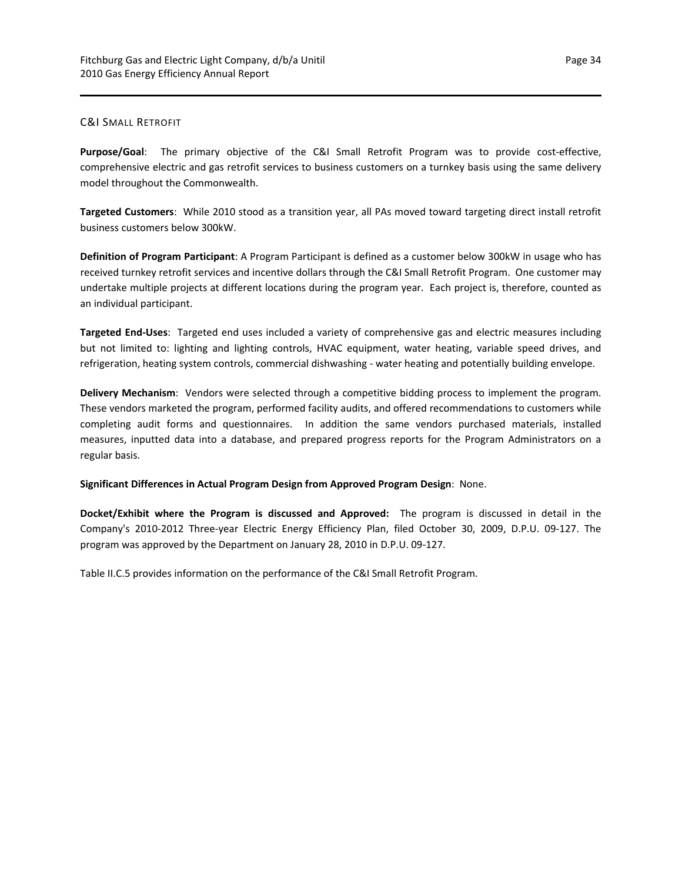## C&I SMALL RETROFIT

Purpose/Goal: The primary objective of the C&I Small Retrofit Program was to provide cost-effective, comprehensive electric and gas retrofit services to business customers on a turnkey basis using the same delivery model throughout the Commonwealth.

**Targeted Customers**: While 2010 stood as a transition year, all PAs moved toward targeting direct install retrofit business customers below 300kW.

**Definition of Program Participant**: A Program Participant is defined as a customer below 300kW in usage who has received turnkey retrofit services and incentive dollars through the C&I Small Retrofit Program. One customer may undertake multiple projects at different locations during the program year. Each project is, therefore, counted as an individual participant.

**Targeted End‐Uses**: Targeted end uses included a variety of comprehensive gas and electric measures including but not limited to: lighting and lighting controls, HVAC equipment, water heating, variable speed drives, and refrigeration, heating system controls, commercial dishwashing - water heating and potentially building envelope.

**Delivery Mechanism**: Vendors were selected through a competitive bidding process to implement the program. These vendors marketed the program, performed facility audits, and offered recommendations to customers while completing audit forms and questionnaires. In addition the same vendors purchased materials, installed measures, inputted data into a database, and prepared progress reports for the Program Administrators on a regular basis.

**Significant Differences in Actual Program Design from Approved Program Design**: None.

**Docket/Exhibit where the Program is discussed and Approved:** The program is discussed in detail in the Company's 2010‐2012 Three‐year Electric Energy Efficiency Plan, filed October 30, 2009, D.P.U. 09‐127. The program was approved by the Department on January 28, 2010 in D.P.U. 09‐127.

Table II.C.5 provides information on the performance of the C&I Small Retrofit Program.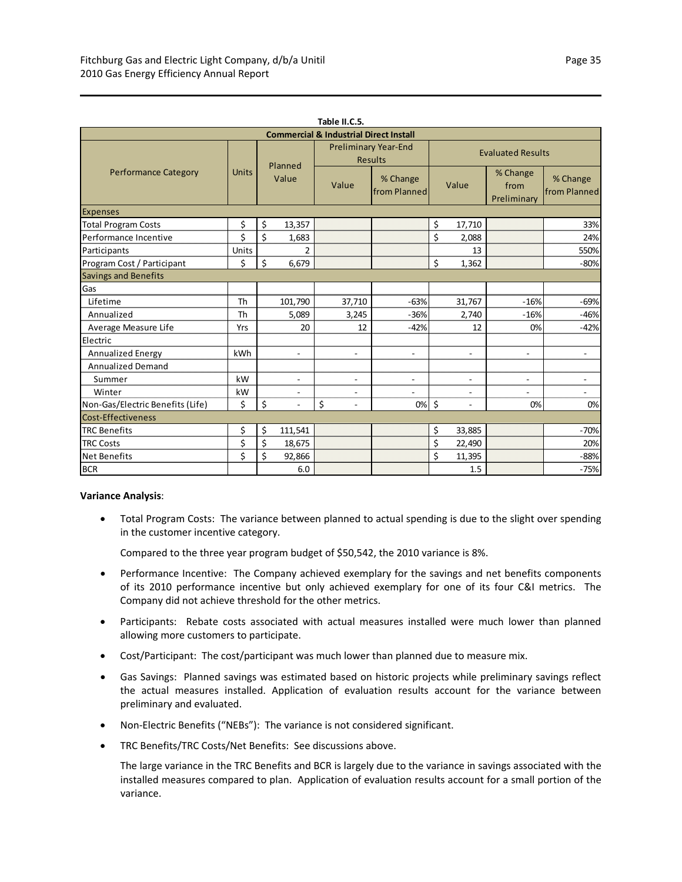| Table II.C.5.                                     |              |                  |                          |                                               |                          |                          |                          |                                 |                          |
|---------------------------------------------------|--------------|------------------|--------------------------|-----------------------------------------------|--------------------------|--------------------------|--------------------------|---------------------------------|--------------------------|
| <b>Commercial &amp; Industrial Direct Install</b> |              |                  |                          |                                               |                          |                          |                          |                                 |                          |
| <b>Performance Category</b>                       |              | Planned<br>Value |                          | <b>Preliminary Year-End</b><br><b>Results</b> |                          | <b>Evaluated Results</b> |                          |                                 |                          |
|                                                   | <b>Units</b> |                  |                          | Value                                         | % Change<br>from Planned |                          | Value                    | % Change<br>from<br>Preliminary | % Change<br>from Planned |
| <b>Expenses</b>                                   |              |                  |                          |                                               |                          |                          |                          |                                 |                          |
| <b>Total Program Costs</b>                        | \$           | \$               | 13,357                   |                                               |                          | \$                       | 17,710                   |                                 | 33%                      |
| Performance Incentive                             | \$           | \$               | 1,683                    |                                               |                          | \$                       | 2,088                    |                                 | 24%                      |
| Participants                                      | Units        |                  | 2                        |                                               |                          |                          | 13                       |                                 | 550%                     |
| Program Cost / Participant                        | \$           | \$               | 6,679                    |                                               |                          | \$                       | 1,362                    |                                 | $-80%$                   |
| <b>Savings and Benefits</b>                       |              |                  |                          |                                               |                          |                          |                          |                                 |                          |
| Gas                                               |              |                  |                          |                                               |                          |                          |                          |                                 |                          |
| Lifetime                                          | Th           |                  | 101,790                  | 37,710                                        | $-63%$                   |                          | 31,767                   | $-16%$                          | $-69%$                   |
| Annualized                                        | Th           |                  | 5,089                    | 3,245                                         | $-36%$                   |                          | 2,740                    | $-16%$                          | $-46%$                   |
| Average Measure Life                              | Yrs          |                  | 20                       | 12                                            | $-42%$                   |                          | 12                       | 0%                              | $-42%$                   |
| Electric                                          |              |                  |                          |                                               |                          |                          |                          |                                 |                          |
| Annualized Energy                                 | kWh          |                  | $\overline{a}$           | $\overline{\phantom{0}}$                      | $\blacksquare$           |                          | $\blacksquare$           | $\blacksquare$                  | $\overline{\phantom{a}}$ |
| <b>Annualized Demand</b>                          |              |                  |                          |                                               |                          |                          |                          |                                 |                          |
| Summer                                            | kW           |                  | $\overline{a}$           | $\overline{a}$                                | $\blacksquare$           |                          | $\overline{\phantom{a}}$ | $\overline{a}$                  | $\overline{\phantom{a}}$ |
| Winter                                            | kW           |                  | $\overline{\phantom{a}}$ | $\overline{a}$                                | $\overline{\phantom{a}}$ |                          | $\overline{\phantom{a}}$ | $\overline{\phantom{a}}$        | $\overline{\phantom{a}}$ |
| Non-Gas/Electric Benefits (Life)                  | \$           | \$               | L,                       | \$                                            | 0%                       | $\zeta$                  | $\overline{\phantom{a}}$ | 0%                              | 0%                       |
| <b>Cost-Effectiveness</b>                         |              |                  |                          |                                               |                          |                          |                          |                                 |                          |
| <b>TRC Benefits</b>                               | \$           | \$               | 111,541                  |                                               |                          | \$                       | 33,885                   |                                 | $-70%$                   |
| <b>TRC Costs</b>                                  | \$           | \$               | 18,675                   |                                               |                          | \$                       | 22,490                   |                                 | 20%                      |
| <b>Net Benefits</b>                               | \$           | \$               | 92,866                   |                                               |                          | \$                       | 11,395                   |                                 | $-88%$                   |
| <b>BCR</b>                                        |              |                  | 6.0                      |                                               |                          |                          | 1.5                      |                                 | $-75%$                   |

#### **Variance Analysis**:

 Total Program Costs: The variance between planned to actual spending is due to the slight over spending in the customer incentive category.

Compared to the three year program budget of \$50,542, the 2010 variance is 8%.

- Performance Incentive: The Company achieved exemplary for the savings and net benefits components of its 2010 performance incentive but only achieved exemplary for one of its four C&I metrics. The Company did not achieve threshold for the other metrics.
- Participants: Rebate costs associated with actual measures installed were much lower than planned allowing more customers to participate.
- Cost/Participant: The cost/participant was much lower than planned due to measure mix.
- Gas Savings: Planned savings was estimated based on historic projects while preliminary savings reflect the actual measures installed. Application of evaluation results account for the variance between preliminary and evaluated.
- Non-Electric Benefits ("NEBs"): The variance is not considered significant.
- TRC Benefits/TRC Costs/Net Benefits: See discussions above.

The large variance in the TRC Benefits and BCR is largely due to the variance in savings associated with the installed measures compared to plan. Application of evaluation results account for a small portion of the variance.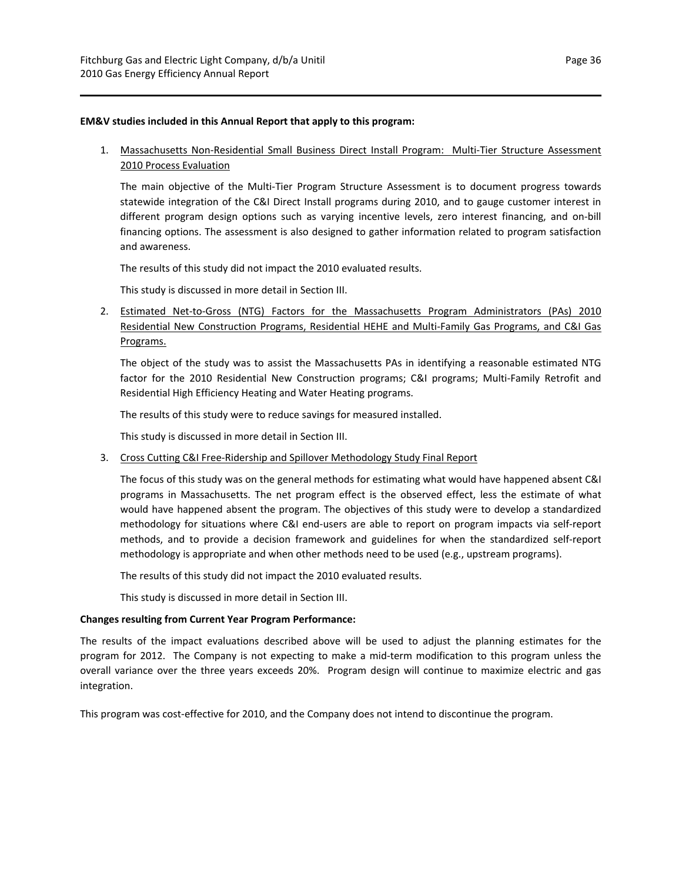#### **EM&V studies included in this Annual Report that apply to this program:**

1. Massachusetts Non-Residential Small Business Direct Install Program: Multi-Tier Structure Assessment 2010 Process Evaluation

The main objective of the Multi‐Tier Program Structure Assessment is to document progress towards statewide integration of the C&I Direct Install programs during 2010, and to gauge customer interest in different program design options such as varying incentive levels, zero interest financing, and on‐bill financing options. The assessment is also designed to gather information related to program satisfaction and awareness.

The results of this study did not impact the 2010 evaluated results.

This study is discussed in more detail in Section III.

2. Estimated Net-to-Gross (NTG) Factors for the Massachusetts Program Administrators (PAs) 2010 Residential New Construction Programs, Residential HEHE and Multi-Family Gas Programs, and C&I Gas Programs.

The object of the study was to assist the Massachusetts PAs in identifying a reasonable estimated NTG factor for the 2010 Residential New Construction programs; C&I programs; Multi-Family Retrofit and Residential High Efficiency Heating and Water Heating programs.

The results of this study were to reduce savings for measured installed.

This study is discussed in more detail in Section III.

3. Cross Cutting C&I Free‐Ridership and Spillover Methodology Study Final Report

The focus of this study was on the general methods for estimating what would have happened absent C&I programs in Massachusetts. The net program effect is the observed effect, less the estimate of what would have happened absent the program. The objectives of this study were to develop a standardized methodology for situations where C&I end‐users are able to report on program impacts via self‐report methods, and to provide a decision framework and guidelines for when the standardized self-report methodology is appropriate and when other methods need to be used (e.g., upstream programs).

The results of this study did not impact the 2010 evaluated results.

This study is discussed in more detail in Section III.

#### **Changes resulting from Current Year Program Performance:**

The results of the impact evaluations described above will be used to adjust the planning estimates for the program for 2012. The Company is not expecting to make a mid‐term modification to this program unless the overall variance over the three years exceeds 20%. Program design will continue to maximize electric and gas integration.

This program was cost-effective for 2010, and the Company does not intend to discontinue the program.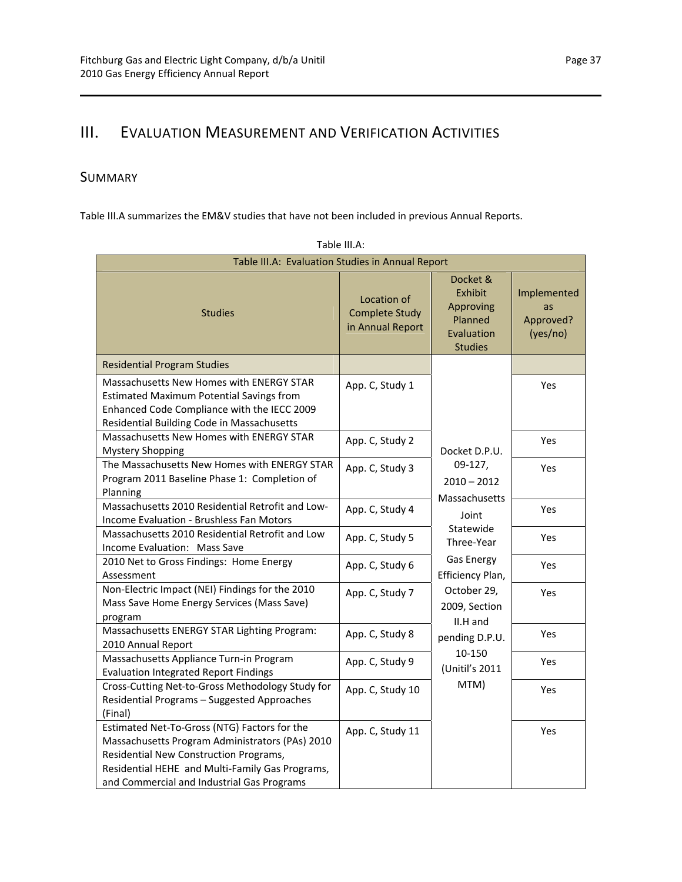# III. EVALUATION MEASUREMENT AND VERIFICATION ACTIVITIES

## SUMMARY

Table III.A summarizes the EM&V studies that have not been included in previous Annual Reports.

| Table III.A: Evaluation Studies in Annual Report                                                                                                                                                                                           |                                                          |                                                                             |                                            |  |  |
|--------------------------------------------------------------------------------------------------------------------------------------------------------------------------------------------------------------------------------------------|----------------------------------------------------------|-----------------------------------------------------------------------------|--------------------------------------------|--|--|
| <b>Studies</b>                                                                                                                                                                                                                             | Location of<br><b>Complete Study</b><br>in Annual Report | Docket &<br>Exhibit<br>Approving<br>Planned<br>Evaluation<br><b>Studies</b> | Implemented<br>as<br>Approved?<br>(yes/no) |  |  |
| <b>Residential Program Studies</b>                                                                                                                                                                                                         |                                                          |                                                                             |                                            |  |  |
| Massachusetts New Homes with ENERGY STAR<br><b>Estimated Maximum Potential Savings from</b><br>Enhanced Code Compliance with the IECC 2009<br>Residential Building Code in Massachusetts                                                   | App. C, Study 1                                          |                                                                             | Yes                                        |  |  |
| Massachusetts New Homes with ENERGY STAR<br><b>Mystery Shopping</b>                                                                                                                                                                        | App. C, Study 2                                          | Docket D.P.U.                                                               | Yes                                        |  |  |
| The Massachusetts New Homes with ENERGY STAR<br>Program 2011 Baseline Phase 1: Completion of<br>Planning                                                                                                                                   | App. C, Study 3                                          | 09-127,<br>$2010 - 2012$<br>Massachusetts                                   | <b>Yes</b>                                 |  |  |
| Massachusetts 2010 Residential Retrofit and Low-<br>Income Evaluation - Brushless Fan Motors                                                                                                                                               | App. C, Study 4                                          | Joint                                                                       | <b>Yes</b>                                 |  |  |
| Massachusetts 2010 Residential Retrofit and Low<br>Income Evaluation: Mass Save                                                                                                                                                            | App. C, Study 5                                          | Statewide<br>Three-Year                                                     | Yes                                        |  |  |
| 2010 Net to Gross Findings: Home Energy<br>Assessment                                                                                                                                                                                      | App. C, Study 6                                          | <b>Gas Energy</b><br>Efficiency Plan,                                       | Yes                                        |  |  |
| Non-Electric Impact (NEI) Findings for the 2010<br>Mass Save Home Energy Services (Mass Save)<br>program                                                                                                                                   | App. C, Study 7                                          | October 29,<br>2009, Section<br>II.H and                                    | Yes                                        |  |  |
| Massachusetts ENERGY STAR Lighting Program:<br>2010 Annual Report                                                                                                                                                                          | App. C, Study 8                                          | pending D.P.U.                                                              | Yes                                        |  |  |
| Massachusetts Appliance Turn-in Program<br><b>Evaluation Integrated Report Findings</b>                                                                                                                                                    | App. C, Study 9                                          | 10-150<br>(Unitil's 2011                                                    | Yes                                        |  |  |
| Cross-Cutting Net-to-Gross Methodology Study for<br>Residential Programs - Suggested Approaches<br>(Final)                                                                                                                                 | App. C, Study 10                                         | MTM)                                                                        | Yes                                        |  |  |
| Estimated Net-To-Gross (NTG) Factors for the<br>Massachusetts Program Administrators (PAs) 2010<br>Residential New Construction Programs,<br>Residential HEHE and Multi-Family Gas Programs,<br>and Commercial and Industrial Gas Programs | App. C, Study 11                                         |                                                                             | Yes                                        |  |  |

| Table III.A: |  |
|--------------|--|
|              |  |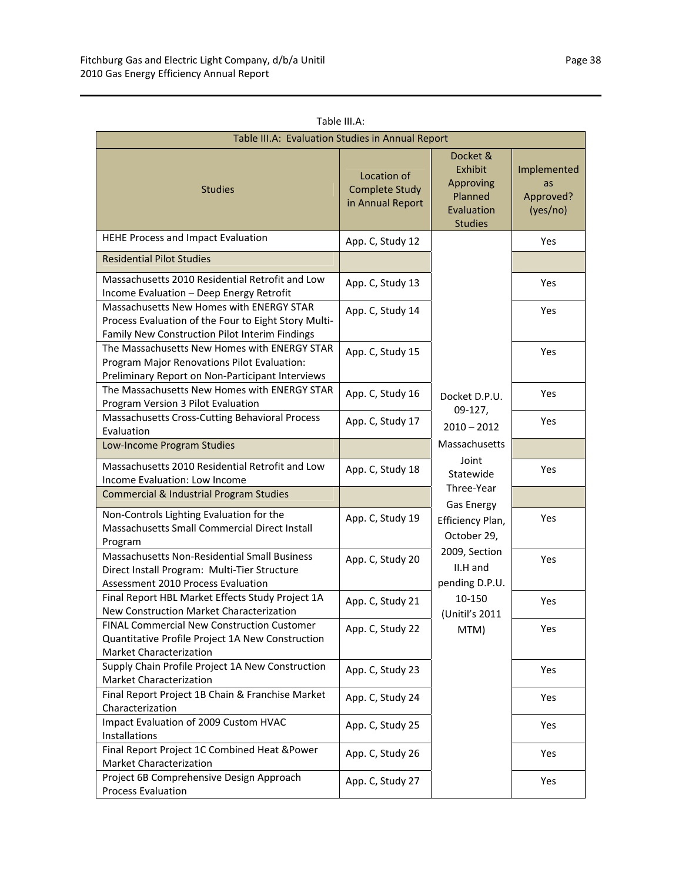| Table III.A: Evaluation Studies in Annual Report                                                                                                   |                                                          |                                                                             |                                            |  |
|----------------------------------------------------------------------------------------------------------------------------------------------------|----------------------------------------------------------|-----------------------------------------------------------------------------|--------------------------------------------|--|
| <b>Studies</b>                                                                                                                                     | Location of<br><b>Complete Study</b><br>in Annual Report | Docket &<br>Exhibit<br>Approving<br>Planned<br>Evaluation<br><b>Studies</b> | Implemented<br>as<br>Approved?<br>(yes/no) |  |
| HEHE Process and Impact Evaluation                                                                                                                 | App. C, Study 12                                         |                                                                             | <b>Yes</b>                                 |  |
| <b>Residential Pilot Studies</b>                                                                                                                   |                                                          |                                                                             |                                            |  |
| Massachusetts 2010 Residential Retrofit and Low<br>Income Evaluation - Deep Energy Retrofit                                                        | App. C, Study 13                                         |                                                                             | <b>Yes</b>                                 |  |
| Massachusetts New Homes with ENERGY STAR<br>Process Evaluation of the Four to Eight Story Multi-<br>Family New Construction Pilot Interim Findings | App. C, Study 14                                         |                                                                             | Yes                                        |  |
| The Massachusetts New Homes with ENERGY STAR<br>Program Major Renovations Pilot Evaluation:<br>Preliminary Report on Non-Participant Interviews    | App. C, Study 15                                         |                                                                             | Yes                                        |  |
| The Massachusetts New Homes with ENERGY STAR<br>Program Version 3 Pilot Evaluation                                                                 | App. C, Study 16                                         | Docket D.P.U.                                                               | Yes                                        |  |
| Massachusetts Cross-Cutting Behavioral Process<br>Evaluation                                                                                       | App. C, Study 17                                         | 09-127,<br>$2010 - 2012$                                                    | <b>Yes</b>                                 |  |
| Low-Income Program Studies                                                                                                                         |                                                          | Massachusetts                                                               |                                            |  |
| Massachusetts 2010 Residential Retrofit and Low<br>Income Evaluation: Low Income                                                                   | App. C, Study 18                                         | Joint<br>Statewide                                                          | <b>Yes</b>                                 |  |
| <b>Commercial &amp; Industrial Program Studies</b>                                                                                                 |                                                          | Three-Year<br><b>Gas Energy</b>                                             |                                            |  |
| Non-Controls Lighting Evaluation for the<br>Massachusetts Small Commercial Direct Install<br>Program                                               | App. C, Study 19                                         | Efficiency Plan,<br>October 29,                                             | <b>Yes</b>                                 |  |
| Massachusetts Non-Residential Small Business<br>Direct Install Program: Multi-Tier Structure<br>Assessment 2010 Process Evaluation                 | App. C, Study 20                                         | 2009, Section<br>II.H and<br>pending D.P.U.                                 | Yes                                        |  |
| Final Report HBL Market Effects Study Project 1A<br>New Construction Market Characterization                                                       | App. C, Study 21                                         | 10-150<br>(Unitil's 2011                                                    | Yes                                        |  |
| FINAL Commercial New Construction Customer<br>Quantitative Profile Project 1A New Construction<br>Market Characterization                          | App. C, Study 22                                         | MTM)                                                                        | Yes                                        |  |
| Supply Chain Profile Project 1A New Construction<br>Market Characterization                                                                        | App. C, Study 23                                         |                                                                             | Yes                                        |  |
| Final Report Project 1B Chain & Franchise Market<br>Characterization                                                                               | App. C, Study 24                                         |                                                                             | Yes                                        |  |
| Impact Evaluation of 2009 Custom HVAC<br>Installations                                                                                             | App. C, Study 25                                         |                                                                             | Yes                                        |  |
| Final Report Project 1C Combined Heat & Power<br>Market Characterization                                                                           | App. C, Study 26                                         |                                                                             | Yes                                        |  |
| Project 6B Comprehensive Design Approach<br><b>Process Evaluation</b>                                                                              | App. C, Study 27                                         |                                                                             | Yes                                        |  |

Table III.A: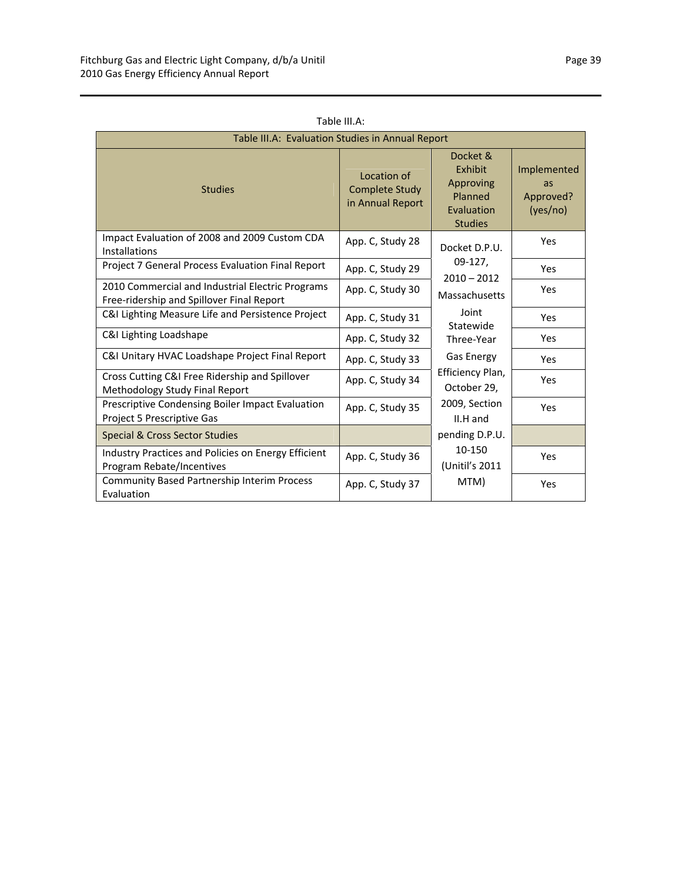| Table III.A: Evaluation Studies in Annual Report                                              |                                                          |                                                                                    |                                            |  |
|-----------------------------------------------------------------------------------------------|----------------------------------------------------------|------------------------------------------------------------------------------------|--------------------------------------------|--|
| <b>Studies</b>                                                                                | Location of<br><b>Complete Study</b><br>in Annual Report | Docket &<br><b>Exhibit</b><br>Approving<br>Planned<br>Evaluation<br><b>Studies</b> | Implemented<br>as<br>Approved?<br>(yes/no) |  |
| Impact Evaluation of 2008 and 2009 Custom CDA<br><b>Installations</b>                         | App. C, Study 28                                         | Docket D.P.U.                                                                      | Yes                                        |  |
| Project 7 General Process Evaluation Final Report                                             | App. C, Study 29                                         | $09-127$ ,<br>$2010 - 2012$                                                        | Yes                                        |  |
| 2010 Commercial and Industrial Electric Programs<br>Free-ridership and Spillover Final Report | App. C, Study 30                                         | Massachusetts                                                                      | Yes                                        |  |
| C&I Lighting Measure Life and Persistence Project                                             | App. C, Study 31                                         | Joint<br>Statewide                                                                 | Yes                                        |  |
| C&I Lighting Loadshape                                                                        | App. C, Study 32                                         | Three-Year                                                                         | Yes                                        |  |
| C&I Unitary HVAC Loadshape Project Final Report                                               | App. C, Study 33                                         | <b>Gas Energy</b>                                                                  | Yes                                        |  |
| Cross Cutting C&I Free Ridership and Spillover<br>Methodology Study Final Report              | App. C, Study 34                                         | Efficiency Plan,<br>October 29,                                                    | Yes                                        |  |
| Prescriptive Condensing Boiler Impact Evaluation<br>Project 5 Prescriptive Gas                | App. C, Study 35                                         | 2009, Section<br>$II.H$ and                                                        | Yes                                        |  |
| <b>Special &amp; Cross Sector Studies</b>                                                     |                                                          | pending D.P.U.                                                                     |                                            |  |
| Industry Practices and Policies on Energy Efficient<br>Program Rebate/Incentives              | App. C, Study 36                                         | 10-150<br>(Unitil's 2011                                                           | Yes                                        |  |
| <b>Community Based Partnership Interim Process</b><br>Evaluation                              | App. C, Study 37                                         | MTM)                                                                               | Yes                                        |  |

Table III.A: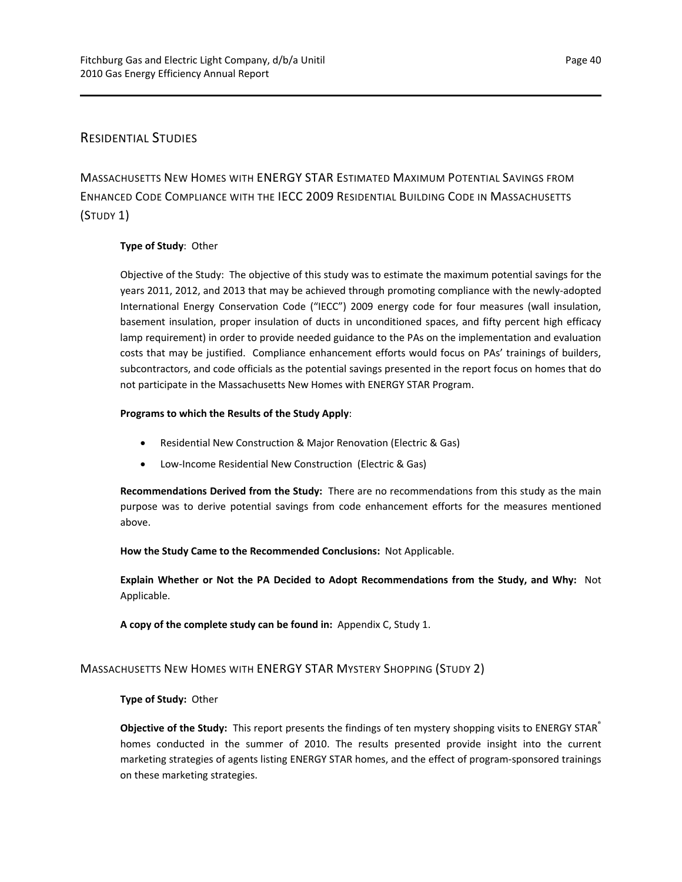## RESIDENTIAL STUDIES

MASSACHUSETTS NEW HOMES WITH ENERGY STAR ESTIMATED MAXIMUM POTENTIAL SAVINGS FROM ENHANCED CODE COMPLIANCE WITH THE IECC 2009 RESIDENTIAL BUILDING CODE IN MASSACHUSETTS (STUDY 1)

## **Type of Study**: Other

Objective of the Study: The objective of this study was to estimate the maximum potential savings for the years 2011, 2012, and 2013 that may be achieved through promoting compliance with the newly‐adopted International Energy Conservation Code ("IECC") 2009 energy code for four measures (wall insulation, basement insulation, proper insulation of ducts in unconditioned spaces, and fifty percent high efficacy lamp requirement) in order to provide needed guidance to the PAs on the implementation and evaluation costs that may be justified. Compliance enhancement efforts would focus on PAs' trainings of builders, subcontractors, and code officials as the potential savings presented in the report focus on homes that do not participate in the Massachusetts New Homes with ENERGY STAR Program.

## **Programs to which the Results of the Study Apply**:

- Residential New Construction & Major Renovation (Electric & Gas)
- Low-Income Residential New Construction (Electric & Gas)

**Recommendations Derived from the Study:** There are no recommendations from this study as the main purpose was to derive potential savings from code enhancement efforts for the measures mentioned above.

**How the Study Came to the Recommended Conclusions:** Not Applicable.

**Explain Whether or Not the PA Decided to Adopt Recommendations from the Study, and Why:** Not Applicable.

**A copy of the complete study can be found in:** Appendix C, Study 1.

## MASSACHUSETTS NEW HOMES WITH ENERGY STAR MYSTERY SHOPPING (STUDY 2)

#### **Type of Study:** Other

**Objective of the Study:** This report presents the findings of ten mystery shopping visits to ENERGY STAR® homes conducted in the summer of 2010. The results presented provide insight into the current marketing strategies of agents listing ENERGY STAR homes, and the effect of program‐sponsored trainings on these marketing strategies.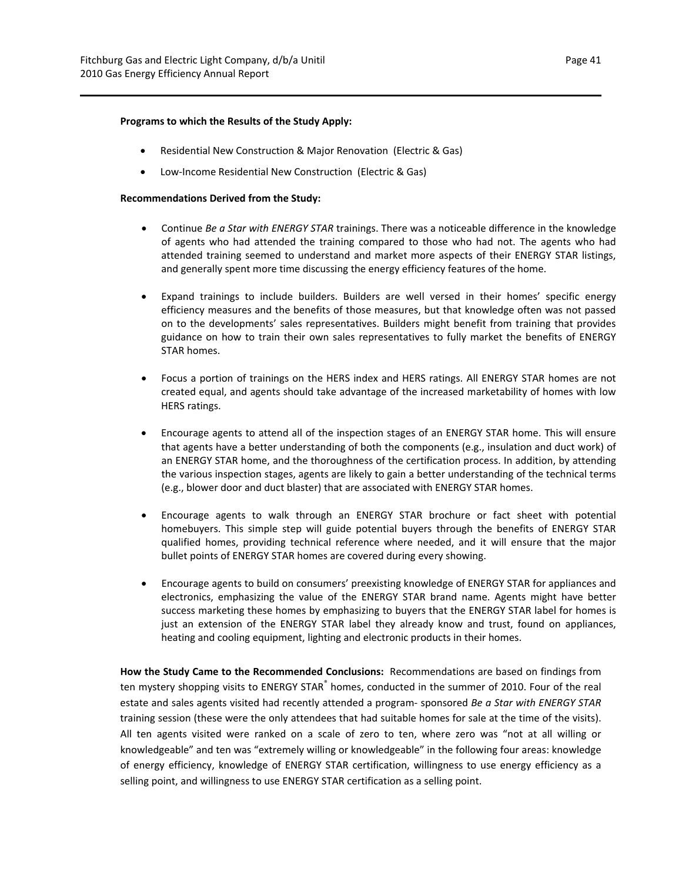#### **Programs to which the Results of the Study Apply:**

- Residential New Construction & Major Renovation (Electric & Gas)
- Low-Income Residential New Construction (Electric & Gas)

#### **Recommendations Derived from the Study:**

- Continue *Be a Star with ENERGY STAR* trainings. There was a noticeable difference in the knowledge of agents who had attended the training compared to those who had not. The agents who had attended training seemed to understand and market more aspects of their ENERGY STAR listings, and generally spent more time discussing the energy efficiency features of the home.
- Expand trainings to include builders. Builders are well versed in their homes' specific energy efficiency measures and the benefits of those measures, but that knowledge often was not passed on to the developments' sales representatives. Builders might benefit from training that provides guidance on how to train their own sales representatives to fully market the benefits of ENERGY STAR homes.
- Focus a portion of trainings on the HERS index and HERS ratings. All ENERGY STAR homes are not created equal, and agents should take advantage of the increased marketability of homes with low HERS ratings.
- Encourage agents to attend all of the inspection stages of an ENERGY STAR home. This will ensure that agents have a better understanding of both the components (e.g., insulation and duct work) of an ENERGY STAR home, and the thoroughness of the certification process. In addition, by attending the various inspection stages, agents are likely to gain a better understanding of the technical terms (e.g., blower door and duct blaster) that are associated with ENERGY STAR homes.
- Encourage agents to walk through an ENERGY STAR brochure or fact sheet with potential homebuyers. This simple step will guide potential buyers through the benefits of ENERGY STAR qualified homes, providing technical reference where needed, and it will ensure that the major bullet points of ENERGY STAR homes are covered during every showing.
- Encourage agents to build on consumers' preexisting knowledge of ENERGY STAR for appliances and electronics, emphasizing the value of the ENERGY STAR brand name. Agents might have better success marketing these homes by emphasizing to buyers that the ENERGY STAR label for homes is just an extension of the ENERGY STAR label they already know and trust, found on appliances, heating and cooling equipment, lighting and electronic products in their homes.

**How the Study Came to the Recommended Conclusions:** Recommendations are based on findings from ten mystery shopping visits to ENERGY STAR<sup>®</sup> homes, conducted in the summer of 2010. Four of the real estate and sales agents visited had recently attended a program‐ sponsored *Be a Star with ENERGY STAR* training session (these were the only attendees that had suitable homes for sale at the time of the visits). All ten agents visited were ranked on a scale of zero to ten, where zero was "not at all willing or knowledgeable" and ten was "extremely willing or knowledgeable" in the following four areas: knowledge of energy efficiency, knowledge of ENERGY STAR certification, willingness to use energy efficiency as a selling point, and willingness to use ENERGY STAR certification as a selling point.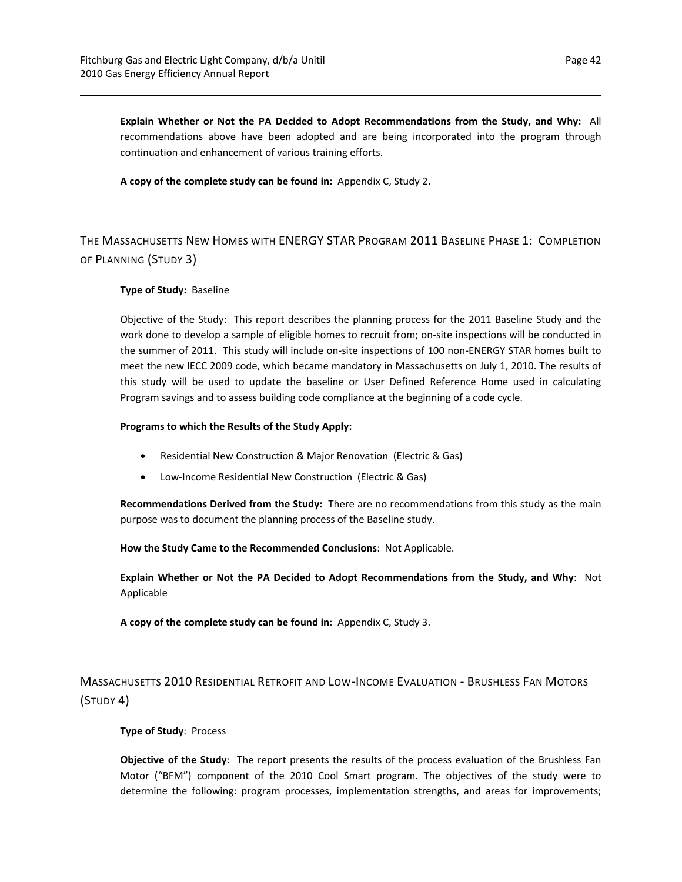**Explain Whether or Not the PA Decided to Adopt Recommendations from the Study, and Why:** All recommendations above have been adopted and are being incorporated into the program through continuation and enhancement of various training efforts.

**A copy of the complete study can be found in:** Appendix C, Study 2.

## THE MASSACHUSETTS NEW HOMES WITH ENERGY STAR PROGRAM 2011 BASELINE PHASE 1: COMPLETION OF PLANNING (STUDY 3)

## **Type of Study:** Baseline

Objective of the Study: This report describes the planning process for the 2011 Baseline Study and the work done to develop a sample of eligible homes to recruit from; on-site inspections will be conducted in the summer of 2011. This study will include on‐site inspections of 100 non‐ENERGY STAR homes built to meet the new IECC 2009 code, which became mandatory in Massachusetts on July 1, 2010. The results of this study will be used to update the baseline or User Defined Reference Home used in calculating Program savings and to assess building code compliance at the beginning of a code cycle.

#### **Programs to which the Results of the Study Apply:**

- Residential New Construction & Major Renovation (Electric & Gas)
- Low-Income Residential New Construction (Electric & Gas)

**Recommendations Derived from the Study:** There are no recommendations from this study as the main purpose was to document the planning process of the Baseline study.

**How the Study Came to the Recommended Conclusions**: Not Applicable.

**Explain Whether or Not the PA Decided to Adopt Recommendations from the Study, and Why**: Not Applicable

**A copy of the complete study can be found in**: Appendix C, Study 3.

MASSACHUSETTS 2010 RESIDENTIAL RETROFIT AND LOW‐INCOME EVALUATION ‐ BRUSHLESS FAN MOTORS (STUDY 4)

## **Type of Study**: Process

**Objective of the Study**: The report presents the results of the process evaluation of the Brushless Fan Motor ("BFM") component of the 2010 Cool Smart program. The objectives of the study were to determine the following: program processes, implementation strengths, and areas for improvements;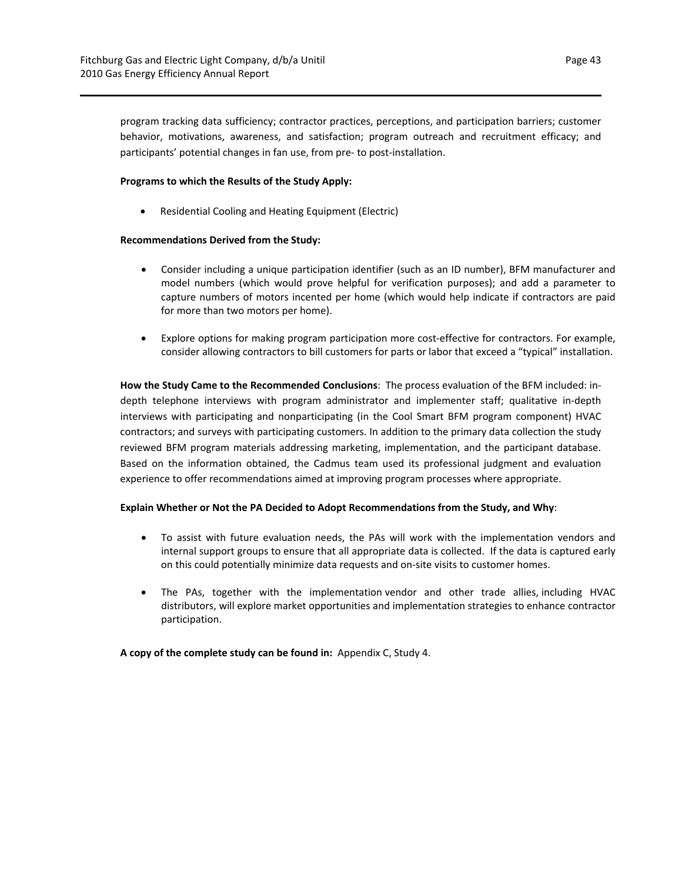program tracking data sufficiency; contractor practices, perceptions, and participation barriers; customer behavior, motivations, awareness, and satisfaction; program outreach and recruitment efficacy; and participants' potential changes in fan use, from pre‐ to post‐installation.

## **Programs to which the Results of the Study Apply:**

Residential Cooling and Heating Equipment (Electric)

## **Recommendations Derived from the Study:**

- Consider including a unique participation identifier (such as an ID number), BFM manufacturer and model numbers (which would prove helpful for verification purposes); and add a parameter to capture numbers of motors incented per home (which would help indicate if contractors are paid for more than two motors per home).
- Explore options for making program participation more cost-effective for contractors. For example, consider allowing contractors to bill customers for parts or labor that exceed a "typical" installation.

**How the Study Came to the Recommended Conclusions**: The process evaluation of the BFM included: in‐ depth telephone interviews with program administrator and implementer staff; qualitative in‐depth interviews with participating and nonparticipating (in the Cool Smart BFM program component) HVAC contractors; and surveys with participating customers. In addition to the primary data collection the study reviewed BFM program materials addressing marketing, implementation, and the participant database. Based on the information obtained, the Cadmus team used its professional judgment and evaluation experience to offer recommendations aimed at improving program processes where appropriate.

#### **Explain Whether or Not the PA Decided to Adopt Recommendations from the Study, and Why**:

- To assist with future evaluation needs, the PAs will work with the implementation vendors and internal support groups to ensure that all appropriate data is collected. If the data is captured early on this could potentially minimize data requests and on‐site visits to customer homes.
- The PAs, together with the implementation vendor and other trade allies, including HVAC distributors, will explore market opportunities and implementation strategies to enhance contractor participation.

**A copy of the complete study can be found in:** Appendix C, Study 4.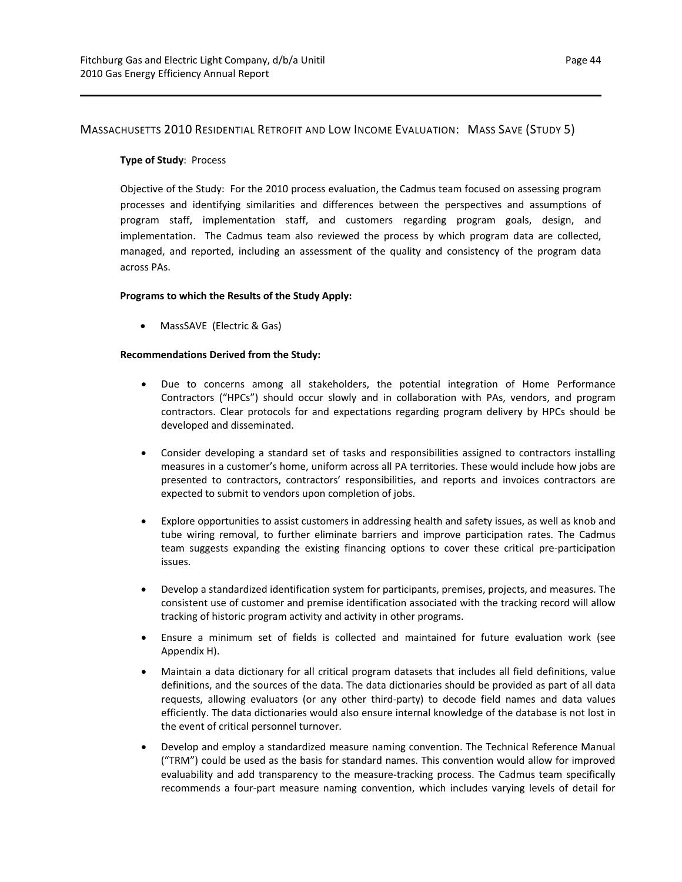## MASSACHUSETTS 2010 RESIDENTIAL RETROFIT AND LOW INCOME EVALUATION: MASS SAVE (STUDY 5)

## **Type of Study**: Process

Objective of the Study: For the 2010 process evaluation, the Cadmus team focused on assessing program processes and identifying similarities and differences between the perspectives and assumptions of program staff, implementation staff, and customers regarding program goals, design, and implementation. The Cadmus team also reviewed the process by which program data are collected, managed, and reported, including an assessment of the quality and consistency of the program data across PAs.

## **Programs to which the Results of the Study Apply:**

MassSAVE (Electric & Gas)

## **Recommendations Derived from the Study:**

- Due to concerns among all stakeholders, the potential integration of Home Performance Contractors ("HPCs") should occur slowly and in collaboration with PAs, vendors, and program contractors. Clear protocols for and expectations regarding program delivery by HPCs should be developed and disseminated.
- Consider developing a standard set of tasks and responsibilities assigned to contractors installing measures in a customer's home, uniform across all PA territories. These would include how jobs are presented to contractors, contractors' responsibilities, and reports and invoices contractors are expected to submit to vendors upon completion of jobs.
- Explore opportunities to assist customers in addressing health and safety issues, as well as knob and tube wiring removal, to further eliminate barriers and improve participation rates. The Cadmus team suggests expanding the existing financing options to cover these critical pre‐participation issues.
- Develop a standardized identification system for participants, premises, projects, and measures. The consistent use of customer and premise identification associated with the tracking record will allow tracking of historic program activity and activity in other programs.
- Ensure a minimum set of fields is collected and maintained for future evaluation work (see Appendix H).
- Maintain a data dictionary for all critical program datasets that includes all field definitions, value definitions, and the sources of the data. The data dictionaries should be provided as part of all data requests, allowing evaluators (or any other third‐party) to decode field names and data values efficiently. The data dictionaries would also ensure internal knowledge of the database is not lost in the event of critical personnel turnover.
- Develop and employ a standardized measure naming convention. The Technical Reference Manual ("TRM") could be used as the basis for standard names. This convention would allow for improved evaluability and add transparency to the measure-tracking process. The Cadmus team specifically recommends a four‐part measure naming convention, which includes varying levels of detail for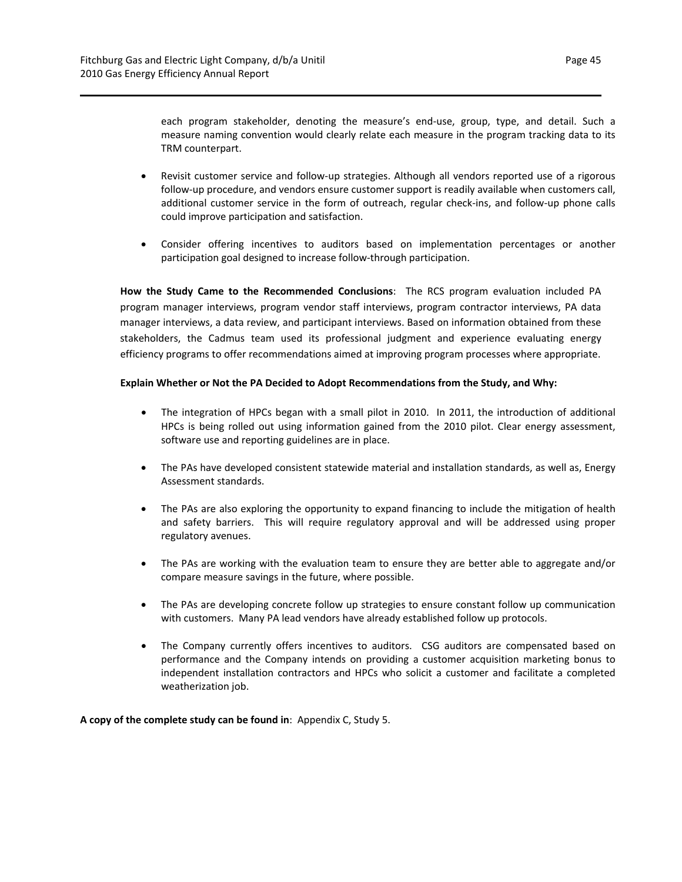each program stakeholder, denoting the measure's end-use, group, type, and detail. Such a measure naming convention would clearly relate each measure in the program tracking data to its TRM counterpart.

- Revisit customer service and follow-up strategies. Although all vendors reported use of a rigorous follow‐up procedure, and vendors ensure customer support is readily available when customers call, additional customer service in the form of outreach, regular check-ins, and follow-up phone calls could improve participation and satisfaction.
- Consider offering incentives to auditors based on implementation percentages or another participation goal designed to increase follow‐through participation.

**How the Study Came to the Recommended Conclusions**: The RCS program evaluation included PA program manager interviews, program vendor staff interviews, program contractor interviews, PA data manager interviews, a data review, and participant interviews. Based on information obtained from these stakeholders, the Cadmus team used its professional judgment and experience evaluating energy efficiency programs to offer recommendations aimed at improving program processes where appropriate.

## **Explain Whether or Not the PA Decided to Adopt Recommendations from the Study, and Why:**

- The integration of HPCs began with a small pilot in 2010. In 2011, the introduction of additional HPCs is being rolled out using information gained from the 2010 pilot. Clear energy assessment, software use and reporting guidelines are in place.
- The PAs have developed consistent statewide material and installation standards, as well as, Energy Assessment standards.
- The PAs are also exploring the opportunity to expand financing to include the mitigation of health and safety barriers. This will require regulatory approval and will be addressed using proper regulatory avenues.
- The PAs are working with the evaluation team to ensure they are better able to aggregate and/or compare measure savings in the future, where possible.
- The PAs are developing concrete follow up strategies to ensure constant follow up communication with customers. Many PA lead vendors have already established follow up protocols.
- The Company currently offers incentives to auditors. CSG auditors are compensated based on performance and the Company intends on providing a customer acquisition marketing bonus to independent installation contractors and HPCs who solicit a customer and facilitate a completed weatherization job.

**A copy of the complete study can be found in**: Appendix C, Study 5.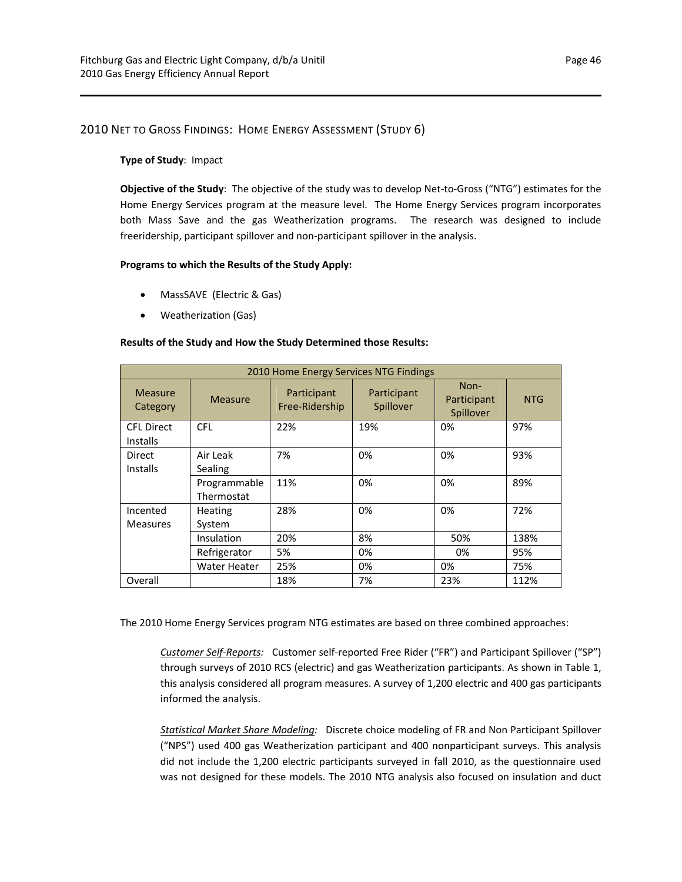## 2010 NET TO GROSS FINDINGS: HOME ENERGY ASSESSMENT (STUDY 6)

#### **Type of Study**: Impact

**Objective of the Study**: The objective of the study was to develop Net‐to‐Gross ("NTG") estimates for the Home Energy Services program at the measure level. The Home Energy Services program incorporates both Mass Save and the gas Weatherization programs. The research was designed to include freeridership, participant spillover and non‐participant spillover in the analysis.

#### **Programs to which the Results of the Study Apply:**

- MassSAVE (Electric & Gas)
- Weatherization (Gas)

## **Results of the Study and How the Study Determined those Results:**

| 2010 Home Energy Services NTG Findings |                            |                               |                          |                                  |            |
|----------------------------------------|----------------------------|-------------------------------|--------------------------|----------------------------------|------------|
| <b>Measure</b><br>Category             | <b>Measure</b>             | Participant<br>Free-Ridership | Participant<br>Spillover | Non-<br>Participant<br>Spillover | <b>NTG</b> |
| <b>CFL Direct</b><br><b>Installs</b>   | <b>CFL</b>                 | 22%                           | 19%                      | 0%                               | 97%        |
| Direct<br>Installs                     | Air Leak<br>Sealing        | 7%                            | 0%                       | 0%                               | 93%        |
|                                        | Programmable<br>Thermostat | 11%                           | 0%                       | 0%                               | 89%        |
| Incented<br><b>Measures</b>            | <b>Heating</b><br>System   | 28%                           | 0%                       | 0%                               | 72%        |
|                                        | <b>Insulation</b>          | 20%                           | 8%                       | 50%                              | 138%       |
|                                        | Refrigerator               | 5%                            | 0%                       | 0%                               | 95%        |
|                                        | Water Heater               | 25%                           | 0%                       | 0%                               | 75%        |
| Overall                                |                            | 18%                           | 7%                       | 23%                              | 112%       |

The 2010 Home Energy Services program NTG estimates are based on three combined approaches:

*Customer Self‐Reports:*  Customer self‐reported Free Rider ("FR") and Participant Spillover ("SP") through surveys of 2010 RCS (electric) and gas Weatherization participants. As shown in Table 1, this analysis considered all program measures. A survey of 1,200 electric and 400 gas participants informed the analysis.

*Statistical Market Share Modeling:*  Discrete choice modeling of FR and Non Participant Spillover ("NPS") used 400 gas Weatherization participant and 400 nonparticipant surveys. This analysis did not include the 1,200 electric participants surveyed in fall 2010, as the questionnaire used was not designed for these models. The 2010 NTG analysis also focused on insulation and duct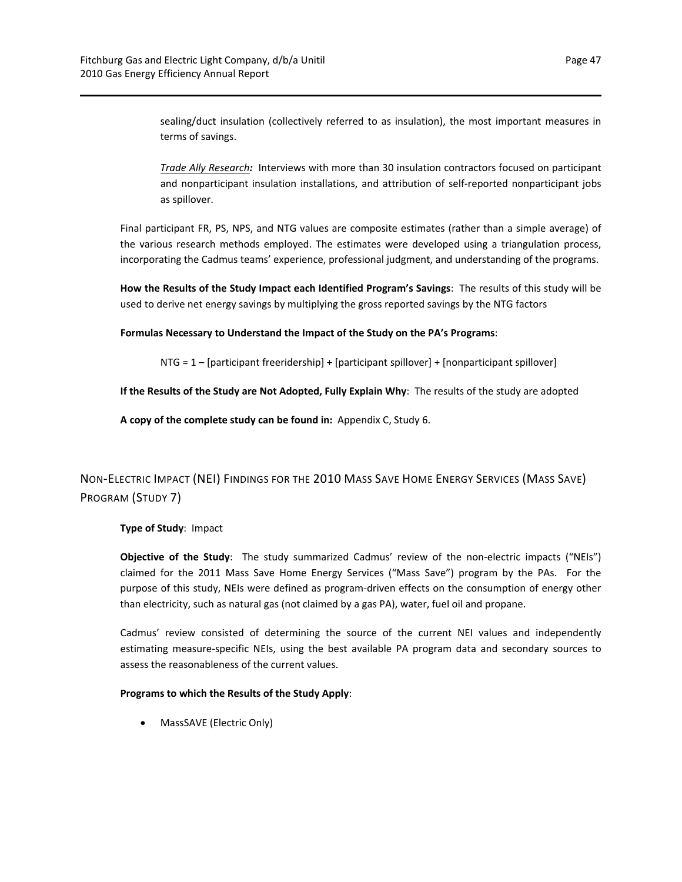sealing/duct insulation (collectively referred to as insulation), the most important measures in terms of savings.

*Trade Ally Research:* Interviews with more than 30 insulation contractors focused on participant and nonparticipant insulation installations, and attribution of self-reported nonparticipant jobs as spillover.

Final participant FR, PS, NPS, and NTG values are composite estimates (rather than a simple average) of the various research methods employed. The estimates were developed using a triangulation process, incorporating the Cadmus teams' experience, professional judgment, and understanding of the programs.

**How the Results of the Study Impact each Identified Program's Savings**: The results of this study will be used to derive net energy savings by multiplying the gross reported savings by the NTG factors

**Formulas Necessary to Understand the Impact of the Study on the PA's Programs**:

NTG = 1 – [participant freeridership] + [participant spillover] + [nonparticipant spillover]

**If the Results of the Study are Not Adopted, Fully Explain Why**: The results of the study are adopted

**A copy of the complete study can be found in:** Appendix C, Study 6.

NON‐ELECTRIC IMPACT (NEI) FINDINGS FOR THE 2010 MASS SAVE HOME ENERGY SERVICES (MASS SAVE) PROGRAM (STUDY 7)

**Type of Study**: Impact

**Objective of the Study**: The study summarized Cadmus' review of the non‐electric impacts ("NEIs") claimed for the 2011 Mass Save Home Energy Services ("Mass Save") program by the PAs. For the purpose of this study, NEIs were defined as program-driven effects on the consumption of energy other than electricity, such as natural gas (not claimed by a gas PA), water, fuel oil and propane.

Cadmus' review consisted of determining the source of the current NEI values and independently estimating measure‐specific NEIs, using the best available PA program data and secondary sources to assess the reasonableness of the current values.

#### **Programs to which the Results of the Study Apply**:

MassSAVE (Electric Only)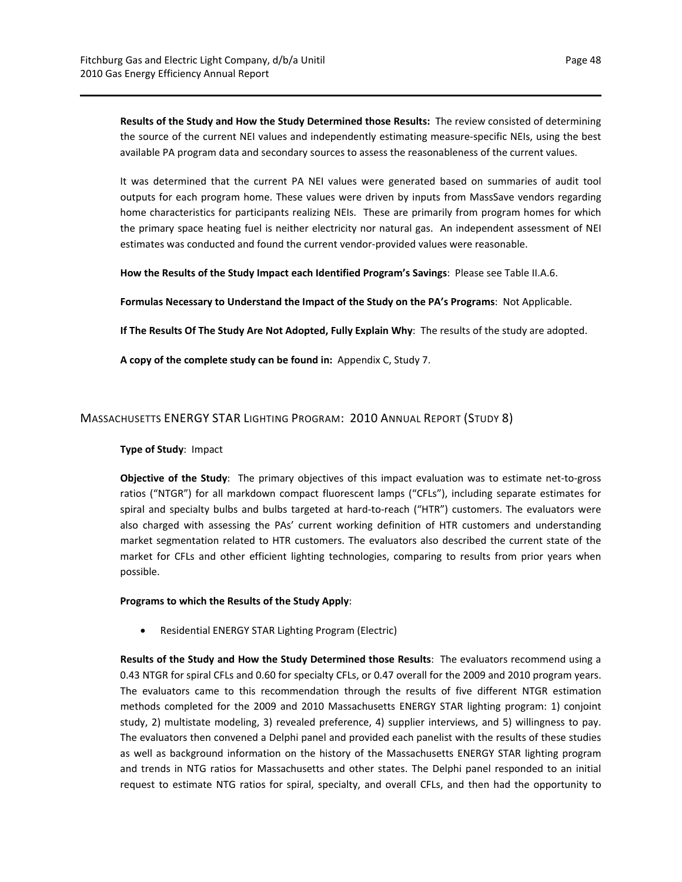**Results of the Study and How the Study Determined those Results:** The review consisted of determining the source of the current NEI values and independently estimating measure‐specific NEIs, using the best available PA program data and secondary sources to assess the reasonableness of the current values.

It was determined that the current PA NEI values were generated based on summaries of audit tool outputs for each program home. These values were driven by inputs from MassSave vendors regarding home characteristics for participants realizing NEIs. These are primarily from program homes for which the primary space heating fuel is neither electricity nor natural gas. An independent assessment of NEI estimates was conducted and found the current vendor‐provided values were reasonable.

**How the Results of the Study Impact each Identified Program's Savings**: Please see Table II.A.6.

**Formulas Necessary to Understand the Impact of the Study on the PA's Programs**: Not Applicable.

**If The Results Of The Study Are Not Adopted, Fully Explain Why**: The results of the study are adopted.

**A copy of the complete study can be found in:** Appendix C, Study 7.

## MASSACHUSETTS ENERGY STAR LIGHTING PROGRAM: 2010 ANNUAL REPORT (STUDY 8)

#### **Type of Study**: Impact

**Objective of the Study**: The primary objectives of this impact evaluation was to estimate net‐to‐gross ratios ("NTGR") for all markdown compact fluorescent lamps ("CFLs"), including separate estimates for spiral and specialty bulbs and bulbs targeted at hard-to-reach ("HTR") customers. The evaluators were also charged with assessing the PAs' current working definition of HTR customers and understanding market segmentation related to HTR customers. The evaluators also described the current state of the market for CFLs and other efficient lighting technologies, comparing to results from prior years when possible.

#### **Programs to which the Results of the Study Apply**:

Residential ENERGY STAR Lighting Program (Electric)

**Results of the Study and How the Study Determined those Results**: The evaluators recommend using a 0.43 NTGR for spiral CFLs and 0.60 for specialty CFLs, or 0.47 overall for the 2009 and 2010 program years. The evaluators came to this recommendation through the results of five different NTGR estimation methods completed for the 2009 and 2010 Massachusetts ENERGY STAR lighting program: 1) conjoint study, 2) multistate modeling, 3) revealed preference, 4) supplier interviews, and 5) willingness to pay. The evaluators then convened a Delphi panel and provided each panelist with the results of these studies as well as background information on the history of the Massachusetts ENERGY STAR lighting program and trends in NTG ratios for Massachusetts and other states. The Delphi panel responded to an initial request to estimate NTG ratios for spiral, specialty, and overall CFLs, and then had the opportunity to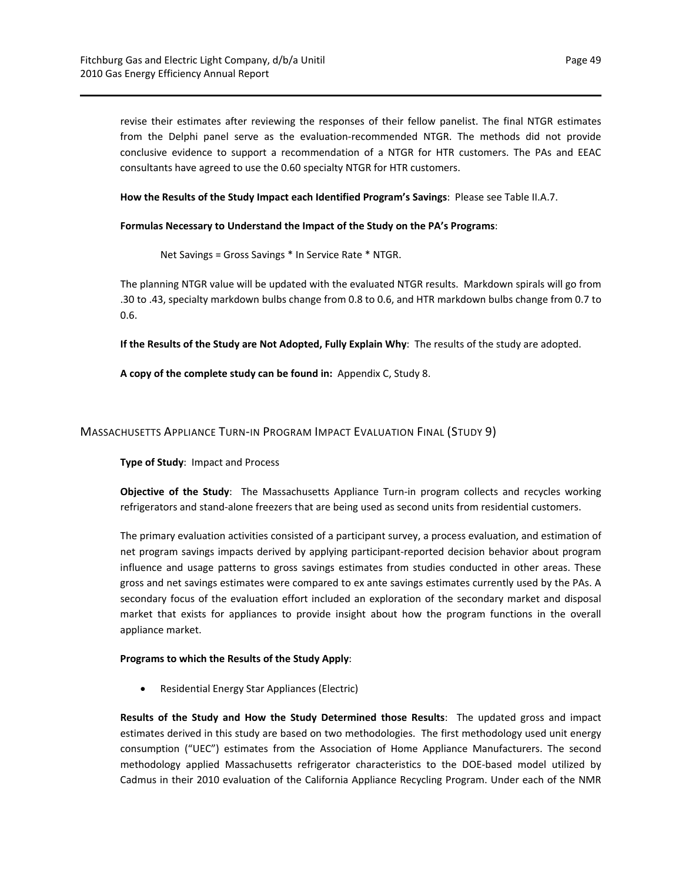revise their estimates after reviewing the responses of their fellow panelist. The final NTGR estimates from the Delphi panel serve as the evaluation-recommended NTGR. The methods did not provide conclusive evidence to support a recommendation of a NTGR for HTR customers. The PAs and EEAC consultants have agreed to use the 0.60 specialty NTGR for HTR customers.

**How the Results of the Study Impact each Identified Program's Savings**: Please see Table II.A.7.

### **Formulas Necessary to Understand the Impact of the Study on the PA's Programs**:

Net Savings = Gross Savings \* In Service Rate \* NTGR.

The planning NTGR value will be updated with the evaluated NTGR results. Markdown spirals will go from .30 to .43, specialty markdown bulbs change from 0.8 to 0.6, and HTR markdown bulbs change from 0.7 to 0.6.

**If the Results of the Study are Not Adopted, Fully Explain Why**: The results of the study are adopted.

**A copy of the complete study can be found in:** Appendix C, Study 8.

## MASSACHUSETTS APPLIANCE TURN‐IN PROGRAM IMPACT EVALUATION FINAL (STUDY 9)

**Type of Study**: Impact and Process

**Objective of the Study**: The Massachusetts Appliance Turn‐in program collects and recycles working refrigerators and stand‐alone freezers that are being used as second units from residential customers.

The primary evaluation activities consisted of a participant survey, a process evaluation, and estimation of net program savings impacts derived by applying participant‐reported decision behavior about program influence and usage patterns to gross savings estimates from studies conducted in other areas. These gross and net savings estimates were compared to ex ante savings estimates currently used by the PAs. A secondary focus of the evaluation effort included an exploration of the secondary market and disposal market that exists for appliances to provide insight about how the program functions in the overall appliance market.

#### **Programs to which the Results of the Study Apply**:

Residential Energy Star Appliances (Electric)

**Results of the Study and How the Study Determined those Results**: The updated gross and impact estimates derived in this study are based on two methodologies. The first methodology used unit energy consumption ("UEC") estimates from the Association of Home Appliance Manufacturers. The second methodology applied Massachusetts refrigerator characteristics to the DOE‐based model utilized by Cadmus in their 2010 evaluation of the California Appliance Recycling Program. Under each of the NMR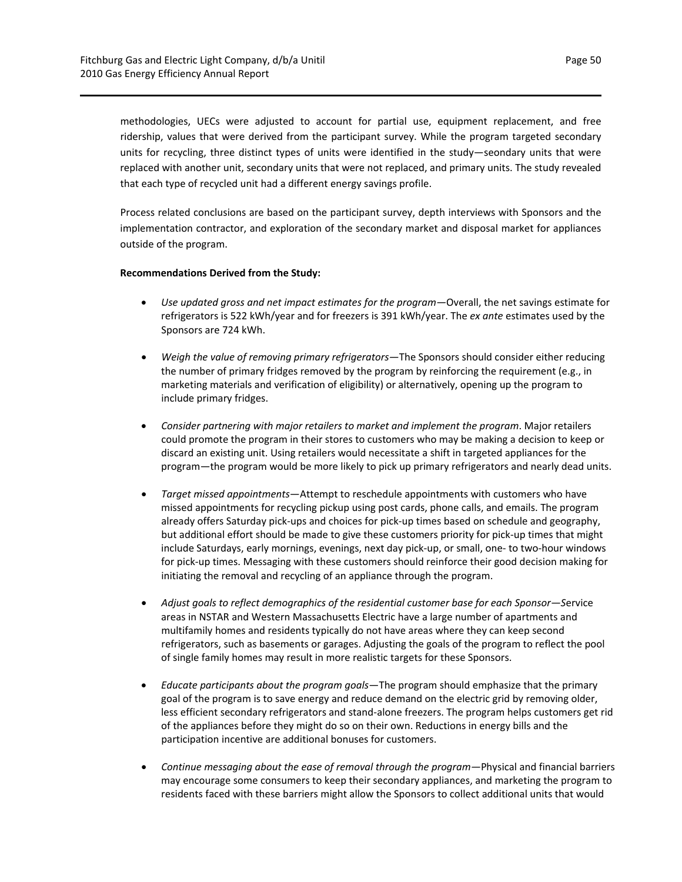methodologies, UECs were adjusted to account for partial use, equipment replacement, and free ridership, values that were derived from the participant survey. While the program targeted secondary units for recycling, three distinct types of units were identified in the study—seondary units that were replaced with another unit, secondary units that were not replaced, and primary units. The study revealed that each type of recycled unit had a different energy savings profile.

Process related conclusions are based on the participant survey, depth interviews with Sponsors and the implementation contractor, and exploration of the secondary market and disposal market for appliances outside of the program.

## **Recommendations Derived from the Study:**

- *Use updated gross and net impact estimates for the program—*Overall, the net savings estimate for refrigerators is 522 kWh/year and for freezers is 391 kWh/year. The *ex ante* estimates used by the Sponsors are 724 kWh.
- *Weigh the value of removing primary refrigerators—*The Sponsors should consider either reducing the number of primary fridges removed by the program by reinforcing the requirement (e.g., in marketing materials and verification of eligibility) or alternatively, opening up the program to include primary fridges.
- *Consider partnering with major retailers to market and implement the program*. Major retailers could promote the program in their stores to customers who may be making a decision to keep or discard an existing unit. Using retailers would necessitate a shift in targeted appliances for the program—the program would be more likely to pick up primary refrigerators and nearly dead units.
- *Target missed appointments*—Attempt to reschedule appointments with customers who have missed appointments for recycling pickup using post cards, phone calls, and emails. The program already offers Saturday pick‐ups and choices for pick‐up times based on schedule and geography, but additional effort should be made to give these customers priority for pick‐up times that might include Saturdays, early mornings, evenings, next day pick‐up, or small, one‐ to two‐hour windows for pick‐up times. Messaging with these customers should reinforce their good decision making for initiating the removal and recycling of an appliance through the program.
- *Adjust goals to reflect demographics of the residential customer base for each Sponsor—S*ervice areas in NSTAR and Western Massachusetts Electric have a large number of apartments and multifamily homes and residents typically do not have areas where they can keep second refrigerators, such as basements or garages. Adjusting the goals of the program to reflect the pool of single family homes may result in more realistic targets for these Sponsors.
- *Educate participants about the program goals*—The program should emphasize that the primary goal of the program is to save energy and reduce demand on the electric grid by removing older, less efficient secondary refrigerators and stand‐alone freezers. The program helps customers get rid of the appliances before they might do so on their own. Reductions in energy bills and the participation incentive are additional bonuses for customers.
- *Continue messaging about the ease of removal through the program—*Physical and financial barriers may encourage some consumers to keep their secondary appliances, and marketing the program to residents faced with these barriers might allow the Sponsors to collect additional units that would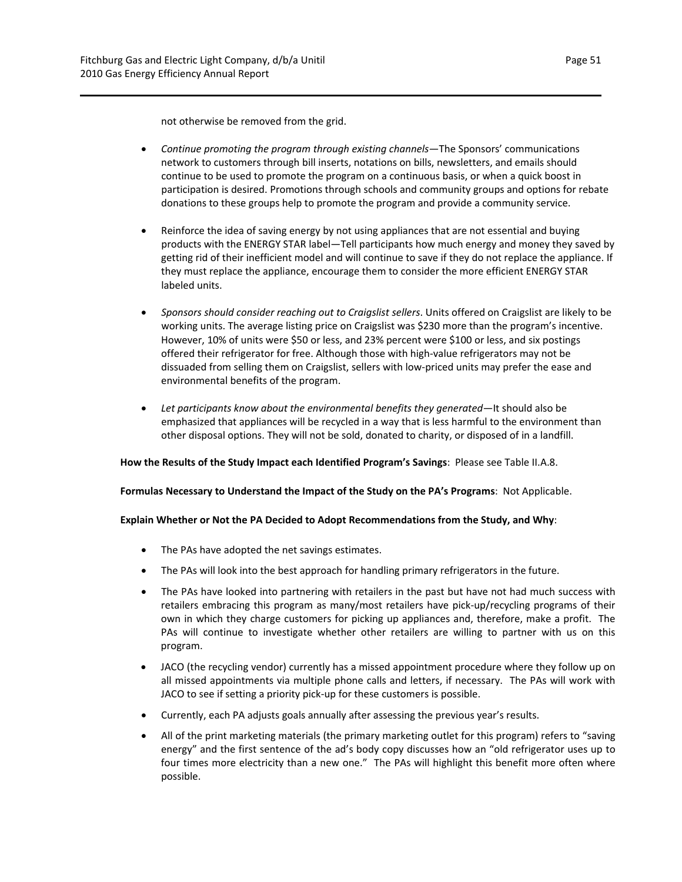not otherwise be removed from the grid.

- *Continue promoting the program through existing channels—*The Sponsors' communications network to customers through bill inserts, notations on bills, newsletters, and emails should continue to be used to promote the program on a continuous basis, or when a quick boost in participation is desired. Promotions through schools and community groups and options for rebate donations to these groups help to promote the program and provide a community service.
- Reinforce the idea of saving energy by not using appliances that are not essential and buying products with the ENERGY STAR label—Tell participants how much energy and money they saved by getting rid of their inefficient model and will continue to save if they do not replace the appliance. If they must replace the appliance, encourage them to consider the more efficient ENERGY STAR labeled units.
- *Sponsors should consider reaching out to Craigslist sellers*. Units offered on Craigslist are likely to be working units. The average listing price on Craigslist was \$230 more than the program's incentive. However, 10% of units were \$50 or less, and 23% percent were \$100 or less, and six postings offered their refrigerator for free. Although those with high‐value refrigerators may not be dissuaded from selling them on Craigslist, sellers with low‐priced units may prefer the ease and environmental benefits of the program.
- *Let participants know about the environmental benefits they generated—*It should also be emphasized that appliances will be recycled in a way that is less harmful to the environment than other disposal options. They will not be sold, donated to charity, or disposed of in a landfill.

**How the Results of the Study Impact each Identified Program's Savings**: Please see Table II.A.8.

**Formulas Necessary to Understand the Impact of the Study on the PA's Programs**: Not Applicable.

## **Explain Whether or Not the PA Decided to Adopt Recommendations from the Study, and Why**:

- The PAs have adopted the net savings estimates.
- The PAs will look into the best approach for handling primary refrigerators in the future.
- The PAs have looked into partnering with retailers in the past but have not had much success with retailers embracing this program as many/most retailers have pick‐up/recycling programs of their own in which they charge customers for picking up appliances and, therefore, make a profit. The PAs will continue to investigate whether other retailers are willing to partner with us on this program.
- JACO (the recycling vendor) currently has a missed appointment procedure where they follow up on all missed appointments via multiple phone calls and letters, if necessary. The PAs will work with JACO to see if setting a priority pick‐up for these customers is possible.
- Currently, each PA adjusts goals annually after assessing the previous year's results.
- All of the print marketing materials (the primary marketing outlet for this program) refers to "saving energy" and the first sentence of the ad's body copy discusses how an "old refrigerator uses up to four times more electricity than a new one." The PAs will highlight this benefit more often where possible.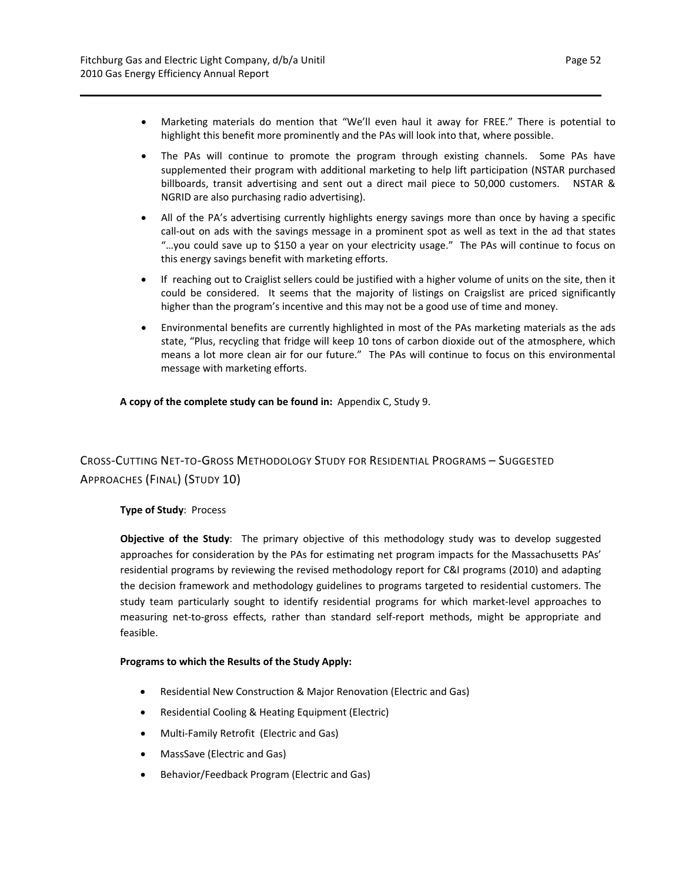- Marketing materials do mention that "We'll even haul it away for FREE." There is potential to highlight this benefit more prominently and the PAs will look into that, where possible.
- The PAs will continue to promote the program through existing channels. Some PAs have supplemented their program with additional marketing to help lift participation (NSTAR purchased billboards, transit advertising and sent out a direct mail piece to 50,000 customers. NSTAR & NGRID are also purchasing radio advertising).
- All of the PA's advertising currently highlights energy savings more than once by having a specific call-out on ads with the savings message in a prominent spot as well as text in the ad that states "…you could save up to \$150 a year on your electricity usage." The PAs will continue to focus on this energy savings benefit with marketing efforts.
- If reaching out to Craiglist sellers could be justified with a higher volume of units on the site, then it could be considered. It seems that the majority of listings on Craigslist are priced significantly higher than the program's incentive and this may not be a good use of time and money.
- Environmental benefits are currently highlighted in most of the PAs marketing materials as the ads state, "Plus, recycling that fridge will keep 10 tons of carbon dioxide out of the atmosphere, which means a lot more clean air for our future." The PAs will continue to focus on this environmental message with marketing efforts.

**A copy of the complete study can be found in:** Appendix C, Study 9.

## CROSS‐CUTTING NET‐TO‐GROSS METHODOLOGY STUDY FOR RESIDENTIAL PROGRAMS – SUGGESTED APPROACHES (FINAL) (STUDY 10)

## **Type of Study**: Process

**Objective of the Study**: The primary objective of this methodology study was to develop suggested approaches for consideration by the PAs for estimating net program impacts for the Massachusetts PAs' residential programs by reviewing the revised methodology report for C&I programs (2010) and adapting the decision framework and methodology guidelines to programs targeted to residential customers. The study team particularly sought to identify residential programs for which market‐level approaches to measuring net-to-gross effects, rather than standard self-report methods, might be appropriate and feasible.

## **Programs to which the Results of the Study Apply:**

- Residential New Construction & Major Renovation (Electric and Gas)
- Residential Cooling & Heating Equipment (Electric)
- Multi-Family Retrofit (Electric and Gas)
- MassSave (Electric and Gas)
- Behavior/Feedback Program (Electric and Gas)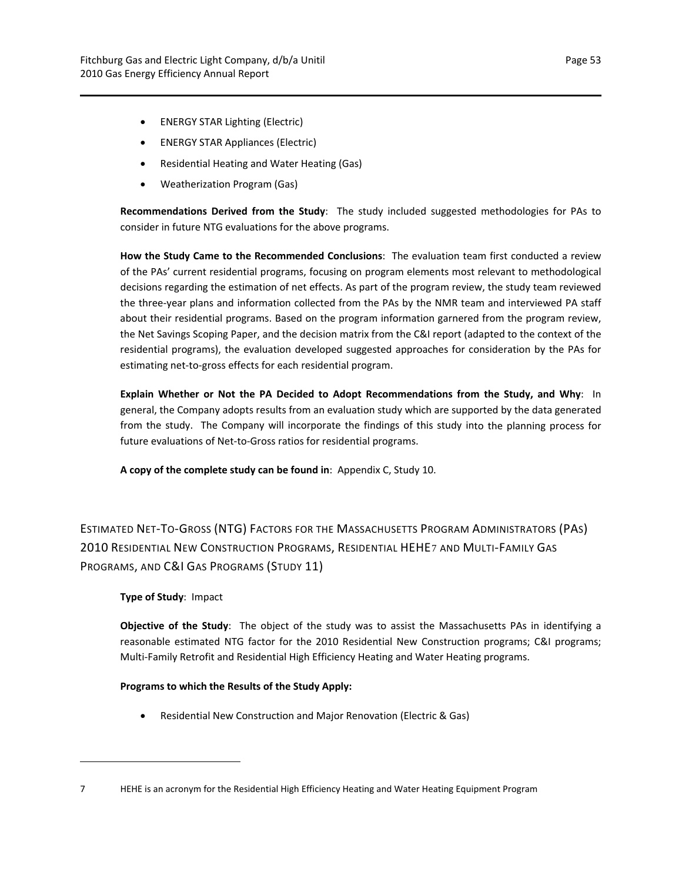- ENERGY STAR Lighting (Electric)
- ENERGY STAR Appliances (Electric)
- Residential Heating and Water Heating (Gas)
- Weatherization Program (Gas)

**Recommendations Derived from the Study**: The study included suggested methodologies for PAs to consider in future NTG evaluations for the above programs.

**How the Study Came to the Recommended Conclusions**: The evaluation team first conducted a review of the PAs' current residential programs, focusing on program elements most relevant to methodological decisions regarding the estimation of net effects. As part of the program review, the study team reviewed the three‐year plans and information collected from the PAs by the NMR team and interviewed PA staff about their residential programs. Based on the program information garnered from the program review, the Net Savings Scoping Paper, and the decision matrix from the C&I report (adapted to the context of the residential programs), the evaluation developed suggested approaches for consideration by the PAs for estimating net‐to‐gross effects for each residential program.

**Explain Whether or Not the PA Decided to Adopt Recommendations from the Study, and Why**: In general, the Company adopts results from an evaluation study which are supported by the data generated from the study. The Company will incorporate the findings of this study into the planning process for future evaluations of Net‐to‐Gross ratios for residential programs.

**A copy of the complete study can be found in**: Appendix C, Study 10.

ESTIMATED NET‐TO‐GROSS (NTG) FACTORS FOR THE MASSACHUSETTS PROGRAM ADMINISTRATORS (PAS) 2010 RESIDENTIAL NEW CONSTRUCTION PROGRAMS, RESIDENTIAL HEHE[7](#page-56-0) AND MULTI‐FAMILY GAS PROGRAMS, AND C&I GAS PROGRAMS (STUDY 11)

## **Type of Study**: Impact

**Objective of the Study**: The object of the study was to assist the Massachusetts PAs in identifying a reasonable estimated NTG factor for the 2010 Residential New Construction programs; C&I programs; Multi‐Family Retrofit and Residential High Efficiency Heating and Water Heating programs.

#### **Programs to which the Results of the Study Apply:**

Residential New Construction and Major Renovation (Electric & Gas)

<span id="page-56-0"></span><sup>7</sup> HEHE is an acronym for the Residential High Efficiency Heating and Water Heating Equipment Program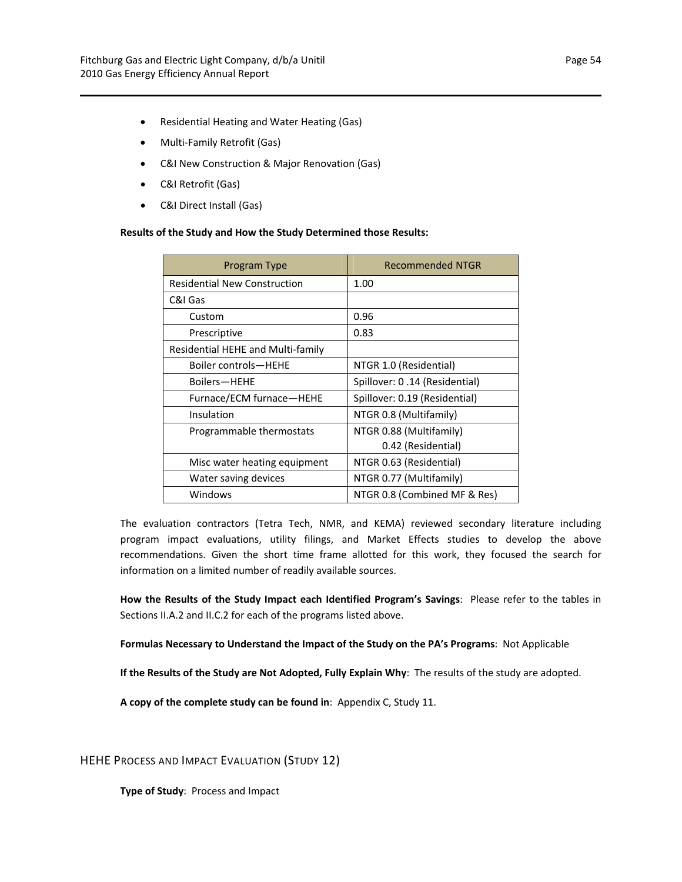- Residential Heating and Water Heating (Gas)
- Multi-Family Retrofit (Gas)
- C&I New Construction & Major Renovation (Gas)
- C&I Retrofit (Gas)
- C&I Direct Install (Gas)

#### **Results of the Study and How the Study Determined those Results:**

| Program Type                        | <b>Recommended NTGR</b>       |
|-------------------------------------|-------------------------------|
| <b>Residential New Construction</b> | 1.00                          |
| C&I Gas                             |                               |
| Custom                              | 0.96                          |
| Prescriptive                        | 0.83                          |
| Residential HEHE and Multi-family   |                               |
| Boiler controls-HEHE                | NTGR 1.0 (Residential)        |
| Boilers-HEHE                        | Spillover: 0.14 (Residential) |
| Furnace/ECM furnace-HEHE            | Spillover: 0.19 (Residential) |
| Insulation                          | NTGR 0.8 (Multifamily)        |
| Programmable thermostats            | NTGR 0.88 (Multifamily)       |
|                                     | 0.42 (Residential)            |
| Misc water heating equipment        | NTGR 0.63 (Residential)       |
| Water saving devices                | NTGR 0.77 (Multifamily)       |
| Windows                             | NTGR 0.8 (Combined MF & Res)  |

The evaluation contractors (Tetra Tech, NMR, and KEMA) reviewed secondary literature including program impact evaluations, utility filings, and Market Effects studies to develop the above recommendations. Given the short time frame allotted for this work, they focused the search for information on a limited number of readily available sources.

**How the Results of the Study Impact each Identified Program's Savings**: Please refer to the tables in Sections II.A.2 and II.C.2 for each of the programs listed above.

**Formulas Necessary to Understand the Impact of the Study on the PA's Programs**: Not Applicable

**If the Results of the Study are Not Adopted, Fully Explain Why**: The results of the study are adopted.

**A copy of the complete study can be found in**: Appendix C, Study 11.

HEHE PROCESS AND IMPACT EVALUATION (STUDY 12)

**Type of Study**: Process and Impact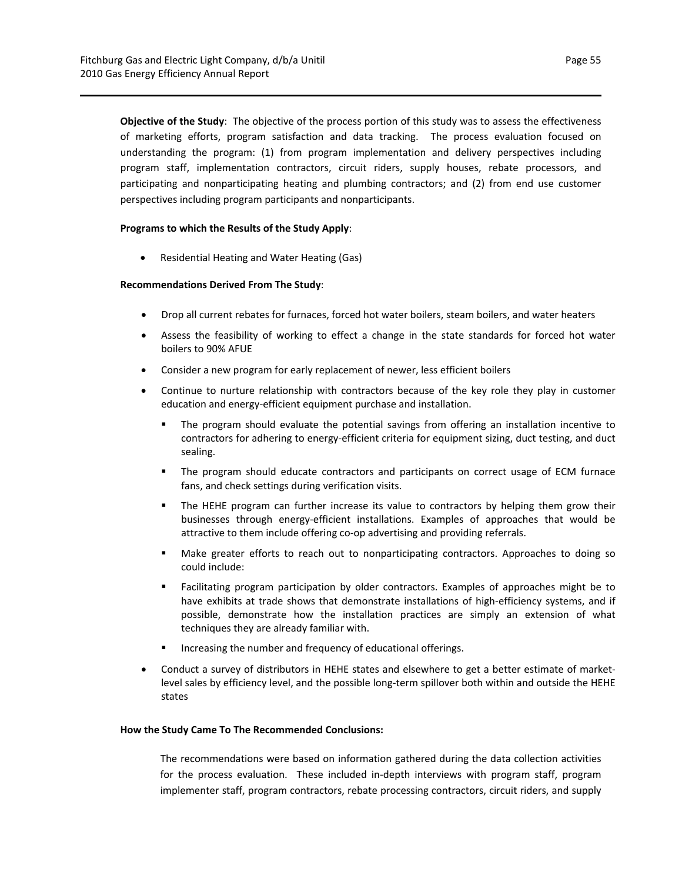**Objective of the Study**: The objective of the process portion of this study was to assess the effectiveness of marketing efforts, program satisfaction and data tracking. The process evaluation focused on understanding the program: (1) from program implementation and delivery perspectives including program staff, implementation contractors, circuit riders, supply houses, rebate processors, and participating and nonparticipating heating and plumbing contractors; and (2) from end use customer perspectives including program participants and nonparticipants.

#### **Programs to which the Results of the Study Apply**:

Residential Heating and Water Heating (Gas)

## **Recommendations Derived From The Study**:

- Drop all current rebates for furnaces, forced hot water boilers, steam boilers, and water heaters
- Assess the feasibility of working to effect a change in the state standards for forced hot water boilers to 90% AFUE
- Consider a new program for early replacement of newer, less efficient boilers
- Continue to nurture relationship with contractors because of the key role they play in customer education and energy‐efficient equipment purchase and installation.
	- The program should evaluate the potential savings from offering an installation incentive to contractors for adhering to energy-efficient criteria for equipment sizing, duct testing, and duct sealing.
	- The program should educate contractors and participants on correct usage of ECM furnace fans, and check settings during verification visits.
	- The HEHE program can further increase its value to contractors by helping them grow their businesses through energy‐efficient installations. Examples of approaches that would be attractive to them include offering co‐op advertising and providing referrals.
	- Make greater efforts to reach out to nonparticipating contractors. Approaches to doing so could include:
	- Facilitating program participation by older contractors. Examples of approaches might be to have exhibits at trade shows that demonstrate installations of high-efficiency systems, and if possible, demonstrate how the installation practices are simply an extension of what techniques they are already familiar with.
	- Increasing the number and frequency of educational offerings.
- Conduct a survey of distributors in HEHE states and elsewhere to get a better estimate of market‐ level sales by efficiency level, and the possible long-term spillover both within and outside the HEHE states

#### **How the Study Came To The Recommended Conclusions:**

The recommendations were based on information gathered during the data collection activities for the process evaluation. These included in-depth interviews with program staff, program implementer staff, program contractors, rebate processing contractors, circuit riders, and supply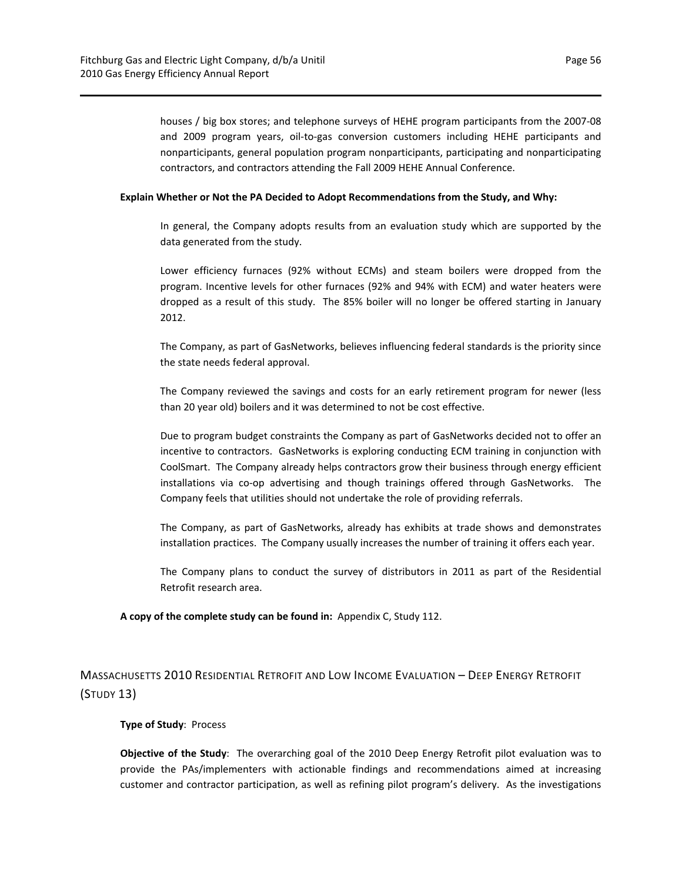houses / big box stores; and telephone surveys of HEHE program participants from the 2007‐08 and 2009 program years, oil‐to‐gas conversion customers including HEHE participants and nonparticipants, general population program nonparticipants, participating and nonparticipating contractors, and contractors attending the Fall 2009 HEHE Annual Conference.

#### **Explain Whether or Not the PA Decided to Adopt Recommendations from the Study, and Why:**

In general, the Company adopts results from an evaluation study which are supported by the data generated from the study.

Lower efficiency furnaces (92% without ECMs) and steam boilers were dropped from the program. Incentive levels for other furnaces (92% and 94% with ECM) and water heaters were dropped as a result of this study. The 85% boiler will no longer be offered starting in January 2012.

The Company, as part of GasNetworks, believes influencing federal standards is the priority since the state needs federal approval.

The Company reviewed the savings and costs for an early retirement program for newer (less than 20 year old) boilers and it was determined to not be cost effective.

Due to program budget constraints the Company as part of GasNetworks decided not to offer an incentive to contractors. GasNetworks is exploring conducting ECM training in conjunction with CoolSmart. The Company already helps contractors grow their business through energy efficient installations via co-op advertising and though trainings offered through GasNetworks. The Company feels that utilities should not undertake the role of providing referrals.

The Company, as part of GasNetworks, already has exhibits at trade shows and demonstrates installation practices. The Company usually increases the number of training it offers each year.

The Company plans to conduct the survey of distributors in 2011 as part of the Residential Retrofit research area.

**A copy of the complete study can be found in:** Appendix C, Study 112.

## MASSACHUSETTS 2010 RESIDENTIAL RETROFIT AND LOW INCOME EVALUATION – DEEP ENERGY RETROFIT (STUDY 13)

#### **Type of Study**: Process

**Objective of the Study**: The overarching goal of the 2010 Deep Energy Retrofit pilot evaluation was to provide the PAs/implementers with actionable findings and recommendations aimed at increasing customer and contractor participation, as well as refining pilot program's delivery. As the investigations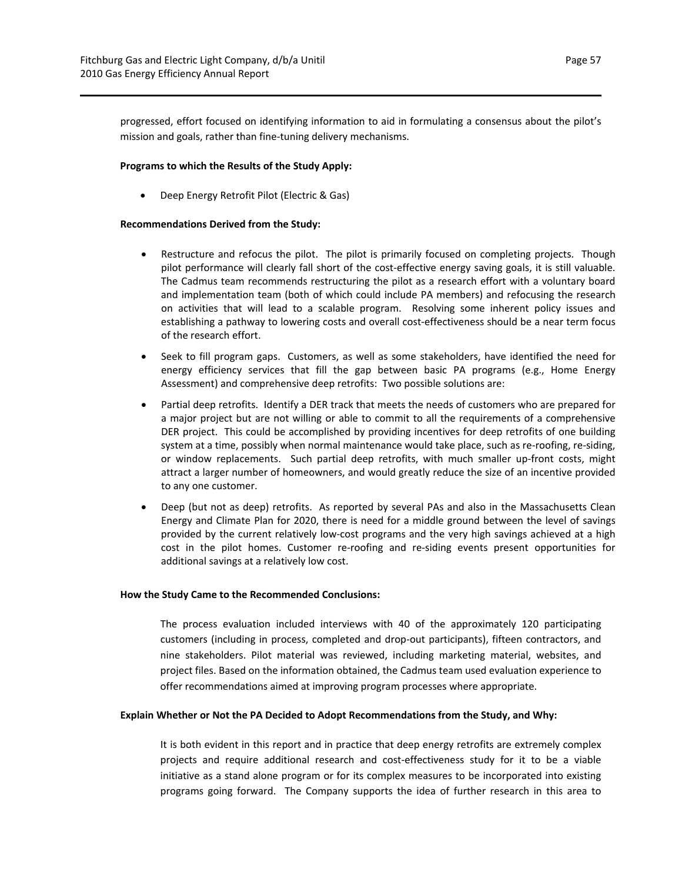progressed, effort focused on identifying information to aid in formulating a consensus about the pilot's mission and goals, rather than fine‐tuning delivery mechanisms.

#### **Programs to which the Results of the Study Apply:**

Deep Energy Retrofit Pilot (Electric & Gas)

#### **Recommendations Derived from the Study:**

- Restructure and refocus the pilot. The pilot is primarily focused on completing projects. Though pilot performance will clearly fall short of the cost-effective energy saving goals, it is still valuable. The Cadmus team recommends restructuring the pilot as a research effort with a voluntary board and implementation team (both of which could include PA members) and refocusing the research on activities that will lead to a scalable program. Resolving some inherent policy issues and establishing a pathway to lowering costs and overall cost‐effectiveness should be a near term focus of the research effort.
- Seek to fill program gaps. Customers, as well as some stakeholders, have identified the need for energy efficiency services that fill the gap between basic PA programs (e.g., Home Energy Assessment) and comprehensive deep retrofits: Two possible solutions are:
- Partial deep retrofits. Identify a DER track that meets the needs of customers who are prepared for a major project but are not willing or able to commit to all the requirements of a comprehensive DER project. This could be accomplished by providing incentives for deep retrofits of one building system at a time, possibly when normal maintenance would take place, such as re-roofing, re-siding, or window replacements. Such partial deep retrofits, with much smaller up-front costs, might attract a larger number of homeowners, and would greatly reduce the size of an incentive provided to any one customer.
- Deep (but not as deep) retrofits. As reported by several PAs and also in the Massachusetts Clean Energy and Climate Plan for 2020, there is need for a middle ground between the level of savings provided by the current relatively low‐cost programs and the very high savings achieved at a high cost in the pilot homes. Customer re-roofing and re-siding events present opportunities for additional savings at a relatively low cost.

#### **How the Study Came to the Recommended Conclusions:**

The process evaluation included interviews with 40 of the approximately 120 participating customers (including in process, completed and drop‐out participants), fifteen contractors, and nine stakeholders. Pilot material was reviewed, including marketing material, websites, and project files. Based on the information obtained, the Cadmus team used evaluation experience to offer recommendations aimed at improving program processes where appropriate.

#### **Explain Whether or Not the PA Decided to Adopt Recommendations from the Study, and Why:**

It is both evident in this report and in practice that deep energy retrofits are extremely complex projects and require additional research and cost-effectiveness study for it to be a viable initiative as a stand alone program or for its complex measures to be incorporated into existing programs going forward. The Company supports the idea of further research in this area to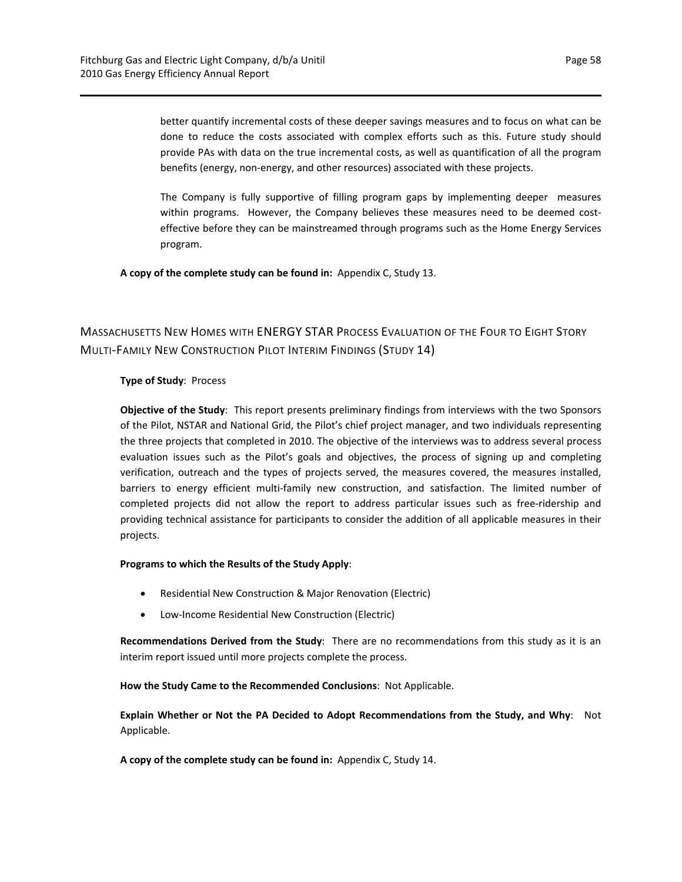better quantify incremental costs of these deeper savings measures and to focus on what can be done to reduce the costs associated with complex efforts such as this. Future study should provide PAs with data on the true incremental costs, as well as quantification of all the program benefits (energy, non‐energy, and other resources) associated with these projects.

The Company is fully supportive of filling program gaps by implementing deeper measures within programs. However, the Company believes these measures need to be deemed costeffective before they can be mainstreamed through programs such as the Home Energy Services program.

**A copy of the complete study can be found in:** Appendix C, Study 13.

## MASSACHUSETTS NEW HOMES WITH ENERGY STAR PROCESS EVALUATION OF THE FOUR TO EIGHT STORY MULTI‐FAMILY NEW CONSTRUCTION PILOT INTERIM FINDINGS (STUDY 14)

## **Type of Study**: Process

**Objective of the Study**: This report presents preliminary findings from interviews with the two Sponsors of the Pilot, NSTAR and National Grid, the Pilot's chief project manager, and two individuals representing the three projects that completed in 2010. The objective of the interviews was to address several process evaluation issues such as the Pilot's goals and objectives, the process of signing up and completing verification, outreach and the types of projects served, the measures covered, the measures installed, barriers to energy efficient multi-family new construction, and satisfaction. The limited number of completed projects did not allow the report to address particular issues such as free-ridership and providing technical assistance for participants to consider the addition of all applicable measures in their projects.

#### **Programs to which the Results of the Study Apply**:

- Residential New Construction & Major Renovation (Electric)
- Low‐Income Residential New Construction (Electric)

**Recommendations Derived from the Study**: There are no recommendations from this study as it is an interim report issued until more projects complete the process.

**How the Study Came to the Recommended Conclusions**: Not Applicable.

**Explain Whether or Not the PA Decided to Adopt Recommendations from the Study, and Why**: Not Applicable.

**A copy of the complete study can be found in:** Appendix C, Study 14.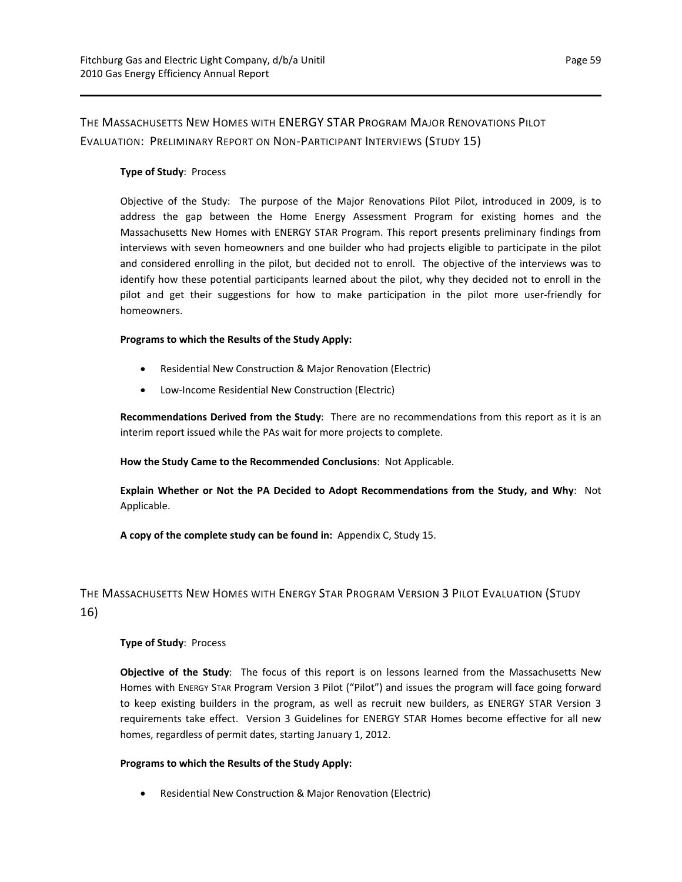## THE MASSACHUSETTS NEW HOMES WITH ENERGY STAR PROGRAM MAJOR RENOVATIONS PILOT EVALUATION: PRELIMINARY REPORT ON NON‐PARTICIPANT INTERVIEWS (STUDY 15)

## **Type of Study**: Process

Objective of the Study: The purpose of the Major Renovations Pilot Pilot, introduced in 2009, is to address the gap between the Home Energy Assessment Program for existing homes and the Massachusetts New Homes with ENERGY STAR Program. This report presents preliminary findings from interviews with seven homeowners and one builder who had projects eligible to participate in the pilot and considered enrolling in the pilot, but decided not to enroll. The objective of the interviews was to identify how these potential participants learned about the pilot, why they decided not to enroll in the pilot and get their suggestions for how to make participation in the pilot more user-friendly for homeowners.

## **Programs to which the Results of the Study Apply:**

- Residential New Construction & Major Renovation (Electric)
- Low-Income Residential New Construction (Electric)

**Recommendations Derived from the Study**: There are no recommendations from this report as it is an interim report issued while the PAs wait for more projects to complete.

**How the Study Came to the Recommended Conclusions**: Not Applicable.

**Explain Whether or Not the PA Decided to Adopt Recommendations from the Study, and Why**: Not Applicable.

**A copy of the complete study can be found in:** Appendix C, Study 15.

## THE MASSACHUSETTS NEW HOMES WITH ENERGY STAR PROGRAM VERSION 3 PILOT EVALUATION (STUDY 16)

## **Type of Study**: Process

**Objective of the Study**: The focus of this report is on lessons learned from the Massachusetts New Homes with ENERGY STAR Program Version 3 Pilot ("Pilot") and issues the program will face going forward to keep existing builders in the program, as well as recruit new builders, as ENERGY STAR Version 3 requirements take effect. Version 3 Guidelines for ENERGY STAR Homes become effective for all new homes, regardless of permit dates, starting January 1, 2012.

#### **Programs to which the Results of the Study Apply:**

• Residential New Construction & Major Renovation (Electric)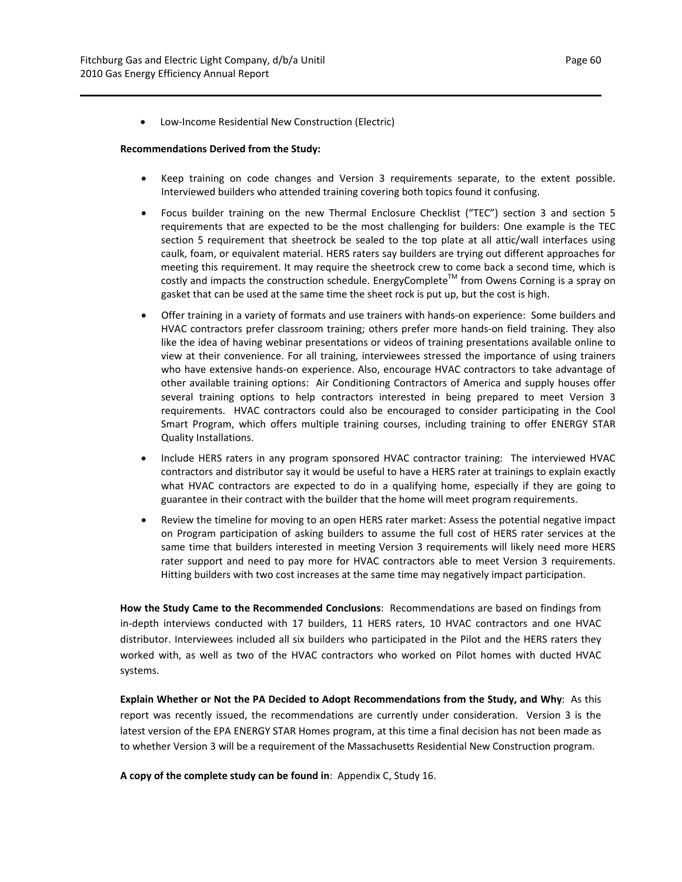● Low-Income Residential New Construction (Electric)

#### **Recommendations Derived from the Study:**

- Keep training on code changes and Version 3 requirements separate, to the extent possible. Interviewed builders who attended training covering both topics found it confusing.
- Focus builder training on the new Thermal Enclosure Checklist ("TEC") section 3 and section 5 requirements that are expected to be the most challenging for builders: One example is the TEC section 5 requirement that sheetrock be sealed to the top plate at all attic/wall interfaces using caulk, foam, or equivalent material. HERS raters say builders are trying out different approaches for meeting this requirement. It may require the sheetrock crew to come back a second time, which is costly and impacts the construction schedule. EnergyComplete<sup>TM</sup> from Owens Corning is a spray on gasket that can be used at the same time the sheet rock is put up, but the cost is high.
- Offer training in a variety of formats and use trainers with hands‐on experience: Some builders and HVAC contractors prefer classroom training; others prefer more hands-on field training. They also like the idea of having webinar presentations or videos of training presentations available online to view at their convenience. For all training, interviewees stressed the importance of using trainers who have extensive hands‐on experience. Also, encourage HVAC contractors to take advantage of other available training options: Air Conditioning Contractors of America and supply houses offer several training options to help contractors interested in being prepared to meet Version 3 requirements. HVAC contractors could also be encouraged to consider participating in the Cool Smart Program, which offers multiple training courses, including training to offer ENERGY STAR Quality Installations.
- Include HERS raters in any program sponsored HVAC contractor training: The interviewed HVAC contractors and distributor say it would be useful to have a HERS rater at trainings to explain exactly what HVAC contractors are expected to do in a qualifying home, especially if they are going to guarantee in their contract with the builder that the home will meet program requirements.
- Review the timeline for moving to an open HERS rater market: Assess the potential negative impact on Program participation of asking builders to assume the full cost of HERS rater services at the same time that builders interested in meeting Version 3 requirements will likely need more HERS rater support and need to pay more for HVAC contractors able to meet Version 3 requirements. Hitting builders with two cost increases at the same time may negatively impact participation.

**How the Study Came to the Recommended Conclusions**: Recommendations are based on findings from in-depth interviews conducted with 17 builders, 11 HERS raters, 10 HVAC contractors and one HVAC distributor. Interviewees included all six builders who participated in the Pilot and the HERS raters they worked with, as well as two of the HVAC contractors who worked on Pilot homes with ducted HVAC systems.

**Explain Whether or Not the PA Decided to Adopt Recommendations from the Study, and Why**: As this report was recently issued, the recommendations are currently under consideration. Version 3 is the latest version of the EPA ENERGY STAR Homes program, at this time a final decision has not been made as to whether Version 3 will be a requirement of the Massachusetts Residential New Construction program.

**A copy of the complete study can be found in**: Appendix C, Study 16.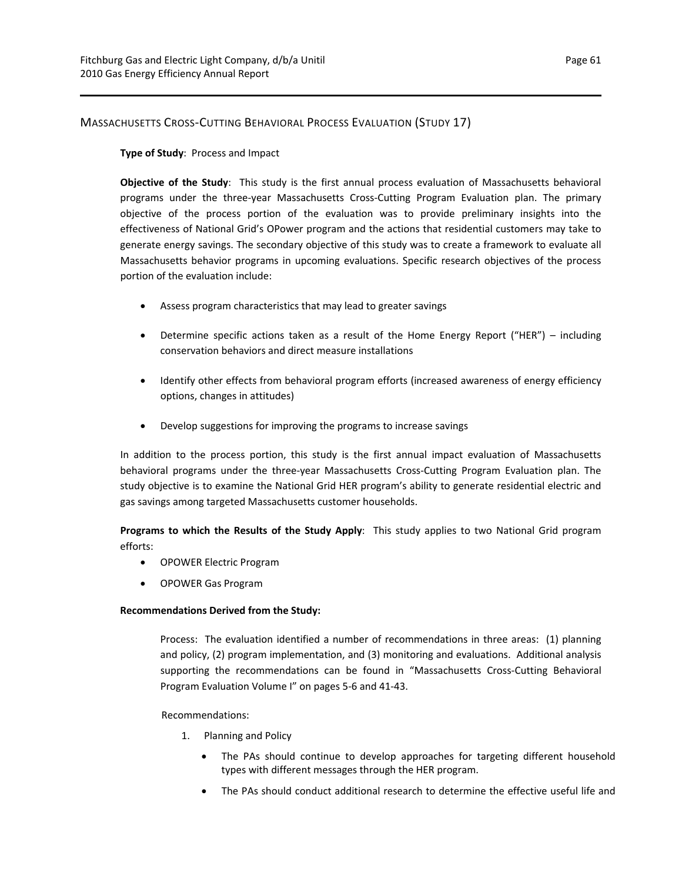## MASSACHUSETTS CROSS‐CUTTING BEHAVIORAL PROCESS EVALUATION (STUDY 17)

## **Type of Study**: Process and Impact

**Objective of the Study**: This study is the first annual process evaluation of Massachusetts behavioral programs under the three-year Massachusetts Cross-Cutting Program Evaluation plan. The primary objective of the process portion of the evaluation was to provide preliminary insights into the effectiveness of National Grid's OPower program and the actions that residential customers may take to generate energy savings. The secondary objective of this study was to create a framework to evaluate all Massachusetts behavior programs in upcoming evaluations. Specific research objectives of the process portion of the evaluation include:

- Assess program characteristics that may lead to greater savings
- Determine specific actions taken as a result of the Home Energy Report ("HER") including conservation behaviors and direct measure installations
- Identify other effects from behavioral program efforts (increased awareness of energy efficiency options, changes in attitudes)
- Develop suggestions for improving the programs to increase savings

In addition to the process portion, this study is the first annual impact evaluation of Massachusetts behavioral programs under the three‐year Massachusetts Cross‐Cutting Program Evaluation plan. The study objective is to examine the National Grid HER program's ability to generate residential electric and gas savings among targeted Massachusetts customer households.

**Programs to which the Results of the Study Apply**: This study applies to two National Grid program efforts:

- OPOWER Electric Program
- OPOWER Gas Program

## **Recommendations Derived from the Study:**

Process: The evaluation identified a number of recommendations in three areas: (1) planning and policy, (2) program implementation, and (3) monitoring and evaluations. Additional analysis supporting the recommendations can be found in "Massachusetts Cross-Cutting Behavioral Program Evaluation Volume I" on pages 5‐6 and 41‐43.

## Recommendations:

- 1. Planning and Policy
	- The PAs should continue to develop approaches for targeting different household types with different messages through the HER program.
	- The PAs should conduct additional research to determine the effective useful life and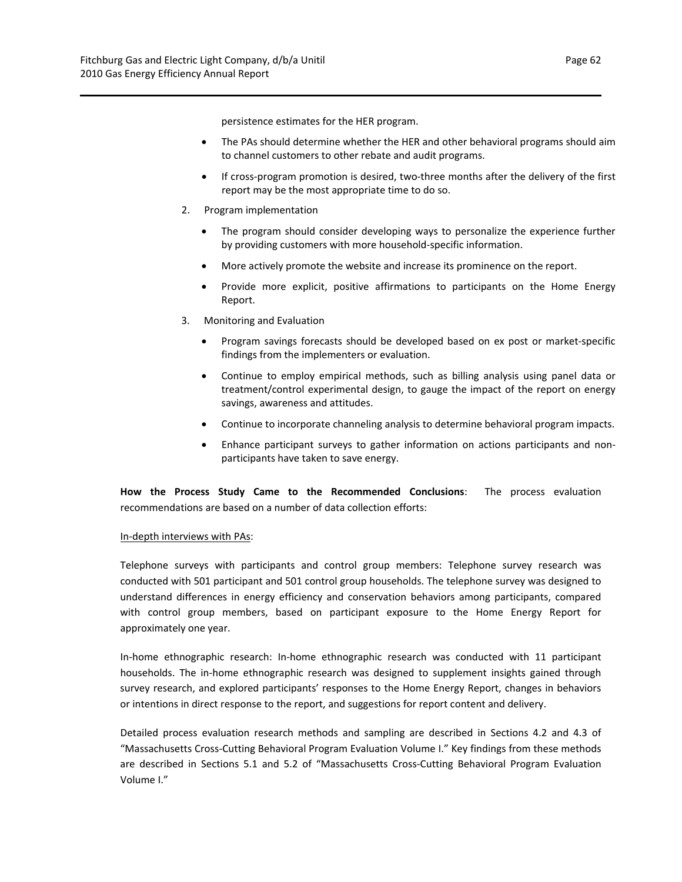persistence estimates for the HER program.

- The PAs should determine whether the HER and other behavioral programs should aim to channel customers to other rebate and audit programs.
- If cross-program promotion is desired, two-three months after the delivery of the first report may be the most appropriate time to do so.
- 2. Program implementation
	- The program should consider developing ways to personalize the experience further by providing customers with more household‐specific information.
	- More actively promote the website and increase its prominence on the report.
	- Provide more explicit, positive affirmations to participants on the Home Energy Report.
- 3. Monitoring and Evaluation
	- Program savings forecasts should be developed based on ex post or market-specific findings from the implementers or evaluation.
	- Continue to employ empirical methods, such as billing analysis using panel data or treatment/control experimental design, to gauge the impact of the report on energy savings, awareness and attitudes.
	- Continue to incorporate channeling analysis to determine behavioral program impacts.
	- Enhance participant surveys to gather information on actions participants and non‐ participants have taken to save energy.

**How the Process Study Came to the Recommended Conclusions**: The process evaluation recommendations are based on a number of data collection efforts:

#### In‐depth interviews with PAs:

Telephone surveys with participants and control group members: Telephone survey research was conducted with 501 participant and 501 control group households. The telephone survey was designed to understand differences in energy efficiency and conservation behaviors among participants, compared with control group members, based on participant exposure to the Home Energy Report for approximately one year.

In‐home ethnographic research: In‐home ethnographic research was conducted with 11 participant households. The in‐home ethnographic research was designed to supplement insights gained through survey research, and explored participants' responses to the Home Energy Report, changes in behaviors or intentions in direct response to the report, and suggestions for report content and delivery.

Detailed process evaluation research methods and sampling are described in Sections 4.2 and 4.3 of "Massachusetts Cross‐Cutting Behavioral Program Evaluation Volume I." Key findings from these methods are described in Sections 5.1 and 5.2 of "Massachusetts Cross‐Cutting Behavioral Program Evaluation Volume I."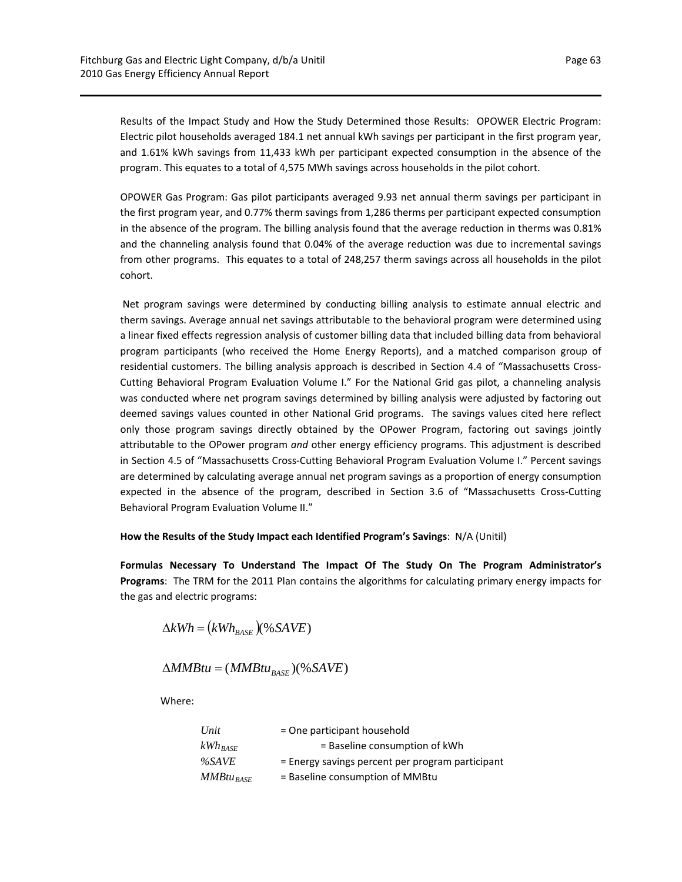Results of the Impact Study and How the Study Determined those Results: OPOWER Electric Program: Electric pilot households averaged 184.1 net annual kWh savings per participant in the first program year, and 1.61% kWh savings from 11,433 kWh per participant expected consumption in the absence of the program. This equates to a total of 4,575 MWh savings across households in the pilot cohort.

OPOWER Gas Program: Gas pilot participants averaged 9.93 net annual therm savings per participant in the first program year, and 0.77% therm savings from 1,286 therms per participant expected consumption in the absence of the program. The billing analysis found that the average reduction in therms was 0.81% and the channeling analysis found that 0.04% of the average reduction was due to incremental savings from other programs. This equates to a total of 248,257 therm savings across all households in the pilot cohort.

Net program savings were determined by conducting billing analysis to estimate annual electric and therm savings. Average annual net savings attributable to the behavioral program were determined using a linear fixed effects regression analysis of customer billing data that included billing data from behavioral program participants (who received the Home Energy Reports), and a matched comparison group of residential customers. The billing analysis approach is described in Section 4.4 of "Massachusetts Cross-Cutting Behavioral Program Evaluation Volume I." For the National Grid gas pilot, a channeling analysis was conducted where net program savings determined by billing analysis were adjusted by factoring out deemed savings values counted in other National Grid programs. The savings values cited here reflect only those program savings directly obtained by the OPower Program, factoring out savings jointly attributable to the OPower program *and* other energy efficiency programs. This adjustment is described in Section 4.5 of "Massachusetts Cross‐Cutting Behavioral Program Evaluation Volume I." Percent savings are determined by calculating average annual net program savings as a proportion of energy consumption expected in the absence of the program, described in Section 3.6 of "Massachusetts Cross‐Cutting Behavioral Program Evaluation Volume II."

#### **How the Results of the Study Impact each Identified Program's Savings**: N/A (Unitil)

**Formulas Necessary To Understand The Impact Of The Study On The Program Administrator's Programs**: The TRM for the 2011 Plan contains the algorithms for calculating primary energy impacts for the gas and electric programs:

$$
\Delta kWh = (kWh_{BASE})(\% \,SAVE)
$$

$$
\Delta MMBtu = (MMBtu_{BASE})(\% SAVE)
$$

Where:

| Unit                | = One participant household                      |
|---------------------|--------------------------------------------------|
| $kWh_{\text{BASE}}$ | = Baseline consumption of kWh                    |
| %SAVE               | = Energy savings percent per program participant |
| $MMB$ tu $_{BASE}$  | = Baseline consumption of MMBtu                  |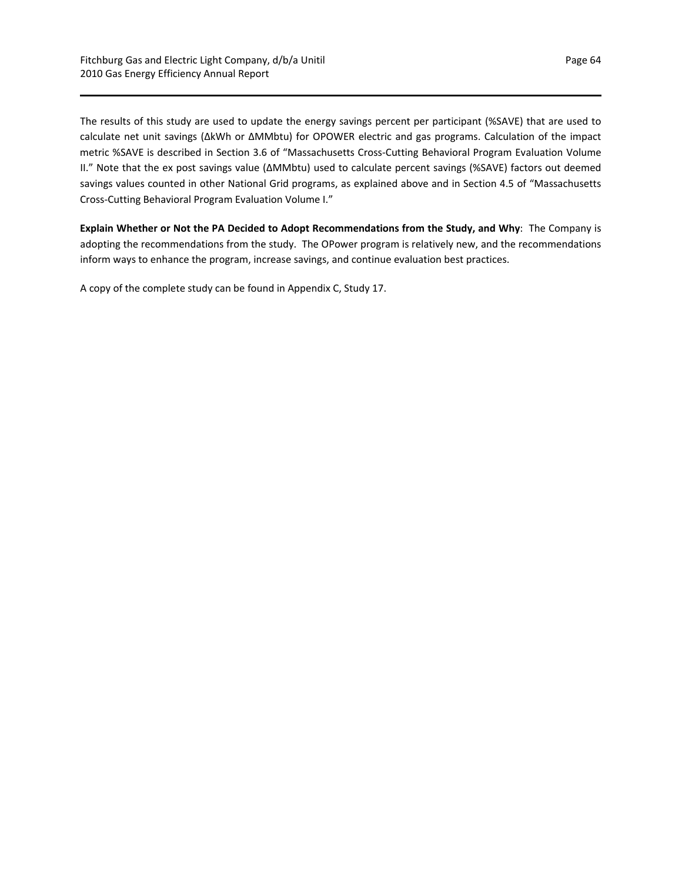The results of this study are used to update the energy savings percent per participant (%SAVE) that are used to calculate net unit savings (∆kWh or ∆MMbtu) for OPOWER electric and gas programs. Calculation of the impact metric %SAVE is described in Section 3.6 of "Massachusetts Cross‐Cutting Behavioral Program Evaluation Volume II." Note that the ex post savings value (∆MMbtu) used to calculate percent savings (%SAVE) factors out deemed savings values counted in other National Grid programs, as explained above and in Section 4.5 of "Massachusetts Cross‐Cutting Behavioral Program Evaluation Volume I."

**Explain Whether or Not the PA Decided to Adopt Recommendations from the Study, and Why**: The Company is adopting the recommendations from the study. The OPower program is relatively new, and the recommendations inform ways to enhance the program, increase savings, and continue evaluation best practices.

A copy of the complete study can be found in Appendix C, Study 17.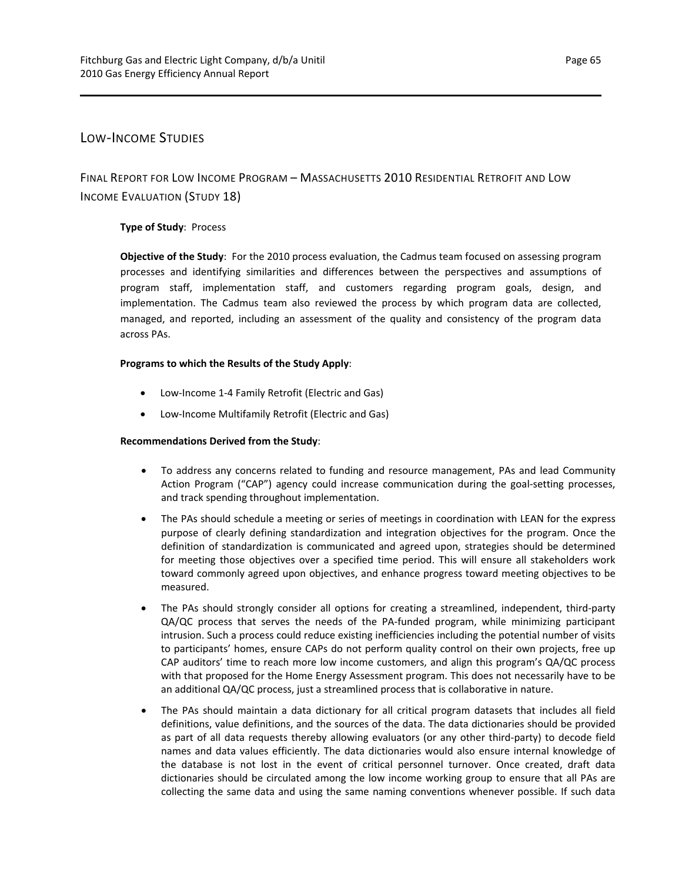## LOW‐INCOME STUDIES

FINAL REPORT FOR LOW INCOME PROGRAM – MASSACHUSETTS 2010 RESIDENTIAL RETROFIT AND LOW INCOME EVALUATION (STUDY 18)

## **Type of Study**: Process

**Objective of the Study**: For the 2010 process evaluation, the Cadmus team focused on assessing program processes and identifying similarities and differences between the perspectives and assumptions of program staff, implementation staff, and customers regarding program goals, design, and implementation. The Cadmus team also reviewed the process by which program data are collected, managed, and reported, including an assessment of the quality and consistency of the program data across PAs.

## **Programs to which the Results of the Study Apply**:

- Low-Income 1-4 Family Retrofit (Electric and Gas)
- Low-Income Multifamily Retrofit (Electric and Gas)

#### **Recommendations Derived from the Study**:

- To address any concerns related to funding and resource management, PAs and lead Community Action Program ("CAP") agency could increase communication during the goal‐setting processes, and track spending throughout implementation.
- The PAs should schedule a meeting or series of meetings in coordination with LEAN for the express purpose of clearly defining standardization and integration objectives for the program. Once the definition of standardization is communicated and agreed upon, strategies should be determined for meeting those objectives over a specified time period. This will ensure all stakeholders work toward commonly agreed upon objectives, and enhance progress toward meeting objectives to be measured.
- The PAs should strongly consider all options for creating a streamlined, independent, third-party QA/QC process that serves the needs of the PA-funded program, while minimizing participant intrusion. Such a process could reduce existing inefficiencies including the potential number of visits to participants' homes, ensure CAPs do not perform quality control on their own projects, free up CAP auditors' time to reach more low income customers, and align this program's QA/QC process with that proposed for the Home Energy Assessment program. This does not necessarily have to be an additional QA/QC process, just a streamlined process that is collaborative in nature.
- The PAs should maintain a data dictionary for all critical program datasets that includes all field definitions, value definitions, and the sources of the data. The data dictionaries should be provided as part of all data requests thereby allowing evaluators (or any other third‐party) to decode field names and data values efficiently. The data dictionaries would also ensure internal knowledge of the database is not lost in the event of critical personnel turnover. Once created, draft data dictionaries should be circulated among the low income working group to ensure that all PAs are collecting the same data and using the same naming conventions whenever possible. If such data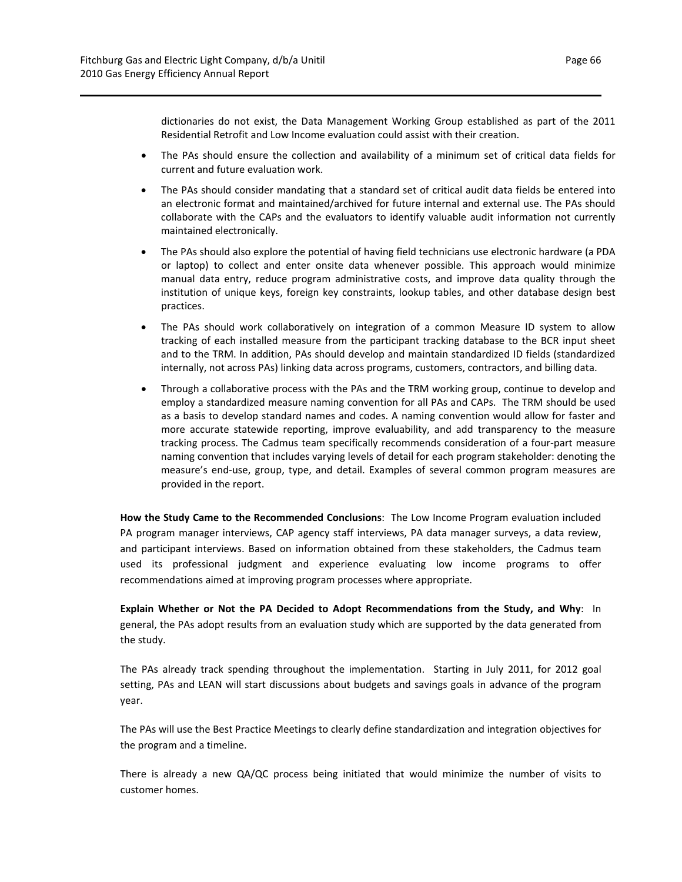dictionaries do not exist, the Data Management Working Group established as part of the 2011 Residential Retrofit and Low Income evaluation could assist with their creation.

- The PAs should ensure the collection and availability of a minimum set of critical data fields for current and future evaluation work.
- The PAs should consider mandating that a standard set of critical audit data fields be entered into an electronic format and maintained/archived for future internal and external use. The PAs should collaborate with the CAPs and the evaluators to identify valuable audit information not currently maintained electronically.
- The PAs should also explore the potential of having field technicians use electronic hardware (a PDA or laptop) to collect and enter onsite data whenever possible. This approach would minimize manual data entry, reduce program administrative costs, and improve data quality through the institution of unique keys, foreign key constraints, lookup tables, and other database design best practices.
- The PAs should work collaboratively on integration of a common Measure ID system to allow tracking of each installed measure from the participant tracking database to the BCR input sheet and to the TRM. In addition, PAs should develop and maintain standardized ID fields (standardized internally, not across PAs) linking data across programs, customers, contractors, and billing data.
- Through a collaborative process with the PAs and the TRM working group, continue to develop and employ a standardized measure naming convention for all PAs and CAPs. The TRM should be used as a basis to develop standard names and codes. A naming convention would allow for faster and more accurate statewide reporting, improve evaluability, and add transparency to the measure tracking process. The Cadmus team specifically recommends consideration of a four‐part measure naming convention that includes varying levels of detail for each program stakeholder: denoting the measure's end‐use, group, type, and detail. Examples of several common program measures are provided in the report.

**How the Study Came to the Recommended Conclusions**: The Low Income Program evaluation included PA program manager interviews, CAP agency staff interviews, PA data manager surveys, a data review, and participant interviews. Based on information obtained from these stakeholders, the Cadmus team used its professional judgment and experience evaluating low income programs to offer recommendations aimed at improving program processes where appropriate.

**Explain Whether or Not the PA Decided to Adopt Recommendations from the Study, and Why**: In general, the PAs adopt results from an evaluation study which are supported by the data generated from the study.

The PAs already track spending throughout the implementation. Starting in July 2011, for 2012 goal setting, PAs and LEAN will start discussions about budgets and savings goals in advance of the program year.

The PAs will use the Best Practice Meetings to clearly define standardization and integration objectives for the program and a timeline.

There is already a new QA/QC process being initiated that would minimize the number of visits to customer homes.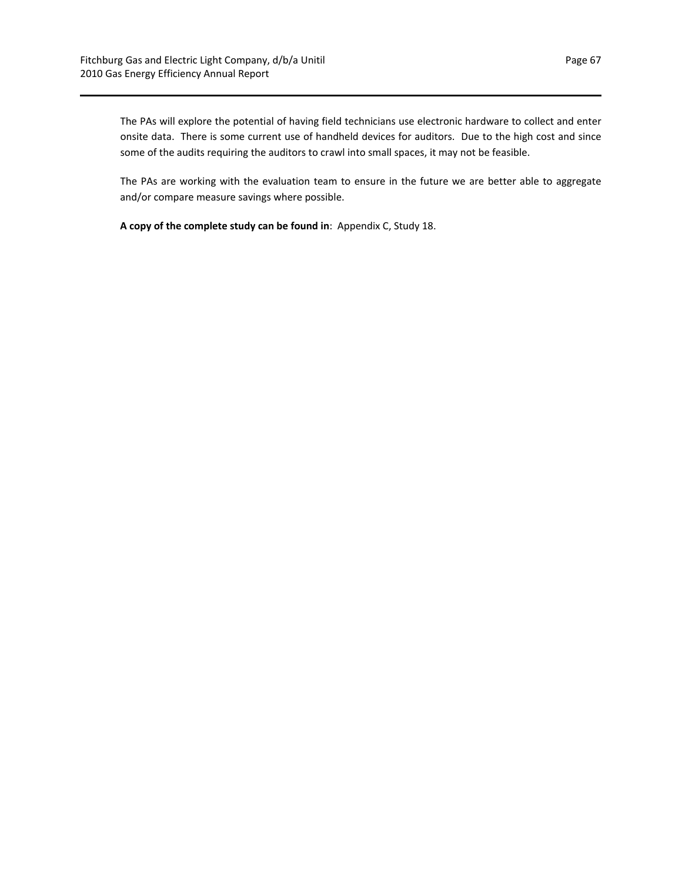The PAs will explore the potential of having field technicians use electronic hardware to collect and enter onsite data. There is some current use of handheld devices for auditors. Due to the high cost and since some of the audits requiring the auditors to crawl into small spaces, it may not be feasible.

The PAs are working with the evaluation team to ensure in the future we are better able to aggregate and/or compare measure savings where possible.

**A copy of the complete study can be found in**: Appendix C, Study 18.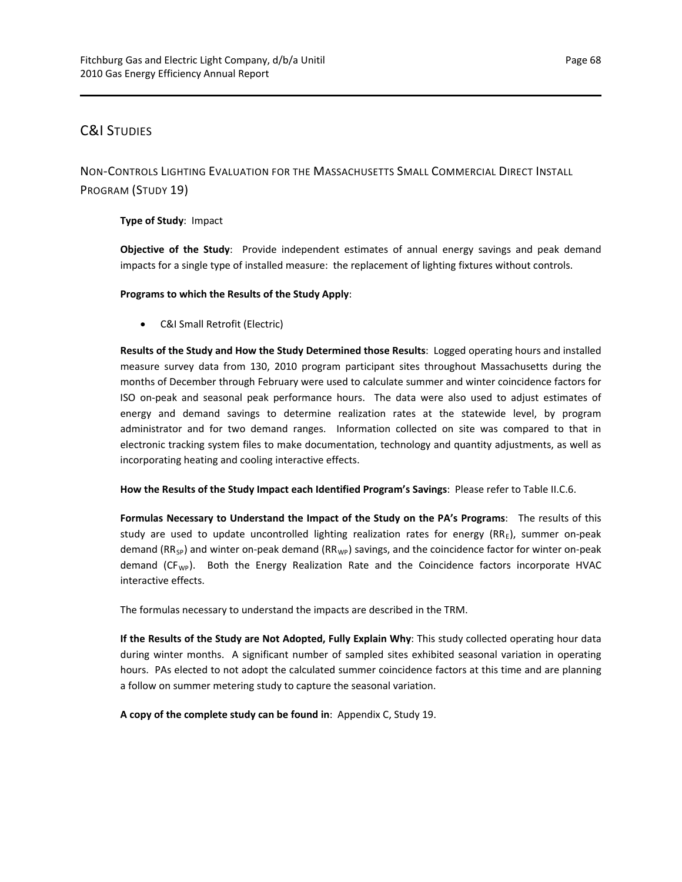## C&I STUDIES

NON‐CONTROLS LIGHTING EVALUATION FOR THE MASSACHUSETTS SMALL COMMERCIAL DIRECT INSTALL PROGRAM (STUDY 19)

**Type of Study**: Impact

**Objective of the Study**: Provide independent estimates of annual energy savings and peak demand impacts for a single type of installed measure: the replacement of lighting fixtures without controls.

**Programs to which the Results of the Study Apply**:

C&I Small Retrofit (Electric)

**Results of the Study and How the Study Determined those Results**: Logged operating hours and installed measure survey data from 130, 2010 program participant sites throughout Massachusetts during the months of December through February were used to calculate summer and winter coincidence factors for ISO on‐peak and seasonal peak performance hours. The data were also used to adjust estimates of energy and demand savings to determine realization rates at the statewide level, by program administrator and for two demand ranges. Information collected on site was compared to that in electronic tracking system files to make documentation, technology and quantity adjustments, as well as incorporating heating and cooling interactive effects.

**How the Results of the Study Impact each Identified Program's Savings**: Please refer to Table II.C.6.

**Formulas Necessary to Understand the Impact of the Study on the PA's Programs**: The results of this study are used to update uncontrolled lighting realization rates for energy  $(RR<sub>F</sub>)$ , summer on-peak demand (RR<sub>SP</sub>) and winter on-peak demand (RR<sub>WP</sub>) savings, and the coincidence factor for winter on-peak demand  $(CF_{WP})$ . Both the Energy Realization Rate and the Coincidence factors incorporate HVAC interactive effects.

The formulas necessary to understand the impacts are described in the TRM.

**If the Results of the Study are Not Adopted, Fully Explain Why**: This study collected operating hour data during winter months. A significant number of sampled sites exhibited seasonal variation in operating hours. PAs elected to not adopt the calculated summer coincidence factors at this time and are planning a follow on summer metering study to capture the seasonal variation.

**A copy of the complete study can be found in**: Appendix C, Study 19.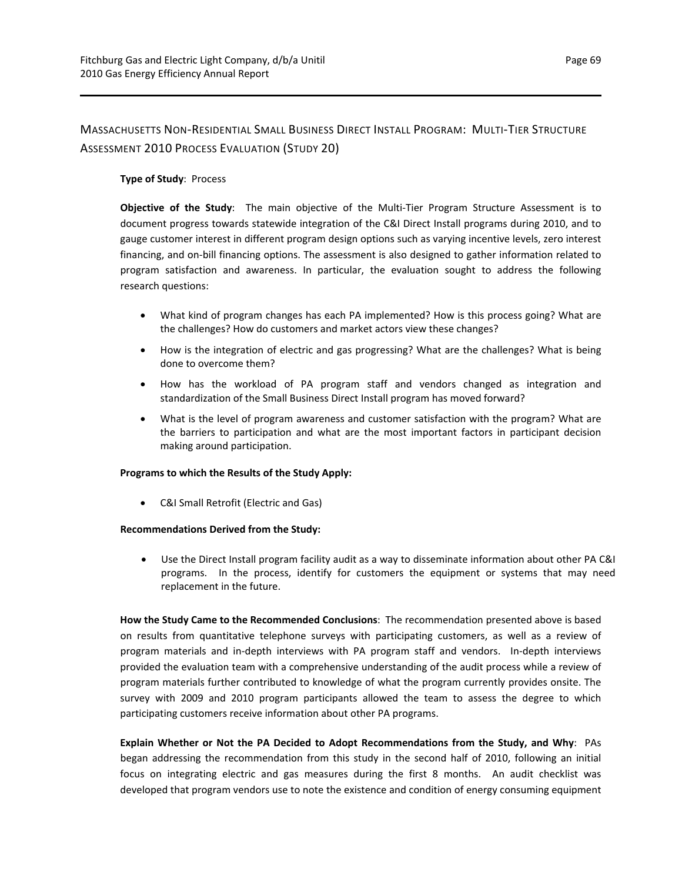## MASSACHUSETTS NON‐RESIDENTIAL SMALL BUSINESS DIRECT INSTALL PROGRAM: MULTI‐TIER STRUCTURE ASSESSMENT 2010 PROCESS EVALUATION (STUDY 20)

## **Type of Study**: Process

**Objective of the Study**: The main objective of the Multi‐Tier Program Structure Assessment is to document progress towards statewide integration of the C&I Direct Install programs during 2010, and to gauge customer interest in different program design options such as varying incentive levels, zero interest financing, and on‐bill financing options. The assessment is also designed to gather information related to program satisfaction and awareness. In particular, the evaluation sought to address the following research questions:

- What kind of program changes has each PA implemented? How is this process going? What are the challenges? How do customers and market actors view these changes?
- How is the integration of electric and gas progressing? What are the challenges? What is being done to overcome them?
- How has the workload of PA program staff and vendors changed as integration and standardization of the Small Business Direct Install program has moved forward?
- What is the level of program awareness and customer satisfaction with the program? What are the barriers to participation and what are the most important factors in participant decision making around participation.

## **Programs to which the Results of the Study Apply:**

C&I Small Retrofit (Electric and Gas)

#### **Recommendations Derived from the Study:**

 Use the Direct Install program facility audit as a way to disseminate information about other PA C&I programs. In the process, identify for customers the equipment or systems that may need replacement in the future.

**How the Study Came to the Recommended Conclusions**: The recommendation presented above is based on results from quantitative telephone surveys with participating customers, as well as a review of program materials and in‐depth interviews with PA program staff and vendors. In‐depth interviews provided the evaluation team with a comprehensive understanding of the audit process while a review of program materials further contributed to knowledge of what the program currently provides onsite. The survey with 2009 and 2010 program participants allowed the team to assess the degree to which participating customers receive information about other PA programs.

**Explain Whether or Not the PA Decided to Adopt Recommendations from the Study, and Why**: PAs began addressing the recommendation from this study in the second half of 2010, following an initial focus on integrating electric and gas measures during the first 8 months. An audit checklist was developed that program vendors use to note the existence and condition of energy consuming equipment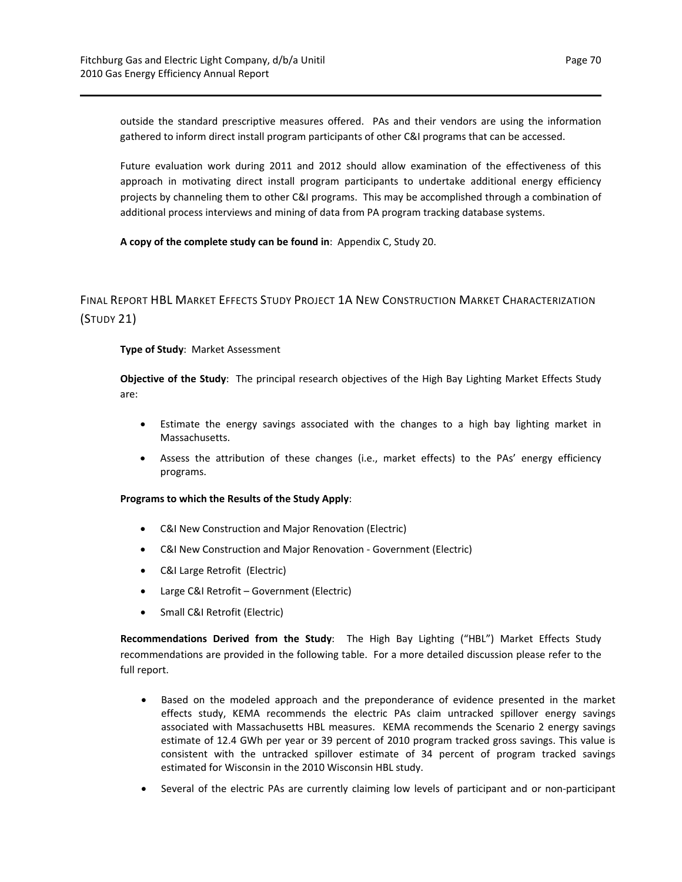outside the standard prescriptive measures offered. PAs and their vendors are using the information gathered to inform direct install program participants of other C&I programs that can be accessed.

Future evaluation work during 2011 and 2012 should allow examination of the effectiveness of this approach in motivating direct install program participants to undertake additional energy efficiency projects by channeling them to other C&I programs. This may be accomplished through a combination of additional process interviews and mining of data from PA program tracking database systems.

**A copy of the complete study can be found in**: Appendix C, Study 20.

## FINAL REPORT HBL MARKET EFFECTS STUDY PROJECT 1A NEW CONSTRUCTION MARKET CHARACTERIZATION (STUDY 21)

#### **Type of Study**: Market Assessment

**Objective of the Study**: The principal research objectives of the High Bay Lighting Market Effects Study are:

- Estimate the energy savings associated with the changes to a high bay lighting market in Massachusetts.
- Assess the attribution of these changes (i.e., market effects) to the PAs' energy efficiency programs.

#### **Programs to which the Results of the Study Apply**:

- C&I New Construction and Major Renovation (Electric)
- C&I New Construction and Major Renovation Government (Electric)
- C&I Large Retrofit (Electric)
- Large C&I Retrofit Government (Electric)
- Small C&I Retrofit (Electric)

**Recommendations Derived from the Study**: The High Bay Lighting ("HBL") Market Effects Study recommendations are provided in the following table. For a more detailed discussion please refer to the full report.

- Based on the modeled approach and the preponderance of evidence presented in the market effects study, KEMA recommends the electric PAs claim untracked spillover energy savings associated with Massachusetts HBL measures. KEMA recommends the Scenario 2 energy savings estimate of 12.4 GWh per year or 39 percent of 2010 program tracked gross savings. This value is consistent with the untracked spillover estimate of 34 percent of program tracked savings estimated for Wisconsin in the 2010 Wisconsin HBL study.
- Several of the electric PAs are currently claiming low levels of participant and or non‐participant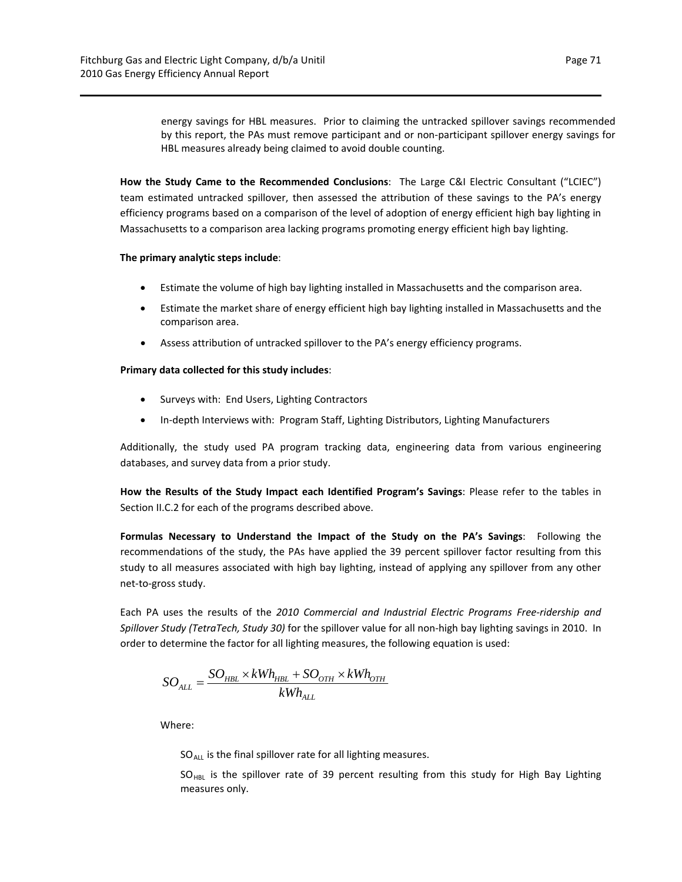by this report, the PAs must remove participant and or non-participant spillover energy savings for HBL measures already being claimed to avoid double counting.

**How the Study Came to the Recommended Conclusions**: The Large C&I Electric Consultant ("LCIEC") team estimated untracked spillover, then assessed the attribution of these savings to the PA's energy efficiency programs based on a comparison of the level of adoption of energy efficient high bay lighting in Massachusetts to a comparison area lacking programs promoting energy efficient high bay lighting.

## **The primary analytic steps include**:

- Estimate the volume of high bay lighting installed in Massachusetts and the comparison area.
- Estimate the market share of energy efficient high bay lighting installed in Massachusetts and the comparison area.
- Assess attribution of untracked spillover to the PA's energy efficiency programs.

## **Primary data collected for this study includes**:

- Surveys with: End Users, Lighting Contractors
- In-depth Interviews with: Program Staff, Lighting Distributors, Lighting Manufacturers

Additionally, the study used PA program tracking data, engineering data from various engineering databases, and survey data from a prior study.

**How the Results of the Study Impact each Identified Program's Savings**: Please refer to the tables in Section II.C.2 for each of the programs described above.

**Formulas Necessary to Understand the Impact of the Study on the PA's Savings**: Following the recommendations of the study, the PAs have applied the 39 percent spillover factor resulting from this study to all measures associated with high bay lighting, instead of applying any spillover from any other net‐to‐gross study.

Each PA uses the results of the *2010 Commercial and Industrial Electric Programs Free‐ridership and Spillover Study (TetraTech, Study 30)* for the spillover value for all non‐high bay lighting savings in 2010. In order to determine the factor for all lighting measures, the following equation is used:

$$
SO_{ALL} = \frac{SO_{HBL} \times kWh_{HBL} + SO_{OTH} \times kWh_{OTH}}{kWh_{ALL}}
$$

Where:

 $SO_{ALL}$  is the final spillover rate for all lighting measures.

 $SO_{HBL}$  is the spillover rate of 39 percent resulting from this study for High Bay Lighting measures only.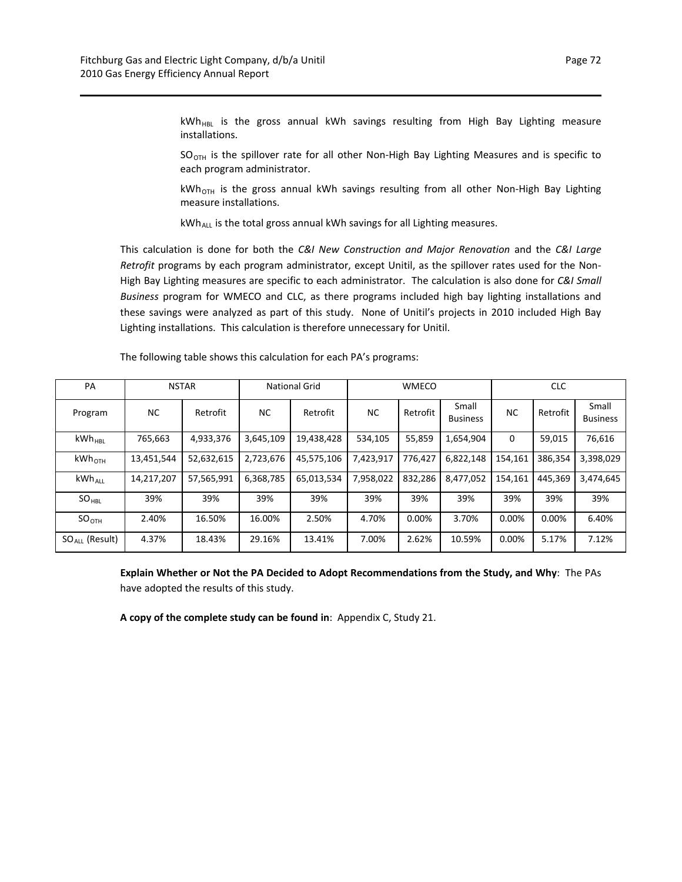kWh<sub>HBL</sub> is the gross annual kWh savings resulting from High Bay Lighting measure installations.

each program administrator.  $SO<sub>OTH</sub>$  is the spillover rate for all other Non-High Bay Lighting Measures and is specific to

kWh<sub>OTH</sub> is the gross annual kWh savings resulting from all other Non-High Bay Lighting measure installations.

kWh<sub>ALL</sub> is the total gross annual kWh savings for all Lighting measures.

This calculation is done for both the *C&I New Construction and Major Renovation* and the *C&I Large Retrofit* programs by each program administrator, except Unitil, as the spillover rates used for the Non‐ High Bay Lighting measures are specific to each administrator. The calculation is also done for *C&I Small Business* program for WMECO and CLC, as there programs included high bay lighting installations and these savings were analyzed as part of this study. None of Unitil's projects in 2010 included High Bay Lighting installations. This calculation is therefore unnecessary for Unitil.

| PA                  |            | <b>NSTAR</b> |           | <b>National Grid</b> |                      | <b>WMECO</b>        |                          | <b>CLC</b> |          |                          |  |
|---------------------|------------|--------------|-----------|----------------------|----------------------|---------------------|--------------------------|------------|----------|--------------------------|--|
| Program             | <b>NC</b>  | Retrofit     | <b>NC</b> | Retrofit             | <b>NC</b>            | Retrofit            | Small<br><b>Business</b> | <b>NC</b>  | Retrofit | Small<br><b>Business</b> |  |
| $kWh_{HRI}$         | 765,663    | 4,933,376    | 3,645,109 | 19,438,428           | 534,105              | 55,859<br>1,654,904 |                          | $\Omega$   | 59,015   | 76,616                   |  |
| $kWh_{\text{OTH}}$  | 13,451,544 | 52,632,615   | 2,723,676 | 45,575,106           | 7,423,917            | 776.427             | 6,822,148                | 154,161    | 386.354  | 3,398,029                |  |
| $kWh_{ALL}$         | 14,217,207 | 57,565,991   | 6,368,785 | 65,013,534           | 7,958,022<br>832,286 |                     | 8,477,052                | 154,161    | 445,369  | 3,474,645                |  |
| $SO_{HBL}$          | 39%        | 39%          | 39%       | 39%                  | 39%<br>39%           |                     | 39%                      | 39%        | 39%      | 39%                      |  |
| SO <sub>OTH</sub>   | 2.40%      | 16.50%       | 16.00%    | 2.50%                | 4.70%<br>0.00%       |                     | 3.70%                    | 0.00%      | 0.00%    | 6.40%                    |  |
| $SO_{All}$ (Result) | 4.37%      | 18.43%       | 29.16%    | 13.41%               | 7.00%                | 2.62%               | 10.59%                   | 0.00%      | 5.17%    | 7.12%                    |  |

The following table shows this calculation for each PA's programs:

**Explain Whether or Not the PA Decided to Adopt Recommendations from the Study, and Why**: The PAs have adopted the results of this study.

**A copy of the complete study can be found in**: Appendix C, Study 21.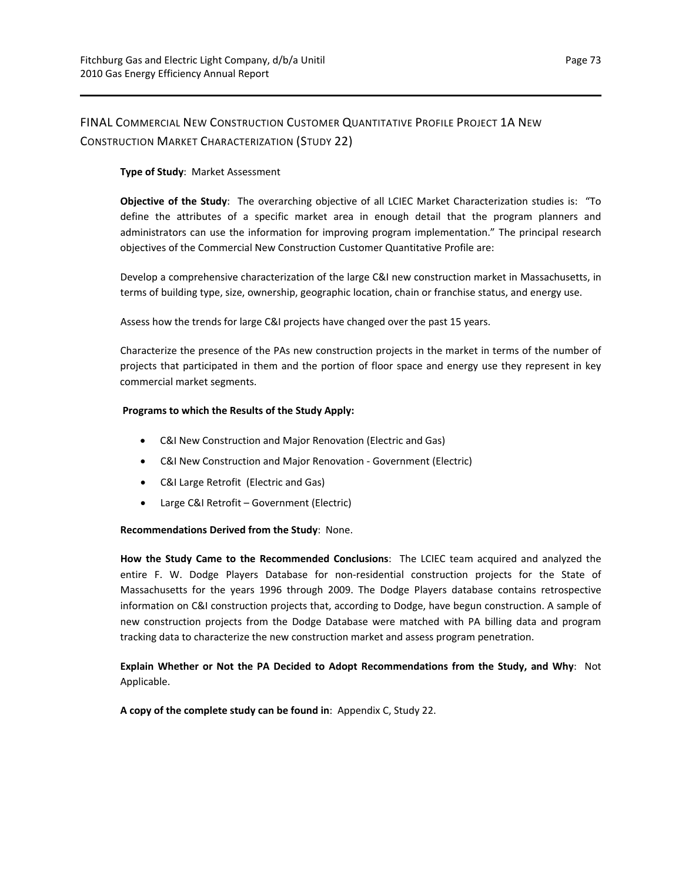## FINAL COMMERCIAL NEW CONSTRUCTION CUSTOMER QUANTITATIVE PROFILE PROJECT 1A NEW CONSTRUCTION MARKET CHARACTERIZATION (STUDY 22)

## **Type of Study**: Market Assessment

**Objective of the Study**: The overarching objective of all LCIEC Market Characterization studies is: "To define the attributes of a specific market area in enough detail that the program planners and administrators can use the information for improving program implementation." The principal research objectives of the Commercial New Construction Customer Quantitative Profile are:

Develop a comprehensive characterization of the large C&I new construction market in Massachusetts, in terms of building type, size, ownership, geographic location, chain or franchise status, and energy use.

Assess how the trends for large C&I projects have changed over the past 15 years.

Characterize the presence of the PAs new construction projects in the market in terms of the number of projects that participated in them and the portion of floor space and energy use they represent in key commercial market segments.

## **Programs to which the Results of the Study Apply:**

- C&I New Construction and Major Renovation (Electric and Gas)
- C&I New Construction and Major Renovation ‐ Government (Electric)
- C&I Large Retrofit (Electric and Gas)
- Large C&I Retrofit Government (Electric)

#### **Recommendations Derived from the Study**: None.

**How the Study Came to the Recommended Conclusions**: The LCIEC team acquired and analyzed the entire F. W. Dodge Players Database for non-residential construction projects for the State of Massachusetts for the years 1996 through 2009. The Dodge Players database contains retrospective information on C&I construction projects that, according to Dodge, have begun construction. A sample of new construction projects from the Dodge Database were matched with PA billing data and program tracking data to characterize the new construction market and assess program penetration.

**Explain Whether or Not the PA Decided to Adopt Recommendations from the Study, and Why**: Not Applicable.

**A copy of the complete study can be found in**: Appendix C, Study 22.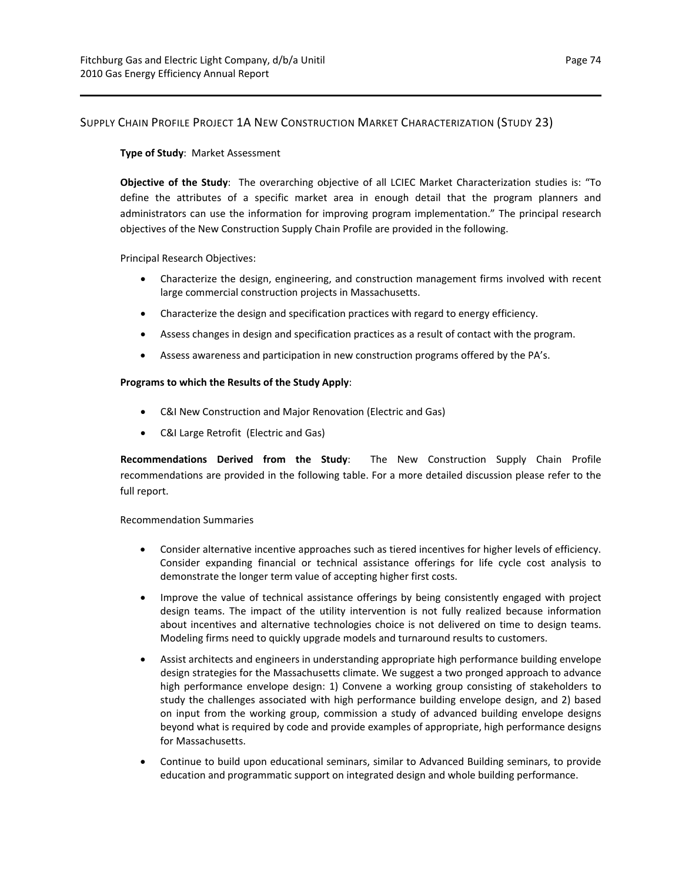## SUPPLY CHAIN PROFILE PROJECT 1A NEW CONSTRUCTION MARKET CHARACTERIZATION (STUDY 23)

## **Type of Study**: Market Assessment

**Objective of the Study**: The overarching objective of all LCIEC Market Characterization studies is: "To define the attributes of a specific market area in enough detail that the program planners and administrators can use the information for improving program implementation." The principal research objectives of the New Construction Supply Chain Profile are provided in the following.

Principal Research Objectives:

- Characterize the design, engineering, and construction management firms involved with recent large commercial construction projects in Massachusetts.
- Characterize the design and specification practices with regard to energy efficiency.
- Assess changes in design and specification practices as a result of contact with the program.
- Assess awareness and participation in new construction programs offered by the PA's.

#### **Programs to which the Results of the Study Apply**:

- C&I New Construction and Major Renovation (Electric and Gas)
- C&I Large Retrofit (Electric and Gas)

**Recommendations Derived from the Study**: The New Construction Supply Chain Profile recommendations are provided in the following table. For a more detailed discussion please refer to the full report.

Recommendation Summaries

- Consider alternative incentive approaches such as tiered incentives for higher levels of efficiency. Consider expanding financial or technical assistance offerings for life cycle cost analysis to demonstrate the longer term value of accepting higher first costs.
- Improve the value of technical assistance offerings by being consistently engaged with project design teams. The impact of the utility intervention is not fully realized because information about incentives and alternative technologies choice is not delivered on time to design teams. Modeling firms need to quickly upgrade models and turnaround results to customers.
- Assist architects and engineers in understanding appropriate high performance building envelope design strategies for the Massachusetts climate. We suggest a two pronged approach to advance high performance envelope design: 1) Convene a working group consisting of stakeholders to study the challenges associated with high performance building envelope design, and 2) based on input from the working group, commission a study of advanced building envelope designs beyond what is required by code and provide examples of appropriate, high performance designs for Massachusetts.
- Continue to build upon educational seminars, similar to Advanced Building seminars, to provide education and programmatic support on integrated design and whole building performance.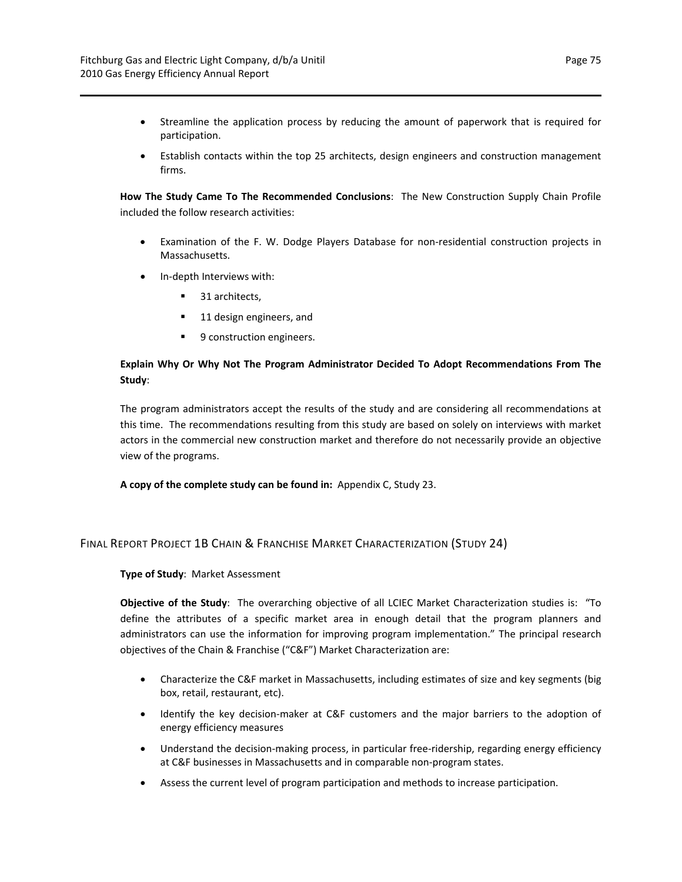- Streamline the application process by reducing the amount of paperwork that is required for participation.
- Establish contacts within the top 25 architects, design engineers and construction management firms.

**How The Study Came To The Recommended Conclusions**: The New Construction Supply Chain Profile included the follow research activities:

- Examination of the F. W. Dodge Players Database for non-residential construction projects in Massachusetts.
- In-depth Interviews with:
	- 31 architects,
	- 11 design engineers, and
	- 9 construction engineers.

## **Explain Why Or Why Not The Program Administrator Decided To Adopt Recommendations From The Study**:

The program administrators accept the results of the study and are considering all recommendations at this time. The recommendations resulting from this study are based on solely on interviews with market actors in the commercial new construction market and therefore do not necessarily provide an objective view of the programs.

**A copy of the complete study can be found in:** Appendix C, Study 23.

## FINAL REPORT PROJECT 1B CHAIN & FRANCHISE MARKET CHARACTERIZATION (STUDY 24)

## **Type of Study**: Market Assessment

**Objective of the Study**: The overarching objective of all LCIEC Market Characterization studies is: "To define the attributes of a specific market area in enough detail that the program planners and administrators can use the information for improving program implementation." The principal research objectives of the Chain & Franchise ("C&F") Market Characterization are:

- Characterize the C&F market in Massachusetts, including estimates of size and key segments (big box, retail, restaurant, etc).
- Identify the key decision‐maker at C&F customers and the major barriers to the adoption of energy efficiency measures
- Understand the decision‐making process, in particular free‐ridership, regarding energy efficiency at C&F businesses in Massachusetts and in comparable non‐program states.
- Assess the current level of program participation and methods to increase participation.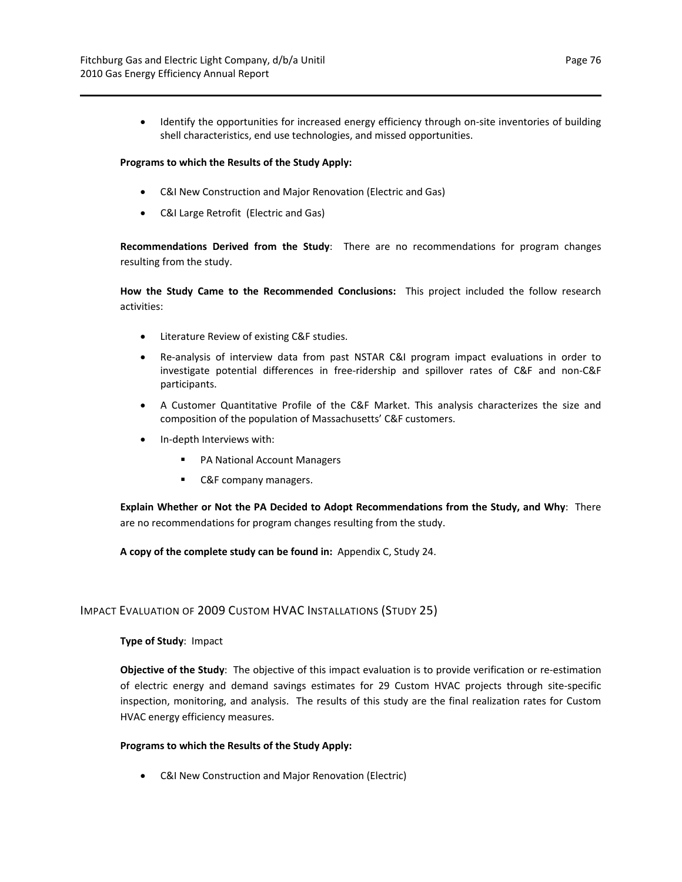● Identify the opportunities for increased energy efficiency through on-site inventories of building shell characteristics, end use technologies, and missed opportunities.

#### **Programs to which the Results of the Study Apply:**

- C&I New Construction and Major Renovation (Electric and Gas)
- C&I Large Retrofit (Electric and Gas)

**Recommendations Derived from the Study**: There are no recommendations for program changes resulting from the study.

**How the Study Came to the Recommended Conclusions:** This project included the follow research activities:

- Literature Review of existing C&F studies.
- Re-analysis of interview data from past NSTAR C&I program impact evaluations in order to investigate potential differences in free‐ridership and spillover rates of C&F and non‐C&F participants.
- A Customer Quantitative Profile of the C&F Market. This analysis characterizes the size and composition of the population of Massachusetts' C&F customers.
- In-depth Interviews with:
	- PA National Account Managers
	- **C&F** company managers.

**Explain Whether or Not the PA Decided to Adopt Recommendations from the Study, and Why**: There are no recommendations for program changes resulting from the study.

**A copy of the complete study can be found in:** Appendix C, Study 24.

## IMPACT EVALUATION OF 2009 CUSTOM HVAC INSTALLATIONS (STUDY 25)

#### **Type of Study**: Impact

**Objective of the Study**: The objective of this impact evaluation is to provide verification or re‐estimation of electric energy and demand savings estimates for 29 Custom HVAC projects through site‐specific inspection, monitoring, and analysis. The results of this study are the final realization rates for Custom HVAC energy efficiency measures.

#### **Programs to which the Results of the Study Apply:**

C&I New Construction and Major Renovation (Electric)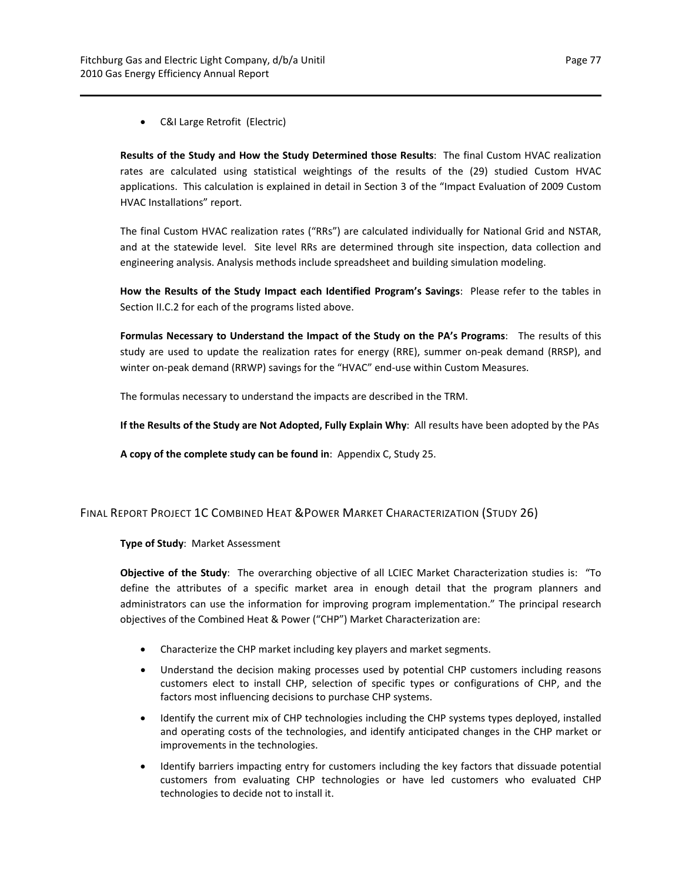C&I Large Retrofit (Electric)

**Results of the Study and How the Study Determined those Results**: The final Custom HVAC realization rates are calculated using statistical weightings of the results of the (29) studied Custom HVAC applications. This calculation is explained in detail in Section 3 of the "Impact Evaluation of 2009 Custom HVAC Installations" report.

The final Custom HVAC realization rates ("RRs") are calculated individually for National Grid and NSTAR, and at the statewide level. Site level RRs are determined through site inspection, data collection and engineering analysis. Analysis methods include spreadsheet and building simulation modeling.

**How the Results of the Study Impact each Identified Program's Savings**: Please refer to the tables in Section II.C.2 for each of the programs listed above.

**Formulas Necessary to Understand the Impact of the Study on the PA's Programs**: The results of this study are used to update the realization rates for energy (RRE), summer on‐peak demand (RRSP), and winter on-peak demand (RRWP) savings for the "HVAC" end-use within Custom Measures.

The formulas necessary to understand the impacts are described in the TRM.

**If the Results of the Study are Not Adopted, Fully Explain Why**: All results have been adopted by the PAs

**A copy of the complete study can be found in**: Appendix C, Study 25.

#### FINAL REPORT PROJECT 1C COMBINED HEAT &POWER MARKET CHARACTERIZATION (STUDY 26)

**Type of Study**: Market Assessment

**Objective of the Study**: The overarching objective of all LCIEC Market Characterization studies is: "To define the attributes of a specific market area in enough detail that the program planners and administrators can use the information for improving program implementation." The principal research objectives of the Combined Heat & Power ("CHP") Market Characterization are:

- Characterize the CHP market including key players and market segments.
- Understand the decision making processes used by potential CHP customers including reasons customers elect to install CHP, selection of specific types or configurations of CHP, and the factors most influencing decisions to purchase CHP systems.
- Identify the current mix of CHP technologies including the CHP systems types deployed, installed and operating costs of the technologies, and identify anticipated changes in the CHP market or improvements in the technologies.
- Identify barriers impacting entry for customers including the key factors that dissuade potential customers from evaluating CHP technologies or have led customers who evaluated CHP technologies to decide not to install it.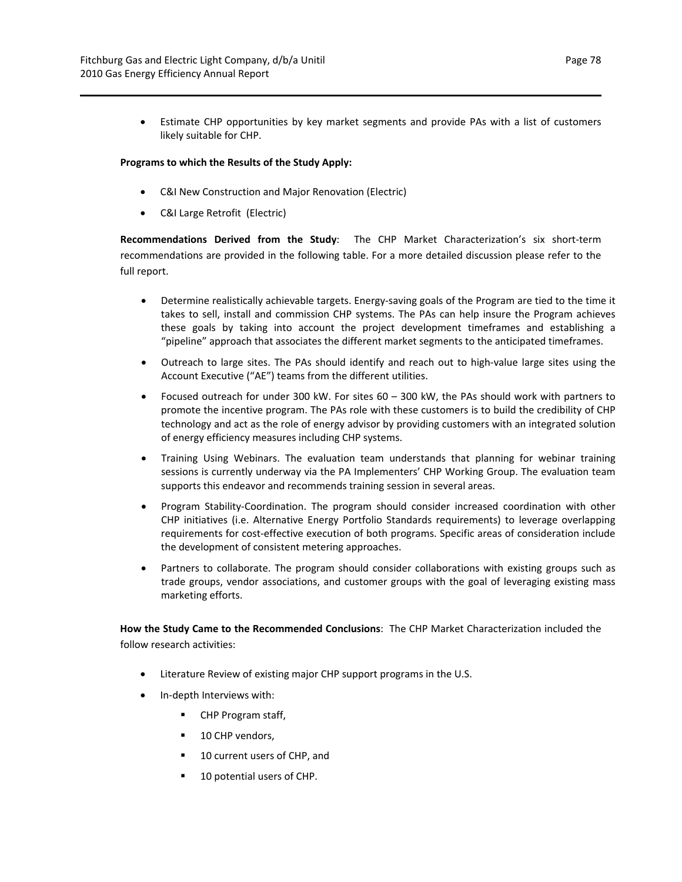Estimate CHP opportunities by key market segments and provide PAs with a list of customers likely suitable for CHP.

#### **Programs to which the Results of the Study Apply:**

- C&I New Construction and Major Renovation (Electric)
- C&I Large Retrofit (Electric)

**Recommendations Derived from the Study**: The CHP Market Characterization's six short‐term recommendations are provided in the following table. For a more detailed discussion please refer to the full report.

- Determine realistically achievable targets. Energy-saving goals of the Program are tied to the time it takes to sell, install and commission CHP systems. The PAs can help insure the Program achieves these goals by taking into account the project development timeframes and establishing a "pipeline" approach that associates the different market segments to the anticipated timeframes.
- Outreach to large sites. The PAs should identify and reach out to high-value large sites using the Account Executive ("AE") teams from the different utilities.
- Focused outreach for under 300 kW. For sites 60 300 kW, the PAs should work with partners to promote the incentive program. The PAs role with these customers is to build the credibility of CHP technology and act as the role of energy advisor by providing customers with an integrated solution of energy efficiency measures including CHP systems.
- Training Using Webinars. The evaluation team understands that planning for webinar training sessions is currently underway via the PA Implementers' CHP Working Group. The evaluation team supports this endeavor and recommends training session in several areas.
- Program Stability‐Coordination. The program should consider increased coordination with other CHP initiatives (i.e. Alternative Energy Portfolio Standards requirements) to leverage overlapping requirements for cost‐effective execution of both programs. Specific areas of consideration include the development of consistent metering approaches.
- Partners to collaborate. The program should consider collaborations with existing groups such as trade groups, vendor associations, and customer groups with the goal of leveraging existing mass marketing efforts.

**How the Study Came to the Recommended Conclusions**: The CHP Market Characterization included the follow research activities:

- Literature Review of existing major CHP support programs in the U.S.
- In‐depth Interviews with:
	- CHP Program staff,
	- 10 CHP vendors,
	- 10 current users of CHP, and
	- 10 potential users of CHP.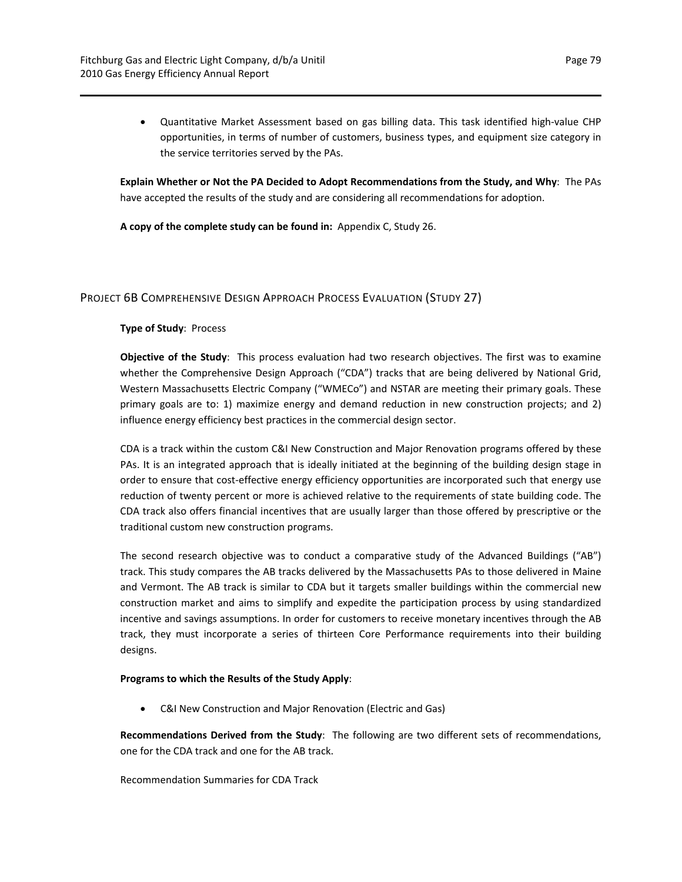● Quantitative Market Assessment based on gas billing data. This task identified high-value CHP opportunities, in terms of number of customers, business types, and equipment size category in the service territories served by the PAs.

**Explain Whether or Not the PA Decided to Adopt Recommendations from the Study, and Why**: The PAs have accepted the results of the study and are considering all recommendations for adoption.

**A copy of the complete study can be found in:** Appendix C, Study 26.

## PROJECT 6B COMPREHENSIVE DESIGN APPROACH PROCESS EVALUATION (STUDY 27)

## **Type of Study**: Process

**Objective of the Study**: This process evaluation had two research objectives. The first was to examine whether the Comprehensive Design Approach ("CDA") tracks that are being delivered by National Grid, Western Massachusetts Electric Company ("WMECo") and NSTAR are meeting their primary goals. These primary goals are to: 1) maximize energy and demand reduction in new construction projects; and 2) influence energy efficiency best practices in the commercial design sector.

CDA is a track within the custom C&I New Construction and Major Renovation programs offered by these PAs. It is an integrated approach that is ideally initiated at the beginning of the building design stage in order to ensure that cost‐effective energy efficiency opportunities are incorporated such that energy use reduction of twenty percent or more is achieved relative to the requirements of state building code. The CDA track also offers financial incentives that are usually larger than those offered by prescriptive or the traditional custom new construction programs.

The second research objective was to conduct a comparative study of the Advanced Buildings ("AB") track. This study compares the AB tracks delivered by the Massachusetts PAs to those delivered in Maine and Vermont. The AB track is similar to CDA but it targets smaller buildings within the commercial new construction market and aims to simplify and expedite the participation process by using standardized incentive and savings assumptions. In order for customers to receive monetary incentives through the AB track, they must incorporate a series of thirteen Core Performance requirements into their building designs.

#### **Programs to which the Results of the Study Apply**:

C&I New Construction and Major Renovation (Electric and Gas)

**Recommendations Derived from the Study**: The following are two different sets of recommendations, one for the CDA track and one for the AB track.

Recommendation Summaries for CDA Track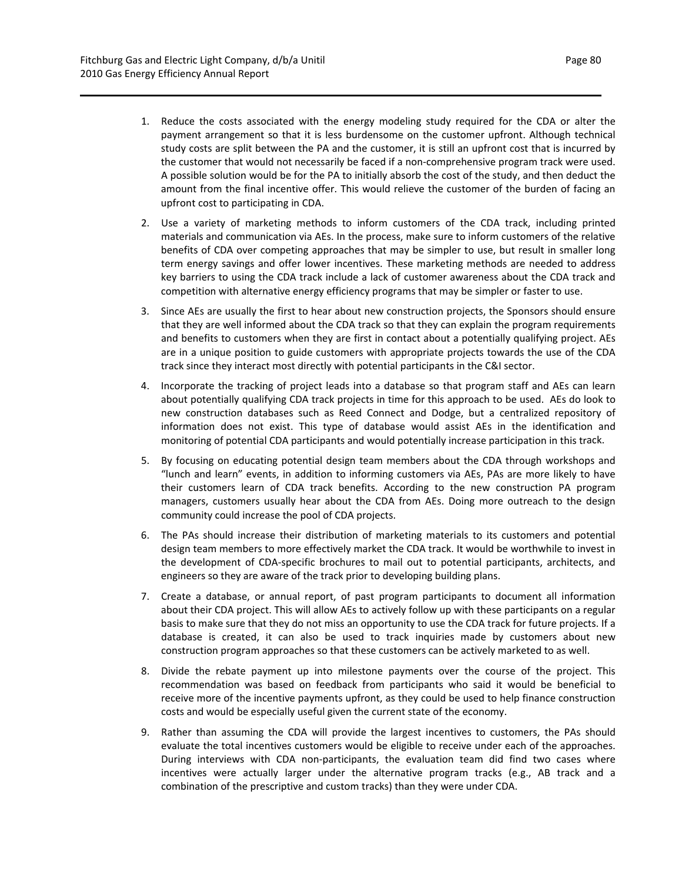- 1. Reduce the costs associated with the energy modeling study required for the CDA or alter the payment arrangement so that it is less burdensome on the customer upfront. Although technical study costs are split between the PA and the customer, it is still an upfront cost that is incurred by the customer that would not necessarily be faced if a non‐comprehensive program track were used. A possible solution would be for the PA to initially absorb the cost of the study, and then deduct the amount from the final incentive offer. This would relieve the customer of the burden of facing an upfront cost to participating in CDA.
- 2. Use a variety of marketing methods to inform customers of the CDA track, including printed materials and communication via AEs. In the process, make sure to inform customers of the relative benefits of CDA over competing approaches that may be simpler to use, but result in smaller long term energy savings and offer lower incentives. These marketing methods are needed to address key barriers to using the CDA track include a lack of customer awareness about the CDA track and competition with alternative energy efficiency programs that may be simpler or faster to use.
- 3. Since AEs are usually the first to hear about new construction projects, the Sponsors should ensure that they are well informed about the CDA track so that they can explain the program requirements and benefits to customers when they are first in contact about a potentially qualifying project. AEs are in a unique position to guide customers with appropriate projects towards the use of the CDA track since they interact most directly with potential participants in the C&I sector.
- 4. Incorporate the tracking of project leads into a database so that program staff and AEs can learn about potentially qualifying CDA track projects in time for this approach to be used. AEs do look to new construction databases such as Reed Connect and Dodge, but a centralized repository of information does not exist. This type of database would assist AEs in the identification and monitoring of potential CDA participants and would potentially increase participation in this track.
- 5. By focusing on educating potential design team members about the CDA through workshops and "lunch and learn" events, in addition to informing customers via AEs, PAs are more likely to have their customers learn of CDA track benefits. According to the new construction PA program managers, customers usually hear about the CDA from AEs. Doing more outreach to the design community could increase the pool of CDA projects.
- 6. The PAs should increase their distribution of marketing materials to its customers and potential design team members to more effectively market the CDA track. It would be worthwhile to invest in the development of CDA‐specific brochures to mail out to potential participants, architects, and engineers so they are aware of the track prior to developing building plans.
- 7. Create a database, or annual report, of past program participants to document all information about their CDA project. This will allow AEs to actively follow up with these participants on a regular basis to make sure that they do not miss an opportunity to use the CDA track for future projects. If a database is created, it can also be used to track inquiries made by customers about new construction program approaches so that these customers can be actively marketed to as well.
- 8. Divide the rebate payment up into milestone payments over the course of the project. This recommendation was based on feedback from participants who said it would be beneficial to receive more of the incentive payments upfront, as they could be used to help finance construction costs and would be especially useful given the current state of the economy.
- 9. Rather than assuming the CDA will provide the largest incentives to customers, the PAs should evaluate the total incentives customers would be eligible to receive under each of the approaches. During interviews with CDA non-participants, the evaluation team did find two cases where incentives were actually larger under the alternative program tracks (e.g., AB track and a combination of the prescriptive and custom tracks) than they were under CDA.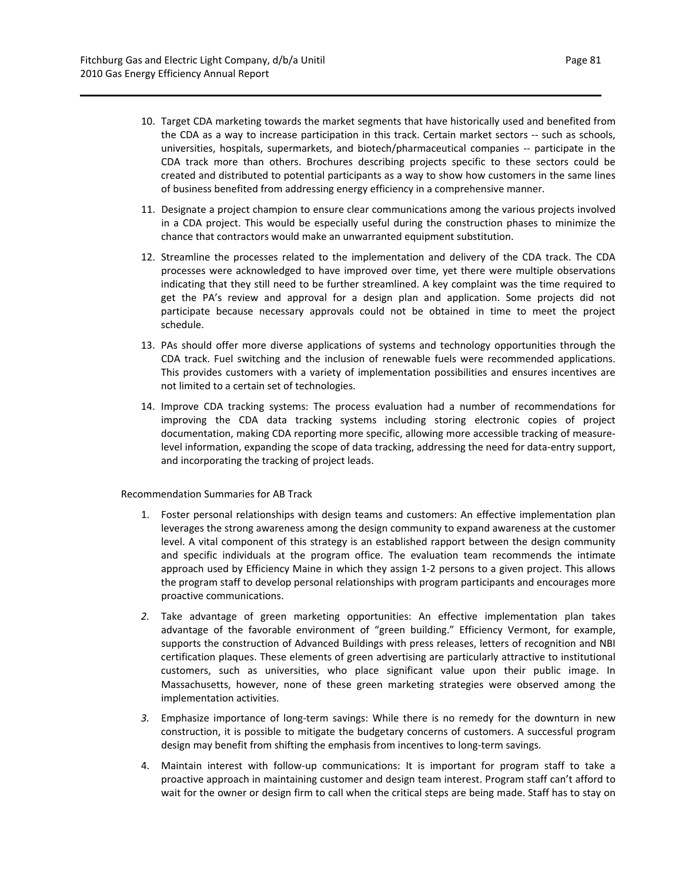- 10. Target CDA marketing towards the market segments that have historically used and benefited from the CDA as a way to increase participation in this track. Certain market sectors ‐‐ such as schools, universities, hospitals, supermarkets, and biotech/pharmaceutical companies ‐‐ participate in the CDA track more than others. Brochures describing projects specific to these sectors could be created and distributed to potential participants as a way to show how customers in the same lines of business benefited from addressing energy efficiency in a comprehensive manner.
- 11. Designate a project champion to ensure clear communications among the various projects involved in a CDA project. This would be especially useful during the construction phases to minimize the chance that contractors would make an unwarranted equipment substitution.
- 12. Streamline the processes related to the implementation and delivery of the CDA track. The CDA processes were acknowledged to have improved over time, yet there were multiple observations indicating that they still need to be further streamlined. A key complaint was the time required to get the PA's review and approval for a design plan and application. Some projects did not participate because necessary approvals could not be obtained in time to meet the project schedule.
- 13. PAs should offer more diverse applications of systems and technology opportunities through the CDA track. Fuel switching and the inclusion of renewable fuels were recommended applications. This provides customers with a variety of implementation possibilities and ensures incentives are not limited to a certain set of technologies.
- 14. Improve CDA tracking systems: The process evaluation had a number of recommendations for improving the CDA data tracking systems including storing electronic copies of project documentation, making CDA reporting more specific, allowing more accessible tracking of measure‐ level information, expanding the scope of data tracking, addressing the need for data-entry support, and incorporating the tracking of project leads.

#### Recommendation Summaries for AB Track

- 1. Foster personal relationships with design teams and customers: An effective implementation plan leverages the strong awareness among the design community to expand awareness at the customer level. A vital component of this strategy is an established rapport between the design community and specific individuals at the program office. The evaluation team recommends the intimate approach used by Efficiency Maine in which they assign 1‐2 persons to a given project. This allows the program staff to develop personal relationships with program participants and encourages more proactive communications.
- *2.* Take advantage of green marketing opportunities: An effective implementation plan takes advantage of the favorable environment of "green building." Efficiency Vermont, for example, supports the construction of Advanced Buildings with press releases, letters of recognition and NBI certification plaques. These elements of green advertising are particularly attractive to institutional customers, such as universities, who place significant value upon their public image. In Massachusetts, however, none of these green marketing strategies were observed among the implementation activities.
- *3.* Emphasize importance of long‐term savings: While there is no remedy for the downturn in new construction, it is possible to mitigate the budgetary concerns of customers. A successful program design may benefit from shifting the emphasis from incentives to long-term savings.
- 4. Maintain interest with follow-up communications: It is important for program staff to take a proactive approach in maintaining customer and design team interest. Program staff can't afford to wait for the owner or design firm to call when the critical steps are being made. Staff has to stay on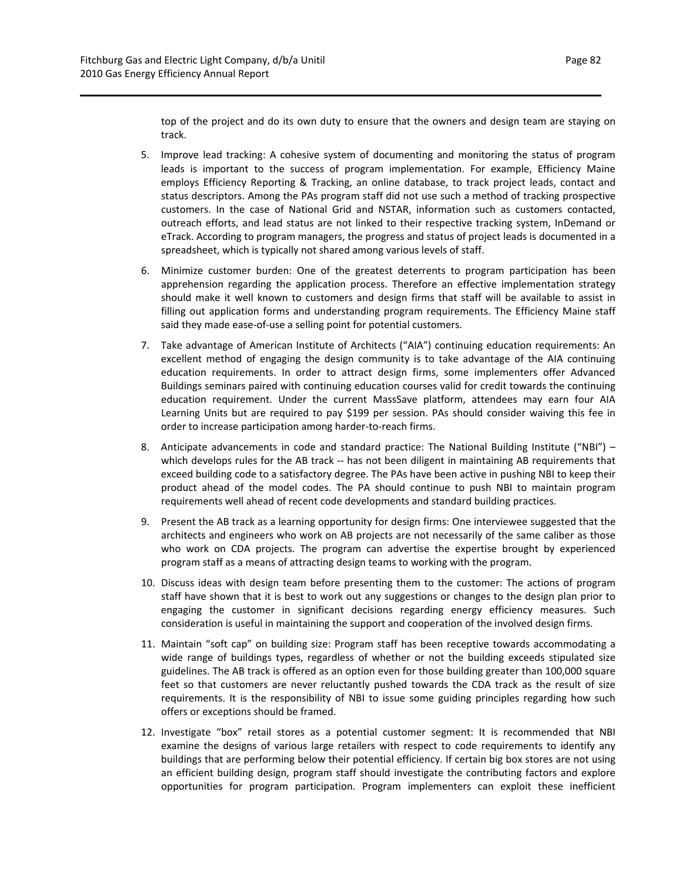track.

top of the project and do its own duty to ensure that the owners and design team are staying on

- 5. Improve lead tracking: A cohesive system of documenting and monitoring the status of program leads is important to the success of program implementation. For example, Efficiency Maine employs Efficiency Reporting & Tracking, an online database, to track project leads, contact and status descriptors. Among the PAs program staff did not use such a method of tracking prospective customers. In the case of National Grid and NSTAR, information such as customers contacted, outreach efforts, and lead status are not linked to their respective tracking system, InDemand or eTrack. According to program managers, the progress and status of project leads is documented in a spreadsheet, which is typically not shared among various levels of staff.
- 6. Minimize customer burden: One of the greatest deterrents to program participation has been apprehension regarding the application process. Therefore an effective implementation strategy should make it well known to customers and design firms that staff will be available to assist in filling out application forms and understanding program requirements. The Efficiency Maine staff said they made ease-of-use a selling point for potential customers.
- 7. Take advantage of American Institute of Architects ("AIA") continuing education requirements: An excellent method of engaging the design community is to take advantage of the AIA continuing education requirements. In order to attract design firms, some implementers offer Advanced Buildings seminars paired with continuing education courses valid for credit towards the continuing education requirement. Under the current MassSave platform, attendees may earn four AIA Learning Units but are required to pay \$199 per session. PAs should consider waiving this fee in order to increase participation among harder‐to‐reach firms.
- 8. Anticipate advancements in code and standard practice: The National Building Institute ("NBI") which develops rules for the AB track -- has not been diligent in maintaining AB requirements that exceed building code to a satisfactory degree. The PAs have been active in pushing NBI to keep their product ahead of the model codes. The PA should continue to push NBI to maintain program requirements well ahead of recent code developments and standard building practices.
- 9. Present the AB track as a learning opportunity for design firms: One interviewee suggested that the architects and engineers who work on AB projects are not necessarily of the same caliber as those who work on CDA projects. The program can advertise the expertise brought by experienced program staff as a means of attracting design teams to working with the program.
- 10. Discuss ideas with design team before presenting them to the customer: The actions of program staff have shown that it is best to work out any suggestions or changes to the design plan prior to engaging the customer in significant decisions regarding energy efficiency measures. Such consideration is useful in maintaining the support and cooperation of the involved design firms.
- 11. Maintain "soft cap" on building size: Program staff has been receptive towards accommodating a wide range of buildings types, regardless of whether or not the building exceeds stipulated size guidelines. The AB track is offered as an option even for those building greater than 100,000 square feet so that customers are never reluctantly pushed towards the CDA track as the result of size requirements. It is the responsibility of NBI to issue some guiding principles regarding how such offers or exceptions should be framed.
- 12. Investigate "box" retail stores as a potential customer segment: It is recommended that NBI examine the designs of various large retailers with respect to code requirements to identify any buildings that are performing below their potential efficiency. If certain big box stores are not using an efficient building design, program staff should investigate the contributing factors and explore opportunities for program participation. Program implementers can exploit these inefficient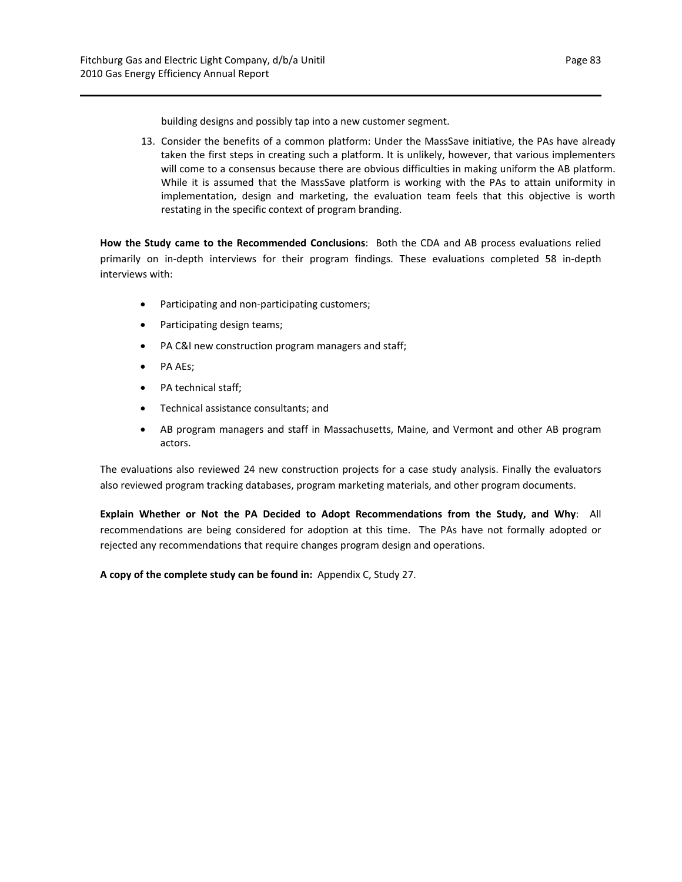building designs and possibly tap into a new customer segment.

13. Consider the benefits of a common platform: Under the MassSave initiative, the PAs have already taken the first steps in creating such a platform. It is unlikely, however, that various implementers will come to a consensus because there are obvious difficulties in making uniform the AB platform. While it is assumed that the MassSave platform is working with the PAs to attain uniformity in implementation, design and marketing, the evaluation team feels that this objective is worth restating in the specific context of program branding.

**How the Study came to the Recommended Conclusions**: Both the CDA and AB process evaluations relied primarily on in‐depth interviews for their program findings. These evaluations completed 58 in‐depth interviews with:

- Participating and non-participating customers;
- Participating design teams;
- PA C&I new construction program managers and staff;
- PA AEs;
- PA technical staff;
- Technical assistance consultants; and
- AB program managers and staff in Massachusetts, Maine, and Vermont and other AB program actors.

The evaluations also reviewed 24 new construction projects for a case study analysis. Finally the evaluators also reviewed program tracking databases, program marketing materials, and other program documents.

**Explain Whether or Not the PA Decided to Adopt Recommendations from the Study, and Why**: All recommendations are being considered for adoption at this time. The PAs have not formally adopted or rejected any recommendations that require changes program design and operations.

**A copy of the complete study can be found in:** Appendix C, Study 27.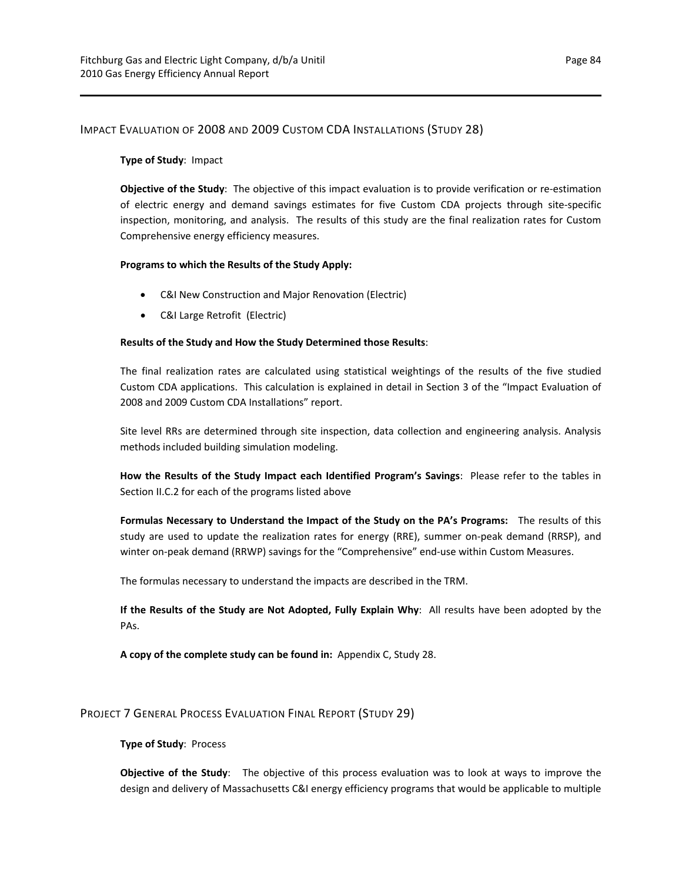## IMPACT EVALUATION OF 2008 AND 2009 CUSTOM CDA INSTALLATIONS (STUDY 28)

#### **Type of Study**: Impact

**Objective of the Study**: The objective of this impact evaluation is to provide verification or re‐estimation of electric energy and demand savings estimates for five Custom CDA projects through site‐specific inspection, monitoring, and analysis. The results of this study are the final realization rates for Custom Comprehensive energy efficiency measures.

#### **Programs to which the Results of the Study Apply:**

- C&I New Construction and Major Renovation (Electric)
- C&I Large Retrofit (Electric)

#### **Results of the Study and How the Study Determined those Results**:

The final realization rates are calculated using statistical weightings of the results of the five studied Custom CDA applications. This calculation is explained in detail in Section 3 of the "Impact Evaluation of 2008 and 2009 Custom CDA Installations" report.

Site level RRs are determined through site inspection, data collection and engineering analysis. Analysis methods included building simulation modeling.

**How the Results of the Study Impact each Identified Program's Savings**: Please refer to the tables in Section II.C.2 for each of the programs listed above

**Formulas Necessary to Understand the Impact of the Study on the PA's Programs:** The results of this study are used to update the realization rates for energy (RRE), summer on‐peak demand (RRSP), and winter on-peak demand (RRWP) savings for the "Comprehensive" end-use within Custom Measures.

The formulas necessary to understand the impacts are described in the TRM.

**If the Results of the Study are Not Adopted, Fully Explain Why**: All results have been adopted by the PAs.

**A copy of the complete study can be found in:** Appendix C, Study 28.

## PROJECT 7 GENERAL PROCESS EVALUATION FINAL REPORT (STUDY 29)

#### **Type of Study**: Process

**Objective of the Study**: The objective of this process evaluation was to look at ways to improve the design and delivery of Massachusetts C&I energy efficiency programs that would be applicable to multiple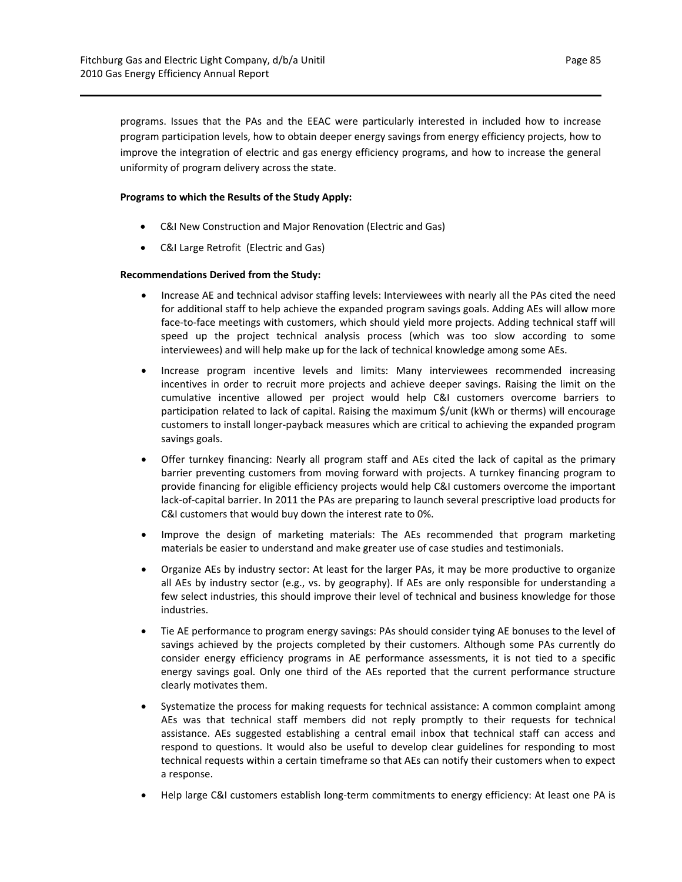programs. Issues that the PAs and the EEAC were particularly interested in included how to increase program participation levels, how to obtain deeper energy savings from energy efficiency projects, how to improve the integration of electric and gas energy efficiency programs, and how to increase the general uniformity of program delivery across the state.

## **Programs to which the Results of the Study Apply:**

- C&I New Construction and Major Renovation (Electric and Gas)
- C&I Large Retrofit (Electric and Gas)

## **Recommendations Derived from the Study:**

- Increase AE and technical advisor staffing levels: Interviewees with nearly all the PAs cited the need for additional staff to help achieve the expanded program savings goals. Adding AEs will allow more face-to-face meetings with customers, which should yield more projects. Adding technical staff will speed up the project technical analysis process (which was too slow according to some interviewees) and will help make up for the lack of technical knowledge among some AEs.
- Increase program incentive levels and limits: Many interviewees recommended increasing incentives in order to recruit more projects and achieve deeper savings. Raising the limit on the cumulative incentive allowed per project would help C&I customers overcome barriers to participation related to lack of capital. Raising the maximum \$/unit (kWh or therms) will encourage customers to install longer‐payback measures which are critical to achieving the expanded program savings goals.
- Offer turnkey financing: Nearly all program staff and AEs cited the lack of capital as the primary barrier preventing customers from moving forward with projects. A turnkey financing program to provide financing for eligible efficiency projects would help C&I customers overcome the important lack‐of‐capital barrier. In 2011 the PAs are preparing to launch several prescriptive load products for C&I customers that would buy down the interest rate to 0%.
- Improve the design of marketing materials: The AEs recommended that program marketing materials be easier to understand and make greater use of case studies and testimonials.
- Organize AEs by industry sector: At least for the larger PAs, it may be more productive to organize all AEs by industry sector (e.g., vs. by geography). If AEs are only responsible for understanding a few select industries, this should improve their level of technical and business knowledge for those industries.
- Tie AE performance to program energy savings: PAs should consider tying AE bonuses to the level of savings achieved by the projects completed by their customers. Although some PAs currently do consider energy efficiency programs in AE performance assessments, it is not tied to a specific energy savings goal. Only one third of the AEs reported that the current performance structure clearly motivates them.
- Systematize the process for making requests for technical assistance: A common complaint among AEs was that technical staff members did not reply promptly to their requests for technical assistance. AEs suggested establishing a central email inbox that technical staff can access and respond to questions. It would also be useful to develop clear guidelines for responding to most technical requests within a certain timeframe so that AEs can notify their customers when to expect a response.
- Help large C&I customers establish long-term commitments to energy efficiency: At least one PA is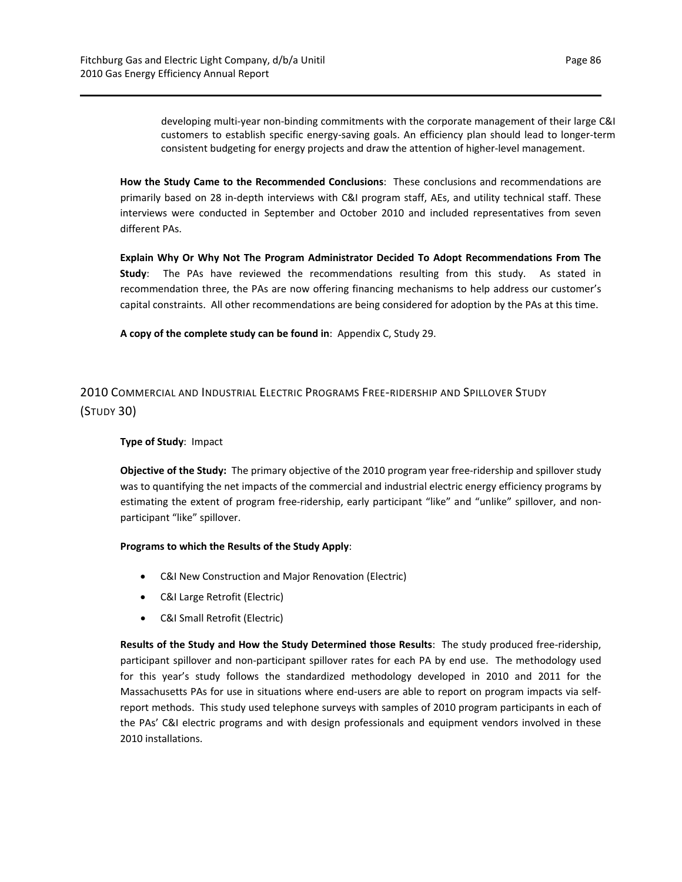developing multi‐year non‐binding commitments with the corporate management of their large C&I customers to establish specific energy‐saving goals. An efficiency plan should lead to longer‐term consistent budgeting for energy projects and draw the attention of higher-level management.

**How the Study Came to the Recommended Conclusions**: These conclusions and recommendations are primarily based on 28 in‐depth interviews with C&I program staff, AEs, and utility technical staff. These interviews were conducted in September and October 2010 and included representatives from seven different PAs.

**Explain Why Or Why Not The Program Administrator Decided To Adopt Recommendations From The Study**: The PAs have reviewed the recommendations resulting from this study. As stated in recommendation three, the PAs are now offering financing mechanisms to help address our customer's capital constraints. All other recommendations are being considered for adoption by the PAs at this time.

**A copy of the complete study can be found in**: Appendix C, Study 29.

2010 COMMERCIAL AND INDUSTRIAL ELECTRIC PROGRAMS FREE‐RIDERSHIP AND SPILLOVER STUDY (STUDY 30)

#### **Type of Study**: Impact

**Objective of the Study:** The primary objective of the 2010 program year free‐ridership and spillover study was to quantifying the net impacts of the commercial and industrial electric energy efficiency programs by estimating the extent of program free-ridership, early participant "like" and "unlike" spillover, and nonparticipant "like" spillover.

#### **Programs to which the Results of the Study Apply**:

- C&I New Construction and Major Renovation (Electric)
- C&I Large Retrofit (Electric)
- C&I Small Retrofit (Electric)

**Results of the Study and How the Study Determined those Results**: The study produced free‐ridership, participant spillover and non‐participant spillover rates for each PA by end use. The methodology used for this year's study follows the standardized methodology developed in 2010 and 2011 for the Massachusetts PAs for use in situations where end-users are able to report on program impacts via selfreport methods. This study used telephone surveys with samples of 2010 program participants in each of the PAs' C&I electric programs and with design professionals and equipment vendors involved in these 2010 installations.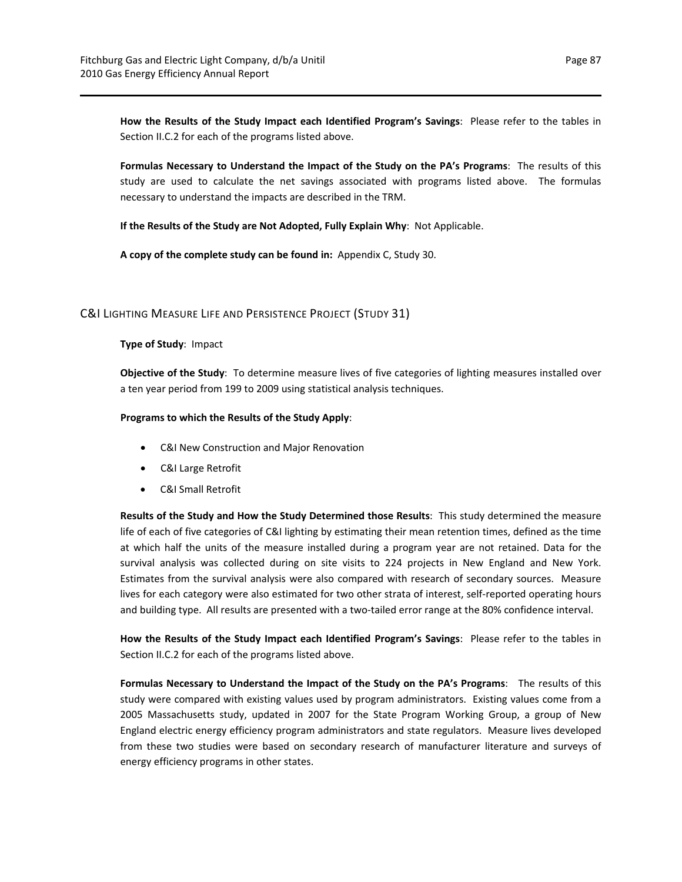**How the Results of the Study Impact each Identified Program's Savings**: Please refer to the tables in Section II.C.2 for each of the programs listed above.

**Formulas Necessary to Understand the Impact of the Study on the PA's Programs**: The results of this study are used to calculate the net savings associated with programs listed above. The formulas necessary to understand the impacts are described in the TRM.

**If the Results of the Study are Not Adopted, Fully Explain Why**: Not Applicable.

**A copy of the complete study can be found in:** Appendix C, Study 30.

## C&I LIGHTING MEASURE LIFE AND PERSISTENCE PROJECT (STUDY 31)

#### **Type of Study**: Impact

**Objective of the Study**: To determine measure lives of five categories of lighting measures installed over a ten year period from 199 to 2009 using statistical analysis techniques.

#### **Programs to which the Results of the Study Apply**:

- C&I New Construction and Major Renovation
- C&I Large Retrofit
- C&I Small Retrofit

**Results of the Study and How the Study Determined those Results**: This study determined the measure life of each of five categories of C&I lighting by estimating their mean retention times, defined as the time at which half the units of the measure installed during a program year are not retained. Data for the survival analysis was collected during on site visits to 224 projects in New England and New York. Estimates from the survival analysis were also compared with research of secondary sources. Measure lives for each category were also estimated for two other strata of interest, self-reported operating hours and building type. All results are presented with a two‐tailed error range at the 80% confidence interval.

**How the Results of the Study Impact each Identified Program's Savings**: Please refer to the tables in Section II.C.2 for each of the programs listed above.

**Formulas Necessary to Understand the Impact of the Study on the PA's Programs**: The results of this study were compared with existing values used by program administrators. Existing values come from a 2005 Massachusetts study, updated in 2007 for the State Program Working Group, a group of New England electric energy efficiency program administrators and state regulators. Measure lives developed from these two studies were based on secondary research of manufacturer literature and surveys of energy efficiency programs in other states.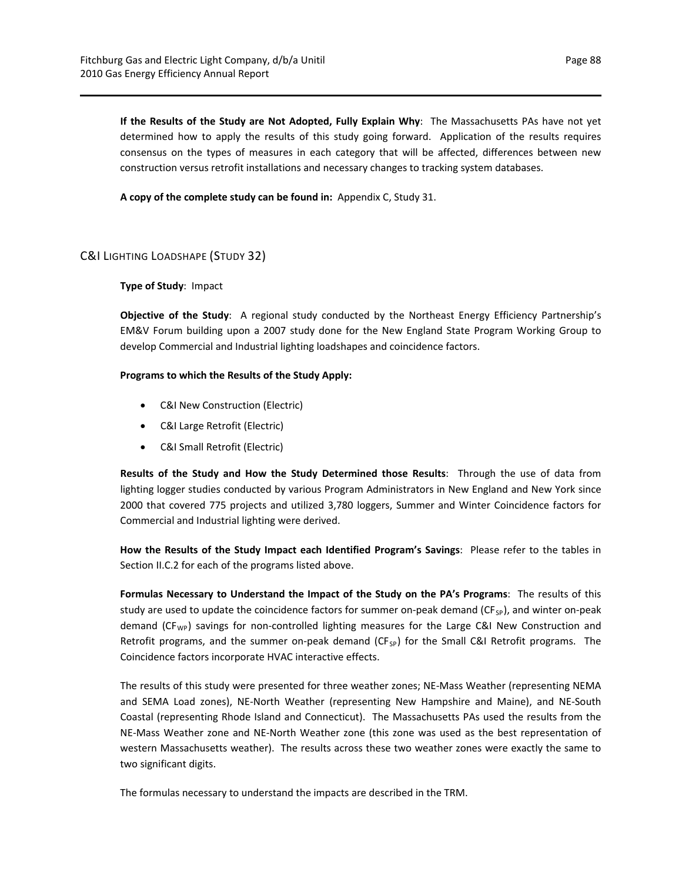**If the Results of the Study are Not Adopted, Fully Explain Why**: The Massachusetts PAs have not yet determined how to apply the results of this study going forward. Application of the results requires consensus on the types of measures in each category that will be affected, differences between new construction versus retrofit installations and necessary changes to tracking system databases.

**A copy of the complete study can be found in:** Appendix C, Study 31.

## C&I LIGHTING LOADSHAPE (STUDY 32)

#### **Type of Study**: Impact

**Objective of the Study**: A regional study conducted by the Northeast Energy Efficiency Partnership's EM&V Forum building upon a 2007 study done for the New England State Program Working Group to develop Commercial and Industrial lighting loadshapes and coincidence factors.

#### **Programs to which the Results of the Study Apply:**

- C&I New Construction (Electric)
- C&I Large Retrofit (Electric)
- C&I Small Retrofit (Electric)

**Results of the Study and How the Study Determined those Results**: Through the use of data from lighting logger studies conducted by various Program Administrators in New England and New York since 2000 that covered 775 projects and utilized 3,780 loggers, Summer and Winter Coincidence factors for Commercial and Industrial lighting were derived.

**How the Results of the Study Impact each Identified Program's Savings**: Please refer to the tables in Section II.C.2 for each of the programs listed above.

**Formulas Necessary to Understand the Impact of the Study on the PA's Programs**: The results of this study are used to update the coincidence factors for summer on-peak demand ( $CF_{SP}$ ), and winter on-peak demand (CF<sub>WP</sub>) savings for non-controlled lighting measures for the Large C&I New Construction and Retrofit programs, and the summer on-peak demand ( $CF_{SP}$ ) for the Small C&I Retrofit programs. The Coincidence factors incorporate HVAC interactive effects.

The results of this study were presented for three weather zones; NE‐Mass Weather (representing NEMA and SEMA Load zones), NE‐North Weather (representing New Hampshire and Maine), and NE‐South Coastal (representing Rhode Island and Connecticut). The Massachusetts PAs used the results from the NE‐Mass Weather zone and NE‐North Weather zone (this zone was used as the best representation of western Massachusetts weather). The results across these two weather zones were exactly the same to two significant digits.

The formulas necessary to understand the impacts are described in the TRM.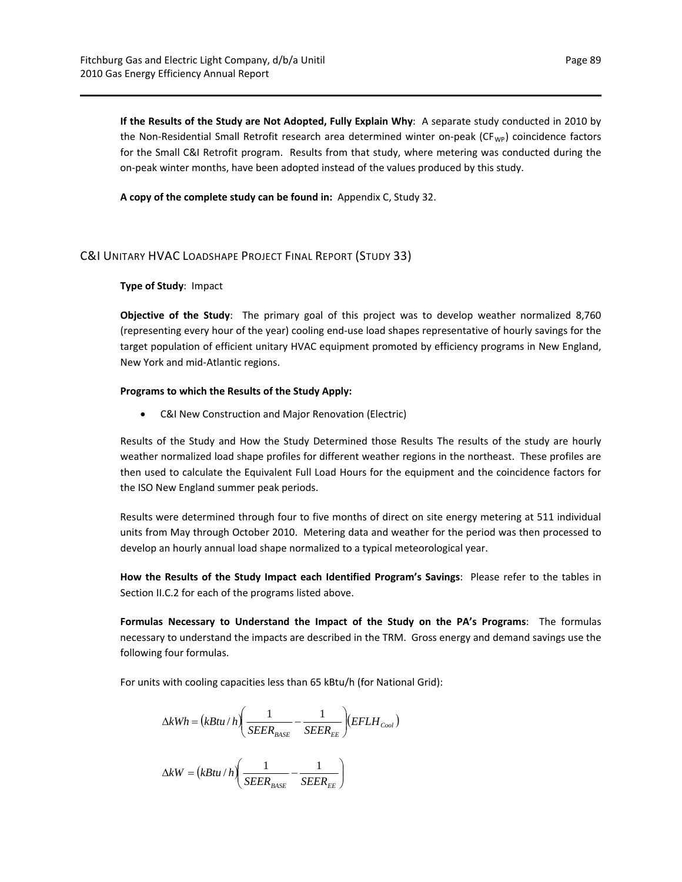**If the Results of the Study are Not Adopted, Fully Explain Why**: A separate study conducted in 2010 by the Non-Residential Small Retrofit research area determined winter on-peak (CF<sub>WP</sub>) coincidence factors for the Small C&I Retrofit program. Results from that study, where metering was conducted during the on‐peak winter months, have been adopted instead of the values produced by this study.

**A copy of the complete study can be found in:** Appendix C, Study 32.

## C&I UNITARY HVAC LOADSHAPE PROJECT FINAL REPORT (STUDY 33)

#### **Type of Study**: Impact

**Objective of the Study**: The primary goal of this project was to develop weather normalized 8,760 (representing every hour of the year) cooling end‐use load shapes representative of hourly savings for the target population of efficient unitary HVAC equipment promoted by efficiency programs in New England, New York and mid‐Atlantic regions.

#### **Programs to which the Results of the Study Apply:**

C&I New Construction and Major Renovation (Electric)

Results of the Study and How the Study Determined those Results The results of the study are hourly weather normalized load shape profiles for different weather regions in the northeast. These profiles are then used to calculate the Equivalent Full Load Hours for the equipment and the coincidence factors for the ISO New England summer peak periods.

Results were determined through four to five months of direct on site energy metering at 511 individual units from May through October 2010. Metering data and weather for the period was then processed to develop an hourly annual load shape normalized to a typical meteorological year.

**How the Results of the Study Impact each Identified Program's Savings**: Please refer to the tables in Section II.C.2 for each of the programs listed above.

**Formulas Necessary to Understand the Impact of the Study on the PA's Programs**: The formulas necessary to understand the impacts are described in the TRM. Gross energy and demand savings use the following four formulas.

For units with cooling capacities less than 65 kBtu/h (for National Grid):

$$
\Delta kWh = (kBtu/h) \left( \frac{1}{SEER_{BASE}} - \frac{1}{SEER_{EE}} \right) (EFLH_{Cool})
$$

$$
\Delta kW = (kBtu / h) \left( \frac{1}{SEER_{BASE}} - \frac{1}{SEER_{EE}} \right)
$$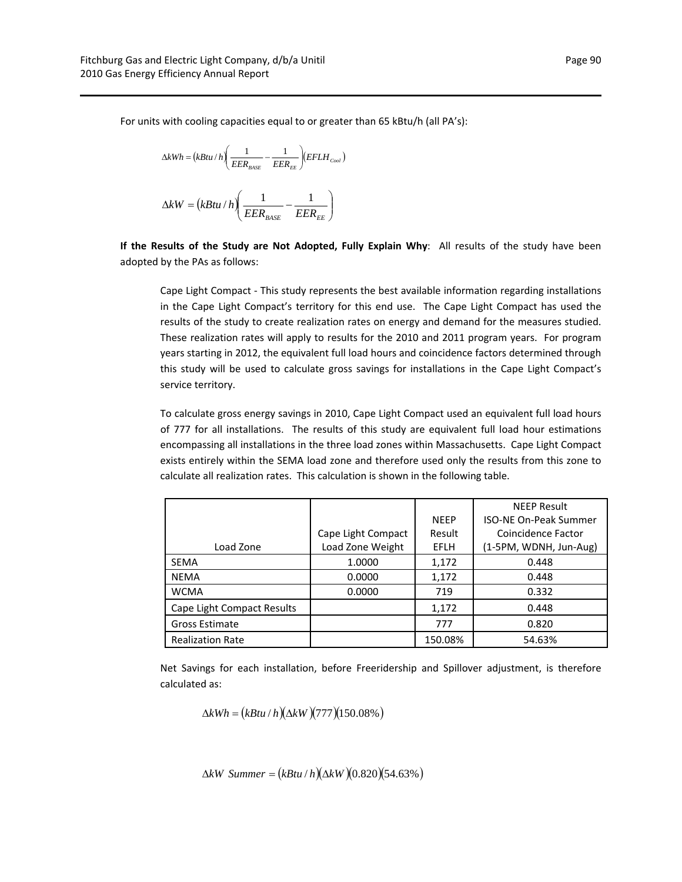For units with cooling capacities equal to or greater than 65 kBtu/h (all PA's):

$$
\Delta kWh = (kBtu/h) \left( \frac{1}{EER_{\text{BASE}}} - \frac{1}{EER_{\text{EE}}} \right) (EFLH_{\text{cool}})
$$
  

$$
\Delta kW = (kBtu/h) \left( \frac{1}{EER_{\text{BASE}}} - \frac{1}{EER_{\text{EE}}} \right)
$$

**If the Results of the Study are Not Adopted, Fully Explain Why**: All results of the study have been adopted by the PAs as follows:

Cape Light Compact ‐ This study represents the best available information regarding installations in the Cape Light Compact's territory for this end use. The Cape Light Compact has used the results of the study to create realization rates on energy and demand for the measures studied. These realization rates will apply to results for the 2010 and 2011 program years. For program years starting in 2012, the equivalent full load hours and coincidence factors determined through this study will be used to calculate gross savings for installations in the Cape Light Compact's service territory.

To calculate gross energy savings in 2010, Cape Light Compact used an equivalent full load hours of 777 for all installations. The results of this study are equivalent full load hour estimations encompassing all installations in the three load zones within Massachusetts. Cape Light Compact exists entirely within the SEMA load zone and therefore used only the results from this zone to calculate all realization rates. This calculation is shown in the following table.

|                            |                    |                              | <b>NEEP Result</b>     |
|----------------------------|--------------------|------------------------------|------------------------|
|                            |                    | <b>ISO-NE On-Peak Summer</b> |                        |
|                            | Cape Light Compact | Result                       | Coincidence Factor     |
| Load Zone                  | Load Zone Weight   | <b>EFLH</b>                  | (1-5PM, WDNH, Jun-Aug) |
| <b>SEMA</b>                | 1.0000             | 1,172                        | 0.448                  |
| <b>NEMA</b>                | 0.0000             | 1,172                        | 0.448                  |
| <b>WCMA</b>                | 0.0000             | 719                          | 0.332                  |
| Cape Light Compact Results |                    | 1,172                        | 0.448                  |
| Gross Estimate             |                    | 777                          | 0.820                  |
| <b>Realization Rate</b>    |                    | 150.08%                      | 54.63%                 |

Net Savings for each installation, before Freeridership and Spillover adjustment, is therefore calculated as:

$$
\Delta kWh = (kBtu/h)(\Delta kW)(777)(150.08\%)
$$

 $\Delta kW$  *Summer* =  $(kBtu/h)(\Delta kW)(0.820)(54.63%)$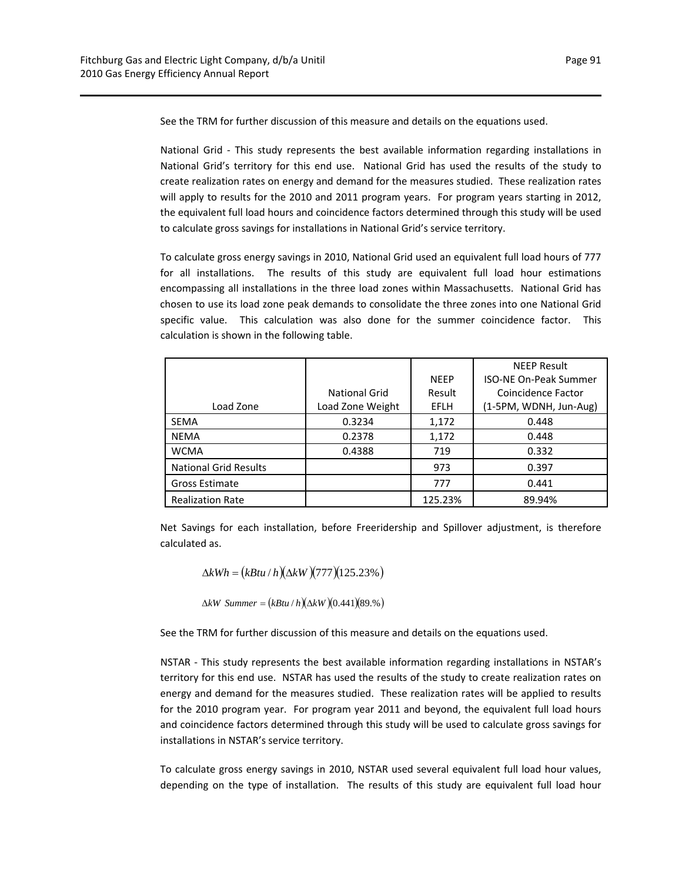See the TRM for further discussion of this measure and details on the equations used.

National Grid ‐ This study represents the best available information regarding installations in National Grid's territory for this end use. National Grid has used the results of the study to create realization rates on energy and demand for the measures studied. These realization rates will apply to results for the 2010 and 2011 program years. For program years starting in 2012, the equivalent full load hours and coincidence factors determined through this study will be used to calculate gross savings for installations in National Grid's service territory.

To calculate gross energy savings in 2010, National Grid used an equivalent full load hours of 777 for all installations. The results of this study are equivalent full load hour estimations encompassing all installations in the three load zones within Massachusetts. National Grid has chosen to use its load zone peak demands to consolidate the three zones into one National Grid specific value. This calculation was also done for the summer coincidence factor. This calculation is shown in the following table.

|                              |                  |             | <b>NEEP Result</b>           |
|------------------------------|------------------|-------------|------------------------------|
|                              |                  | <b>NFFP</b> | <b>ISO-NE On-Peak Summer</b> |
|                              | National Grid    | Result      | Coincidence Factor           |
| Load Zone                    | Load Zone Weight | <b>EFLH</b> | (1-5PM, WDNH, Jun-Aug)       |
| <b>SEMA</b>                  | 0.3234           | 1,172       | 0.448                        |
| <b>NEMA</b>                  | 0.2378           | 1,172       | 0.448                        |
| <b>WCMA</b>                  | 0.4388           | 719         | 0.332                        |
| <b>National Grid Results</b> |                  | 973         | 0.397                        |
| Gross Estimate               |                  | 777         | 0.441                        |
| <b>Realization Rate</b>      |                  | 125.23%     | 89.94%                       |

Net Savings for each installation, before Freeridership and Spillover adjustment, is therefore calculated as.

$$
\Delta kWh = (kBtu/h)(\Delta kW)(777)(125.23\%)
$$

 $\Delta kW$  *Summer* =  $(kBtu/h)(\Delta kW)(0.441)(89.%)$ 

See the TRM for further discussion of this measure and details on the equations used.

NSTAR - This study represents the best available information regarding installations in NSTAR's territory for this end use. NSTAR has used the results of the study to create realization rates on energy and demand for the measures studied. These realization rates will be applied to results for the 2010 program year. For program year 2011 and beyond, the equivalent full load hours and coincidence factors determined through this study will be used to calculate gross savings for installations in NSTAR's service territory.

To calculate gross energy savings in 2010, NSTAR used several equivalent full load hour values, depending on the type of installation. The results of this study are equivalent full load hour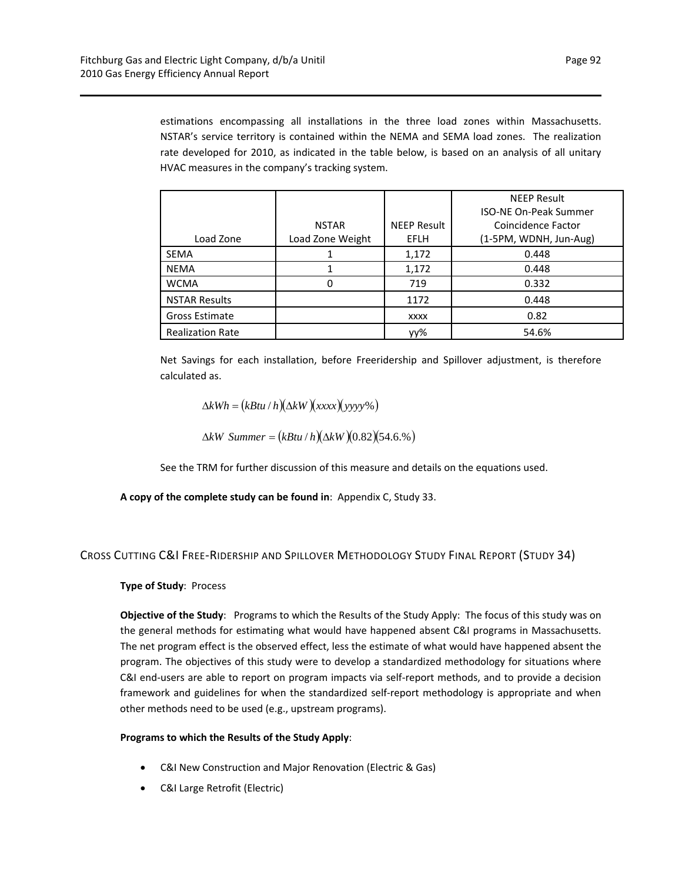estimations encompassing all installations in the three load zones within Massachusetts. NSTAR's service territory is contained within the NEMA and SEMA load zones. The realization rate developed for 2010, as indicated in the table below, is based on an analysis of all unitary HVAC measures in the company's tracking system.

|                         |                  |                    | <b>NEEP Result</b>           |
|-------------------------|------------------|--------------------|------------------------------|
|                         |                  |                    | <b>ISO-NE On-Peak Summer</b> |
|                         | <b>NSTAR</b>     | <b>NEEP Result</b> | Coincidence Factor           |
| Load Zone               | Load Zone Weight | <b>EFLH</b>        | (1-5PM, WDNH, Jun-Aug)       |
| <b>SEMA</b>             |                  | 1,172              | 0.448                        |
| <b>NEMA</b>             |                  | 1,172              | 0.448                        |
| <b>WCMA</b>             |                  | 719                | 0.332                        |
| <b>NSTAR Results</b>    |                  | 1172               | 0.448                        |
| Gross Estimate          |                  | <b>XXXX</b>        | 0.82                         |
| <b>Realization Rate</b> |                  | уу%                | 54.6%                        |

Net Savings for each installation, before Freeridership and Spillover adjustment, is therefore calculated as.

 $\Delta kWh = (kBtu/h)(\Delta kW)(xxx)(yyyy\%)$ 

 $\Delta kW$  *Summer* =  $(kBtu/h)(\Delta kW)(0.82)(54.6.%)$ 

See the TRM for further discussion of this measure and details on the equations used.

**A copy of the complete study can be found in**: Appendix C, Study 33.

## CROSS CUTTING C&I FREE‐RIDERSHIP AND SPILLOVER METHODOLOGY STUDY FINAL REPORT (STUDY 34)

## **Type of Study**: Process

**Objective of the Study**: Programs to which the Results of the Study Apply: The focus of this study was on the general methods for estimating what would have happened absent C&I programs in Massachusetts. The net program effect is the observed effect, less the estimate of what would have happened absent the program. The objectives of this study were to develop a standardized methodology for situations where C&I end‐users are able to report on program impacts via self‐report methods, and to provide a decision framework and guidelines for when the standardized self‐report methodology is appropriate and when other methods need to be used (e.g., upstream programs).

#### **Programs to which the Results of the Study Apply**:

- C&I New Construction and Major Renovation (Electric & Gas)
- C&I Large Retrofit (Electric)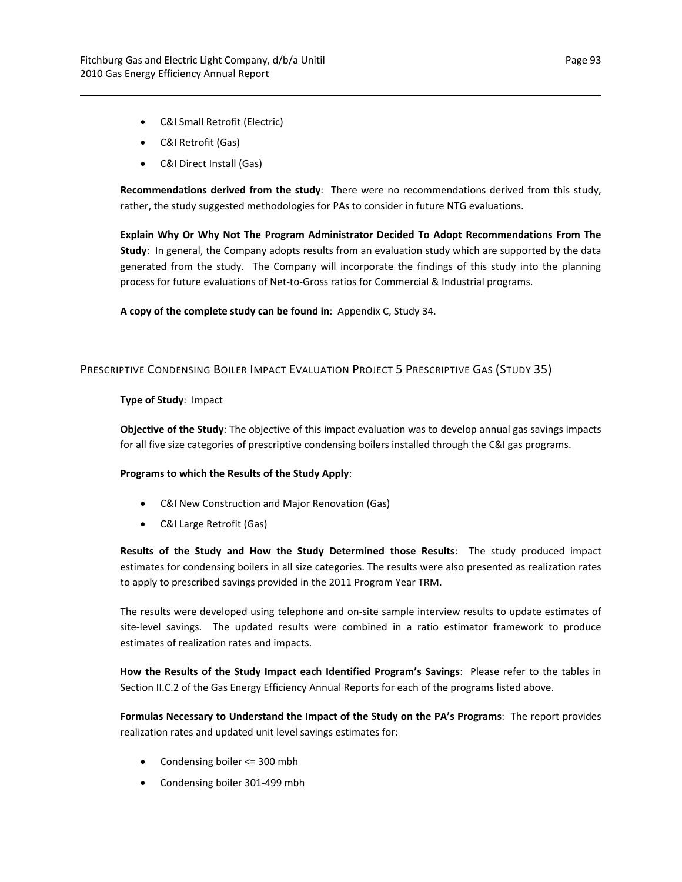- C&I Small Retrofit (Electric)
- C&I Retrofit (Gas)
- C&I Direct Install (Gas)

**Recommendations derived from the study**: There were no recommendations derived from this study, rather, the study suggested methodologies for PAs to consider in future NTG evaluations.

**Explain Why Or Why Not The Program Administrator Decided To Adopt Recommendations From The Study**: In general, the Company adopts results from an evaluation study which are supported by the data generated from the study. The Company will incorporate the findings of this study into the planning process for future evaluations of Net‐to‐Gross ratios for Commercial & Industrial programs.

**A copy of the complete study can be found in**: Appendix C, Study 34.

## PRESCRIPTIVE CONDENSING BOILER IMPACT EVALUATION PROJECT 5 PRESCRIPTIVE GAS (STUDY 35)

#### **Type of Study**: Impact

**Objective of the Study**: The objective of this impact evaluation was to develop annual gas savings impacts for all five size categories of prescriptive condensing boilers installed through the C&I gas programs.

## **Programs to which the Results of the Study Apply**:

- C&I New Construction and Major Renovation (Gas)
- C&I Large Retrofit (Gas)

**Results of the Study and How the Study Determined those Results**: The study produced impact estimates for condensing boilers in all size categories. The results were also presented as realization rates to apply to prescribed savings provided in the 2011 Program Year TRM.

The results were developed using telephone and on‐site sample interview results to update estimates of site-level savings. The updated results were combined in a ratio estimator framework to produce estimates of realization rates and impacts.

**How the Results of the Study Impact each Identified Program's Savings**: Please refer to the tables in Section II.C.2 of the Gas Energy Efficiency Annual Reports for each of the programs listed above.

**Formulas Necessary to Understand the Impact of the Study on the PA's Programs**: The report provides realization rates and updated unit level savings estimates for:

- Condensing boiler <= 300 mbh
- Condensing boiler 301‐499 mbh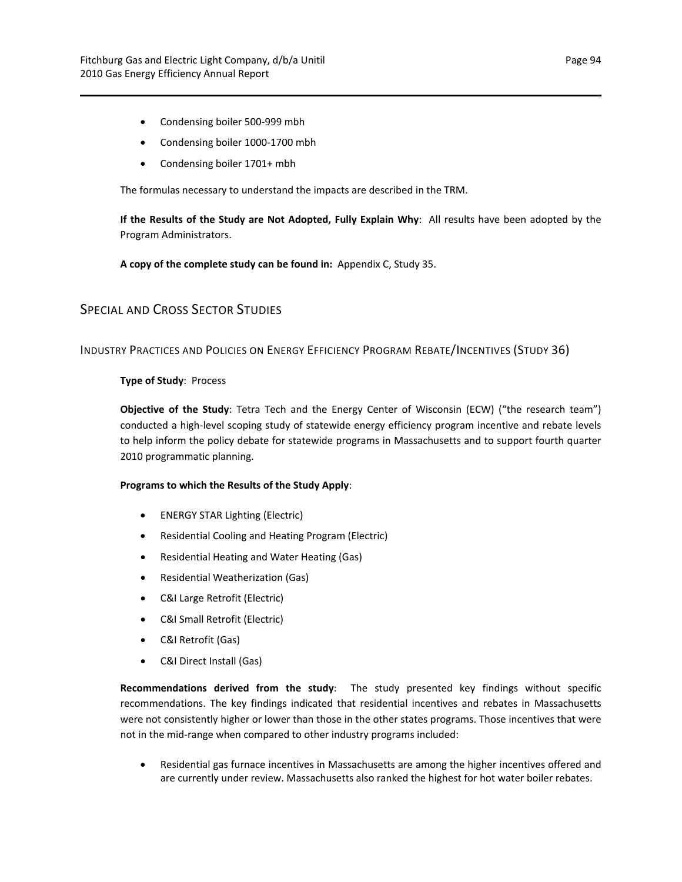- Condensing boiler 500-999 mbh
- Condensing boiler 1000‐1700 mbh
- Condensing boiler 1701+ mbh

The formulas necessary to understand the impacts are described in the TRM.

**If the Results of the Study are Not Adopted, Fully Explain Why**: All results have been adopted by the Program Administrators.

**A copy of the complete study can be found in:** Appendix C, Study 35.

## SPECIAL AND CROSS SECTOR STUDIES

## INDUSTRY PRACTICES AND POLICIES ON ENERGY EFFICIENCY PROGRAM REBATE/INCENTIVES (STUDY 36)

#### **Type of Study**: Process

**Objective of the Study**: Tetra Tech and the Energy Center of Wisconsin (ECW) ("the research team") conducted a high-level scoping study of statewide energy efficiency program incentive and rebate levels to help inform the policy debate for statewide programs in Massachusetts and to support fourth quarter 2010 programmatic planning.

#### **Programs to which the Results of the Study Apply**:

- ENERGY STAR Lighting (Electric)
- Residential Cooling and Heating Program (Electric)
- Residential Heating and Water Heating (Gas)
- Residential Weatherization (Gas)
- C&I Large Retrofit (Electric)
- C&I Small Retrofit (Electric)
- C&I Retrofit (Gas)
- C&I Direct Install (Gas)

**Recommendations derived from the study**: The study presented key findings without specific recommendations. The key findings indicated that residential incentives and rebates in Massachusetts were not consistently higher or lower than those in the other states programs. Those incentives that were not in the mid‐range when compared to other industry programs included:

 Residential gas furnace incentives in Massachusetts are among the higher incentives offered and are currently under review. Massachusetts also ranked the highest for hot water boiler rebates.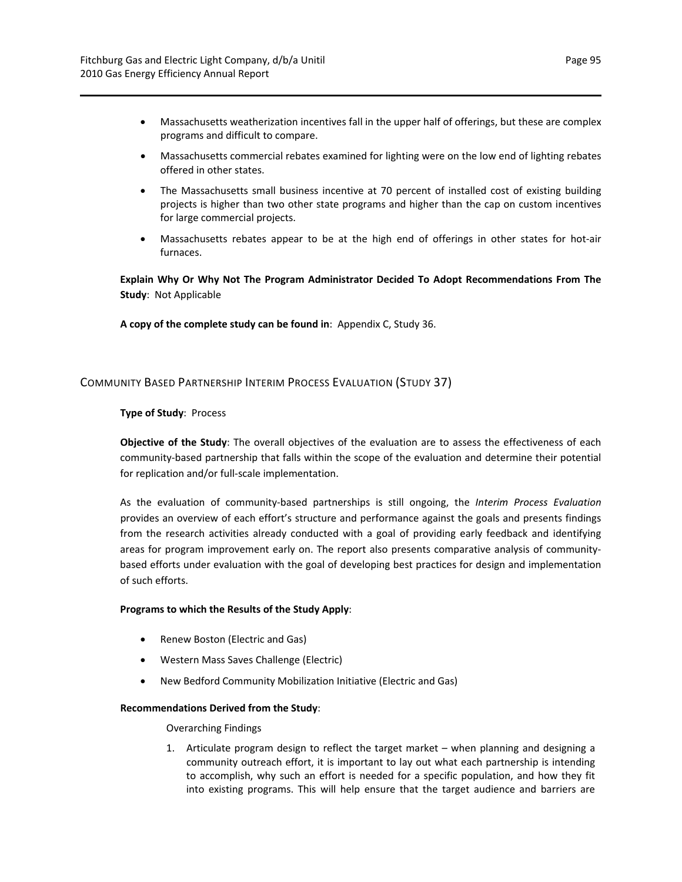- Massachusetts weatherization incentives fall in the upper half of offerings, but these are complex programs and difficult to compare.
- Massachusetts commercial rebates examined for lighting were on the low end of lighting rebates offered in other states.
- The Massachusetts small business incentive at 70 percent of installed cost of existing building projects is higher than two other state programs and higher than the cap on custom incentives for large commercial projects.
- Massachusetts rebates appear to be at the high end of offerings in other states for hot‐air furnaces.

**Explain Why Or Why Not The Program Administrator Decided To Adopt Recommendations From The Study**: Not Applicable

**A copy of the complete study can be found in**: Appendix C, Study 36.

## COMMUNITY BASED PARTNERSHIP INTERIM PROCESS EVALUATION (STUDY 37)

#### **Type of Study**: Process

**Objective of the Study**: The overall objectives of the evaluation are to assess the effectiveness of each community‐based partnership that falls within the scope of the evaluation and determine their potential for replication and/or full-scale implementation.

As the evaluation of community‐based partnerships is still ongoing, the *Interim Process Evaluation* provides an overview of each effort's structure and performance against the goals and presents findings from the research activities already conducted with a goal of providing early feedback and identifying areas for program improvement early on. The report also presents comparative analysis of communitybased efforts under evaluation with the goal of developing best practices for design and implementation of such efforts.

#### **Programs to which the Results of the Study Apply**:

- Renew Boston (Electric and Gas)
- Western Mass Saves Challenge (Electric)
- New Bedford Community Mobilization Initiative (Electric and Gas)

#### **Recommendations Derived from the Study**:

#### Overarching Findings

1. Articulate program design to reflect the target market – when planning and designing a community outreach effort, it is important to lay out what each partnership is intending to accomplish, why such an effort is needed for a specific population, and how they fit into existing programs. This will help ensure that the target audience and barriers are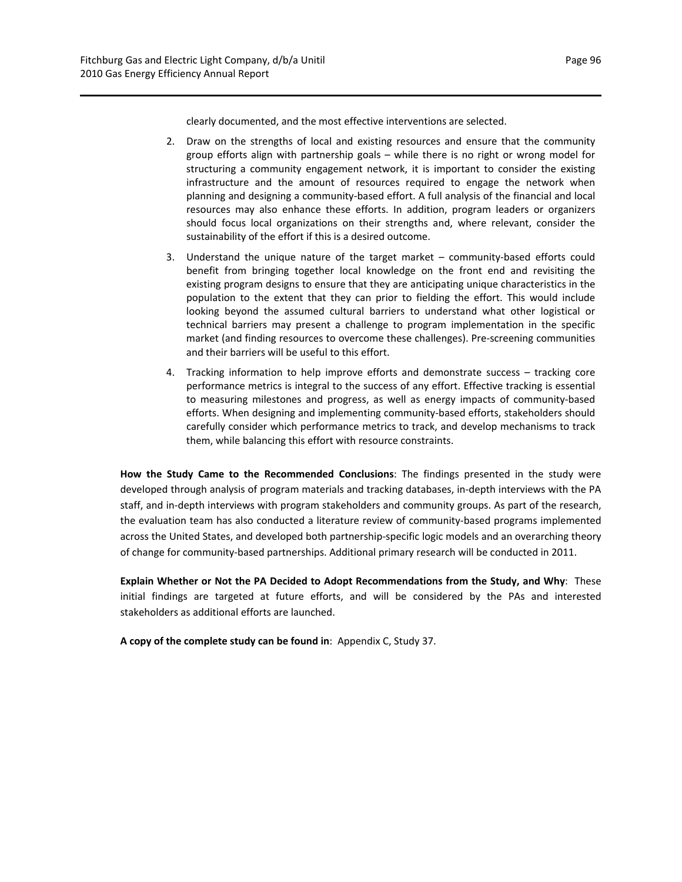clearly documented, and the most effective interventions are selected.

- 2. Draw on the strengths of local and existing resources and ensure that the community group efforts align with partnership goals – while there is no right or wrong model for structuring a community engagement network, it is important to consider the existing infrastructure and the amount of resources required to engage the network when planning and designing a community‐based effort. A full analysis of the financial and local resources may also enhance these efforts. In addition, program leaders or organizers should focus local organizations on their strengths and, where relevant, consider the sustainability of the effort if this is a desired outcome.
- 3. Understand the unique nature of the target market community‐based efforts could benefit from bringing together local knowledge on the front end and revisiting the existing program designs to ensure that they are anticipating unique characteristics in the population to the extent that they can prior to fielding the effort. This would include looking beyond the assumed cultural barriers to understand what other logistical or technical barriers may present a challenge to program implementation in the specific market (and finding resources to overcome these challenges). Pre‐screening communities and their barriers will be useful to this effort.
- 4. Tracking information to help improve efforts and demonstrate success tracking core performance metrics is integral to the success of any effort. Effective tracking is essential to measuring milestones and progress, as well as energy impacts of community‐based efforts. When designing and implementing community‐based efforts, stakeholders should carefully consider which performance metrics to track, and develop mechanisms to track them, while balancing this effort with resource constraints.

**How the Study Came to the Recommended Conclusions**: The findings presented in the study were developed through analysis of program materials and tracking databases, in‐depth interviews with the PA staff, and in‐depth interviews with program stakeholders and community groups. As part of the research, the evaluation team has also conducted a literature review of community‐based programs implemented across the United States, and developed both partnership‐specific logic models and an overarching theory of change for community-based partnerships. Additional primary research will be conducted in 2011.

**Explain Whether or Not the PA Decided to Adopt Recommendations from the Study, and Why**: These initial findings are targeted at future efforts, and will be considered by the PAs and interested stakeholders as additional efforts are launched.

**A copy of the complete study can be found in**: Appendix C, Study 37.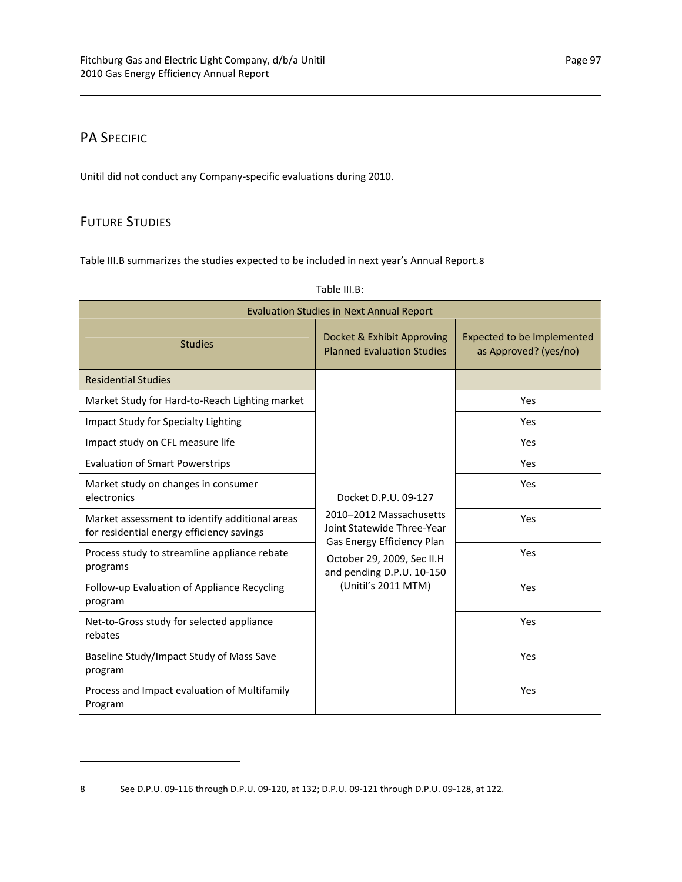## PA SPECIFIC

Unitil did not conduct any Company‐specific evaluations during 2010.

## FUTURE STUDIES

Table III.B summarizes the studies expected to be included in next year's Annual Report.[8](#page-100-0)

| <b>Evaluation Studies in Next Annual Report</b>                                             |                                                                                       |                                                     |  |  |  |  |  |  |  |  |
|---------------------------------------------------------------------------------------------|---------------------------------------------------------------------------------------|-----------------------------------------------------|--|--|--|--|--|--|--|--|
| <b>Studies</b>                                                                              | Docket & Exhibit Approving<br><b>Planned Evaluation Studies</b>                       | Expected to be Implemented<br>as Approved? (yes/no) |  |  |  |  |  |  |  |  |
| <b>Residential Studies</b>                                                                  |                                                                                       |                                                     |  |  |  |  |  |  |  |  |
| Market Study for Hard-to-Reach Lighting market                                              |                                                                                       | Yes                                                 |  |  |  |  |  |  |  |  |
| Impact Study for Specialty Lighting                                                         |                                                                                       | Yes                                                 |  |  |  |  |  |  |  |  |
| Impact study on CFL measure life                                                            |                                                                                       | Yes                                                 |  |  |  |  |  |  |  |  |
| <b>Evaluation of Smart Powerstrips</b>                                                      |                                                                                       | Yes                                                 |  |  |  |  |  |  |  |  |
| Market study on changes in consumer<br>electronics                                          | Docket D.P.U. 09-127                                                                  | Yes                                                 |  |  |  |  |  |  |  |  |
| Market assessment to identify additional areas<br>for residential energy efficiency savings | 2010-2012 Massachusetts<br>Joint Statewide Three-Year                                 | Yes                                                 |  |  |  |  |  |  |  |  |
| Process study to streamline appliance rebate<br>programs                                    | Gas Energy Efficiency Plan<br>October 29, 2009, Sec II.H<br>and pending D.P.U. 10-150 | Yes                                                 |  |  |  |  |  |  |  |  |
| Follow-up Evaluation of Appliance Recycling<br>program                                      | (Unitil's 2011 MTM)                                                                   | Yes                                                 |  |  |  |  |  |  |  |  |
| Net-to-Gross study for selected appliance<br>rebates                                        |                                                                                       | Yes                                                 |  |  |  |  |  |  |  |  |
| Baseline Study/Impact Study of Mass Save<br>program                                         |                                                                                       | Yes                                                 |  |  |  |  |  |  |  |  |
| Process and Impact evaluation of Multifamily<br>Program                                     |                                                                                       | Yes                                                 |  |  |  |  |  |  |  |  |

Table III.B:

<span id="page-100-0"></span>8 <u>See</u> D.P.U. 09-116 through D.P.U. 09-120, at 132; D.P.U. 09-121 through D.P.U. 09-128, at 122.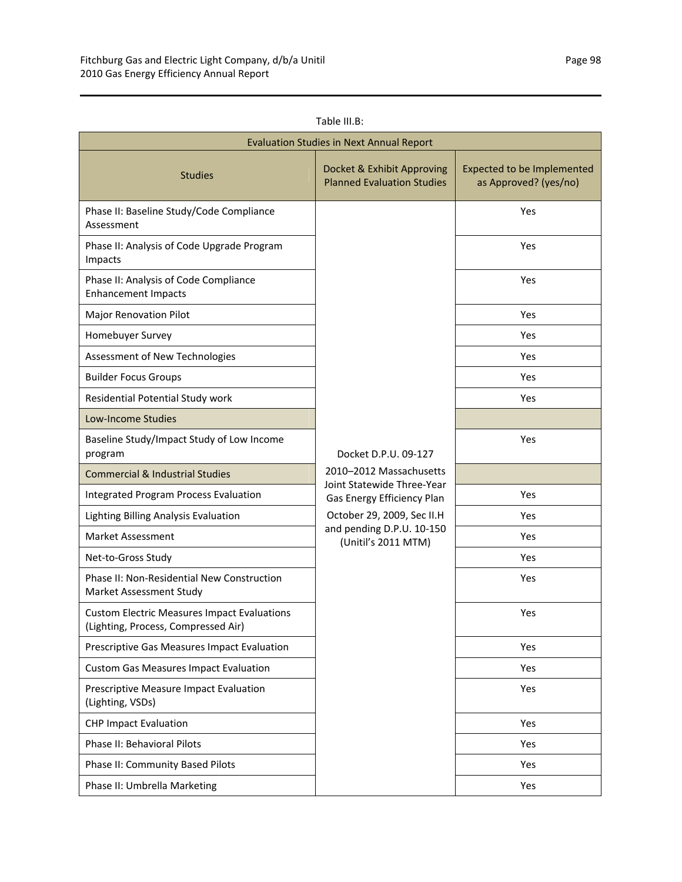| Table III.B: |
|--------------|
|              |
|              |

| <b>Evaluation Studies in Next Annual Report</b>                                           |                                                                 |                                                            |  |  |  |  |  |  |  |
|-------------------------------------------------------------------------------------------|-----------------------------------------------------------------|------------------------------------------------------------|--|--|--|--|--|--|--|
| <b>Studies</b>                                                                            | Docket & Exhibit Approving<br><b>Planned Evaluation Studies</b> | <b>Expected to be Implemented</b><br>as Approved? (yes/no) |  |  |  |  |  |  |  |
| Phase II: Baseline Study/Code Compliance<br>Assessment                                    |                                                                 | Yes                                                        |  |  |  |  |  |  |  |
| Phase II: Analysis of Code Upgrade Program<br>Impacts                                     |                                                                 | Yes                                                        |  |  |  |  |  |  |  |
| Phase II: Analysis of Code Compliance<br><b>Enhancement Impacts</b>                       |                                                                 | Yes                                                        |  |  |  |  |  |  |  |
| Major Renovation Pilot                                                                    |                                                                 | Yes                                                        |  |  |  |  |  |  |  |
| Homebuyer Survey                                                                          |                                                                 | Yes                                                        |  |  |  |  |  |  |  |
| Assessment of New Technologies                                                            |                                                                 | Yes                                                        |  |  |  |  |  |  |  |
| <b>Builder Focus Groups</b>                                                               |                                                                 | Yes                                                        |  |  |  |  |  |  |  |
| Residential Potential Study work                                                          |                                                                 | Yes                                                        |  |  |  |  |  |  |  |
| <b>Low-Income Studies</b>                                                                 |                                                                 |                                                            |  |  |  |  |  |  |  |
| Baseline Study/Impact Study of Low Income<br>program                                      | Docket D.P.U. 09-127                                            | Yes                                                        |  |  |  |  |  |  |  |
| <b>Commercial &amp; Industrial Studies</b>                                                | 2010-2012 Massachusetts                                         |                                                            |  |  |  |  |  |  |  |
| <b>Integrated Program Process Evaluation</b>                                              | Joint Statewide Three-Year<br>Gas Energy Efficiency Plan        | Yes                                                        |  |  |  |  |  |  |  |
| Lighting Billing Analysis Evaluation                                                      | October 29, 2009, Sec II.H                                      | Yes                                                        |  |  |  |  |  |  |  |
| <b>Market Assessment</b>                                                                  | and pending D.P.U. 10-150<br>(Unitil's 2011 MTM)                | Yes                                                        |  |  |  |  |  |  |  |
| Net-to-Gross Study                                                                        |                                                                 | Yes                                                        |  |  |  |  |  |  |  |
| Phase II: Non-Residential New Construction<br>Market Assessment Study                     |                                                                 | Yes                                                        |  |  |  |  |  |  |  |
| <b>Custom Electric Measures Impact Evaluations</b><br>(Lighting, Process, Compressed Air) |                                                                 | Yes                                                        |  |  |  |  |  |  |  |
| Prescriptive Gas Measures Impact Evaluation                                               |                                                                 | Yes                                                        |  |  |  |  |  |  |  |
| <b>Custom Gas Measures Impact Evaluation</b>                                              |                                                                 | Yes                                                        |  |  |  |  |  |  |  |
| Prescriptive Measure Impact Evaluation<br>(Lighting, VSDs)                                |                                                                 | Yes                                                        |  |  |  |  |  |  |  |
| <b>CHP Impact Evaluation</b>                                                              |                                                                 | Yes                                                        |  |  |  |  |  |  |  |
| Phase II: Behavioral Pilots                                                               |                                                                 | Yes                                                        |  |  |  |  |  |  |  |
| Phase II: Community Based Pilots                                                          |                                                                 | Yes                                                        |  |  |  |  |  |  |  |
| Phase II: Umbrella Marketing                                                              |                                                                 | Yes                                                        |  |  |  |  |  |  |  |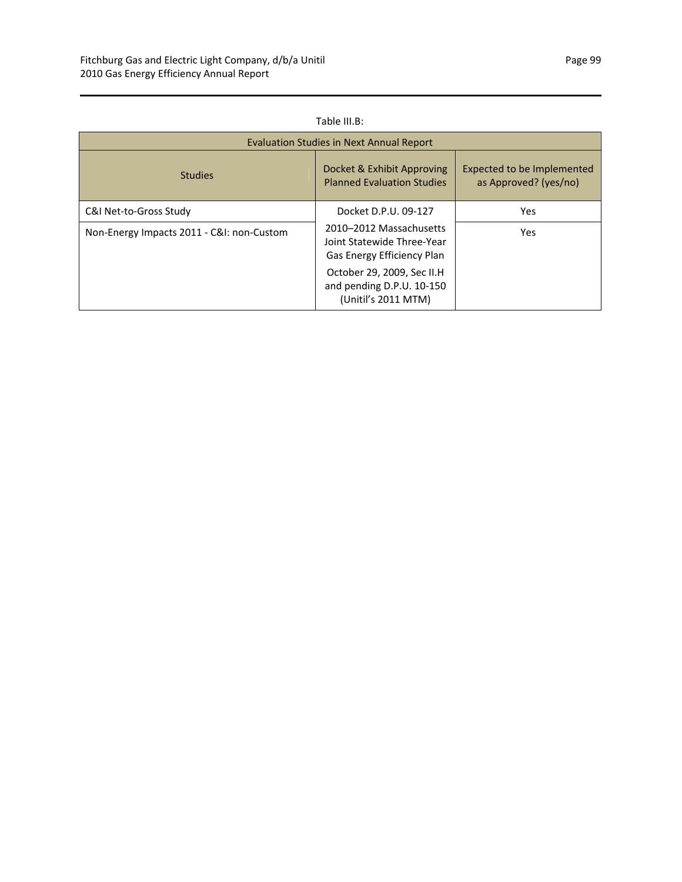## Table III.B:

| Evaluation Studies in Next Annual Report  |                                                                                            |                                                     |  |  |  |  |  |  |  |  |
|-------------------------------------------|--------------------------------------------------------------------------------------------|-----------------------------------------------------|--|--|--|--|--|--|--|--|
| <b>Studies</b>                            | Docket & Exhibit Approving<br><b>Planned Evaluation Studies</b>                            | Expected to be Implemented<br>as Approved? (yes/no) |  |  |  |  |  |  |  |  |
| C&I Net-to-Gross Study                    | Docket D.P.U. 09-127                                                                       | Yes                                                 |  |  |  |  |  |  |  |  |
| Non-Energy Impacts 2011 - C&I: non-Custom | 2010-2012 Massachusetts<br>Joint Statewide Three-Year<br><b>Gas Energy Efficiency Plan</b> | Yes                                                 |  |  |  |  |  |  |  |  |
|                                           | October 29, 2009, Sec II.H<br>and pending D.P.U. 10-150<br>(Unitil's 2011 MTM)             |                                                     |  |  |  |  |  |  |  |  |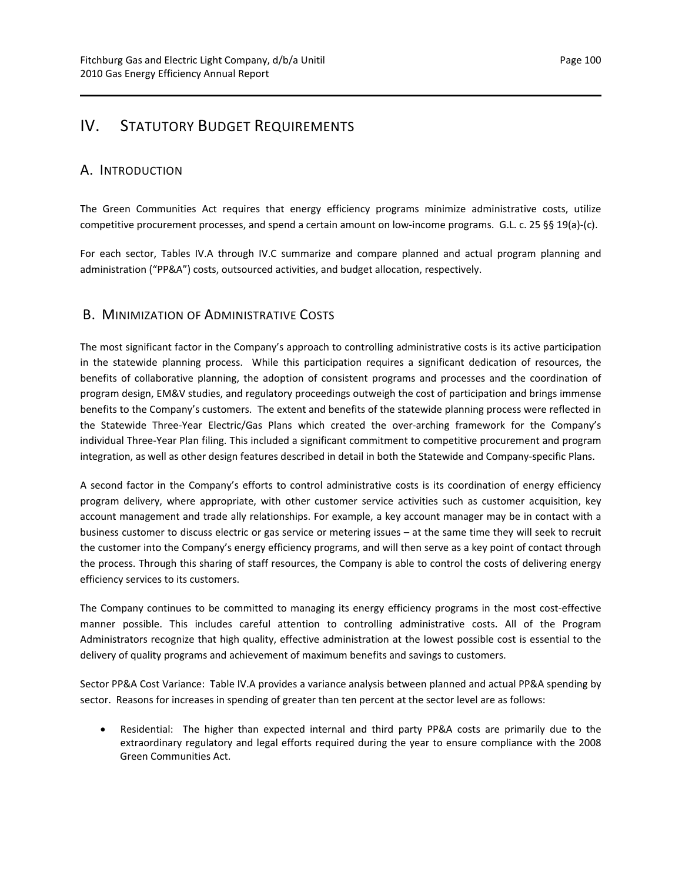## IV. STATUTORY BUDGET REQUIREMENTS

## A. INTRODUCTION

The Green Communities Act requires that energy efficiency programs minimize administrative costs, utilize competitive procurement processes, and spend a certain amount on low‐income programs. G.L. c. 25 §§ 19(a)‐(c).

For each sector, Tables IV.A through IV.C summarize and compare planned and actual program planning and administration ("PP&A") costs, outsourced activities, and budget allocation, respectively.

## B. MINIMIZATION OF ADMINISTRATIVE COSTS

The most significant factor in the Company's approach to controlling administrative costs is its active participation in the statewide planning process. While this participation requires a significant dedication of resources, the benefits of collaborative planning, the adoption of consistent programs and processes and the coordination of program design, EM&V studies, and regulatory proceedings outweigh the cost of participation and brings immense benefits to the Company's customers. The extent and benefits of the statewide planning process were reflected in the Statewide Three‐Year Electric/Gas Plans which created the over‐arching framework for the Company's individual Three‐Year Plan filing. This included a significant commitment to competitive procurement and program integration, as well as other design features described in detail in both the Statewide and Company-specific Plans.

A second factor in the Company's efforts to control administrative costs is its coordination of energy efficiency program delivery, where appropriate, with other customer service activities such as customer acquisition, key account management and trade ally relationships. For example, a key account manager may be in contact with a business customer to discuss electric or gas service or metering issues – at the same time they will seek to recruit the customer into the Company's energy efficiency programs, and will then serve as a key point of contact through the process. Through this sharing of staff resources, the Company is able to control the costs of delivering energy efficiency services to its customers.

The Company continues to be committed to managing its energy efficiency programs in the most cost-effective manner possible. This includes careful attention to controlling administrative costs. All of the Program Administrators recognize that high quality, effective administration at the lowest possible cost is essential to the delivery of quality programs and achievement of maximum benefits and savings to customers.

Sector PP&A Cost Variance: Table IV.A provides a variance analysis between planned and actual PP&A spending by sector. Reasons for increases in spending of greater than ten percent at the sector level are as follows:

 Residential: The higher than expected internal and third party PP&A costs are primarily due to the extraordinary regulatory and legal efforts required during the year to ensure compliance with the 2008 Green Communities Act.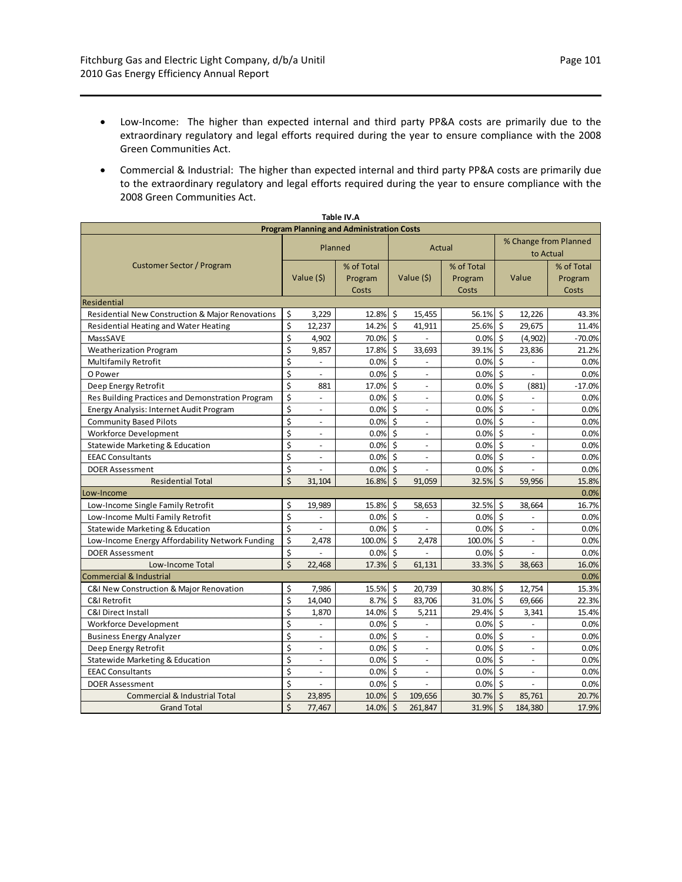- Low-Income: The higher than expected internal and third party PP&A costs are primarily due to the extraordinary regulatory and legal efforts required during the year to ensure compliance with the 2008 Green Communities Act.
- Commercial & Industrial: The higher than expected internal and third party PP&A costs are primarily due to the extraordinary regulatory and legal efforts required during the year to ensure compliance with the 2008 Green Communities Act.

| <b>Program Planning and Administration Costs</b> |                                     |                          |            |                        |                          |            |                        |                                    |            |  |  |
|--------------------------------------------------|-------------------------------------|--------------------------|------------|------------------------|--------------------------|------------|------------------------|------------------------------------|------------|--|--|
|                                                  |                                     |                          |            |                        |                          |            |                        |                                    |            |  |  |
|                                                  |                                     | Planned<br>Actual        |            |                        |                          |            |                        | % Change from Planned<br>to Actual |            |  |  |
| <b>Customer Sector / Program</b>                 |                                     |                          | % of Total |                        |                          | % of Total |                        |                                    | % of Total |  |  |
|                                                  |                                     | Value (\$)               | Program    |                        | Value (\$)               | Program    |                        | Value                              | Program    |  |  |
|                                                  |                                     |                          | Costs      |                        |                          | Costs      |                        |                                    | Costs      |  |  |
| Residential                                      |                                     |                          |            |                        |                          |            |                        |                                    |            |  |  |
| Residential New Construction & Major Renovations | \$                                  | 3,229                    | 12.8%      | \$                     | 15,455                   | 56.1%      | \$                     | 12,226                             | 43.3%      |  |  |
| Residential Heating and Water Heating            | \$                                  | 12,237                   | 14.2%      | \$                     | 41,911                   | 25.6%      | $\zeta$                | 29,675                             | 11.4%      |  |  |
| MassSAVE                                         | \$                                  | 4,902                    | 70.0%      | \$                     |                          | 0.0%       | Ŝ.                     | (4,902)                            | $-70.0%$   |  |  |
| <b>Weatherization Program</b>                    | $\overline{\boldsymbol{\varsigma}}$ | 9,857                    | 17.8%      | \$                     | 33,693                   | 39.1%      | $\zeta$                | 23,836                             | 21.2%      |  |  |
| <b>Multifamily Retrofit</b>                      | \$                                  | $\frac{1}{2}$            | 0.0%       | \$                     | $\overline{a}$           | 0.0%       | $\zeta$                | $\blacksquare$                     | 0.0%       |  |  |
| O Power                                          | \$                                  | $\overline{\phantom{a}}$ | 0.0%       | \$                     | $\omega$                 | 0.0%       | $\mathsf{\hat{S}}$     | $\omega$                           | 0.0%       |  |  |
| Deep Energy Retrofit                             | \$                                  | 881                      | 17.0%      | \$                     | $\bar{a}$                | 0.0%       | $\zeta$                | (881)                              | $-17.0%$   |  |  |
| Res Building Practices and Demonstration Program | \$                                  | ÷,                       | 0.0%       | \$                     | $\bar{a}$                | 0.0%       | \$                     | $\omega$                           | 0.0%       |  |  |
| Energy Analysis: Internet Audit Program          | $\overline{\boldsymbol{\varsigma}}$ | $\overline{a}$           | 0.0%       | \$                     | $\overline{a}$           | 0.0%       | $\zeta$                |                                    | 0.0%       |  |  |
| <b>Community Based Pilots</b>                    | \$                                  | $\overline{\phantom{a}}$ | 0.0%       | $\boldsymbol{\zeta}$   | $\overline{\phantom{a}}$ | 0.0%       | $\dot{\mathsf{S}}$     | $\mathcal{L}$                      | 0.0%       |  |  |
| <b>Workforce Development</b>                     | \$                                  | ä,                       | 0.0%       | \$                     | $\blacksquare$           | 0.0%       | Ś.                     | $\omega$                           | 0.0%       |  |  |
| Statewide Marketing & Education                  | \$                                  | $\overline{\phantom{a}}$ | 0.0%       | \$                     | $\blacksquare$           | 0.0%       | \$                     | $\overline{\phantom{a}}$           | 0.0%       |  |  |
| <b>EEAC Consultants</b>                          | \$                                  | $\overline{a}$           | 0.0%       | \$                     |                          | $0.0\%$ \$ |                        |                                    | 0.0%       |  |  |
| <b>DOER Assessment</b>                           | \$                                  | $\overline{a}$           | 0.0%       | Ś                      |                          | 0.0%       | <sup>\$</sup>          |                                    | 0.0%       |  |  |
| <b>Residential Total</b>                         | $\mathsf{\dot{S}}$                  | 31,104                   | 16.8%      | $\mathsf{\dot{S}}$     | 91,059                   | 32.5%      | $\dot{\mathsf{S}}$     | 59,956                             | 15.8%      |  |  |
| Low-Income                                       |                                     |                          |            |                        |                          |            |                        |                                    | 0.0%       |  |  |
| Low-Income Single Family Retrofit                | \$                                  | 19,989                   | 15.8%      | \$                     | 58,653                   | 32.5%      | $\zeta$                | 38,664                             | 16.7%      |  |  |
| Low-Income Multi Family Retrofit                 | \$                                  | L,                       | 0.0%       | \$                     |                          | 0.0%       | $\zeta$                |                                    | 0.0%       |  |  |
| Statewide Marketing & Education                  | \$                                  |                          | 0.0%       | $\mathsf{\hat{S}}$     |                          | 0.0%       | -Ś                     | $\sim$                             | 0.0%       |  |  |
| Low-Income Energy Affordability Network Funding  | \$                                  | 2,478                    | 100.0%     | $\mathsf{\dot{S}}$     | 2,478                    | 100.0%     | $\mathsf{\hat{S}}$     |                                    | 0.0%       |  |  |
| <b>DOER Assessment</b>                           | \$                                  |                          | 0.0%       | \$                     |                          | $0.0\%$ \$ |                        | $\overline{a}$                     | 0.0%       |  |  |
| Low-Income Total                                 | $\overline{\mathsf{S}}$             | 22,468                   | 17.3%      | $\dot{\mathsf{S}}$     | 61,131                   | $33.3%$ \$ |                        | 38,663                             | 16.0%      |  |  |
| Commercial & Industrial                          |                                     |                          |            |                        |                          |            |                        |                                    | 0.0%       |  |  |
| C&I New Construction & Major Renovation          | \$                                  | 7,986                    | 15.5%      | \$                     | 20,739                   | 30.8%      | Ŝ.                     | 12,754                             | 15.3%      |  |  |
| C&I Retrofit                                     | $\overline{\boldsymbol{\varsigma}}$ | 14,040                   | 8.7%       | \$                     | 83,706                   | 31.0%      | $\overline{\varsigma}$ | 69,666                             | 22.3%      |  |  |
| C&I Direct Install                               | \$                                  | 1,870                    | 14.0%      | \$                     | 5,211                    | 29.4%      | $\zeta$                | 3,341                              | 15.4%      |  |  |
| Workforce Development                            | \$                                  | $\frac{1}{2}$            | 0.0%       | \$                     | $\omega$                 | 0.0%       | \$                     | $\omega$                           | 0.0%       |  |  |
| <b>Business Energy Analyzer</b>                  | \$                                  | $\overline{a}$           | 0.0%       | \$                     | $\sim$                   | 0.0%       | $\zeta$                | $\overline{\phantom{a}}$           | 0.0%       |  |  |
| Deep Energy Retrofit                             | \$                                  | $\blacksquare$           | 0.0%       | \$                     | $\bar{a}$                | 0.0%       | Ŝ.                     | $\blacksquare$                     | 0.0%       |  |  |
| Statewide Marketing & Education                  | $\overline{\boldsymbol{\varsigma}}$ | $\overline{a}$           | 0.0%       | $\overline{\varsigma}$ |                          | 0.0%       | $\zeta$                |                                    | 0.0%       |  |  |
| <b>EEAC Consultants</b>                          | \$                                  | $\overline{a}$           | 0.0%       | \$                     | $\overline{\phantom{a}}$ | 0.0%       | $\zeta$                | $\omega$                           | 0.0%       |  |  |
| <b>DOER Assessment</b>                           | \$                                  | L.                       | 0.0%       | Ś                      | $\blacksquare$           | 0.0%       | Ŝ.                     | $\blacksquare$                     | 0.0%       |  |  |
| <b>Commercial &amp; Industrial Total</b>         | \$                                  | 23,895                   | 10.0%      | $\zeta$                | 109,656                  | 30.7%      | $\zeta$                | 85,761                             | 20.7%      |  |  |
| <b>Grand Total</b>                               | \$                                  | 77,467                   | 14.0% \$   |                        | 261,847                  | 31.9% \$   |                        | 184,380                            | 17.9%      |  |  |

|--|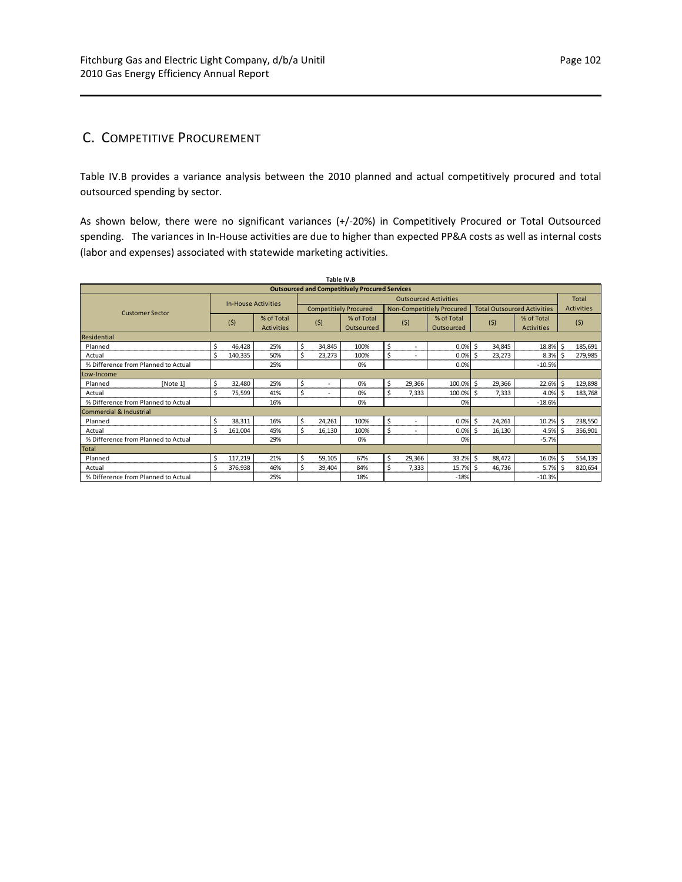## C. COMPETITIVE PROCUREMENT

Table IV.B provides a variance analysis between the 2010 planned and actual competitively procured and total outsourced spending by sector.

As shown below, there were no significant variances (+/‐20%) in Competitively Procured or Total Outsourced spending. The variances in In-House activities are due to higher than expected PP&A costs as well as internal costs (labor and expenses) associated with statewide marketing activities.

| Table IV.B                                            |          |                            |         |                              |              |        |                              |              |        |                           |                    |        |                                    |              |                   |
|-------------------------------------------------------|----------|----------------------------|---------|------------------------------|--------------|--------|------------------------------|--------------|--------|---------------------------|--------------------|--------|------------------------------------|--------------|-------------------|
| <b>Outsourced and Competitively Procured Services</b> |          |                            |         |                              |              |        |                              |              |        |                           |                    |        |                                    |              |                   |
|                                                       |          | <b>In-House Activities</b> |         | <b>Outsourced Activities</b> |              |        |                              |              |        |                           |                    |        |                                    | <b>Total</b> |                   |
| <b>Customer Sector</b>                                |          |                            |         |                              |              |        | <b>Competitiely Procured</b> |              |        | Non-Competitiely Procured |                    |        | <b>Total Outsourced Activities</b> |              | <b>Activities</b> |
|                                                       |          |                            | (5)     | % of Total                   |              |        | % of Total                   |              | (5)    | % of Total                |                    | (5)    | % of Total                         |              |                   |
|                                                       |          |                            |         | <b>Activities</b>            | (5)          |        | Outsourced                   |              |        | Outsourced                |                    |        | <b>Activities</b>                  |              | (5)               |
| Residential                                           |          |                            |         |                              |              |        |                              |              |        |                           |                    |        |                                    |              |                   |
| Planned                                               |          | \$                         | 46,428  | 25%                          | \$           | 34,845 | 100%                         | \$           |        | 0.0%                      | Ŝ.                 | 34,845 | 18.8%                              | Ŝ.           | 185,691           |
| Actual                                                |          | Ś                          | 140,335 | 50%                          | \$           | 23,273 | 100%                         | \$           | ٠      | 0.0%                      | -Ŝ                 | 23,273 | 8.3%                               | Ŝ.           | 279,985           |
| % Difference from Planned to Actual                   |          |                            |         | 25%                          |              |        | 0%                           |              |        | 0.0%                      |                    |        | $-10.5%$                           |              |                   |
| Low-Income                                            |          |                            |         |                              |              |        |                              |              |        |                           |                    |        |                                    |              |                   |
| Planned                                               | [Note 1] | \$                         | 32,480  | 25%                          | \$           |        | 0%                           | \$           | 29,366 | 100.0% \$                 |                    | 29,366 | 22.6%                              | \$           | 129,898           |
| Actual                                                |          | \$.                        | 75,599  | 41%                          | \$           |        | 0%                           | \$           | 7,333  | 100.0% \$                 |                    | 7,333  | 4.0%                               | Ŝ.           | 183,768           |
| % Difference from Planned to Actual                   |          |                            |         | 16%                          |              |        | 0%                           |              |        | 0%                        |                    |        | $-18.6%$                           |              |                   |
| Commercial & Industrial                               |          |                            |         |                              |              |        |                              |              |        |                           |                    |        |                                    |              |                   |
| Planned                                               |          | Ś                          | 38,311  | 16%                          | \$           | 24,261 | 100%                         | \$           |        | 0.0%                      | $\mathsf{\hat{S}}$ | 24,261 | 10.2%                              | \$           | 238,550           |
| Actual                                                |          | \$.                        | 161,004 | 45%                          | \$           | 16,130 | 100%                         | \$           | ٠      | 0.0%                      | Ŝ.                 | 16,130 | 4.5%                               | Ŝ.           | 356,901           |
| % Difference from Planned to Actual                   |          |                            |         | 29%                          |              |        | 0%                           |              |        | 0%                        |                    |        | $-5.7%$                            |              |                   |
| <b>Total</b>                                          |          |                            |         |                              |              |        |                              |              |        |                           |                    |        |                                    |              |                   |
| Planned                                               |          | \$                         | 117,219 | 21%                          | \$<br>59,105 |        | 67%                          | \$<br>29,366 |        | 33.2%                     | Ŝ.                 | 88,472 | 16.0%                              | Ś            | 554,139           |
| Actual                                                |          | \$.                        | 376,938 | 46%                          | Ś.           | 39,404 | 84%                          | \$           | 7,333  | 15.7%                     | -S                 | 46,736 | 5.7%                               | S            | 820,654           |
| % Difference from Planned to Actual                   |          |                            |         | 25%                          |              |        | 18%                          |              |        | $-18%$                    |                    |        | $-10.3%$                           |              |                   |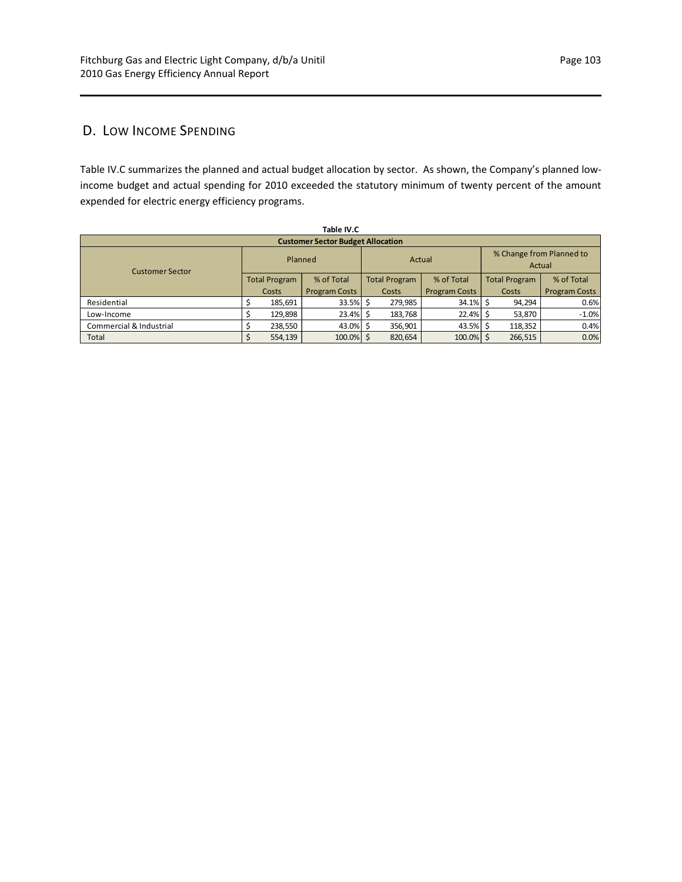## D. LOW INCOME SPENDING

Table IV.C summarizes the planned and actual budget allocation by sector. As shown, the Company's planned low‐ income budget and actual spending for 2010 exceeded the statutory minimum of twenty percent of the amount expended for electric energy efficiency programs.

| Table IV.C                               |         |                      |                      |                      |         |                      |                                    |                      |                      |  |  |  |  |
|------------------------------------------|---------|----------------------|----------------------|----------------------|---------|----------------------|------------------------------------|----------------------|----------------------|--|--|--|--|
| <b>Customer Sector Budget Allocation</b> |         |                      |                      |                      |         |                      |                                    |                      |                      |  |  |  |  |
| <b>Customer Sector</b>                   | Planned |                      |                      |                      |         | Actual               | % Change from Planned to<br>Actual |                      |                      |  |  |  |  |
|                                          |         | <b>Total Program</b> | % of Total           | <b>Total Program</b> |         | % of Total           |                                    | <b>Total Program</b> | % of Total           |  |  |  |  |
|                                          |         | Costs                | <b>Program Costs</b> | Costs                |         | <b>Program Costs</b> | Costs                              |                      | <b>Program Costs</b> |  |  |  |  |
| Residential                              |         | 185,691              | 33.5% \$             |                      | 279,985 | 34.1% \$             |                                    | 94,294               | 0.6%                 |  |  |  |  |
| Low-Income                               |         | 129,898              | $23.4\%$ \$          |                      | 183,768 | $22.4\%$ \$          |                                    | 53,870               | $-1.0%$              |  |  |  |  |
| Commercial & Industrial                  |         | 238,550              | 43.0% \$             | 356,901              |         | 43.5% \$             | 118,352                            |                      | 0.4%                 |  |  |  |  |
| Total                                    |         | 554,139              | $100.0\%$ \$         |                      | 820,654 | 100.0% \$            |                                    | 266,515              | 0.0%                 |  |  |  |  |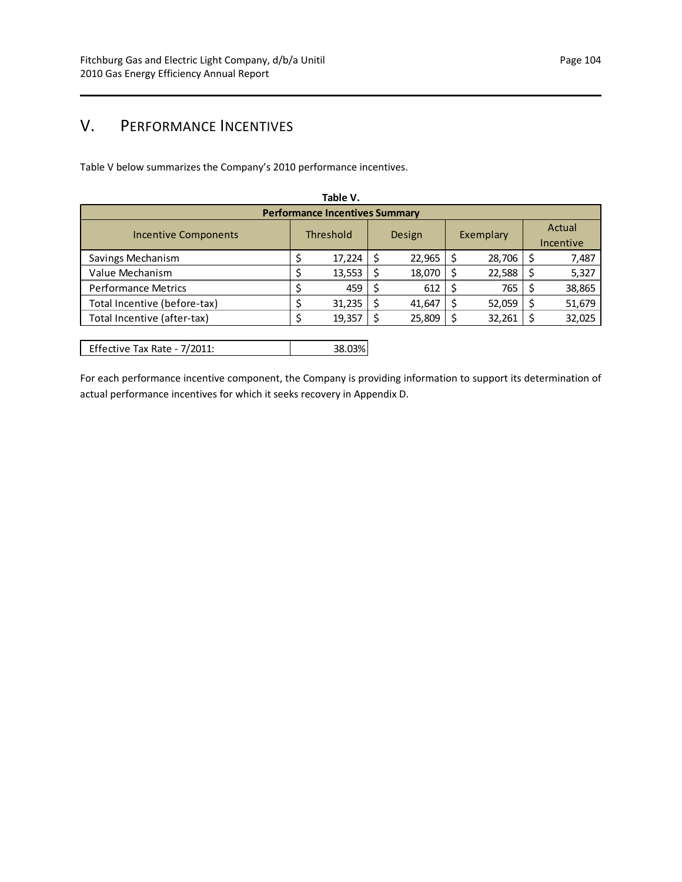# V. PERFORMANCE INCENTIVES

Table V below summarizes the Company's 2010 performance incentives.

| Table V.                              |  |           |   |               |  |           |  |                     |  |
|---------------------------------------|--|-----------|---|---------------|--|-----------|--|---------------------|--|
| <b>Performance Incentives Summary</b> |  |           |   |               |  |           |  |                     |  |
| <b>Incentive Components</b>           |  | Threshold |   | <b>Design</b> |  | Exemplary |  | Actual<br>Incentive |  |
| Savings Mechanism                     |  | 17,224    |   | 22,965        |  | 28,706    |  | 7,487               |  |
| Value Mechanism                       |  | 13,553    | S | 18,070        |  | 22,588    |  | 5,327               |  |
| <b>Performance Metrics</b>            |  | 459       |   | 612           |  | 765       |  | 38,865              |  |
| Total Incentive (before-tax)          |  | 31,235    |   | 41,647        |  | 52,059    |  | 51,679              |  |
| Total Incentive (after-tax)           |  | 19,357    |   | 25,809        |  | 32,261    |  | 32,025              |  |
|                                       |  |           |   |               |  |           |  |                     |  |

|  | Effective Tax Rate - 7/2011: | 38.03% |
|--|------------------------------|--------|
|--|------------------------------|--------|

For each performance incentive component, the Company is providing information to support its determination of actual performance incentives for which it seeks recovery in Appendix D.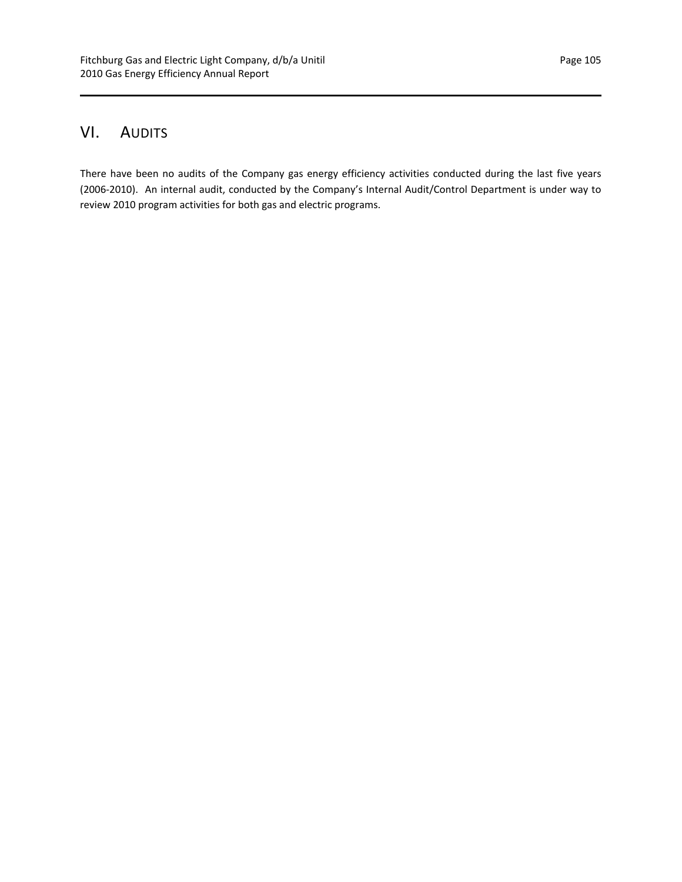# VI. AUDITS

There have been no audits of the Company gas energy efficiency activities conducted during the last five years (2006‐2010). An internal audit, conducted by the Company's Internal Audit/Control Department is under way to review 2010 program activities for both gas and electric programs.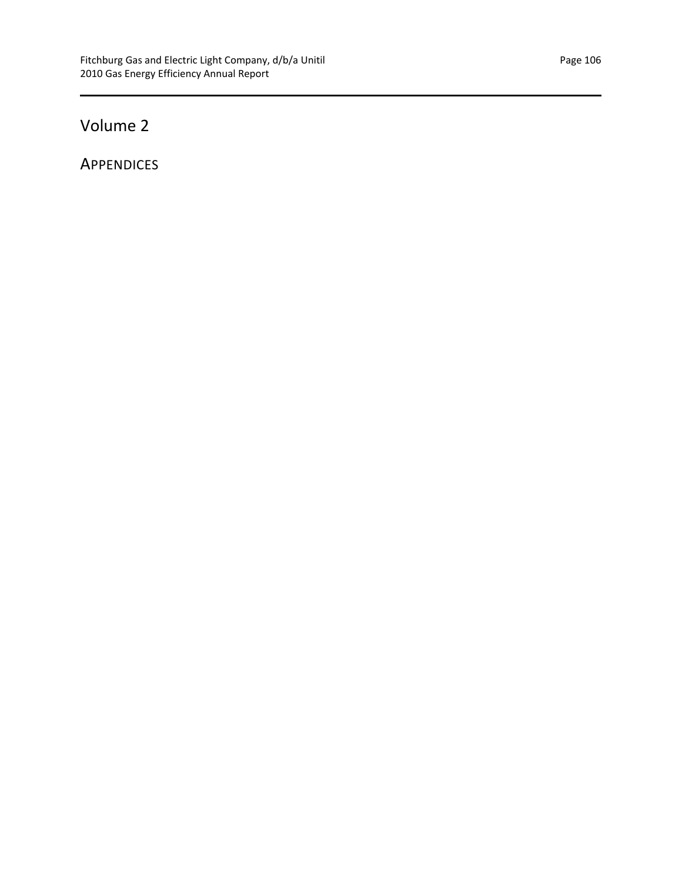# Volume 2

**APPENDICES**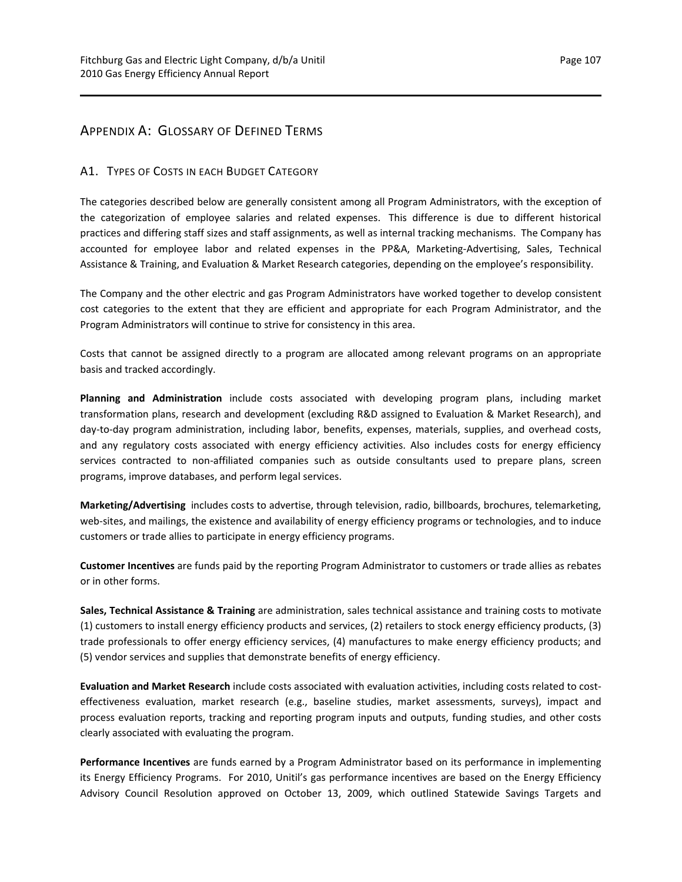## APPENDIX A: GLOSSARY OF DEFINED TERMS

#### A1. TYPES OF COSTS IN EACH BUDGET CATEGORY

The categories described below are generally consistent among all Program Administrators, with the exception of the categorization of employee salaries and related expenses. This difference is due to different historical practices and differing staff sizes and staff assignments, as well as internal tracking mechanisms. The Company has accounted for employee labor and related expenses in the PP&A, Marketing‐Advertising, Sales, Technical Assistance & Training, and Evaluation & Market Research categories, depending on the employee's responsibility.

The Company and the other electric and gas Program Administrators have worked together to develop consistent cost categories to the extent that they are efficient and appropriate for each Program Administrator, and the Program Administrators will continue to strive for consistency in this area.

Costs that cannot be assigned directly to a program are allocated among relevant programs on an appropriate basis and tracked accordingly.

**Planning and Administration** include costs associated with developing program plans, including market transformation plans, research and development (excluding R&D assigned to Evaluation & Market Research), and day‐to‐day program administration, including labor, benefits, expenses, materials, supplies, and overhead costs, and any regulatory costs associated with energy efficiency activities. Also includes costs for energy efficiency services contracted to non-affiliated companies such as outside consultants used to prepare plans, screen programs, improve databases, and perform legal services.

**Marketing/Advertising** includes costs to advertise, through television, radio, billboards, brochures, telemarketing, web-sites, and mailings, the existence and availability of energy efficiency programs or technologies, and to induce customers or trade allies to participate in energy efficiency programs.

**Customer Incentives** are funds paid by the reporting Program Administrator to customers or trade allies as rebates or in other forms.

**Sales, Technical Assistance & Training** are administration, sales technical assistance and training costs to motivate (1) customers to install energy efficiency products and services, (2) retailers to stock energy efficiency products, (3) trade professionals to offer energy efficiency services, (4) manufactures to make energy efficiency products; and (5) vendor services and supplies that demonstrate benefits of energy efficiency.

**Evaluation and Market Research** include costs associated with evaluation activities, including costs related to cost‐ effectiveness evaluation, market research (e.g., baseline studies, market assessments, surveys), impact and process evaluation reports, tracking and reporting program inputs and outputs, funding studies, and other costs clearly associated with evaluating the program.

**Performance Incentives** are funds earned by a Program Administrator based on its performance in implementing its Energy Efficiency Programs. For 2010, Unitil's gas performance incentives are based on the Energy Efficiency Advisory Council Resolution approved on October 13, 2009, which outlined Statewide Savings Targets and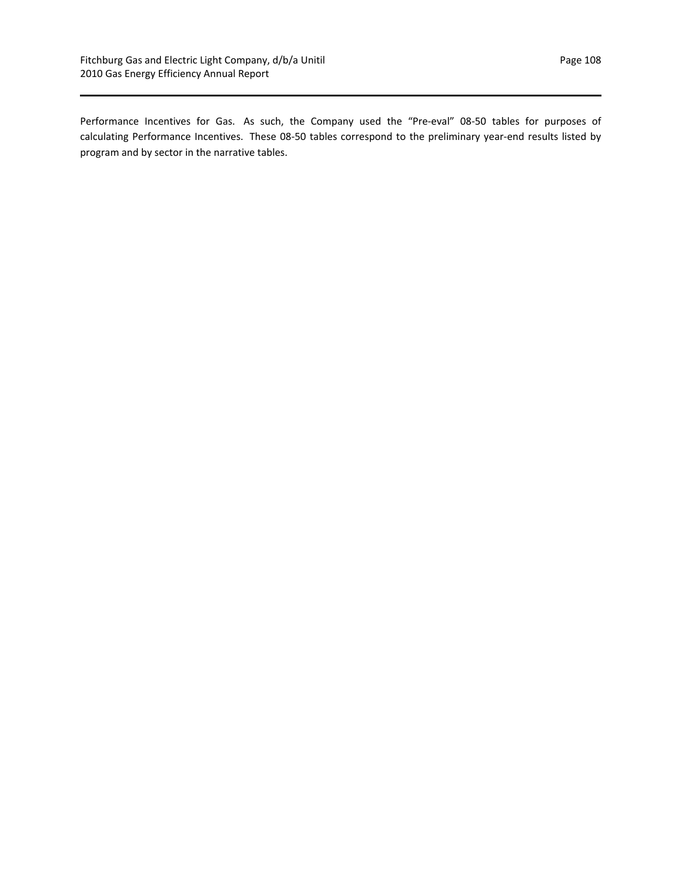Performance Incentives for Gas. As such, the Company used the "Pre-eval" 08-50 tables for purposes of calculating Performance Incentives. These 08‐50 tables correspond to the preliminary year‐end results listed by program and by sector in the narrative tables.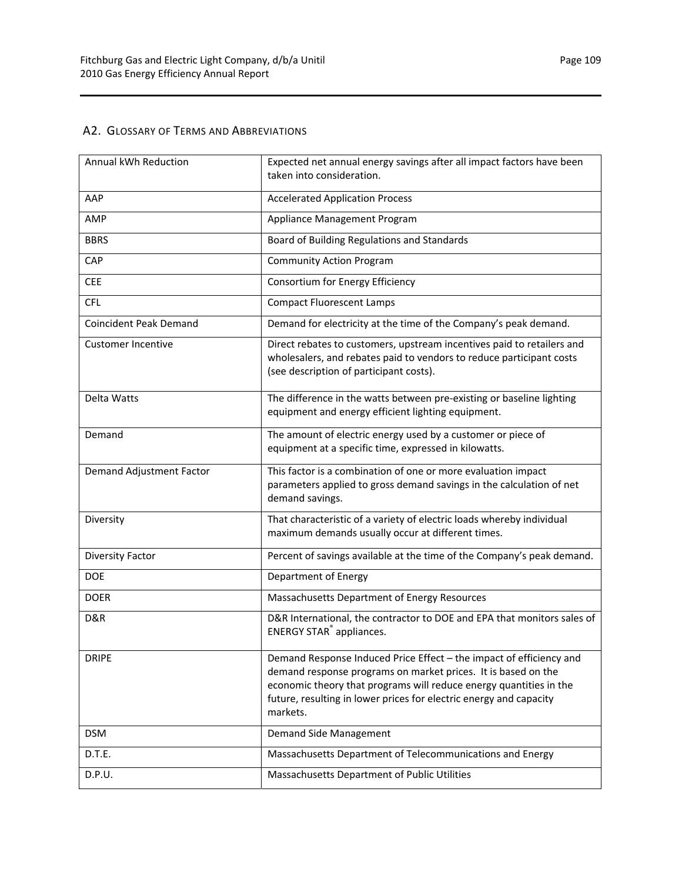## A2. GLOSSARY OF TERMS AND ABBREVIATIONS

| Annual kWh Reduction          | Expected net annual energy savings after all impact factors have been<br>taken into consideration.                                                                                                                                                                                           |  |  |  |
|-------------------------------|----------------------------------------------------------------------------------------------------------------------------------------------------------------------------------------------------------------------------------------------------------------------------------------------|--|--|--|
|                               |                                                                                                                                                                                                                                                                                              |  |  |  |
| AAP                           | <b>Accelerated Application Process</b>                                                                                                                                                                                                                                                       |  |  |  |
| AMP                           | Appliance Management Program                                                                                                                                                                                                                                                                 |  |  |  |
| <b>BBRS</b>                   | Board of Building Regulations and Standards                                                                                                                                                                                                                                                  |  |  |  |
| CAP                           | <b>Community Action Program</b>                                                                                                                                                                                                                                                              |  |  |  |
| <b>CEE</b>                    | Consortium for Energy Efficiency                                                                                                                                                                                                                                                             |  |  |  |
| <b>CFL</b>                    | <b>Compact Fluorescent Lamps</b>                                                                                                                                                                                                                                                             |  |  |  |
| <b>Coincident Peak Demand</b> | Demand for electricity at the time of the Company's peak demand.                                                                                                                                                                                                                             |  |  |  |
| <b>Customer Incentive</b>     | Direct rebates to customers, upstream incentives paid to retailers and<br>wholesalers, and rebates paid to vendors to reduce participant costs<br>(see description of participant costs).                                                                                                    |  |  |  |
| Delta Watts                   | The difference in the watts between pre-existing or baseline lighting<br>equipment and energy efficient lighting equipment.                                                                                                                                                                  |  |  |  |
| Demand                        | The amount of electric energy used by a customer or piece of<br>equipment at a specific time, expressed in kilowatts.                                                                                                                                                                        |  |  |  |
| Demand Adjustment Factor      | This factor is a combination of one or more evaluation impact<br>parameters applied to gross demand savings in the calculation of net<br>demand savings.                                                                                                                                     |  |  |  |
| Diversity                     | That characteristic of a variety of electric loads whereby individual<br>maximum demands usually occur at different times.                                                                                                                                                                   |  |  |  |
| Diversity Factor              | Percent of savings available at the time of the Company's peak demand.                                                                                                                                                                                                                       |  |  |  |
| <b>DOE</b>                    | Department of Energy                                                                                                                                                                                                                                                                         |  |  |  |
| <b>DOER</b>                   | Massachusetts Department of Energy Resources                                                                                                                                                                                                                                                 |  |  |  |
| D&R                           | D&R International, the contractor to DOE and EPA that monitors sales of<br><b>ENERGY STAR<sup>®</sup></b> appliances.                                                                                                                                                                        |  |  |  |
| <b>DRIPE</b>                  | Demand Response Induced Price Effect - the impact of efficiency and<br>demand response programs on market prices. It is based on the<br>economic theory that programs will reduce energy quantities in the<br>future, resulting in lower prices for electric energy and capacity<br>markets. |  |  |  |
| <b>DSM</b>                    | Demand Side Management                                                                                                                                                                                                                                                                       |  |  |  |
| D.T.E.                        | Massachusetts Department of Telecommunications and Energy                                                                                                                                                                                                                                    |  |  |  |
| D.P.U.                        | Massachusetts Department of Public Utilities                                                                                                                                                                                                                                                 |  |  |  |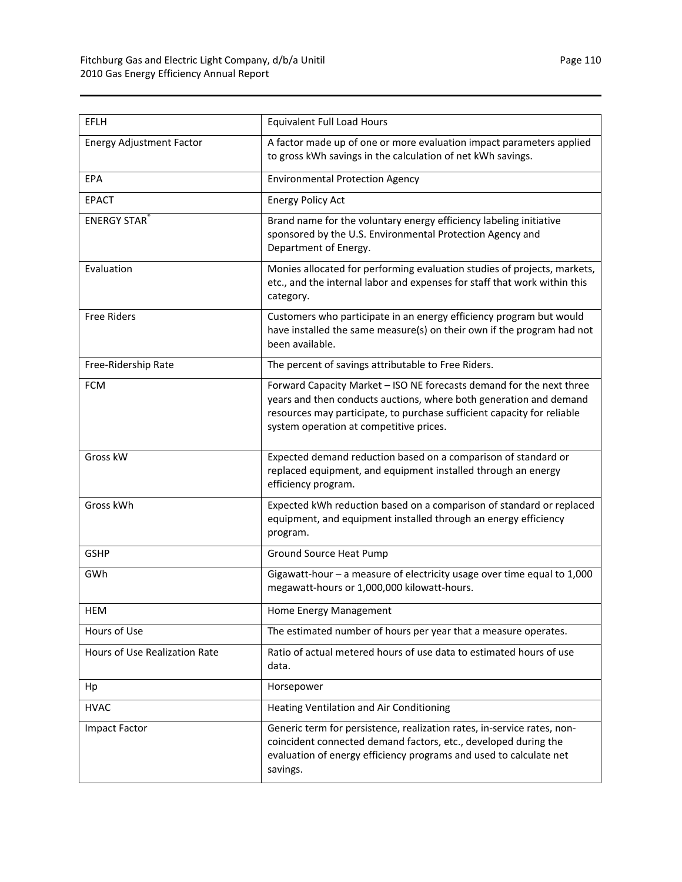| EFLH                            | <b>Equivalent Full Load Hours</b>                                                                                                                                                                                                                                |  |  |  |
|---------------------------------|------------------------------------------------------------------------------------------------------------------------------------------------------------------------------------------------------------------------------------------------------------------|--|--|--|
| <b>Energy Adjustment Factor</b> | A factor made up of one or more evaluation impact parameters applied<br>to gross kWh savings in the calculation of net kWh savings.                                                                                                                              |  |  |  |
| EPA                             | <b>Environmental Protection Agency</b>                                                                                                                                                                                                                           |  |  |  |
| <b>EPACT</b>                    | <b>Energy Policy Act</b>                                                                                                                                                                                                                                         |  |  |  |
| <b>ENERGY STAR</b>              | Brand name for the voluntary energy efficiency labeling initiative<br>sponsored by the U.S. Environmental Protection Agency and<br>Department of Energy.                                                                                                         |  |  |  |
| Evaluation                      | Monies allocated for performing evaluation studies of projects, markets,<br>etc., and the internal labor and expenses for staff that work within this<br>category.                                                                                               |  |  |  |
| <b>Free Riders</b>              | Customers who participate in an energy efficiency program but would<br>have installed the same measure(s) on their own if the program had not<br>been available.                                                                                                 |  |  |  |
| Free-Ridership Rate             | The percent of savings attributable to Free Riders.                                                                                                                                                                                                              |  |  |  |
| <b>FCM</b>                      | Forward Capacity Market - ISO NE forecasts demand for the next three<br>years and then conducts auctions, where both generation and demand<br>resources may participate, to purchase sufficient capacity for reliable<br>system operation at competitive prices. |  |  |  |
| Gross kW                        | Expected demand reduction based on a comparison of standard or<br>replaced equipment, and equipment installed through an energy<br>efficiency program.                                                                                                           |  |  |  |
| Gross kWh                       | Expected kWh reduction based on a comparison of standard or replaced<br>equipment, and equipment installed through an energy efficiency<br>program.                                                                                                              |  |  |  |
| <b>GSHP</b>                     | <b>Ground Source Heat Pump</b>                                                                                                                                                                                                                                   |  |  |  |
| GWh                             | Gigawatt-hour - a measure of electricity usage over time equal to 1,000<br>megawatt-hours or 1,000,000 kilowatt-hours.                                                                                                                                           |  |  |  |
| HEM                             | Home Energy Management                                                                                                                                                                                                                                           |  |  |  |
| Hours of Use                    | The estimated number of hours per year that a measure operates.                                                                                                                                                                                                  |  |  |  |
| Hours of Use Realization Rate   | Ratio of actual metered hours of use data to estimated hours of use<br>data.                                                                                                                                                                                     |  |  |  |
| Hp                              | Horsepower                                                                                                                                                                                                                                                       |  |  |  |
| <b>HVAC</b>                     | <b>Heating Ventilation and Air Conditioning</b>                                                                                                                                                                                                                  |  |  |  |
| <b>Impact Factor</b>            | Generic term for persistence, realization rates, in-service rates, non-<br>coincident connected demand factors, etc., developed during the<br>evaluation of energy efficiency programs and used to calculate net<br>savings.                                     |  |  |  |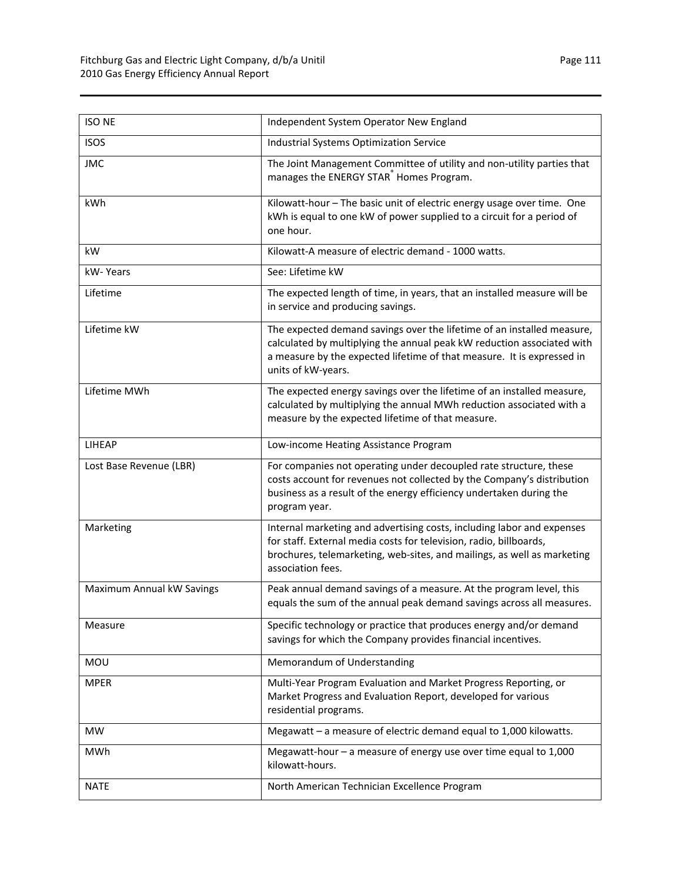| <b>ISO NE</b>             | Independent System Operator New England                                                                                                                                                                                                          |  |  |  |
|---------------------------|--------------------------------------------------------------------------------------------------------------------------------------------------------------------------------------------------------------------------------------------------|--|--|--|
| <b>ISOS</b>               | <b>Industrial Systems Optimization Service</b>                                                                                                                                                                                                   |  |  |  |
| <b>JMC</b>                | The Joint Management Committee of utility and non-utility parties that<br>manages the ENERGY STAR® Homes Program.                                                                                                                                |  |  |  |
| kWh                       | Kilowatt-hour - The basic unit of electric energy usage over time. One<br>kWh is equal to one kW of power supplied to a circuit for a period of<br>one hour.                                                                                     |  |  |  |
| kW                        | Kilowatt-A measure of electric demand - 1000 watts.                                                                                                                                                                                              |  |  |  |
| kW-Years                  | See: Lifetime kW                                                                                                                                                                                                                                 |  |  |  |
| Lifetime                  | The expected length of time, in years, that an installed measure will be<br>in service and producing savings.                                                                                                                                    |  |  |  |
| Lifetime kW               | The expected demand savings over the lifetime of an installed measure,<br>calculated by multiplying the annual peak kW reduction associated with<br>a measure by the expected lifetime of that measure. It is expressed in<br>units of kW-years. |  |  |  |
| Lifetime MWh              | The expected energy savings over the lifetime of an installed measure,<br>calculated by multiplying the annual MWh reduction associated with a<br>measure by the expected lifetime of that measure.                                              |  |  |  |
| <b>LIHEAP</b>             | Low-income Heating Assistance Program                                                                                                                                                                                                            |  |  |  |
| Lost Base Revenue (LBR)   | For companies not operating under decoupled rate structure, these<br>costs account for revenues not collected by the Company's distribution<br>business as a result of the energy efficiency undertaken during the<br>program year.              |  |  |  |
| Marketing                 | Internal marketing and advertising costs, including labor and expenses<br>for staff. External media costs for television, radio, billboards,<br>brochures, telemarketing, web-sites, and mailings, as well as marketing<br>association fees.     |  |  |  |
| Maximum Annual kW Savings | Peak annual demand savings of a measure. At the program level, this<br>equals the sum of the annual peak demand savings across all measures.                                                                                                     |  |  |  |
| Measure                   | Specific technology or practice that produces energy and/or demand<br>savings for which the Company provides financial incentives.                                                                                                               |  |  |  |
| <b>MOU</b>                | Memorandum of Understanding                                                                                                                                                                                                                      |  |  |  |
| <b>MPER</b>               | Multi-Year Program Evaluation and Market Progress Reporting, or<br>Market Progress and Evaluation Report, developed for various<br>residential programs.                                                                                         |  |  |  |
| MW                        | Megawatt - a measure of electric demand equal to 1,000 kilowatts.                                                                                                                                                                                |  |  |  |
| MWh                       | Megawatt-hour $-$ a measure of energy use over time equal to 1,000<br>kilowatt-hours.                                                                                                                                                            |  |  |  |
| <b>NATE</b>               | North American Technician Excellence Program                                                                                                                                                                                                     |  |  |  |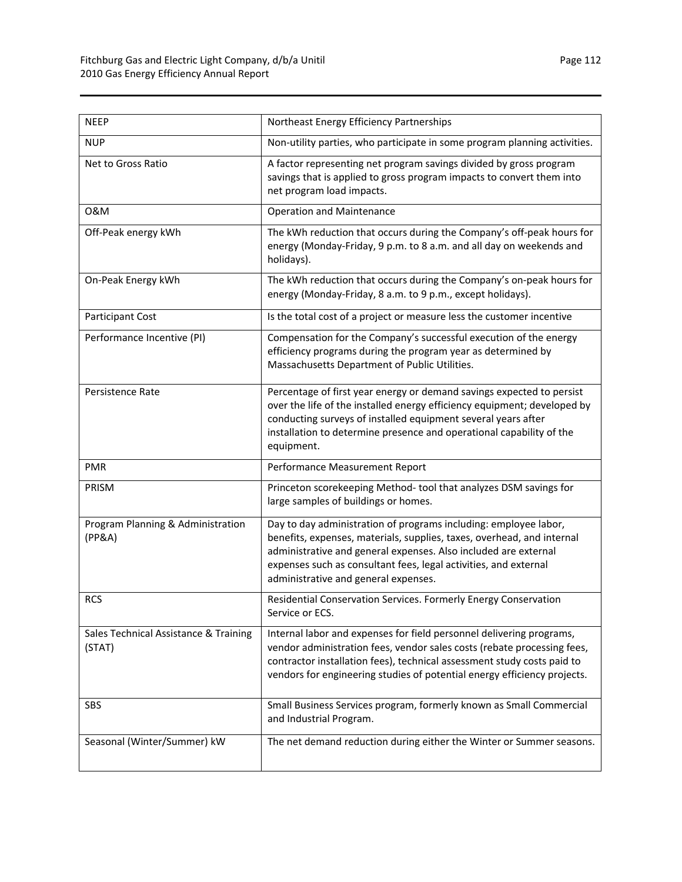| <b>NEEP</b>                                     | Northeast Energy Efficiency Partnerships                                                                                                                                                                                                                                                                                  |  |  |  |
|-------------------------------------------------|---------------------------------------------------------------------------------------------------------------------------------------------------------------------------------------------------------------------------------------------------------------------------------------------------------------------------|--|--|--|
| <b>NUP</b>                                      | Non-utility parties, who participate in some program planning activities.                                                                                                                                                                                                                                                 |  |  |  |
| Net to Gross Ratio                              | A factor representing net program savings divided by gross program<br>savings that is applied to gross program impacts to convert them into<br>net program load impacts.                                                                                                                                                  |  |  |  |
| 0&M                                             | <b>Operation and Maintenance</b>                                                                                                                                                                                                                                                                                          |  |  |  |
| Off-Peak energy kWh                             | The kWh reduction that occurs during the Company's off-peak hours for<br>energy (Monday-Friday, 9 p.m. to 8 a.m. and all day on weekends and<br>holidays).                                                                                                                                                                |  |  |  |
| On-Peak Energy kWh                              | The kWh reduction that occurs during the Company's on-peak hours for<br>energy (Monday-Friday, 8 a.m. to 9 p.m., except holidays).                                                                                                                                                                                        |  |  |  |
| Participant Cost                                | Is the total cost of a project or measure less the customer incentive                                                                                                                                                                                                                                                     |  |  |  |
| Performance Incentive (PI)                      | Compensation for the Company's successful execution of the energy<br>efficiency programs during the program year as determined by<br>Massachusetts Department of Public Utilities.                                                                                                                                        |  |  |  |
| Persistence Rate                                | Percentage of first year energy or demand savings expected to persist<br>over the life of the installed energy efficiency equipment; developed by<br>conducting surveys of installed equipment several years after<br>installation to determine presence and operational capability of the<br>equipment.                  |  |  |  |
| <b>PMR</b>                                      | Performance Measurement Report                                                                                                                                                                                                                                                                                            |  |  |  |
| PRISM                                           | Princeton scorekeeping Method-tool that analyzes DSM savings for<br>large samples of buildings or homes.                                                                                                                                                                                                                  |  |  |  |
| Program Planning & Administration<br>(PP&A)     | Day to day administration of programs including: employee labor,<br>benefits, expenses, materials, supplies, taxes, overhead, and internal<br>administrative and general expenses. Also included are external<br>expenses such as consultant fees, legal activities, and external<br>administrative and general expenses. |  |  |  |
| <b>RCS</b>                                      | Residential Conservation Services. Formerly Energy Conservation<br>Service or ECS.                                                                                                                                                                                                                                        |  |  |  |
| Sales Technical Assistance & Training<br>(STAT) | Internal labor and expenses for field personnel delivering programs,<br>vendor administration fees, vendor sales costs (rebate processing fees,<br>contractor installation fees), technical assessment study costs paid to<br>vendors for engineering studies of potential energy efficiency projects.                    |  |  |  |
| SBS                                             | Small Business Services program, formerly known as Small Commercial<br>and Industrial Program.                                                                                                                                                                                                                            |  |  |  |
| Seasonal (Winter/Summer) kW                     | The net demand reduction during either the Winter or Summer seasons.                                                                                                                                                                                                                                                      |  |  |  |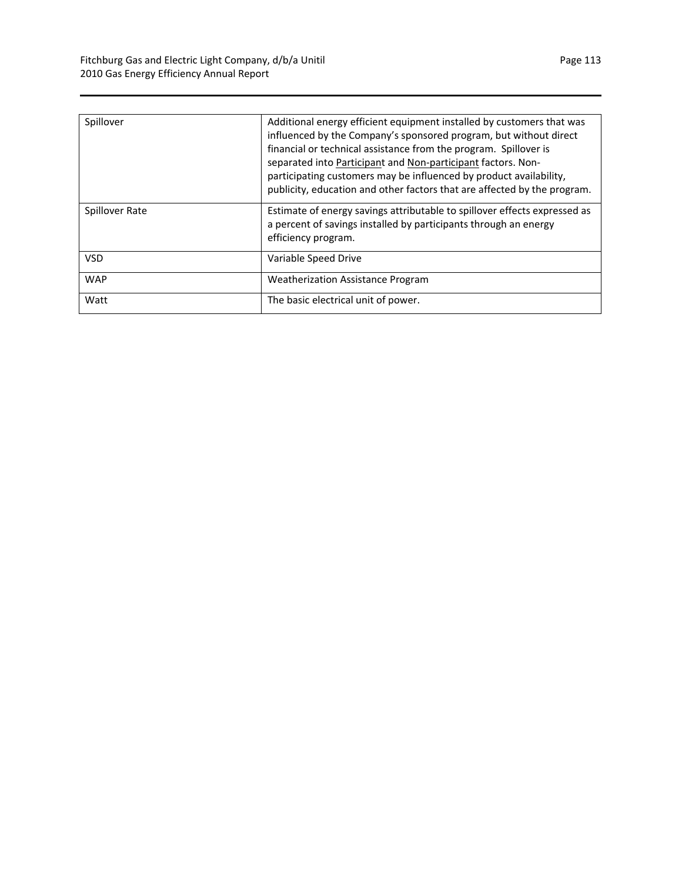| Spillover      | Additional energy efficient equipment installed by customers that was<br>influenced by the Company's sponsored program, but without direct<br>financial or technical assistance from the program. Spillover is<br>separated into Participant and Non-participant factors. Non-<br>participating customers may be influenced by product availability,<br>publicity, education and other factors that are affected by the program. |  |
|----------------|----------------------------------------------------------------------------------------------------------------------------------------------------------------------------------------------------------------------------------------------------------------------------------------------------------------------------------------------------------------------------------------------------------------------------------|--|
| Spillover Rate | Estimate of energy savings attributable to spillover effects expressed as<br>a percent of savings installed by participants through an energy<br>efficiency program.                                                                                                                                                                                                                                                             |  |
| <b>VSD</b>     | Variable Speed Drive                                                                                                                                                                                                                                                                                                                                                                                                             |  |
| <b>WAP</b>     | Weatherization Assistance Program                                                                                                                                                                                                                                                                                                                                                                                                |  |
| Watt           | The basic electrical unit of power.                                                                                                                                                                                                                                                                                                                                                                                              |  |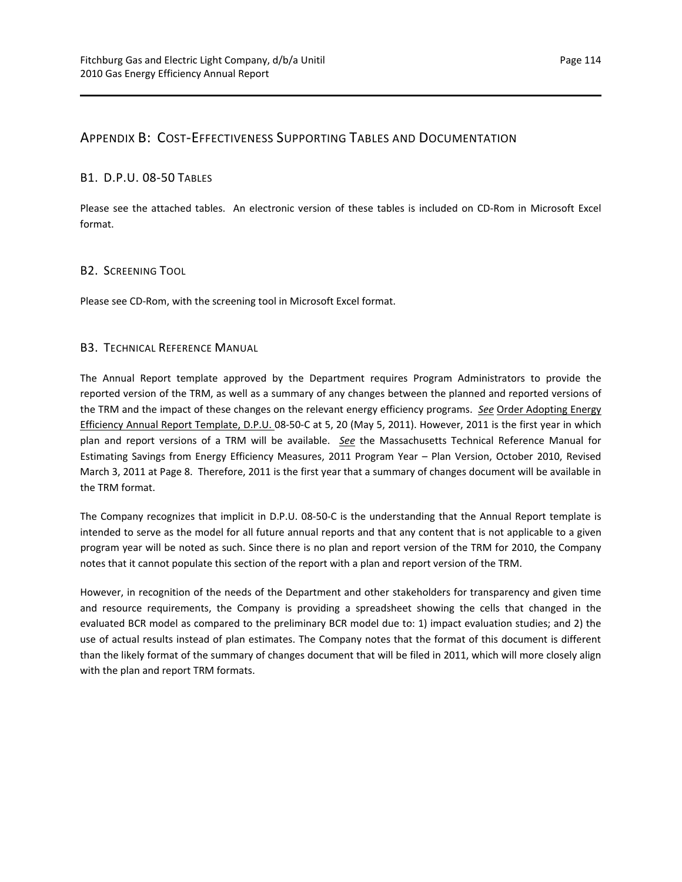## APPENDIX B: COST‐EFFECTIVENESS SUPPORTING TABLES AND DOCUMENTATION

#### B1. D.P.U. 08‐50 TABLES

Please see the attached tables. An electronic version of these tables is included on CD‐Rom in Microsoft Excel format.

#### B2. SCREENING TOOL

Please see CD‐Rom, with the screening tool in Microsoft Excel format.

#### B3. TECHNICAL REFERENCE MANUAL

The Annual Report template approved by the Department requires Program Administrators to provide the reported version of the TRM, as well as a summary of any changes between the planned and reported versions of the TRM and the impact of these changes on the relevant energy efficiency programs. *See* Order Adopting Energy Efficiency Annual Report Template, D.P.U. 08-50-C at 5, 20 (May 5, 2011). However, 2011 is the first year in which plan and report versions of a TRM will be available. *See* the Massachusetts Technical Reference Manual for Estimating Savings from Energy Efficiency Measures, 2011 Program Year – Plan Version, October 2010, Revised March 3, 2011 at Page 8. Therefore, 2011 is the first year that a summary of changes document will be available in the TRM format.

The Company recognizes that implicit in D.P.U. 08‐50‐C is the understanding that the Annual Report template is intended to serve as the model for all future annual reports and that any content that is not applicable to a given program year will be noted as such. Since there is no plan and report version of the TRM for 2010, the Company notes that it cannot populate this section of the report with a plan and report version of the TRM.

However, in recognition of the needs of the Department and other stakeholders for transparency and given time and resource requirements, the Company is providing a spreadsheet showing the cells that changed in the evaluated BCR model as compared to the preliminary BCR model due to: 1) impact evaluation studies; and 2) the use of actual results instead of plan estimates. The Company notes that the format of this document is different than the likely format of the summary of changes document that will be filed in 2011, which will more closely align with the plan and report TRM formats.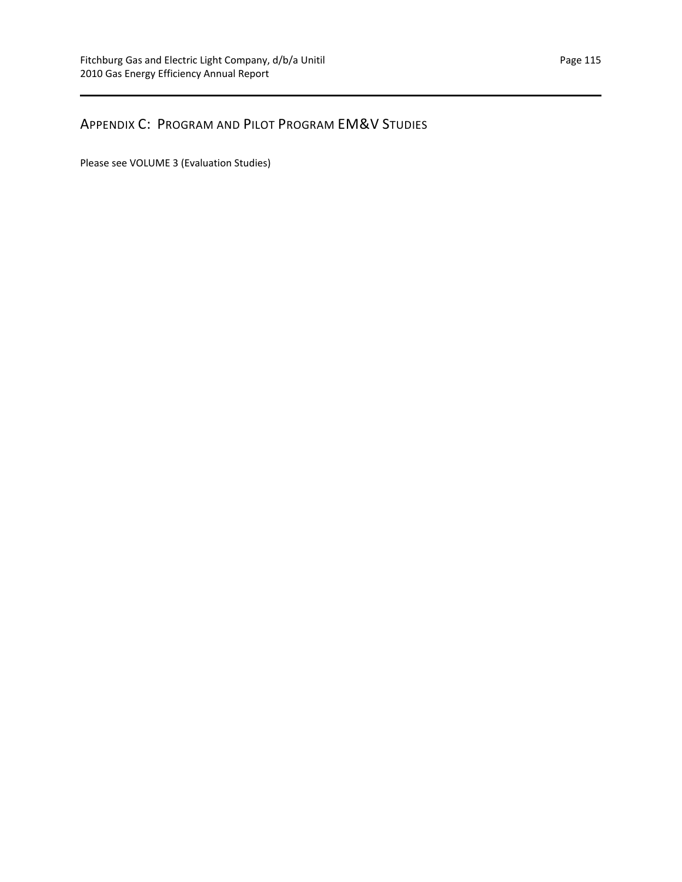## APPENDIX C: PROGRAM AND PILOT PROGRAM EM&V STUDIES

Please see VOLUME 3 (Evaluation Studies)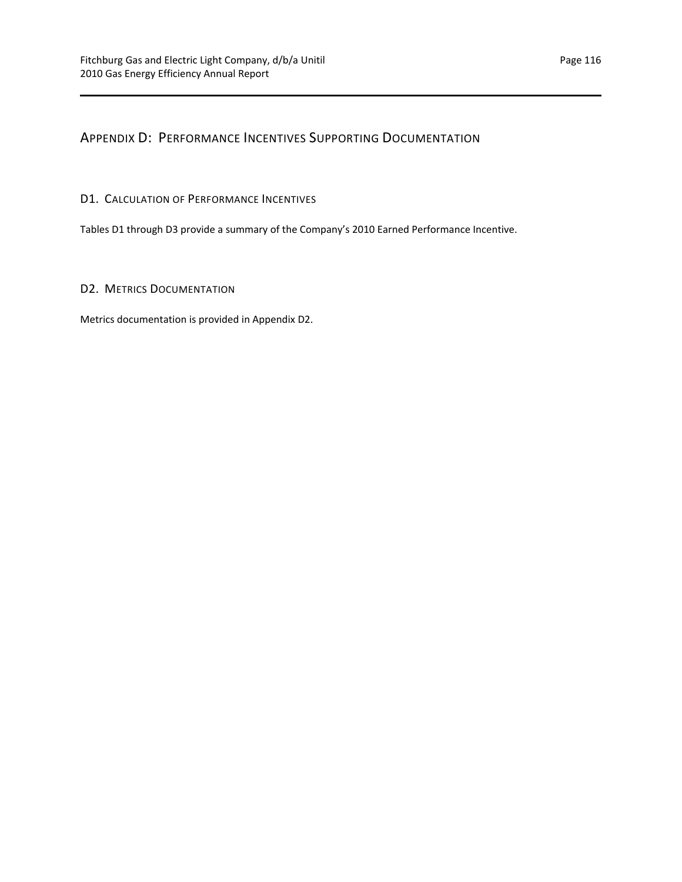APPENDIX D: PERFORMANCE INCENTIVES SUPPORTING DOCUMENTATION

## D1. CALCULATION OF PERFORMANCE INCENTIVES

Tables D1 through D3 provide a summary of the Company's 2010 Earned Performance Incentive.

## D2. METRICS DOCUMENTATION

Metrics documentation is provided in Appendix D2.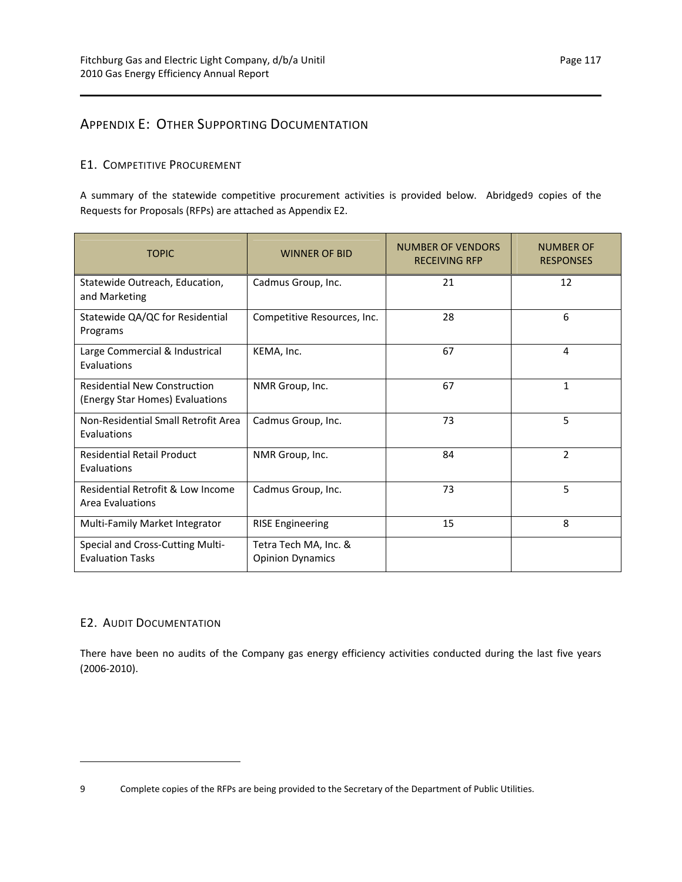## APPENDIX E: OTHER SUPPORTING DOCUMENTATION

## E1. COMPETITIVE PROCUREMENT

A summary of the statewide competitive procurement activities is provided below. Abridged[9](#page-120-0) copies of the Requests for Proposals (RFPs) are attached as Appendix E2.

| <b>TOPIC</b>                                                           | <b>WINNER OF BID</b>                             | NUMBER OF VENDORS<br><b>RECEIVING RFP</b> | <b>NUMBER OF</b><br><b>RESPONSES</b> |
|------------------------------------------------------------------------|--------------------------------------------------|-------------------------------------------|--------------------------------------|
| Statewide Outreach, Education,<br>and Marketing                        | Cadmus Group, Inc.                               | 21                                        | 12                                   |
| Statewide QA/QC for Residential<br>Programs                            | Competitive Resources, Inc.                      | 28                                        | 6                                    |
| Large Commercial & Industrical<br>Evaluations                          | KEMA, Inc.                                       | 67                                        | 4                                    |
| <b>Residential New Construction</b><br>(Energy Star Homes) Evaluations | NMR Group, Inc.                                  | 67                                        | $\mathbf{1}$                         |
| Non-Residential Small Retrofit Area<br>Evaluations                     | Cadmus Group, Inc.                               | 73                                        | 5                                    |
| <b>Residential Retail Product</b><br>Evaluations                       | NMR Group, Inc.                                  | 84                                        | 2                                    |
| Residential Retrofit & Low Income<br>Area Evaluations                  | Cadmus Group, Inc.                               | 73                                        | 5                                    |
| Multi-Family Market Integrator                                         | <b>RISE Engineering</b>                          | 15                                        | 8                                    |
| Special and Cross-Cutting Multi-<br><b>Evaluation Tasks</b>            | Tetra Tech MA, Inc. &<br><b>Opinion Dynamics</b> |                                           |                                      |

#### E2. AUDIT DOCUMENTATION

There have been no audits of the Company gas energy efficiency activities conducted during the last five years (2006‐2010).

<span id="page-120-0"></span><sup>9</sup> Complete copies of the RFPs are being provided to the Secretary of the Department of Public Utilities.